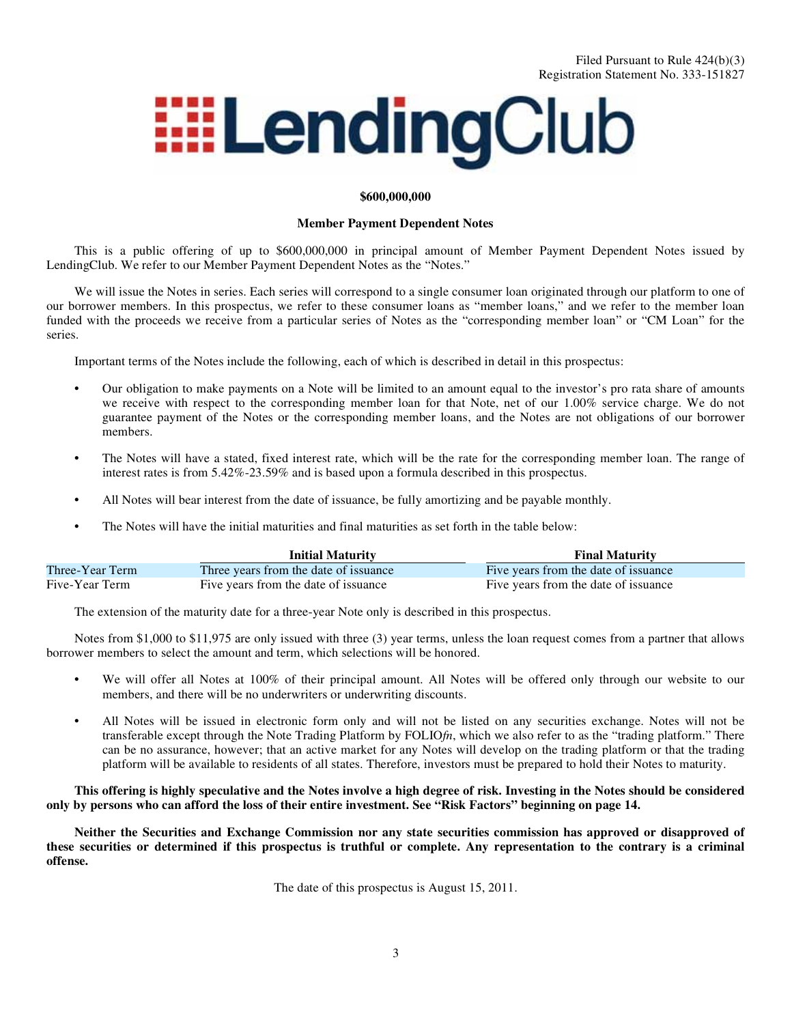# **EELendingClub**

#### **\$600,000,000**

#### **Member Payment Dependent Notes**

This is a public offering of up to \$600,000,000 in principal amount of Member Payment Dependent Notes issued by LendingClub. We refer to our Member Payment Dependent Notes as the "Notes."

We will issue the Notes in series. Each series will correspond to a single consumer loan originated through our platform to one of our borrower members. In this prospectus, we refer to these consumer loans as "member loans," and we refer to the member loan funded with the proceeds we receive from a particular series of Notes as the "corresponding member loan" or "CM Loan" for the series.

Important terms of the Notes include the following, each of which is described in detail in this prospectus:

- **•** Our obligation to make payments on a Note will be limited to an amount equal to the investor's pro rata share of amounts we receive with respect to the corresponding member loan for that Note, net of our 1.00% service charge. We do not guarantee payment of the Notes or the corresponding member loans, and the Notes are not obligations of our borrower members.
- **•** The Notes will have a stated, fixed interest rate, which will be the rate for the corresponding member loan. The range of interest rates is from 5.42%-23.59% and is based upon a formula described in this prospectus.
- All Notes will bear interest from the date of issuance, be fully amortizing and be payable monthly.
- **•** The Notes will have the initial maturities and final maturities as set forth in the table below:

|                 | <b>Initial Maturity</b>               | <b>Final Maturity</b>                |
|-----------------|---------------------------------------|--------------------------------------|
| Three-Year Term | Three years from the date of issuance | Five years from the date of issuance |
| Five-Year Term  | Five years from the date of issuance  | Five years from the date of issuance |

The extension of the maturity date for a three-year Note only is described in this prospectus.

Notes from \$1,000 to \$11,975 are only issued with three (3) year terms, unless the loan request comes from a partner that allows borrower members to select the amount and term, which selections will be honored.

- We will offer all Notes at 100% of their principal amount. All Notes will be offered only through our website to our members, and there will be no underwriters or underwriting discounts.
- **•** All Notes will be issued in electronic form only and will not be listed on any securities exchange. Notes will not be transferable except through the Note Trading Platform by FOLIO*fn*, which we also refer to as the "trading platform." There can be no assurance, however; that an active market for any Notes will develop on the trading platform or that the trading platform will be available to residents of all states. Therefore, investors must be prepared to hold their Notes to maturity.

#### **This offering is highly speculative and the Notes involve a high degree of risk. Investing in the Notes should be considered only by persons who can afford the loss of their entire investment. See "Risk Factors" beginning on page 14.**

**Neither the Securities and Exchange Commission nor any state securities commission has approved or disapproved of these securities or determined if this prospectus is truthful or complete. Any representation to the contrary is a criminal offense.**

The date of this prospectus is August 15, 2011.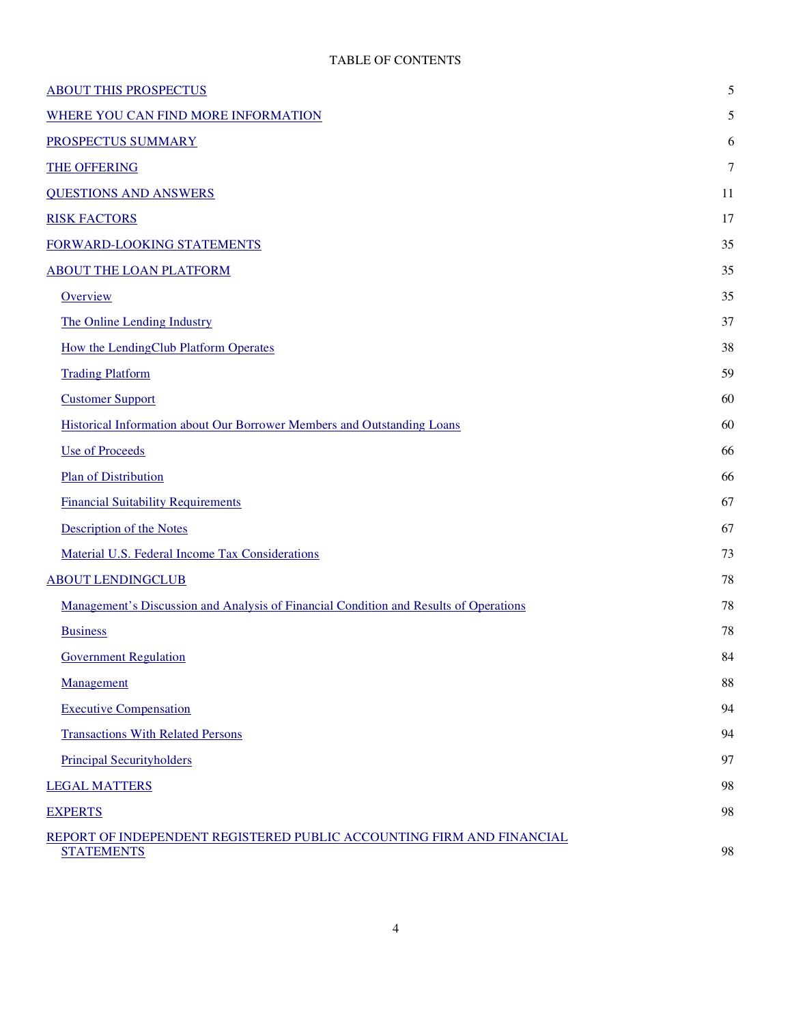| <b>ABOUT THIS PROSPECTUS</b>                                                               | 5      |  |
|--------------------------------------------------------------------------------------------|--------|--|
| WHERE YOU CAN FIND MORE INFORMATION                                                        | 5      |  |
| PROSPECTUS SUMMARY                                                                         | 6      |  |
| <b>THE OFFERING</b>                                                                        | $\tau$ |  |
| <b>QUESTIONS AND ANSWERS</b>                                                               | 11     |  |
| <b>RISK FACTORS</b>                                                                        | 17     |  |
| FORWARD-LOOKING STATEMENTS                                                                 | 35     |  |
| <b>ABOUT THE LOAN PLATFORM</b>                                                             | 35     |  |
| Overview                                                                                   | 35     |  |
| The Online Lending Industry                                                                | 37     |  |
| How the LendingClub Platform Operates                                                      | 38     |  |
| <b>Trading Platform</b>                                                                    | 59     |  |
| <b>Customer Support</b>                                                                    | 60     |  |
| Historical Information about Our Borrower Members and Outstanding Loans                    | 60     |  |
| <b>Use of Proceeds</b>                                                                     | 66     |  |
| <b>Plan of Distribution</b>                                                                | 66     |  |
| <b>Financial Suitability Requirements</b>                                                  |        |  |
| <b>Description of the Notes</b>                                                            | 67     |  |
| Material U.S. Federal Income Tax Considerations                                            | 73     |  |
| <b>ABOUT LENDINGCLUB</b>                                                                   |        |  |
| Management's Discussion and Analysis of Financial Condition and Results of Operations      |        |  |
| <b>Business</b>                                                                            | 78     |  |
| <b>Government Regulation</b>                                                               | 84     |  |
| Management                                                                                 | 88     |  |
| <b>Executive Compensation</b>                                                              | 94     |  |
| <b>Transactions With Related Persons</b>                                                   | 94     |  |
| <b>Principal Securityholders</b>                                                           | 97     |  |
| <b>LEGAL MATTERS</b>                                                                       |        |  |
| <b>EXPERTS</b>                                                                             |        |  |
| REPORT OF INDEPENDENT REGISTERED PUBLIC ACCOUNTING FIRM AND FINANCIAL<br><b>STATEMENTS</b> | 98     |  |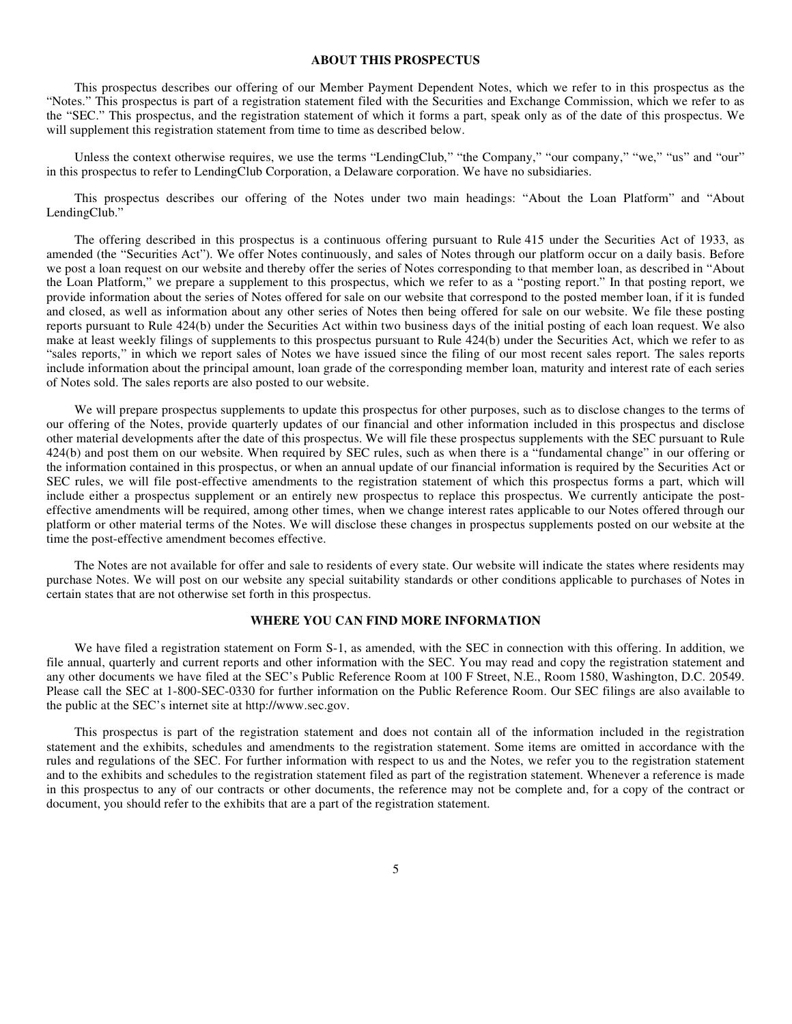#### **ABOUT THIS PROSPECTUS**

This prospectus describes our offering of our Member Payment Dependent Notes, which we refer to in this prospectus as the "Notes." This prospectus is part of a registration statement filed with the Securities and Exchange Commission, which we refer to as the "SEC." This prospectus, and the registration statement of which it forms a part, speak only as of the date of this prospectus. We will supplement this registration statement from time to time as described below.

Unless the context otherwise requires, we use the terms "LendingClub," "the Company," "our company," "we," "us" and "our" in this prospectus to refer to LendingClub Corporation, a Delaware corporation. We have no subsidiaries.

This prospectus describes our offering of the Notes under two main headings: "About the Loan Platform" and "About LendingClub."

The offering described in this prospectus is a continuous offering pursuant to Rule 415 under the Securities Act of 1933, as amended (the "Securities Act"). We offer Notes continuously, and sales of Notes through our platform occur on a daily basis. Before we post a loan request on our website and thereby offer the series of Notes corresponding to that member loan, as described in "About the Loan Platform," we prepare a supplement to this prospectus, which we refer to as a "posting report." In that posting report, we provide information about the series of Notes offered for sale on our website that correspond to the posted member loan, if it is funded and closed, as well as information about any other series of Notes then being offered for sale on our website. We file these posting reports pursuant to Rule 424(b) under the Securities Act within two business days of the initial posting of each loan request. We also make at least weekly filings of supplements to this prospectus pursuant to Rule 424(b) under the Securities Act, which we refer to as "sales reports," in which we report sales of Notes we have issued since the filing of our most recent sales report. The sales reports include information about the principal amount, loan grade of the corresponding member loan, maturity and interest rate of each series of Notes sold. The sales reports are also posted to our website.

We will prepare prospectus supplements to update this prospectus for other purposes, such as to disclose changes to the terms of our offering of the Notes, provide quarterly updates of our financial and other information included in this prospectus and disclose other material developments after the date of this prospectus. We will file these prospectus supplements with the SEC pursuant to Rule 424(b) and post them on our website. When required by SEC rules, such as when there is a "fundamental change" in our offering or the information contained in this prospectus, or when an annual update of our financial information is required by the Securities Act or SEC rules, we will file post-effective amendments to the registration statement of which this prospectus forms a part, which will include either a prospectus supplement or an entirely new prospectus to replace this prospectus. We currently anticipate the posteffective amendments will be required, among other times, when we change interest rates applicable to our Notes offered through our platform or other material terms of the Notes. We will disclose these changes in prospectus supplements posted on our website at the time the post-effective amendment becomes effective.

The Notes are not available for offer and sale to residents of every state. Our website will indicate the states where residents may purchase Notes. We will post on our website any special suitability standards or other conditions applicable to purchases of Notes in certain states that are not otherwise set forth in this prospectus.

#### **WHERE YOU CAN FIND MORE INFORMATION**

We have filed a registration statement on Form S-1, as amended, with the SEC in connection with this offering. In addition, we file annual, quarterly and current reports and other information with the SEC. You may read and copy the registration statement and any other documents we have filed at the SEC's Public Reference Room at 100 F Street, N.E., Room 1580, Washington, D.C. 20549. Please call the SEC at 1-800-SEC-0330 for further information on the Public Reference Room. Our SEC filings are also available to the public at the SEC's internet site at http://www.sec.gov.

This prospectus is part of the registration statement and does not contain all of the information included in the registration statement and the exhibits, schedules and amendments to the registration statement. Some items are omitted in accordance with the rules and regulations of the SEC. For further information with respect to us and the Notes, we refer you to the registration statement and to the exhibits and schedules to the registration statement filed as part of the registration statement. Whenever a reference is made in this prospectus to any of our contracts or other documents, the reference may not be complete and, for a copy of the contract or document, you should refer to the exhibits that are a part of the registration statement.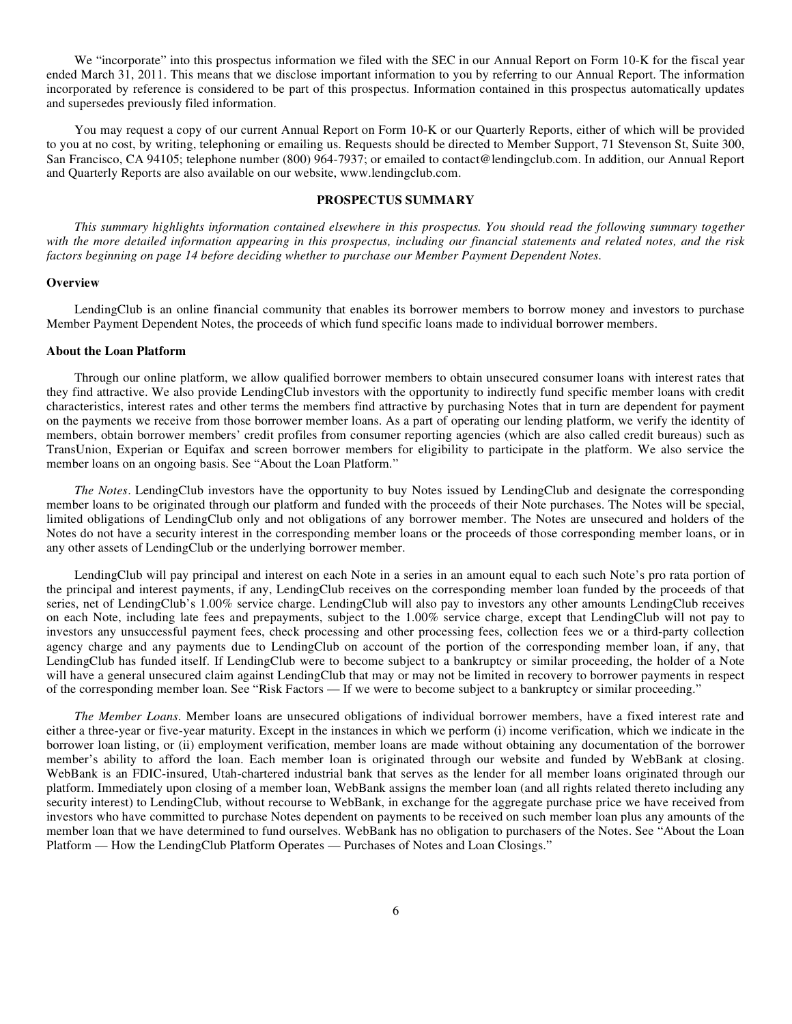We "incorporate" into this prospectus information we filed with the SEC in our Annual Report on Form 10-K for the fiscal year ended March 31, 2011. This means that we disclose important information to you by referring to our Annual Report. The information incorporated by reference is considered to be part of this prospectus. Information contained in this prospectus automatically updates and supersedes previously filed information.

You may request a copy of our current Annual Report on Form 10-K or our Quarterly Reports, either of which will be provided to you at no cost, by writing, telephoning or emailing us. Requests should be directed to Member Support, 71 Stevenson St, Suite 300, San Francisco, CA 94105; telephone number (800) 964-7937; or emailed to contact@lendingclub.com. In addition, our Annual Report and Quarterly Reports are also available on our website, www.lendingclub.com.

#### **PROSPECTUS SUMMARY**

*This summary highlights information contained elsewhere in this prospectus. You should read the following summary together with the more detailed information appearing in this prospectus, including our financial statements and related notes, and the risk factors beginning on page 14 before deciding whether to purchase our Member Payment Dependent Notes.*

#### **Overview**

LendingClub is an online financial community that enables its borrower members to borrow money and investors to purchase Member Payment Dependent Notes, the proceeds of which fund specific loans made to individual borrower members.

#### **About the Loan Platform**

Through our online platform, we allow qualified borrower members to obtain unsecured consumer loans with interest rates that they find attractive. We also provide LendingClub investors with the opportunity to indirectly fund specific member loans with credit characteristics, interest rates and other terms the members find attractive by purchasing Notes that in turn are dependent for payment on the payments we receive from those borrower member loans. As a part of operating our lending platform, we verify the identity of members, obtain borrower members' credit profiles from consumer reporting agencies (which are also called credit bureaus) such as TransUnion, Experian or Equifax and screen borrower members for eligibility to participate in the platform. We also service the member loans on an ongoing basis. See "About the Loan Platform."

*The Notes*. LendingClub investors have the opportunity to buy Notes issued by LendingClub and designate the corresponding member loans to be originated through our platform and funded with the proceeds of their Note purchases. The Notes will be special, limited obligations of LendingClub only and not obligations of any borrower member. The Notes are unsecured and holders of the Notes do not have a security interest in the corresponding member loans or the proceeds of those corresponding member loans, or in any other assets of LendingClub or the underlying borrower member.

LendingClub will pay principal and interest on each Note in a series in an amount equal to each such Note's pro rata portion of the principal and interest payments, if any, LendingClub receives on the corresponding member loan funded by the proceeds of that series, net of LendingClub's 1.00% service charge. LendingClub will also pay to investors any other amounts LendingClub receives on each Note, including late fees and prepayments, subject to the 1.00% service charge, except that LendingClub will not pay to investors any unsuccessful payment fees, check processing and other processing fees, collection fees we or a third-party collection agency charge and any payments due to LendingClub on account of the portion of the corresponding member loan, if any, that LendingClub has funded itself. If LendingClub were to become subject to a bankruptcy or similar proceeding, the holder of a Note will have a general unsecured claim against LendingClub that may or may not be limited in recovery to borrower payments in respect of the corresponding member loan. See "Risk Factors — If we were to become subject to a bankruptcy or similar proceeding."

*The Member Loans*. Member loans are unsecured obligations of individual borrower members, have a fixed interest rate and either a three-year or five-year maturity. Except in the instances in which we perform (i) income verification, which we indicate in the borrower loan listing, or (ii) employment verification, member loans are made without obtaining any documentation of the borrower member's ability to afford the loan. Each member loan is originated through our website and funded by WebBank at closing. WebBank is an FDIC-insured, Utah-chartered industrial bank that serves as the lender for all member loans originated through our platform. Immediately upon closing of a member loan, WebBank assigns the member loan (and all rights related thereto including any security interest) to LendingClub, without recourse to WebBank, in exchange for the aggregate purchase price we have received from investors who have committed to purchase Notes dependent on payments to be received on such member loan plus any amounts of the member loan that we have determined to fund ourselves. WebBank has no obligation to purchasers of the Notes. See "About the Loan Platform — How the LendingClub Platform Operates — Purchases of Notes and Loan Closings."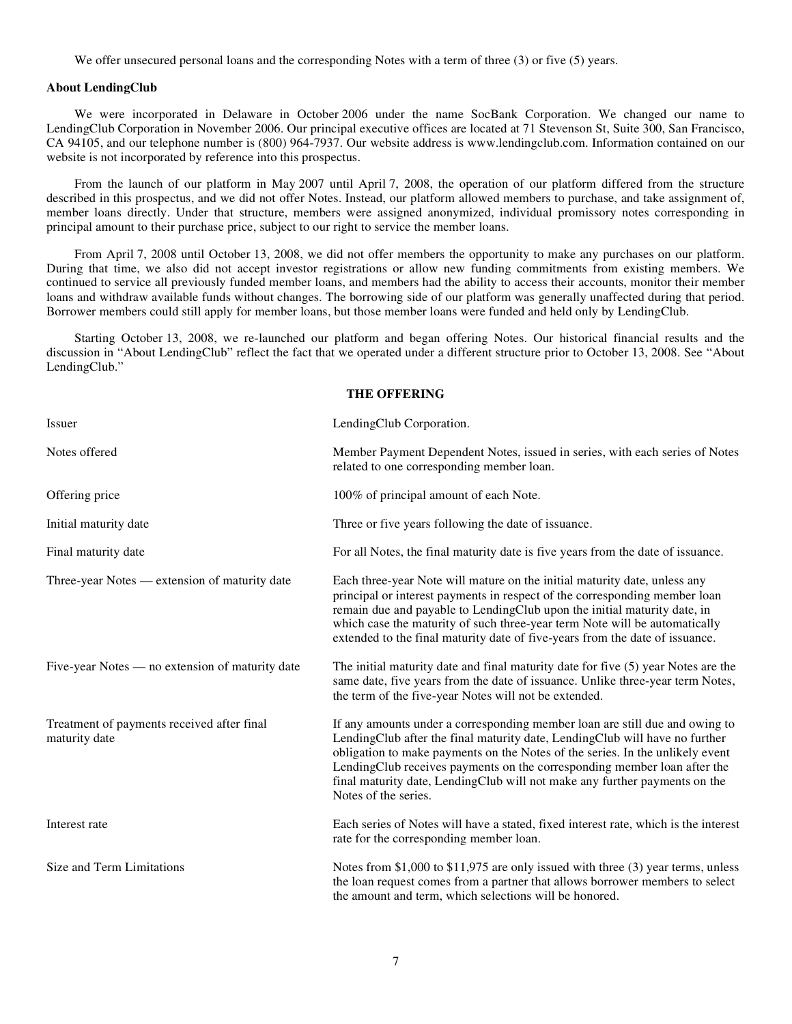We offer unsecured personal loans and the corresponding Notes with a term of three (3) or five (5) years.

#### **About LendingClub**

We were incorporated in Delaware in October 2006 under the name SocBank Corporation. We changed our name to LendingClub Corporation in November 2006. Our principal executive offices are located at 71 Stevenson St, Suite 300, San Francisco, CA 94105, and our telephone number is (800) 964-7937. Our website address is www.lendingclub.com. Information contained on our website is not incorporated by reference into this prospectus.

From the launch of our platform in May 2007 until April 7, 2008, the operation of our platform differed from the structure described in this prospectus, and we did not offer Notes. Instead, our platform allowed members to purchase, and take assignment of, member loans directly. Under that structure, members were assigned anonymized, individual promissory notes corresponding in principal amount to their purchase price, subject to our right to service the member loans.

From April 7, 2008 until October 13, 2008, we did not offer members the opportunity to make any purchases on our platform. During that time, we also did not accept investor registrations or allow new funding commitments from existing members. We continued to service all previously funded member loans, and members had the ability to access their accounts, monitor their member loans and withdraw available funds without changes. The borrowing side of our platform was generally unaffected during that period. Borrower members could still apply for member loans, but those member loans were funded and held only by LendingClub.

Starting October 13, 2008, we re-launched our platform and began offering Notes. Our historical financial results and the discussion in "About LendingClub" reflect the fact that we operated under a different structure prior to October 13, 2008. See "About LendingClub."

#### **THE OFFERING**

| Issuer                                                      | LendingClub Corporation.                                                                                                                                                                                                                                                                                                                                                                                                      |
|-------------------------------------------------------------|-------------------------------------------------------------------------------------------------------------------------------------------------------------------------------------------------------------------------------------------------------------------------------------------------------------------------------------------------------------------------------------------------------------------------------|
| Notes offered                                               | Member Payment Dependent Notes, issued in series, with each series of Notes<br>related to one corresponding member loan.                                                                                                                                                                                                                                                                                                      |
| Offering price                                              | 100% of principal amount of each Note.                                                                                                                                                                                                                                                                                                                                                                                        |
| Initial maturity date                                       | Three or five years following the date of issuance.                                                                                                                                                                                                                                                                                                                                                                           |
| Final maturity date                                         | For all Notes, the final maturity date is five years from the date of issuance.                                                                                                                                                                                                                                                                                                                                               |
| Three-year Notes — extension of maturity date               | Each three-year Note will mature on the initial maturity date, unless any<br>principal or interest payments in respect of the corresponding member loan<br>remain due and payable to LendingClub upon the initial maturity date, in<br>which case the maturity of such three-year term Note will be automatically<br>extended to the final maturity date of five-years from the date of issuance.                             |
| Five-year Notes — no extension of maturity date             | The initial maturity date and final maturity date for five (5) year Notes are the<br>same date, five years from the date of issuance. Unlike three-year term Notes,<br>the term of the five-year Notes will not be extended.                                                                                                                                                                                                  |
| Treatment of payments received after final<br>maturity date | If any amounts under a corresponding member loan are still due and owing to<br>LendingClub after the final maturity date, LendingClub will have no further<br>obligation to make payments on the Notes of the series. In the unlikely event<br>LendingClub receives payments on the corresponding member loan after the<br>final maturity date, LendingClub will not make any further payments on the<br>Notes of the series. |
| Interest rate                                               | Each series of Notes will have a stated, fixed interest rate, which is the interest<br>rate for the corresponding member loan.                                                                                                                                                                                                                                                                                                |
| Size and Term Limitations                                   | Notes from \$1,000 to \$11,975 are only issued with three (3) year terms, unless<br>the loan request comes from a partner that allows borrower members to select<br>the amount and term, which selections will be honored.                                                                                                                                                                                                    |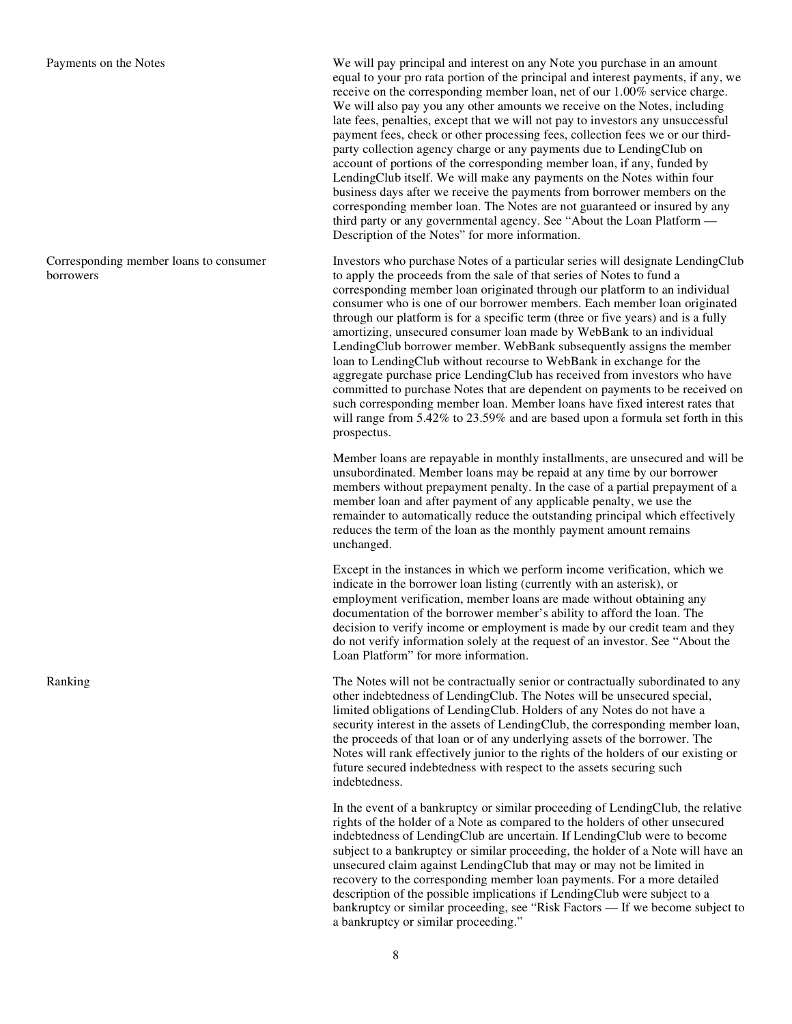Corresponding member loans to consumer borrowers

Payments on the Notes We will pay principal and interest on any Note you purchase in an amount equal to your pro rata portion of the principal and interest payments, if any, we receive on the corresponding member loan, net of our 1.00% service charge. We will also pay you any other amounts we receive on the Notes, including late fees, penalties, except that we will not pay to investors any unsuccessful payment fees, check or other processing fees, collection fees we or our thirdparty collection agency charge or any payments due to LendingClub on account of portions of the corresponding member loan, if any, funded by LendingClub itself. We will make any payments on the Notes within four business days after we receive the payments from borrower members on the corresponding member loan. The Notes are not guaranteed or insured by any third party or any governmental agency. See "About the Loan Platform — Description of the Notes" for more information.

Investors who purchase Notes of a particular series will designate LendingClub to apply the proceeds from the sale of that series of Notes to fund a corresponding member loan originated through our platform to an individual consumer who is one of our borrower members. Each member loan originated through our platform is for a specific term (three or five years) and is a fully amortizing, unsecured consumer loan made by WebBank to an individual LendingClub borrower member. WebBank subsequently assigns the member loan to LendingClub without recourse to WebBank in exchange for the aggregate purchase price LendingClub has received from investors who have committed to purchase Notes that are dependent on payments to be received on such corresponding member loan. Member loans have fixed interest rates that will range from 5.42% to 23.59% and are based upon a formula set forth in this prospectus.

 Member loans are repayable in monthly installments, are unsecured and will be unsubordinated. Member loans may be repaid at any time by our borrower members without prepayment penalty. In the case of a partial prepayment of a member loan and after payment of any applicable penalty, we use the remainder to automatically reduce the outstanding principal which effectively reduces the term of the loan as the monthly payment amount remains unchanged.

> Except in the instances in which we perform income verification, which we indicate in the borrower loan listing (currently with an asterisk), or employment verification, member loans are made without obtaining any documentation of the borrower member's ability to afford the loan. The decision to verify income or employment is made by our credit team and they do not verify information solely at the request of an investor. See "About the Loan Platform" for more information.

Ranking The Notes will not be contractually senior or contractually subordinated to any other indebtedness of LendingClub. The Notes will be unsecured special, limited obligations of LendingClub. Holders of any Notes do not have a security interest in the assets of LendingClub, the corresponding member loan, the proceeds of that loan or of any underlying assets of the borrower. The Notes will rank effectively junior to the rights of the holders of our existing or future secured indebtedness with respect to the assets securing such indebtedness.

> In the event of a bankruptcy or similar proceeding of LendingClub, the relative rights of the holder of a Note as compared to the holders of other unsecured indebtedness of LendingClub are uncertain. If LendingClub were to become subject to a bankruptcy or similar proceeding, the holder of a Note will have an unsecured claim against LendingClub that may or may not be limited in recovery to the corresponding member loan payments. For a more detailed description of the possible implications if LendingClub were subject to a bankruptcy or similar proceeding, see "Risk Factors — If we become subject to a bankruptcy or similar proceeding."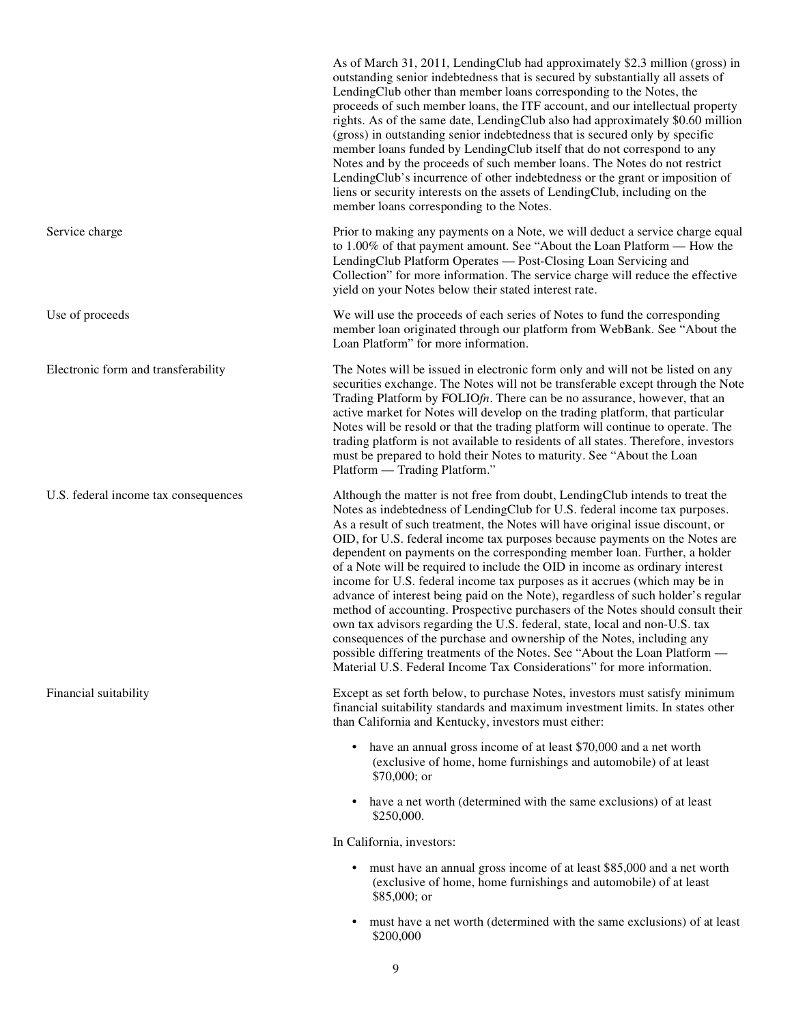As of March 31, 2011, LendingClub had approximately \$2.3 million (gross) in outstanding senior indebtedness that is secured by substantially all assets of LendingClub other than member loans corresponding to the Notes, the proceeds of such member loans, the ITF account, and our intellectual property rights. As of the same date, LendingClub also had approximately \$0.60 million (gross) in outstanding senior indebtedness that is secured only by specific member loans funded by LendingClub itself that do not correspond to any Notes and by the proceeds of such member loans. The Notes do not restrict LendingClub's incurrence of other indebtedness or the grant or imposition of liens or security interests on the assets of LendingClub, including on the member loans corresponding to the Notes. Service charge **Prior** to making any payments on a Note, we will deduct a service charge equal to 1.00% of that payment amount. See "About the Loan Platform — How the LendingClub Platform Operates — Post-Closing Loan Servicing and Collection" for more information. The service charge will reduce the effective yield on your Notes below their stated interest rate. Use of proceeds We will use the proceeds of each series of Notes to fund the corresponding member loan originated through our platform from WebBank. See "About the Loan Platform" for more information. Electronic form and transferability The Notes will be issued in electronic form only and will not be listed on any securities exchange. The Notes will not be transferable except through the Note Trading Platform by FOLIO*fn*. There can be no assurance, however, that an active market for Notes will develop on the trading platform, that particular Notes will be resold or that the trading platform will continue to operate. The trading platform is not available to residents of all states. Therefore, investors must be prepared to hold their Notes to maturity. See "About the Loan Platform — Trading Platform." U.S. federal income tax consequences Although the matter is not free from doubt, LendingClub intends to treat the Notes as indebtedness of LendingClub for U.S. federal income tax purposes. As a result of such treatment, the Notes will have original issue discount, or OID, for U.S. federal income tax purposes because payments on the Notes are dependent on payments on the corresponding member loan. Further, a holder of a Note will be required to include the OID in income as ordinary interest income for U.S. federal income tax purposes as it accrues (which may be in advance of interest being paid on the Note), regardless of such holder's regular method of accounting. Prospective purchasers of the Notes should consult their own tax advisors regarding the U.S. federal, state, local and non-U.S. tax consequences of the purchase and ownership of the Notes, including any possible differing treatments of the Notes. See "About the Loan Platform — Material U.S. Federal Income Tax Considerations" for more information. Financial suitability Except as set forth below, to purchase Notes, investors must satisfy minimum financial suitability standards and maximum investment limits. In states other than California and Kentucky, investors must either: **•** have an annual gross income of at least \$70,000 and a net worth (exclusive of home, home furnishings and automobile) of at least \$70,000; or **•** have a net worth (determined with the same exclusions) of at least \$250,000. In California, investors: **•** must have an annual gross income of at least \$85,000 and a net worth (exclusive of home, home furnishings and automobile) of at least \$85,000; or

> **•** must have a net worth (determined with the same exclusions) of at least \$200,000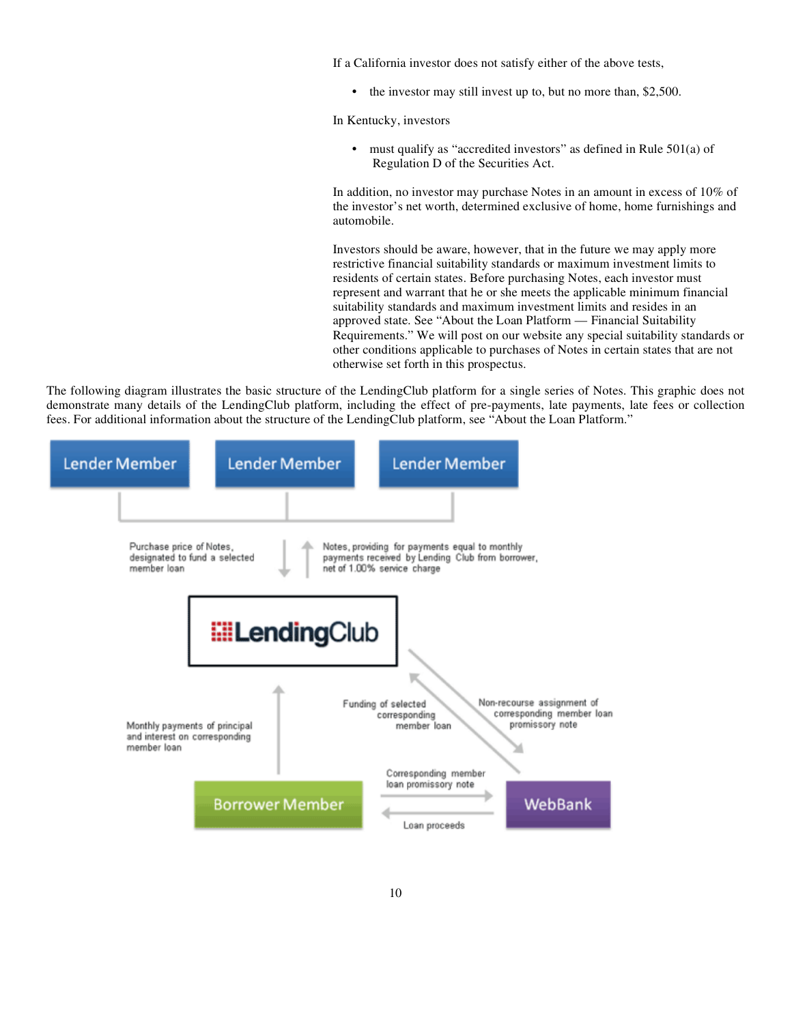If a California investor does not satisfy either of the above tests,

• the investor may still invest up to, but no more than, \$2,500.

In Kentucky, investors

 **•** must qualify as "accredited investors" as defined in Rule 501(a) of Regulation D of the Securities Act.

 In addition, no investor may purchase Notes in an amount in excess of 10% of the investor's net worth, determined exclusive of home, home furnishings and automobile.

 Investors should be aware, however, that in the future we may apply more restrictive financial suitability standards or maximum investment limits to residents of certain states. Before purchasing Notes, each investor must represent and warrant that he or she meets the applicable minimum financial suitability standards and maximum investment limits and resides in an approved state. See "About the Loan Platform — Financial Suitability Requirements." We will post on our website any special suitability standards or other conditions applicable to purchases of Notes in certain states that are not otherwise set forth in this prospectus.

The following diagram illustrates the basic structure of the LendingClub platform for a single series of Notes. This graphic does not demonstrate many details of the LendingClub platform, including the effect of pre-payments, late payments, late fees or collection fees. For additional information about the structure of the LendingClub platform, see "About the Loan Platform."

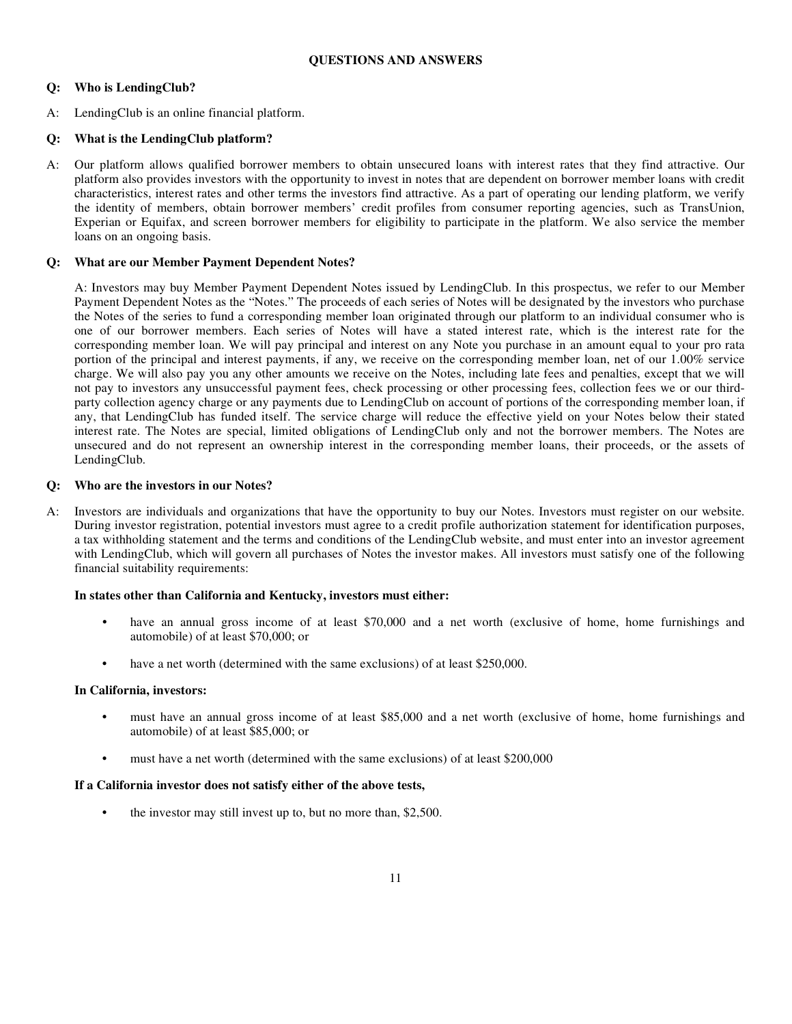# **Q: Who is LendingClub?**

A: LendingClub is an online financial platform.

# **Q: What is the LendingClub platform?**

A: Our platform allows qualified borrower members to obtain unsecured loans with interest rates that they find attractive. Our platform also provides investors with the opportunity to invest in notes that are dependent on borrower member loans with credit characteristics, interest rates and other terms the investors find attractive. As a part of operating our lending platform, we verify the identity of members, obtain borrower members' credit profiles from consumer reporting agencies, such as TransUnion, Experian or Equifax, and screen borrower members for eligibility to participate in the platform. We also service the member loans on an ongoing basis.

# **Q: What are our Member Payment Dependent Notes?**

 A: Investors may buy Member Payment Dependent Notes issued by LendingClub. In this prospectus, we refer to our Member Payment Dependent Notes as the "Notes." The proceeds of each series of Notes will be designated by the investors who purchase the Notes of the series to fund a corresponding member loan originated through our platform to an individual consumer who is one of our borrower members. Each series of Notes will have a stated interest rate, which is the interest rate for the corresponding member loan. We will pay principal and interest on any Note you purchase in an amount equal to your pro rata portion of the principal and interest payments, if any, we receive on the corresponding member loan, net of our 1.00% service charge. We will also pay you any other amounts we receive on the Notes, including late fees and penalties, except that we will not pay to investors any unsuccessful payment fees, check processing or other processing fees, collection fees we or our thirdparty collection agency charge or any payments due to LendingClub on account of portions of the corresponding member loan, if any, that LendingClub has funded itself. The service charge will reduce the effective yield on your Notes below their stated interest rate. The Notes are special, limited obligations of LendingClub only and not the borrower members. The Notes are unsecured and do not represent an ownership interest in the corresponding member loans, their proceeds, or the assets of LendingClub.

## **Q: Who are the investors in our Notes?**

A: Investors are individuals and organizations that have the opportunity to buy our Notes. Investors must register on our website. During investor registration, potential investors must agree to a credit profile authorization statement for identification purposes, a tax withholding statement and the terms and conditions of the LendingClub website, and must enter into an investor agreement with LendingClub, which will govern all purchases of Notes the investor makes. All investors must satisfy one of the following financial suitability requirements:

## **In states other than California and Kentucky, investors must either:**

- **•** have an annual gross income of at least \$70,000 and a net worth (exclusive of home, home furnishings and automobile) of at least \$70,000; or
- **•** have a net worth (determined with the same exclusions) of at least \$250,000.

## **In California, investors:**

- **•** must have an annual gross income of at least \$85,000 and a net worth (exclusive of home, home furnishings and automobile) of at least \$85,000; or
- **•** must have a net worth (determined with the same exclusions) of at least \$200,000

## **If a California investor does not satisfy either of the above tests,**

**•** the investor may still invest up to, but no more than, \$2,500.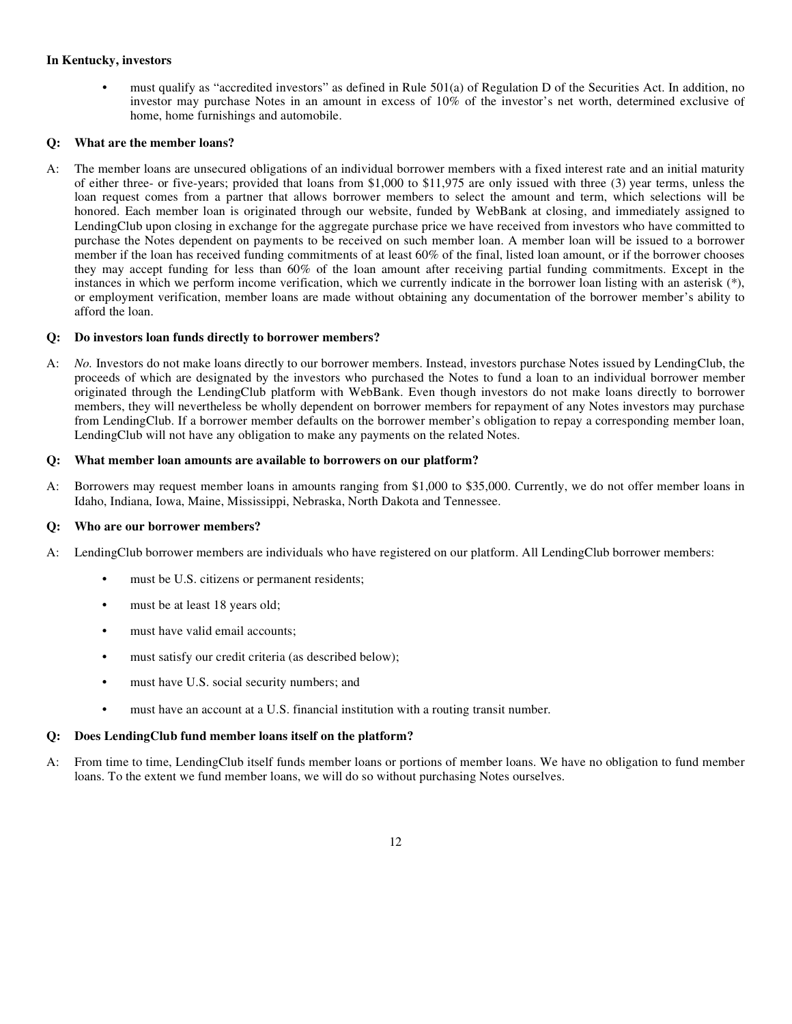# **In Kentucky, investors**

**•** must qualify as "accredited investors" as defined in Rule 501(a) of Regulation D of the Securities Act. In addition, no investor may purchase Notes in an amount in excess of 10% of the investor's net worth, determined exclusive of home, home furnishings and automobile.

# **Q: What are the member loans?**

A: The member loans are unsecured obligations of an individual borrower members with a fixed interest rate and an initial maturity of either three- or five-years; provided that loans from \$1,000 to \$11,975 are only issued with three (3) year terms, unless the loan request comes from a partner that allows borrower members to select the amount and term, which selections will be honored. Each member loan is originated through our website, funded by WebBank at closing, and immediately assigned to LendingClub upon closing in exchange for the aggregate purchase price we have received from investors who have committed to purchase the Notes dependent on payments to be received on such member loan. A member loan will be issued to a borrower member if the loan has received funding commitments of at least 60% of the final, listed loan amount, or if the borrower chooses they may accept funding for less than 60% of the loan amount after receiving partial funding commitments. Except in the instances in which we perform income verification, which we currently indicate in the borrower loan listing with an asterisk (\*), or employment verification, member loans are made without obtaining any documentation of the borrower member's ability to afford the loan.

# **Q: Do investors loan funds directly to borrower members?**

A: *No.* Investors do not make loans directly to our borrower members. Instead, investors purchase Notes issued by LendingClub, the proceeds of which are designated by the investors who purchased the Notes to fund a loan to an individual borrower member originated through the LendingClub platform with WebBank. Even though investors do not make loans directly to borrower members, they will nevertheless be wholly dependent on borrower members for repayment of any Notes investors may purchase from LendingClub. If a borrower member defaults on the borrower member's obligation to repay a corresponding member loan, LendingClub will not have any obligation to make any payments on the related Notes.

## **Q: What member loan amounts are available to borrowers on our platform?**

A: Borrowers may request member loans in amounts ranging from \$1,000 to \$35,000. Currently, we do not offer member loans in Idaho, Indiana, Iowa, Maine, Mississippi, Nebraska, North Dakota and Tennessee.

## **Q: Who are our borrower members?**

- A: LendingClub borrower members are individuals who have registered on our platform. All LendingClub borrower members:
	- must be U.S. citizens or permanent residents;
	- must be at least 18 years old;
	- **•** must have valid email accounts;
	- **•** must satisfy our credit criteria (as described below);
	- **•** must have U.S. social security numbers; and
	- **•** must have an account at a U.S. financial institution with a routing transit number.

## **Q: Does LendingClub fund member loans itself on the platform?**

A: From time to time, LendingClub itself funds member loans or portions of member loans. We have no obligation to fund member loans. To the extent we fund member loans, we will do so without purchasing Notes ourselves.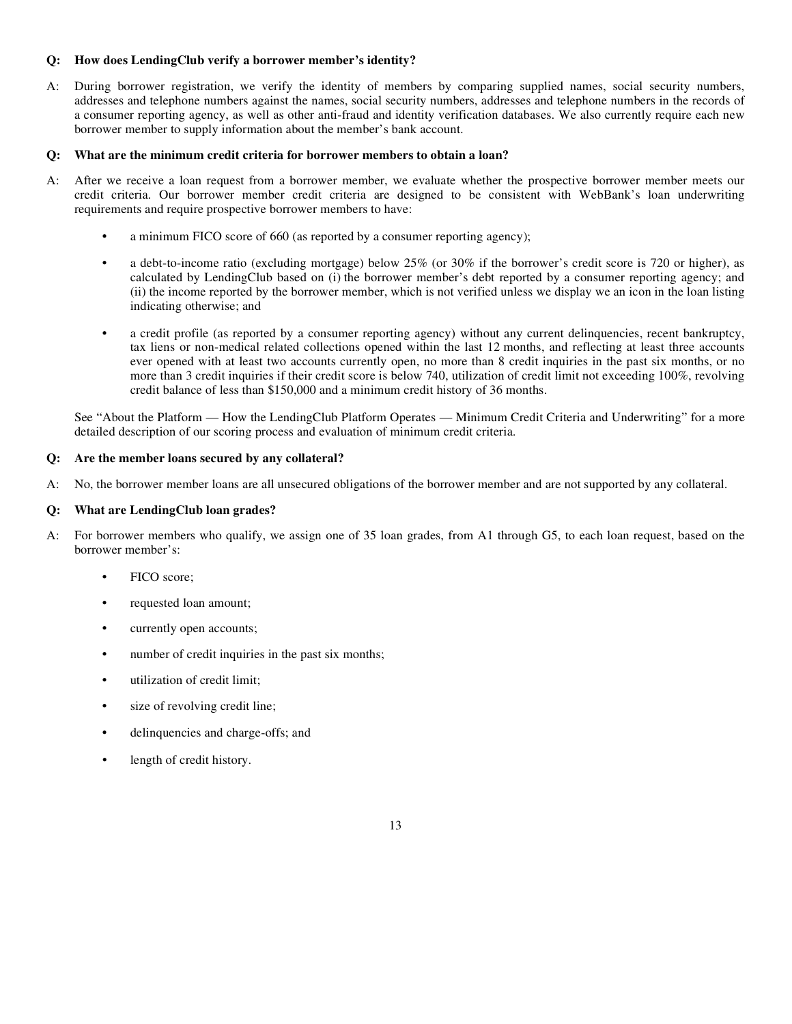# **Q: How does LendingClub verify a borrower member's identity?**

A: During borrower registration, we verify the identity of members by comparing supplied names, social security numbers, addresses and telephone numbers against the names, social security numbers, addresses and telephone numbers in the records of a consumer reporting agency, as well as other anti-fraud and identity verification databases. We also currently require each new borrower member to supply information about the member's bank account.

## **Q: What are the minimum credit criteria for borrower members to obtain a loan?**

- A: After we receive a loan request from a borrower member, we evaluate whether the prospective borrower member meets our credit criteria. Our borrower member credit criteria are designed to be consistent with WebBank's loan underwriting requirements and require prospective borrower members to have:
	- **•** a minimum FICO score of 660 (as reported by a consumer reporting agency);
	- **•** a debt-to-income ratio (excluding mortgage) below 25% (or 30% if the borrower's credit score is 720 or higher), as calculated by LendingClub based on (i) the borrower member's debt reported by a consumer reporting agency; and (ii) the income reported by the borrower member, which is not verified unless we display we an icon in the loan listing indicating otherwise; and
	- **•** a credit profile (as reported by a consumer reporting agency) without any current delinquencies, recent bankruptcy, tax liens or non-medical related collections opened within the last 12 months, and reflecting at least three accounts ever opened with at least two accounts currently open, no more than 8 credit inquiries in the past six months, or no more than 3 credit inquiries if their credit score is below 740, utilization of credit limit not exceeding 100%, revolving credit balance of less than \$150,000 and a minimum credit history of 36 months.

See "About the Platform — How the LendingClub Platform Operates — Minimum Credit Criteria and Underwriting" for a more detailed description of our scoring process and evaluation of minimum credit criteria.

## **Q: Are the member loans secured by any collateral?**

A: No, the borrower member loans are all unsecured obligations of the borrower member and are not supported by any collateral.

## **Q: What are LendingClub loan grades?**

- A: For borrower members who qualify, we assign one of 35 loan grades, from A1 through G5, to each loan request, based on the borrower member's:
	- **•** FICO score;
	- **•** requested loan amount;
	- **•** currently open accounts;
	- **•** number of credit inquiries in the past six months;
	- **•** utilization of credit limit;
	- **•** size of revolving credit line;
	- **•** delinquencies and charge-offs; and
	- **•** length of credit history.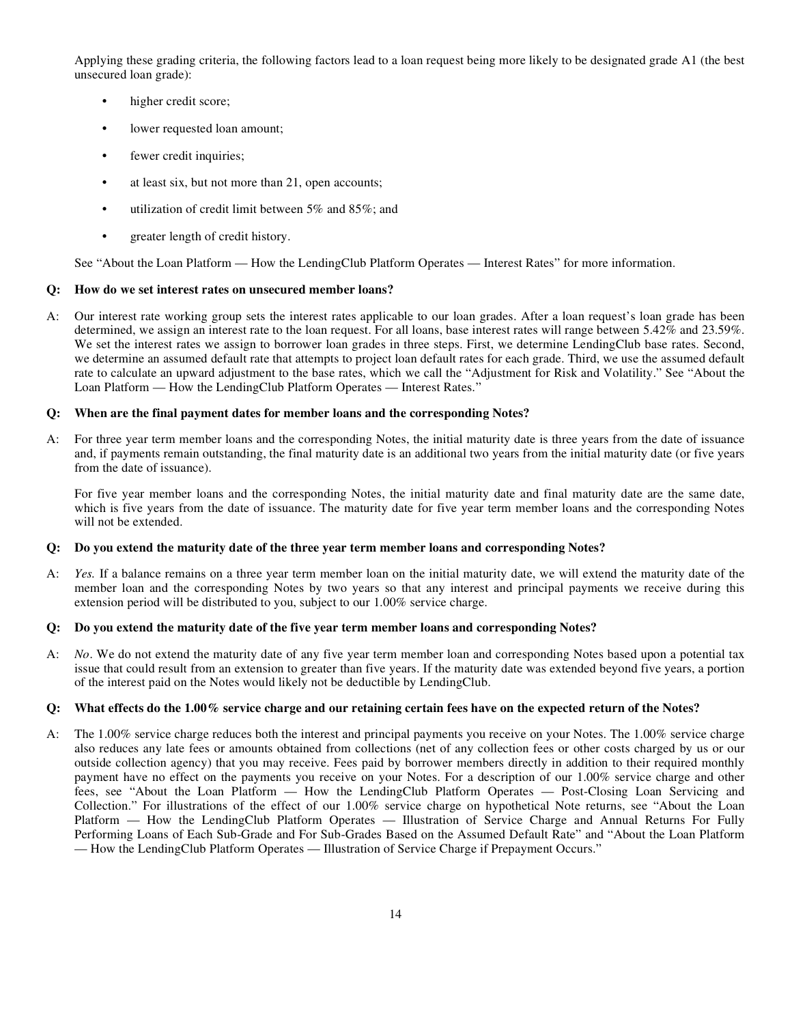Applying these grading criteria, the following factors lead to a loan request being more likely to be designated grade A1 (the best unsecured loan grade):

- **•** higher credit score;
- **•** lower requested loan amount;
- **•** fewer credit inquiries;
- **•** at least six, but not more than 21, open accounts;
- **•** utilization of credit limit between 5% and 85%; and
- **•** greater length of credit history.

See "About the Loan Platform — How the LendingClub Platform Operates — Interest Rates" for more information.

## **Q: How do we set interest rates on unsecured member loans?**

A: Our interest rate working group sets the interest rates applicable to our loan grades. After a loan request's loan grade has been determined, we assign an interest rate to the loan request. For all loans, base interest rates will range between 5.42% and 23.59%. We set the interest rates we assign to borrower loan grades in three steps. First, we determine LendingClub base rates. Second, we determine an assumed default rate that attempts to project loan default rates for each grade. Third, we use the assumed default rate to calculate an upward adjustment to the base rates, which we call the "Adjustment for Risk and Volatility." See "About the Loan Platform — How the LendingClub Platform Operates — Interest Rates."

## **Q: When are the final payment dates for member loans and the corresponding Notes?**

A: For three year term member loans and the corresponding Notes, the initial maturity date is three years from the date of issuance and, if payments remain outstanding, the final maturity date is an additional two years from the initial maturity date (or five years from the date of issuance).

 For five year member loans and the corresponding Notes, the initial maturity date and final maturity date are the same date, which is five years from the date of issuance. The maturity date for five year term member loans and the corresponding Notes will not be extended.

## **Q: Do you extend the maturity date of the three year term member loans and corresponding Notes?**

A: *Yes.* If a balance remains on a three year term member loan on the initial maturity date, we will extend the maturity date of the member loan and the corresponding Notes by two years so that any interest and principal payments we receive during this extension period will be distributed to you, subject to our 1.00% service charge.

## **Q: Do you extend the maturity date of the five year term member loans and corresponding Notes?**

A: *No*. We do not extend the maturity date of any five year term member loan and corresponding Notes based upon a potential tax issue that could result from an extension to greater than five years. If the maturity date was extended beyond five years, a portion of the interest paid on the Notes would likely not be deductible by LendingClub.

## **Q: What effects do the 1.00% service charge and our retaining certain fees have on the expected return of the Notes?**

A: The 1.00% service charge reduces both the interest and principal payments you receive on your Notes. The 1.00% service charge also reduces any late fees or amounts obtained from collections (net of any collection fees or other costs charged by us or our outside collection agency) that you may receive. Fees paid by borrower members directly in addition to their required monthly payment have no effect on the payments you receive on your Notes. For a description of our 1.00% service charge and other fees, see "About the Loan Platform — How the LendingClub Platform Operates — Post-Closing Loan Servicing and Collection." For illustrations of the effect of our 1.00% service charge on hypothetical Note returns, see "About the Loan Platform — How the LendingClub Platform Operates — Illustration of Service Charge and Annual Returns For Fully Performing Loans of Each Sub-Grade and For Sub-Grades Based on the Assumed Default Rate" and "About the Loan Platform — How the LendingClub Platform Operates — Illustration of Service Charge if Prepayment Occurs."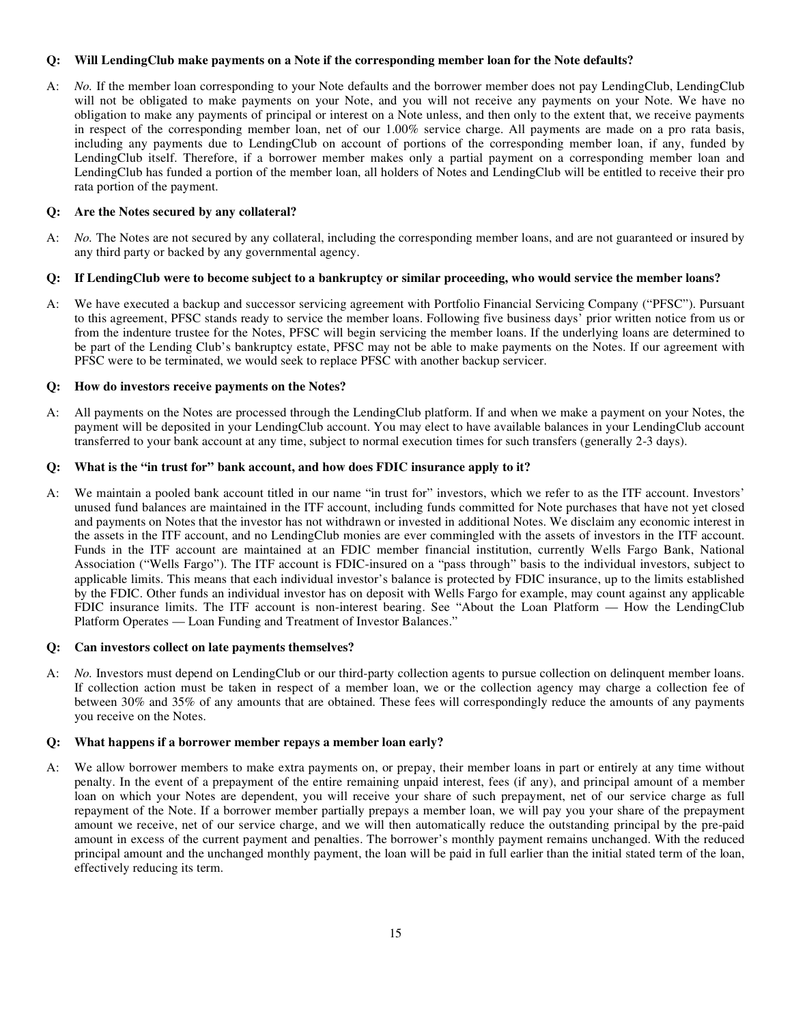# **Q: Will LendingClub make payments on a Note if the corresponding member loan for the Note defaults?**

A: *No.* If the member loan corresponding to your Note defaults and the borrower member does not pay LendingClub, LendingClub will not be obligated to make payments on your Note, and you will not receive any payments on your Note. We have no obligation to make any payments of principal or interest on a Note unless, and then only to the extent that, we receive payments in respect of the corresponding member loan, net of our 1.00% service charge. All payments are made on a pro rata basis, including any payments due to LendingClub on account of portions of the corresponding member loan, if any, funded by LendingClub itself. Therefore, if a borrower member makes only a partial payment on a corresponding member loan and LendingClub has funded a portion of the member loan, all holders of Notes and LendingClub will be entitled to receive their pro rata portion of the payment.

# **Q: Are the Notes secured by any collateral?**

A: *No.* The Notes are not secured by any collateral, including the corresponding member loans, and are not guaranteed or insured by any third party or backed by any governmental agency.

## **Q: If LendingClub were to become subject to a bankruptcy or similar proceeding, who would service the member loans?**

A: We have executed a backup and successor servicing agreement with Portfolio Financial Servicing Company ("PFSC"). Pursuant to this agreement, PFSC stands ready to service the member loans. Following five business days' prior written notice from us or from the indenture trustee for the Notes, PFSC will begin servicing the member loans. If the underlying loans are determined to be part of the Lending Club's bankruptcy estate, PFSC may not be able to make payments on the Notes. If our agreement with PFSC were to be terminated, we would seek to replace PFSC with another backup servicer.

## **Q: How do investors receive payments on the Notes?**

A: All payments on the Notes are processed through the LendingClub platform. If and when we make a payment on your Notes, the payment will be deposited in your LendingClub account. You may elect to have available balances in your LendingClub account transferred to your bank account at any time, subject to normal execution times for such transfers (generally 2-3 days).

# **Q: What is the "in trust for" bank account, and how does FDIC insurance apply to it?**

A: We maintain a pooled bank account titled in our name "in trust for" investors, which we refer to as the ITF account. Investors' unused fund balances are maintained in the ITF account, including funds committed for Note purchases that have not yet closed and payments on Notes that the investor has not withdrawn or invested in additional Notes. We disclaim any economic interest in the assets in the ITF account, and no LendingClub monies are ever commingled with the assets of investors in the ITF account. Funds in the ITF account are maintained at an FDIC member financial institution, currently Wells Fargo Bank, National Association ("Wells Fargo"). The ITF account is FDIC-insured on a "pass through" basis to the individual investors, subject to applicable limits. This means that each individual investor's balance is protected by FDIC insurance, up to the limits established by the FDIC. Other funds an individual investor has on deposit with Wells Fargo for example, may count against any applicable FDIC insurance limits. The ITF account is non-interest bearing. See "About the Loan Platform — How the LendingClub Platform Operates — Loan Funding and Treatment of Investor Balances."

## **Q: Can investors collect on late payments themselves?**

A: *No.* Investors must depend on LendingClub or our third-party collection agents to pursue collection on delinquent member loans. If collection action must be taken in respect of a member loan, we or the collection agency may charge a collection fee of between 30% and 35% of any amounts that are obtained. These fees will correspondingly reduce the amounts of any payments you receive on the Notes.

# **Q: What happens if a borrower member repays a member loan early?**

A: We allow borrower members to make extra payments on, or prepay, their member loans in part or entirely at any time without penalty. In the event of a prepayment of the entire remaining unpaid interest, fees (if any), and principal amount of a member loan on which your Notes are dependent, you will receive your share of such prepayment, net of our service charge as full repayment of the Note. If a borrower member partially prepays a member loan, we will pay you your share of the prepayment amount we receive, net of our service charge, and we will then automatically reduce the outstanding principal by the pre-paid amount in excess of the current payment and penalties. The borrower's monthly payment remains unchanged. With the reduced principal amount and the unchanged monthly payment, the loan will be paid in full earlier than the initial stated term of the loan, effectively reducing its term.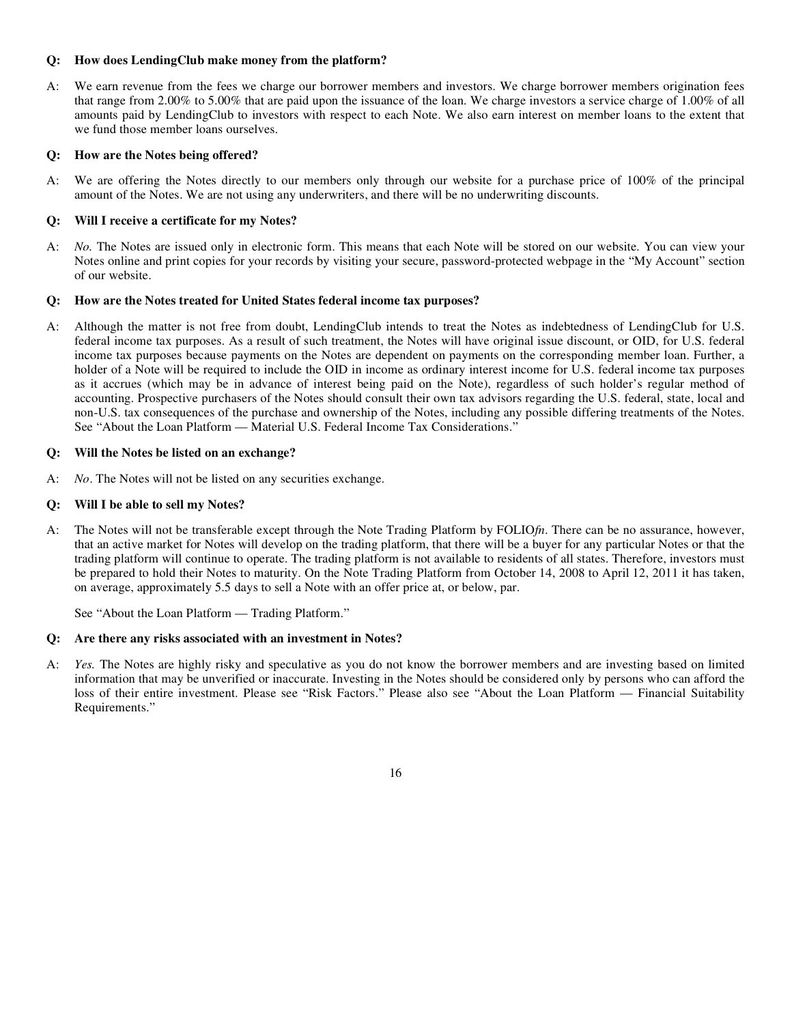# **Q: How does LendingClub make money from the platform?**

A: We earn revenue from the fees we charge our borrower members and investors. We charge borrower members origination fees that range from 2.00% to 5.00% that are paid upon the issuance of the loan. We charge investors a service charge of 1.00% of all amounts paid by LendingClub to investors with respect to each Note. We also earn interest on member loans to the extent that we fund those member loans ourselves.

# **Q: How are the Notes being offered?**

A: We are offering the Notes directly to our members only through our website for a purchase price of 100% of the principal amount of the Notes. We are not using any underwriters, and there will be no underwriting discounts.

# **Q: Will I receive a certificate for my Notes?**

A: *No.* The Notes are issued only in electronic form. This means that each Note will be stored on our website. You can view your Notes online and print copies for your records by visiting your secure, password-protected webpage in the "My Account" section of our website.

## **Q: How are the Notes treated for United States federal income tax purposes?**

A: Although the matter is not free from doubt, LendingClub intends to treat the Notes as indebtedness of LendingClub for U.S. federal income tax purposes. As a result of such treatment, the Notes will have original issue discount, or OID, for U.S. federal income tax purposes because payments on the Notes are dependent on payments on the corresponding member loan. Further, a holder of a Note will be required to include the OID in income as ordinary interest income for U.S. federal income tax purposes as it accrues (which may be in advance of interest being paid on the Note), regardless of such holder's regular method of accounting. Prospective purchasers of the Notes should consult their own tax advisors regarding the U.S. federal, state, local and non-U.S. tax consequences of the purchase and ownership of the Notes, including any possible differing treatments of the Notes. See "About the Loan Platform — Material U.S. Federal Income Tax Considerations."

## **Q: Will the Notes be listed on an exchange?**

A: *No*. The Notes will not be listed on any securities exchange.

## **Q: Will I be able to sell my Notes?**

A: The Notes will not be transferable except through the Note Trading Platform by FOLIO*fn*. There can be no assurance, however, that an active market for Notes will develop on the trading platform, that there will be a buyer for any particular Notes or that the trading platform will continue to operate. The trading platform is not available to residents of all states. Therefore, investors must be prepared to hold their Notes to maturity. On the Note Trading Platform from October 14, 2008 to April 12, 2011 it has taken, on average, approximately 5.5 days to sell a Note with an offer price at, or below, par.

See "About the Loan Platform — Trading Platform."

## **Q: Are there any risks associated with an investment in Notes?**

A: *Yes.* The Notes are highly risky and speculative as you do not know the borrower members and are investing based on limited information that may be unverified or inaccurate. Investing in the Notes should be considered only by persons who can afford the loss of their entire investment. Please see "Risk Factors." Please also see "About the Loan Platform — Financial Suitability Requirements."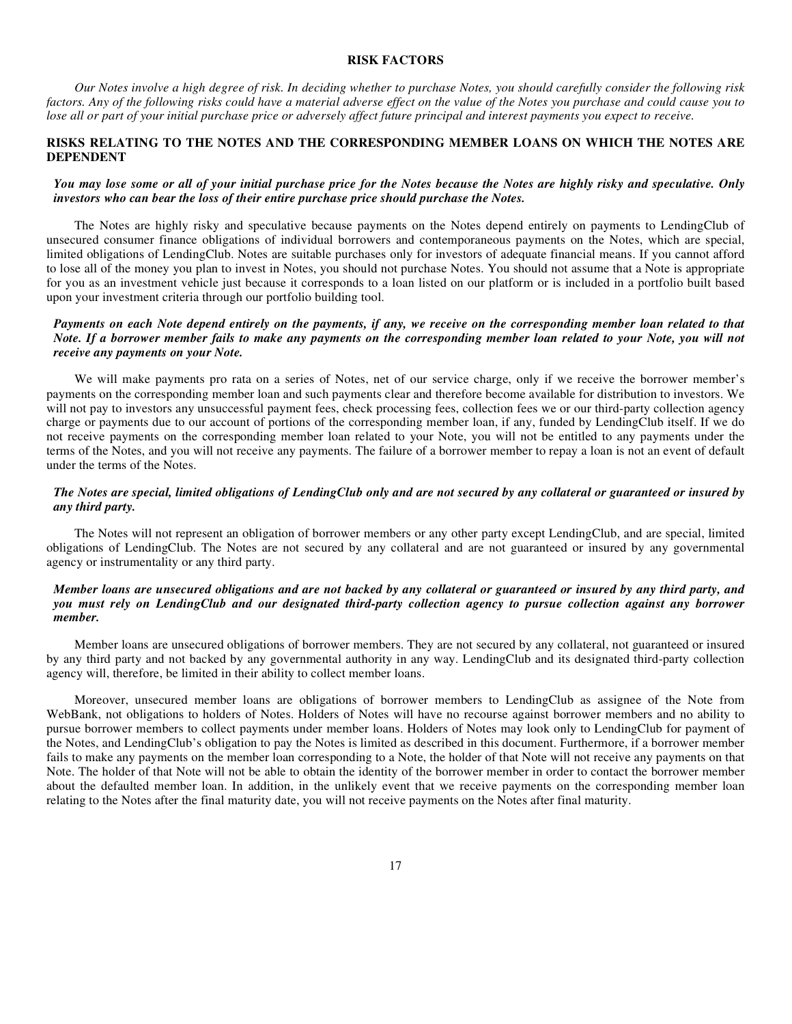#### **RISK FACTORS**

*Our Notes involve a high degree of risk. In deciding whether to purchase Notes, you should carefully consider the following risk factors. Any of the following risks could have a material adverse effect on the value of the Notes you purchase and could cause you to lose all or part of your initial purchase price or adversely affect future principal and interest payments you expect to receive.*

# **RISKS RELATING TO THE NOTES AND THE CORRESPONDING MEMBER LOANS ON WHICH THE NOTES ARE DEPENDENT**

# *You may lose some or all of your initial purchase price for the Notes because the Notes are highly risky and speculative. Only investors who can bear the loss of their entire purchase price should purchase the Notes.*

The Notes are highly risky and speculative because payments on the Notes depend entirely on payments to LendingClub of unsecured consumer finance obligations of individual borrowers and contemporaneous payments on the Notes, which are special, limited obligations of LendingClub. Notes are suitable purchases only for investors of adequate financial means. If you cannot afford to lose all of the money you plan to invest in Notes, you should not purchase Notes. You should not assume that a Note is appropriate for you as an investment vehicle just because it corresponds to a loan listed on our platform or is included in a portfolio built based upon your investment criteria through our portfolio building tool.

# *Payments on each Note depend entirely on the payments, if any, we receive on the corresponding member loan related to that Note. If a borrower member fails to make any payments on the corresponding member loan related to your Note, you will not receive any payments on your Note.*

We will make payments pro rata on a series of Notes, net of our service charge, only if we receive the borrower member's payments on the corresponding member loan and such payments clear and therefore become available for distribution to investors. We will not pay to investors any unsuccessful payment fees, check processing fees, collection fees we or our third-party collection agency charge or payments due to our account of portions of the corresponding member loan, if any, funded by LendingClub itself. If we do not receive payments on the corresponding member loan related to your Note, you will not be entitled to any payments under the terms of the Notes, and you will not receive any payments. The failure of a borrower member to repay a loan is not an event of default under the terms of the Notes.

# *The Notes are special, limited obligations of LendingClub only and are not secured by any collateral or guaranteed or insured by any third party.*

The Notes will not represent an obligation of borrower members or any other party except LendingClub, and are special, limited obligations of LendingClub. The Notes are not secured by any collateral and are not guaranteed or insured by any governmental agency or instrumentality or any third party.

## *Member loans are unsecured obligations and are not backed by any collateral or guaranteed or insured by any third party, and you must rely on LendingClub and our designated third-party collection agency to pursue collection against any borrower member.*

Member loans are unsecured obligations of borrower members. They are not secured by any collateral, not guaranteed or insured by any third party and not backed by any governmental authority in any way. LendingClub and its designated third-party collection agency will, therefore, be limited in their ability to collect member loans.

Moreover, unsecured member loans are obligations of borrower members to LendingClub as assignee of the Note from WebBank, not obligations to holders of Notes. Holders of Notes will have no recourse against borrower members and no ability to pursue borrower members to collect payments under member loans. Holders of Notes may look only to LendingClub for payment of the Notes, and LendingClub's obligation to pay the Notes is limited as described in this document. Furthermore, if a borrower member fails to make any payments on the member loan corresponding to a Note, the holder of that Note will not receive any payments on that Note. The holder of that Note will not be able to obtain the identity of the borrower member in order to contact the borrower member about the defaulted member loan. In addition, in the unlikely event that we receive payments on the corresponding member loan relating to the Notes after the final maturity date, you will not receive payments on the Notes after final maturity.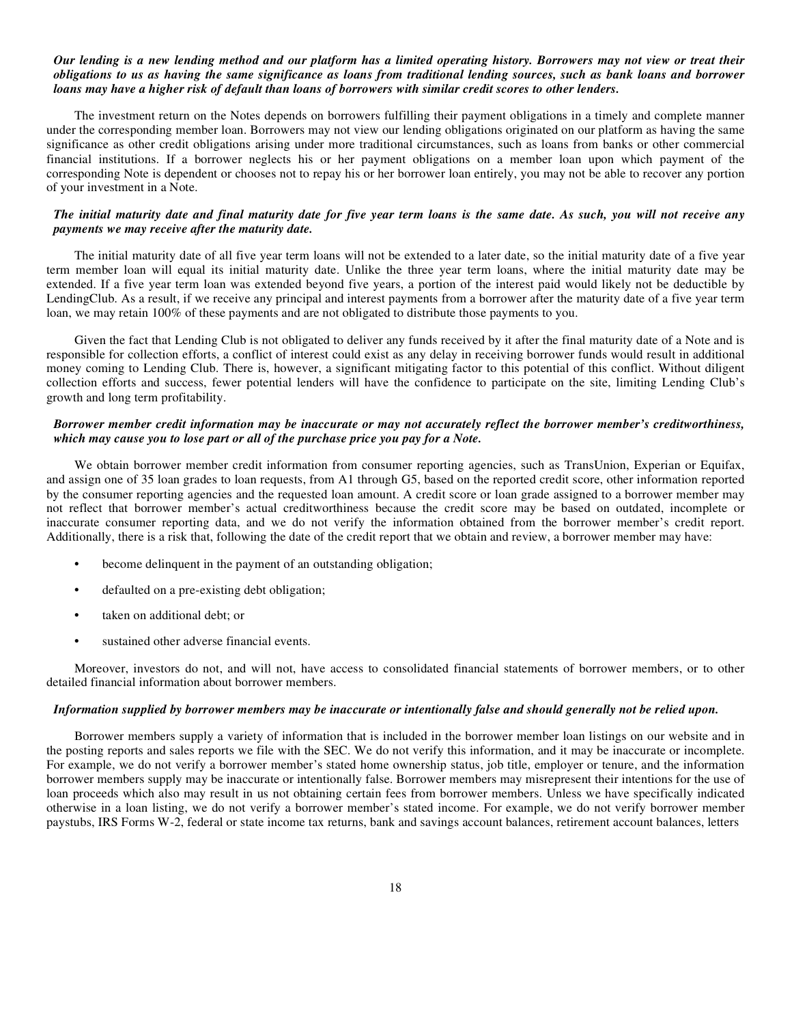#### *Our lending is a new lending method and our platform has a limited operating history. Borrowers may not view or treat their obligations to us as having the same significance as loans from traditional lending sources, such as bank loans and borrower loans may have a higher risk of default than loans of borrowers with similar credit scores to other lenders.*

The investment return on the Notes depends on borrowers fulfilling their payment obligations in a timely and complete manner under the corresponding member loan. Borrowers may not view our lending obligations originated on our platform as having the same significance as other credit obligations arising under more traditional circumstances, such as loans from banks or other commercial financial institutions. If a borrower neglects his or her payment obligations on a member loan upon which payment of the corresponding Note is dependent or chooses not to repay his or her borrower loan entirely, you may not be able to recover any portion of your investment in a Note.

#### *The initial maturity date and final maturity date for five year term loans is the same date. As such, you will not receive any payments we may receive after the maturity date.*

The initial maturity date of all five year term loans will not be extended to a later date, so the initial maturity date of a five year term member loan will equal its initial maturity date. Unlike the three year term loans, where the initial maturity date may be extended. If a five year term loan was extended beyond five years, a portion of the interest paid would likely not be deductible by LendingClub. As a result, if we receive any principal and interest payments from a borrower after the maturity date of a five year term loan, we may retain 100% of these payments and are not obligated to distribute those payments to you.

Given the fact that Lending Club is not obligated to deliver any funds received by it after the final maturity date of a Note and is responsible for collection efforts, a conflict of interest could exist as any delay in receiving borrower funds would result in additional money coming to Lending Club. There is, however, a significant mitigating factor to this potential of this conflict. Without diligent collection efforts and success, fewer potential lenders will have the confidence to participate on the site, limiting Lending Club's growth and long term profitability.

#### *Borrower member credit information may be inaccurate or may not accurately reflect the borrower member's creditworthiness, which may cause you to lose part or all of the purchase price you pay for a Note.*

We obtain borrower member credit information from consumer reporting agencies, such as TransUnion, Experian or Equifax, and assign one of 35 loan grades to loan requests, from A1 through G5, based on the reported credit score, other information reported by the consumer reporting agencies and the requested loan amount. A credit score or loan grade assigned to a borrower member may not reflect that borrower member's actual creditworthiness because the credit score may be based on outdated, incomplete or inaccurate consumer reporting data, and we do not verify the information obtained from the borrower member's credit report. Additionally, there is a risk that, following the date of the credit report that we obtain and review, a borrower member may have:

- **•** become delinquent in the payment of an outstanding obligation;
- **•** defaulted on a pre-existing debt obligation;
- **•** taken on additional debt; or
- **•** sustained other adverse financial events.

Moreover, investors do not, and will not, have access to consolidated financial statements of borrower members, or to other detailed financial information about borrower members.

#### *Information supplied by borrower members may be inaccurate or intentionally false and should generally not be relied upon.*

Borrower members supply a variety of information that is included in the borrower member loan listings on our website and in the posting reports and sales reports we file with the SEC. We do not verify this information, and it may be inaccurate or incomplete. For example, we do not verify a borrower member's stated home ownership status, job title, employer or tenure, and the information borrower members supply may be inaccurate or intentionally false. Borrower members may misrepresent their intentions for the use of loan proceeds which also may result in us not obtaining certain fees from borrower members. Unless we have specifically indicated otherwise in a loan listing, we do not verify a borrower member's stated income. For example, we do not verify borrower member paystubs, IRS Forms W-2, federal or state income tax returns, bank and savings account balances, retirement account balances, letters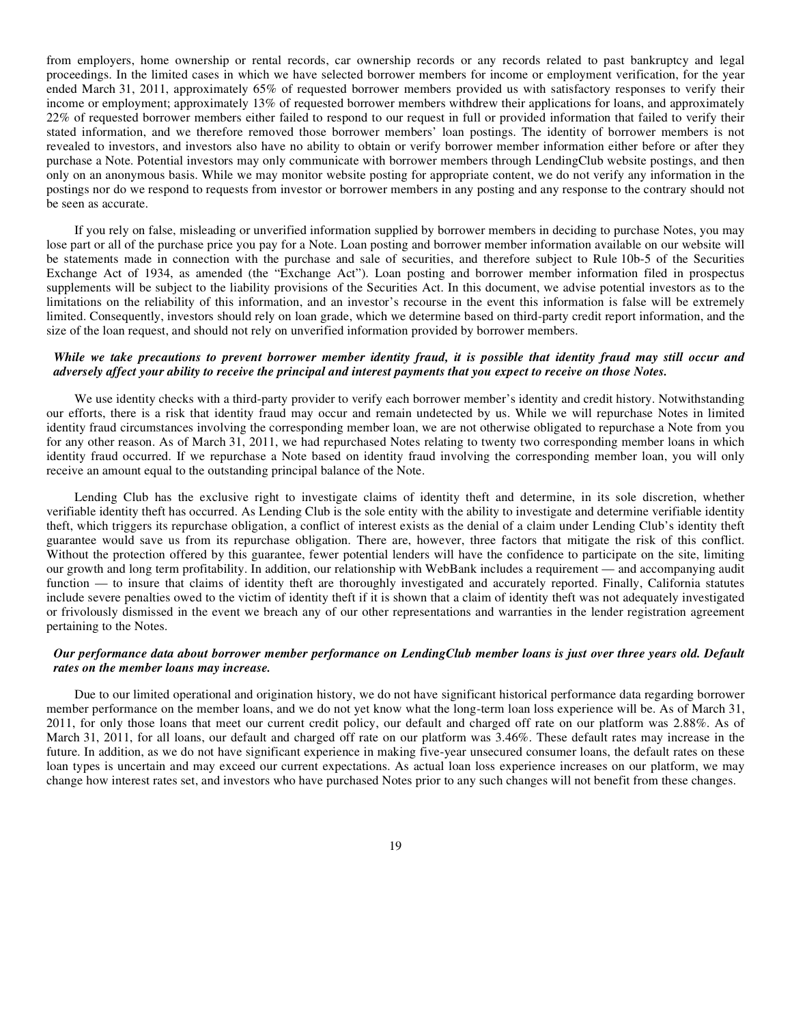from employers, home ownership or rental records, car ownership records or any records related to past bankruptcy and legal proceedings. In the limited cases in which we have selected borrower members for income or employment verification, for the year ended March 31, 2011, approximately 65% of requested borrower members provided us with satisfactory responses to verify their income or employment; approximately 13% of requested borrower members withdrew their applications for loans, and approximately 22% of requested borrower members either failed to respond to our request in full or provided information that failed to verify their stated information, and we therefore removed those borrower members' loan postings. The identity of borrower members is not revealed to investors, and investors also have no ability to obtain or verify borrower member information either before or after they purchase a Note. Potential investors may only communicate with borrower members through LendingClub website postings, and then only on an anonymous basis. While we may monitor website posting for appropriate content, we do not verify any information in the postings nor do we respond to requests from investor or borrower members in any posting and any response to the contrary should not be seen as accurate.

If you rely on false, misleading or unverified information supplied by borrower members in deciding to purchase Notes, you may lose part or all of the purchase price you pay for a Note. Loan posting and borrower member information available on our website will be statements made in connection with the purchase and sale of securities, and therefore subject to Rule 10b-5 of the Securities Exchange Act of 1934, as amended (the "Exchange Act"). Loan posting and borrower member information filed in prospectus supplements will be subject to the liability provisions of the Securities Act. In this document, we advise potential investors as to the limitations on the reliability of this information, and an investor's recourse in the event this information is false will be extremely limited. Consequently, investors should rely on loan grade, which we determine based on third-party credit report information, and the size of the loan request, and should not rely on unverified information provided by borrower members.

#### *While we take precautions to prevent borrower member identity fraud, it is possible that identity fraud may still occur and adversely affect your ability to receive the principal and interest payments that you expect to receive on those Notes.*

We use identity checks with a third-party provider to verify each borrower member's identity and credit history. Notwithstanding our efforts, there is a risk that identity fraud may occur and remain undetected by us. While we will repurchase Notes in limited identity fraud circumstances involving the corresponding member loan, we are not otherwise obligated to repurchase a Note from you for any other reason. As of March 31, 2011, we had repurchased Notes relating to twenty two corresponding member loans in which identity fraud occurred. If we repurchase a Note based on identity fraud involving the corresponding member loan, you will only receive an amount equal to the outstanding principal balance of the Note.

Lending Club has the exclusive right to investigate claims of identity theft and determine, in its sole discretion, whether verifiable identity theft has occurred. As Lending Club is the sole entity with the ability to investigate and determine verifiable identity theft, which triggers its repurchase obligation, a conflict of interest exists as the denial of a claim under Lending Club's identity theft guarantee would save us from its repurchase obligation. There are, however, three factors that mitigate the risk of this conflict. Without the protection offered by this guarantee, fewer potential lenders will have the confidence to participate on the site, limiting our growth and long term profitability. In addition, our relationship with WebBank includes a requirement — and accompanying audit function — to insure that claims of identity theft are thoroughly investigated and accurately reported. Finally, California statutes include severe penalties owed to the victim of identity theft if it is shown that a claim of identity theft was not adequately investigated or frivolously dismissed in the event we breach any of our other representations and warranties in the lender registration agreement pertaining to the Notes.

# *Our performance data about borrower member performance on LendingClub member loans is just over three years old. Default rates on the member loans may increase.*

Due to our limited operational and origination history, we do not have significant historical performance data regarding borrower member performance on the member loans, and we do not yet know what the long-term loan loss experience will be. As of March 31, 2011, for only those loans that meet our current credit policy, our default and charged off rate on our platform was 2.88%. As of March 31, 2011, for all loans, our default and charged off rate on our platform was 3.46%. These default rates may increase in the future. In addition, as we do not have significant experience in making five-year unsecured consumer loans, the default rates on these loan types is uncertain and may exceed our current expectations. As actual loan loss experience increases on our platform, we may change how interest rates set, and investors who have purchased Notes prior to any such changes will not benefit from these changes.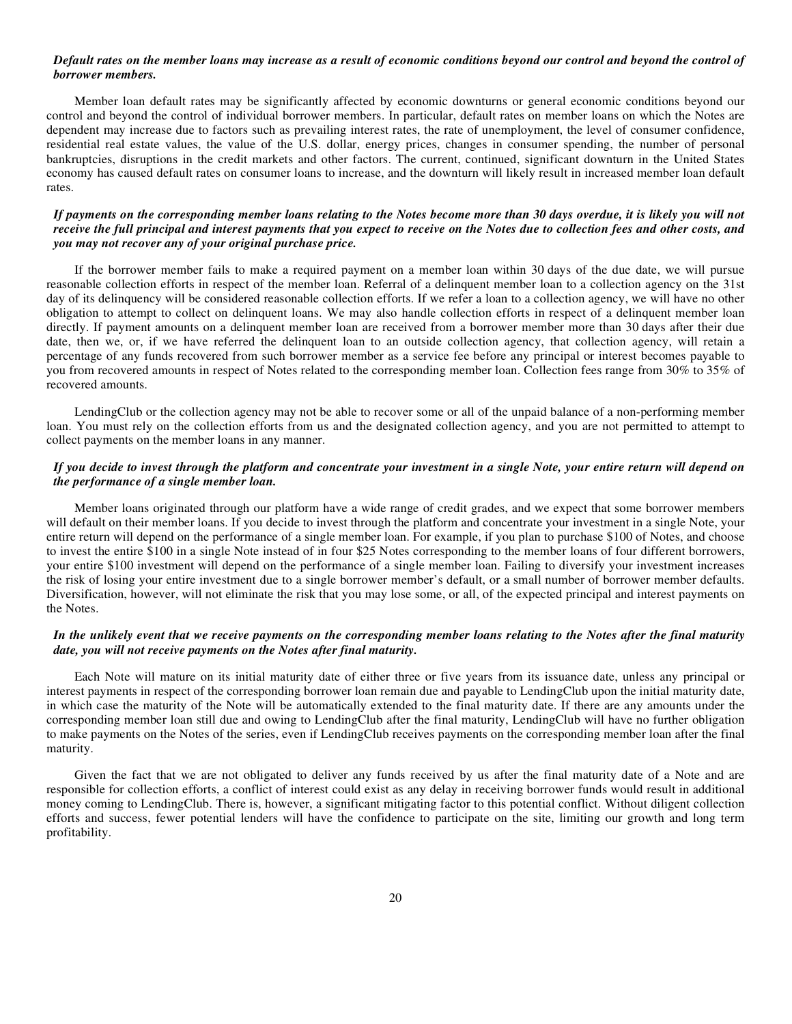#### *Default rates on the member loans may increase as a result of economic conditions beyond our control and beyond the control of borrower members.*

Member loan default rates may be significantly affected by economic downturns or general economic conditions beyond our control and beyond the control of individual borrower members. In particular, default rates on member loans on which the Notes are dependent may increase due to factors such as prevailing interest rates, the rate of unemployment, the level of consumer confidence, residential real estate values, the value of the U.S. dollar, energy prices, changes in consumer spending, the number of personal bankruptcies, disruptions in the credit markets and other factors. The current, continued, significant downturn in the United States economy has caused default rates on consumer loans to increase, and the downturn will likely result in increased member loan default rates.

## *If payments on the corresponding member loans relating to the Notes become more than 30 days overdue, it is likely you will not receive the full principal and interest payments that you expect to receive on the Notes due to collection fees and other costs, and you may not recover any of your original purchase price.*

If the borrower member fails to make a required payment on a member loan within 30 days of the due date, we will pursue reasonable collection efforts in respect of the member loan. Referral of a delinquent member loan to a collection agency on the 31st day of its delinquency will be considered reasonable collection efforts. If we refer a loan to a collection agency, we will have no other obligation to attempt to collect on delinquent loans. We may also handle collection efforts in respect of a delinquent member loan directly. If payment amounts on a delinquent member loan are received from a borrower member more than 30 days after their due date, then we, or, if we have referred the delinquent loan to an outside collection agency, that collection agency, will retain a percentage of any funds recovered from such borrower member as a service fee before any principal or interest becomes payable to you from recovered amounts in respect of Notes related to the corresponding member loan. Collection fees range from 30% to 35% of recovered amounts.

LendingClub or the collection agency may not be able to recover some or all of the unpaid balance of a non-performing member loan. You must rely on the collection efforts from us and the designated collection agency, and you are not permitted to attempt to collect payments on the member loans in any manner.

## *If you decide to invest through the platform and concentrate your investment in a single Note, your entire return will depend on the performance of a single member loan.*

Member loans originated through our platform have a wide range of credit grades, and we expect that some borrower members will default on their member loans. If you decide to invest through the platform and concentrate your investment in a single Note, your entire return will depend on the performance of a single member loan. For example, if you plan to purchase \$100 of Notes, and choose to invest the entire \$100 in a single Note instead of in four \$25 Notes corresponding to the member loans of four different borrowers, your entire \$100 investment will depend on the performance of a single member loan. Failing to diversify your investment increases the risk of losing your entire investment due to a single borrower member's default, or a small number of borrower member defaults. Diversification, however, will not eliminate the risk that you may lose some, or all, of the expected principal and interest payments on the Notes.

#### *In the unlikely event that we receive payments on the corresponding member loans relating to the Notes after the final maturity date, you will not receive payments on the Notes after final maturity.*

Each Note will mature on its initial maturity date of either three or five years from its issuance date, unless any principal or interest payments in respect of the corresponding borrower loan remain due and payable to LendingClub upon the initial maturity date, in which case the maturity of the Note will be automatically extended to the final maturity date. If there are any amounts under the corresponding member loan still due and owing to LendingClub after the final maturity, LendingClub will have no further obligation to make payments on the Notes of the series, even if LendingClub receives payments on the corresponding member loan after the final maturity.

Given the fact that we are not obligated to deliver any funds received by us after the final maturity date of a Note and are responsible for collection efforts, a conflict of interest could exist as any delay in receiving borrower funds would result in additional money coming to LendingClub. There is, however, a significant mitigating factor to this potential conflict. Without diligent collection efforts and success, fewer potential lenders will have the confidence to participate on the site, limiting our growth and long term profitability.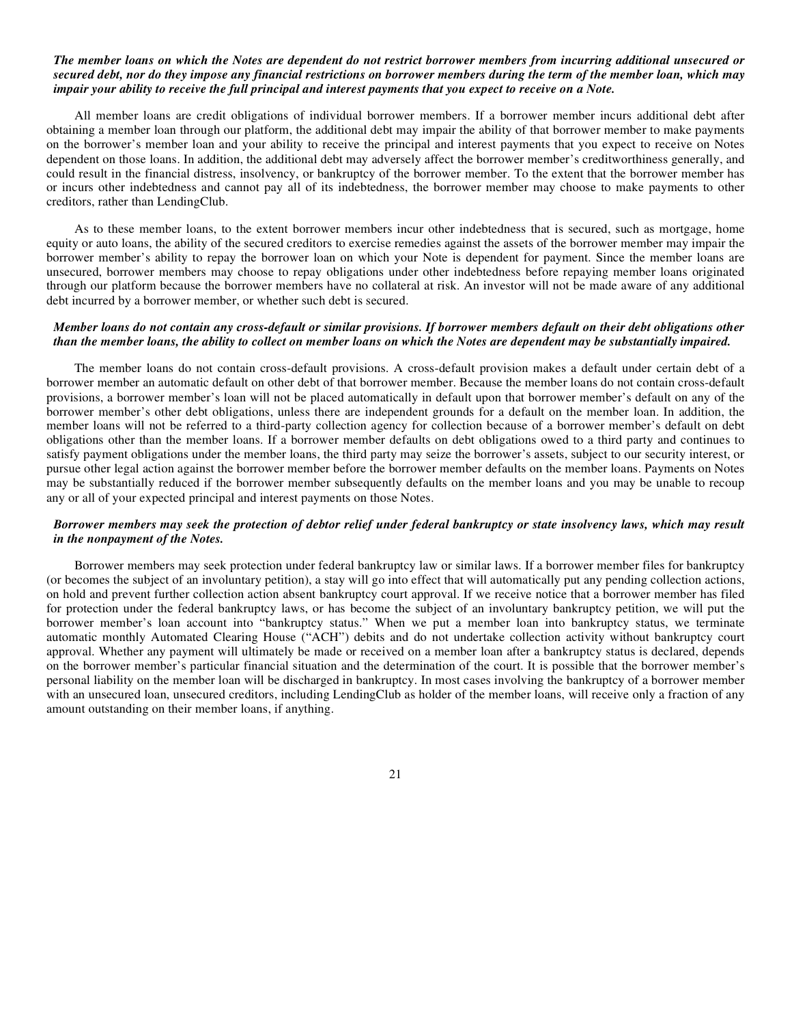#### *The member loans on which the Notes are dependent do not restrict borrower members from incurring additional unsecured or secured debt, nor do they impose any financial restrictions on borrower members during the term of the member loan, which may impair your ability to receive the full principal and interest payments that you expect to receive on a Note.*

All member loans are credit obligations of individual borrower members. If a borrower member incurs additional debt after obtaining a member loan through our platform, the additional debt may impair the ability of that borrower member to make payments on the borrower's member loan and your ability to receive the principal and interest payments that you expect to receive on Notes dependent on those loans. In addition, the additional debt may adversely affect the borrower member's creditworthiness generally, and could result in the financial distress, insolvency, or bankruptcy of the borrower member. To the extent that the borrower member has or incurs other indebtedness and cannot pay all of its indebtedness, the borrower member may choose to make payments to other creditors, rather than LendingClub.

As to these member loans, to the extent borrower members incur other indebtedness that is secured, such as mortgage, home equity or auto loans, the ability of the secured creditors to exercise remedies against the assets of the borrower member may impair the borrower member's ability to repay the borrower loan on which your Note is dependent for payment. Since the member loans are unsecured, borrower members may choose to repay obligations under other indebtedness before repaying member loans originated through our platform because the borrower members have no collateral at risk. An investor will not be made aware of any additional debt incurred by a borrower member, or whether such debt is secured.

# *Member loans do not contain any cross-default or similar provisions. If borrower members default on their debt obligations other than the member loans, the ability to collect on member loans on which the Notes are dependent may be substantially impaired.*

The member loans do not contain cross-default provisions. A cross-default provision makes a default under certain debt of a borrower member an automatic default on other debt of that borrower member. Because the member loans do not contain cross-default provisions, a borrower member's loan will not be placed automatically in default upon that borrower member's default on any of the borrower member's other debt obligations, unless there are independent grounds for a default on the member loan. In addition, the member loans will not be referred to a third-party collection agency for collection because of a borrower member's default on debt obligations other than the member loans. If a borrower member defaults on debt obligations owed to a third party and continues to satisfy payment obligations under the member loans, the third party may seize the borrower's assets, subject to our security interest, or pursue other legal action against the borrower member before the borrower member defaults on the member loans. Payments on Notes may be substantially reduced if the borrower member subsequently defaults on the member loans and you may be unable to recoup any or all of your expected principal and interest payments on those Notes.

## *Borrower members may seek the protection of debtor relief under federal bankruptcy or state insolvency laws, which may result in the nonpayment of the Notes.*

Borrower members may seek protection under federal bankruptcy law or similar laws. If a borrower member files for bankruptcy (or becomes the subject of an involuntary petition), a stay will go into effect that will automatically put any pending collection actions, on hold and prevent further collection action absent bankruptcy court approval. If we receive notice that a borrower member has filed for protection under the federal bankruptcy laws, or has become the subject of an involuntary bankruptcy petition, we will put the borrower member's loan account into "bankruptcy status." When we put a member loan into bankruptcy status, we terminate automatic monthly Automated Clearing House ("ACH") debits and do not undertake collection activity without bankruptcy court approval. Whether any payment will ultimately be made or received on a member loan after a bankruptcy status is declared, depends on the borrower member's particular financial situation and the determination of the court. It is possible that the borrower member's personal liability on the member loan will be discharged in bankruptcy. In most cases involving the bankruptcy of a borrower member with an unsecured loan, unsecured creditors, including LendingClub as holder of the member loans, will receive only a fraction of any amount outstanding on their member loans, if anything.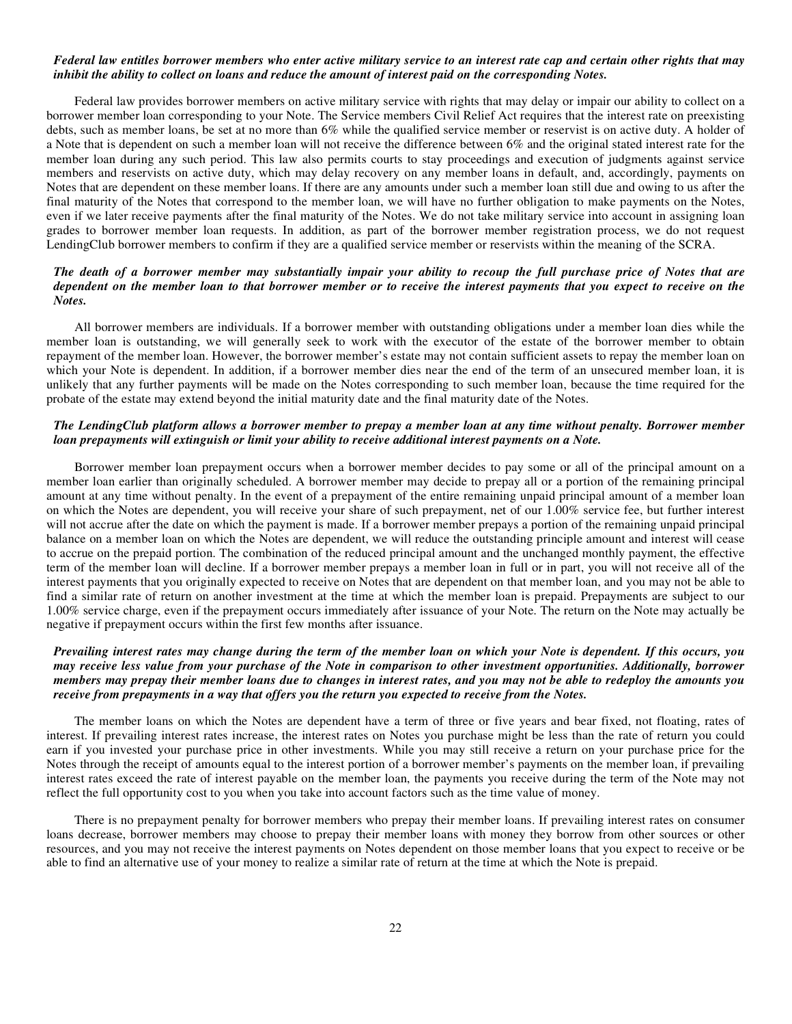#### *Federal law entitles borrower members who enter active military service to an interest rate cap and certain other rights that may inhibit the ability to collect on loans and reduce the amount of interest paid on the corresponding Notes.*

Federal law provides borrower members on active military service with rights that may delay or impair our ability to collect on a borrower member loan corresponding to your Note. The Service members Civil Relief Act requires that the interest rate on preexisting debts, such as member loans, be set at no more than 6% while the qualified service member or reservist is on active duty. A holder of a Note that is dependent on such a member loan will not receive the difference between 6% and the original stated interest rate for the member loan during any such period. This law also permits courts to stay proceedings and execution of judgments against service members and reservists on active duty, which may delay recovery on any member loans in default, and, accordingly, payments on Notes that are dependent on these member loans. If there are any amounts under such a member loan still due and owing to us after the final maturity of the Notes that correspond to the member loan, we will have no further obligation to make payments on the Notes, even if we later receive payments after the final maturity of the Notes. We do not take military service into account in assigning loan grades to borrower member loan requests. In addition, as part of the borrower member registration process, we do not request LendingClub borrower members to confirm if they are a qualified service member or reservists within the meaning of the SCRA.

# *The death of a borrower member may substantially impair your ability to recoup the full purchase price of Notes that are dependent on the member loan to that borrower member or to receive the interest payments that you expect to receive on the Notes.*

All borrower members are individuals. If a borrower member with outstanding obligations under a member loan dies while the member loan is outstanding, we will generally seek to work with the executor of the estate of the borrower member to obtain repayment of the member loan. However, the borrower member's estate may not contain sufficient assets to repay the member loan on which your Note is dependent. In addition, if a borrower member dies near the end of the term of an unsecured member loan, it is unlikely that any further payments will be made on the Notes corresponding to such member loan, because the time required for the probate of the estate may extend beyond the initial maturity date and the final maturity date of the Notes.

#### *The LendingClub platform allows a borrower member to prepay a member loan at any time without penalty. Borrower member loan prepayments will extinguish or limit your ability to receive additional interest payments on a Note.*

Borrower member loan prepayment occurs when a borrower member decides to pay some or all of the principal amount on a member loan earlier than originally scheduled. A borrower member may decide to prepay all or a portion of the remaining principal amount at any time without penalty. In the event of a prepayment of the entire remaining unpaid principal amount of a member loan on which the Notes are dependent, you will receive your share of such prepayment, net of our 1.00% service fee, but further interest will not accrue after the date on which the payment is made. If a borrower member prepays a portion of the remaining unpaid principal balance on a member loan on which the Notes are dependent, we will reduce the outstanding principle amount and interest will cease to accrue on the prepaid portion. The combination of the reduced principal amount and the unchanged monthly payment, the effective term of the member loan will decline. If a borrower member prepays a member loan in full or in part, you will not receive all of the interest payments that you originally expected to receive on Notes that are dependent on that member loan, and you may not be able to find a similar rate of return on another investment at the time at which the member loan is prepaid. Prepayments are subject to our 1.00% service charge, even if the prepayment occurs immediately after issuance of your Note. The return on the Note may actually be negative if prepayment occurs within the first few months after issuance.

## *Prevailing interest rates may change during the term of the member loan on which your Note is dependent. If this occurs, you may receive less value from your purchase of the Note in comparison to other investment opportunities. Additionally, borrower members may prepay their member loans due to changes in interest rates, and you may not be able to redeploy the amounts you receive from prepayments in a way that offers you the return you expected to receive from the Notes.*

The member loans on which the Notes are dependent have a term of three or five years and bear fixed, not floating, rates of interest. If prevailing interest rates increase, the interest rates on Notes you purchase might be less than the rate of return you could earn if you invested your purchase price in other investments. While you may still receive a return on your purchase price for the Notes through the receipt of amounts equal to the interest portion of a borrower member's payments on the member loan, if prevailing interest rates exceed the rate of interest payable on the member loan, the payments you receive during the term of the Note may not reflect the full opportunity cost to you when you take into account factors such as the time value of money.

There is no prepayment penalty for borrower members who prepay their member loans. If prevailing interest rates on consumer loans decrease, borrower members may choose to prepay their member loans with money they borrow from other sources or other resources, and you may not receive the interest payments on Notes dependent on those member loans that you expect to receive or be able to find an alternative use of your money to realize a similar rate of return at the time at which the Note is prepaid.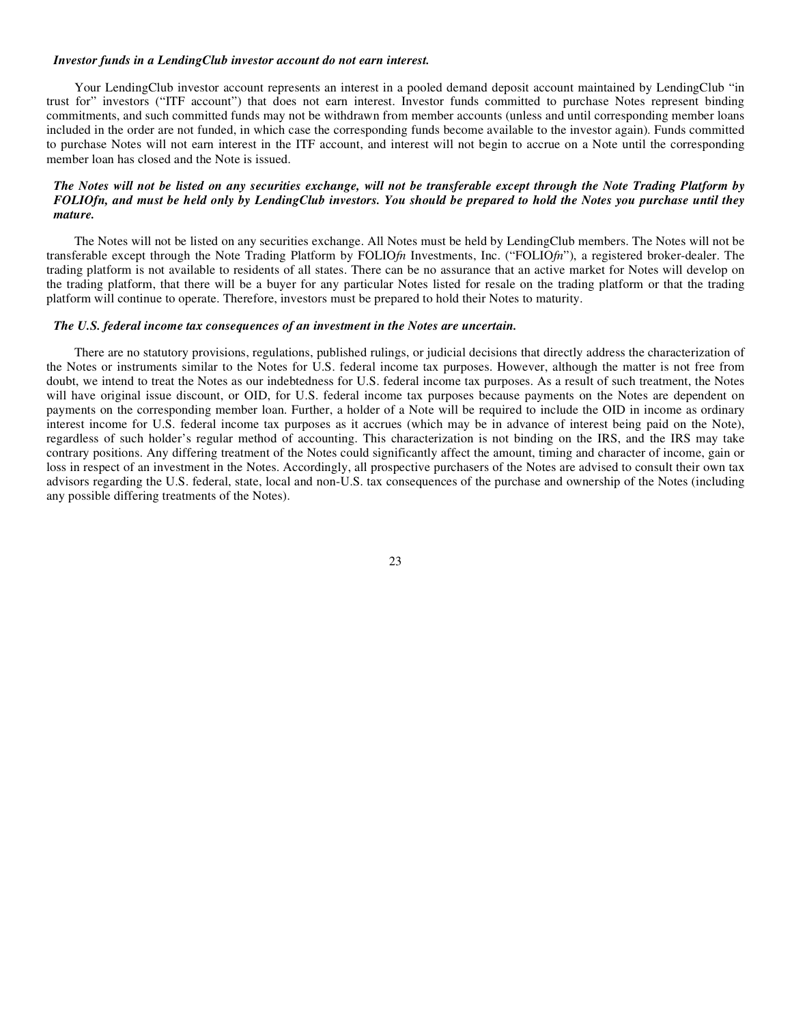#### *Investor funds in a LendingClub investor account do not earn interest.*

Your LendingClub investor account represents an interest in a pooled demand deposit account maintained by LendingClub "in trust for" investors ("ITF account") that does not earn interest. Investor funds committed to purchase Notes represent binding commitments, and such committed funds may not be withdrawn from member accounts (unless and until corresponding member loans included in the order are not funded, in which case the corresponding funds become available to the investor again). Funds committed to purchase Notes will not earn interest in the ITF account, and interest will not begin to accrue on a Note until the corresponding member loan has closed and the Note is issued.

## *The Notes will not be listed on any securities exchange, will not be transferable except through the Note Trading Platform by FOLIOfn, and must be held only by LendingClub investors. You should be prepared to hold the Notes you purchase until they mature.*

The Notes will not be listed on any securities exchange. All Notes must be held by LendingClub members. The Notes will not be transferable except through the Note Trading Platform by FOLIO*fn* Investments, Inc. ("FOLIO*fn*"), a registered broker-dealer. The trading platform is not available to residents of all states. There can be no assurance that an active market for Notes will develop on the trading platform, that there will be a buyer for any particular Notes listed for resale on the trading platform or that the trading platform will continue to operate. Therefore, investors must be prepared to hold their Notes to maturity.

## *The U.S. federal income tax consequences of an investment in the Notes are uncertain.*

There are no statutory provisions, regulations, published rulings, or judicial decisions that directly address the characterization of the Notes or instruments similar to the Notes for U.S. federal income tax purposes. However, although the matter is not free from doubt, we intend to treat the Notes as our indebtedness for U.S. federal income tax purposes. As a result of such treatment, the Notes will have original issue discount, or OID, for U.S. federal income tax purposes because payments on the Notes are dependent on payments on the corresponding member loan. Further, a holder of a Note will be required to include the OID in income as ordinary interest income for U.S. federal income tax purposes as it accrues (which may be in advance of interest being paid on the Note), regardless of such holder's regular method of accounting. This characterization is not binding on the IRS, and the IRS may take contrary positions. Any differing treatment of the Notes could significantly affect the amount, timing and character of income, gain or loss in respect of an investment in the Notes. Accordingly, all prospective purchasers of the Notes are advised to consult their own tax advisors regarding the U.S. federal, state, local and non-U.S. tax consequences of the purchase and ownership of the Notes (including any possible differing treatments of the Notes).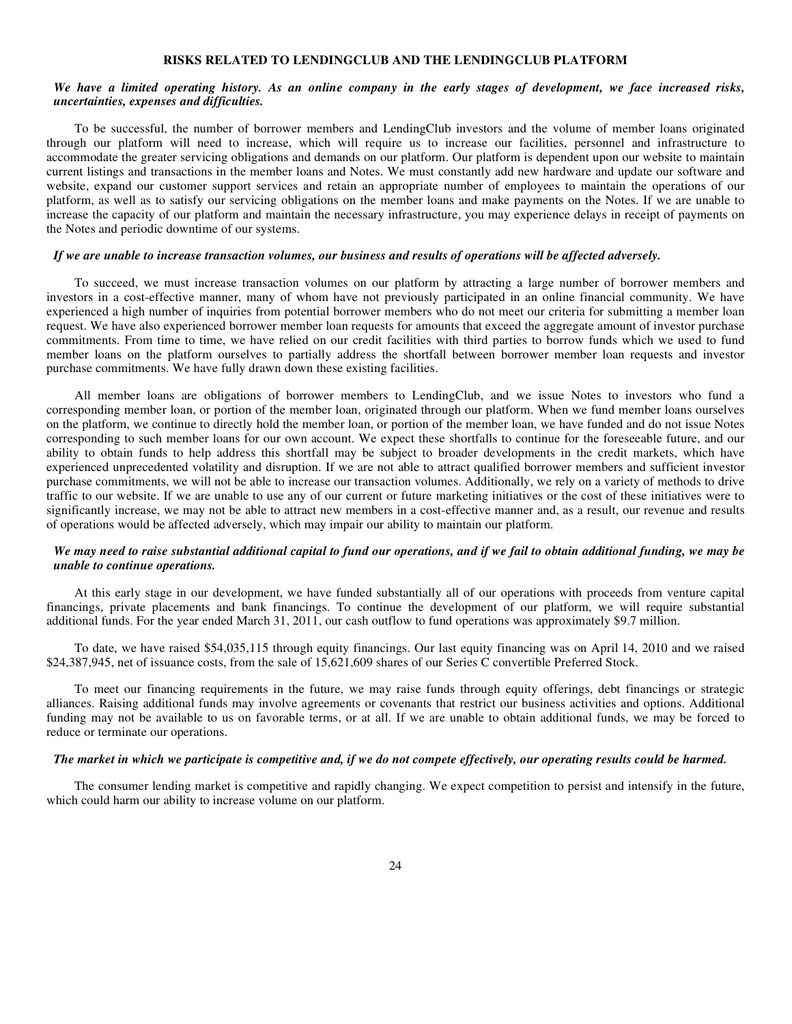#### **RISKS RELATED TO LENDINGCLUB AND THE LENDINGCLUB PLATFORM**

#### *We have a limited operating history. As an online company in the early stages of development, we face increased risks, uncertainties, expenses and difficulties.*

To be successful, the number of borrower members and LendingClub investors and the volume of member loans originated through our platform will need to increase, which will require us to increase our facilities, personnel and infrastructure to accommodate the greater servicing obligations and demands on our platform. Our platform is dependent upon our website to maintain current listings and transactions in the member loans and Notes. We must constantly add new hardware and update our software and website, expand our customer support services and retain an appropriate number of employees to maintain the operations of our platform, as well as to satisfy our servicing obligations on the member loans and make payments on the Notes. If we are unable to increase the capacity of our platform and maintain the necessary infrastructure, you may experience delays in receipt of payments on the Notes and periodic downtime of our systems.

#### *If we are unable to increase transaction volumes, our business and results of operations will be affected adversely.*

To succeed, we must increase transaction volumes on our platform by attracting a large number of borrower members and investors in a cost-effective manner, many of whom have not previously participated in an online financial community. We have experienced a high number of inquiries from potential borrower members who do not meet our criteria for submitting a member loan request. We have also experienced borrower member loan requests for amounts that exceed the aggregate amount of investor purchase commitments. From time to time, we have relied on our credit facilities with third parties to borrow funds which we used to fund member loans on the platform ourselves to partially address the shortfall between borrower member loan requests and investor purchase commitments. We have fully drawn down these existing facilities.

All member loans are obligations of borrower members to LendingClub, and we issue Notes to investors who fund a corresponding member loan, or portion of the member loan, originated through our platform. When we fund member loans ourselves on the platform, we continue to directly hold the member loan, or portion of the member loan, we have funded and do not issue Notes corresponding to such member loans for our own account. We expect these shortfalls to continue for the foreseeable future, and our ability to obtain funds to help address this shortfall may be subject to broader developments in the credit markets, which have experienced unprecedented volatility and disruption. If we are not able to attract qualified borrower members and sufficient investor purchase commitments, we will not be able to increase our transaction volumes. Additionally, we rely on a variety of methods to drive traffic to our website. If we are unable to use any of our current or future marketing initiatives or the cost of these initiatives were to significantly increase, we may not be able to attract new members in a cost-effective manner and, as a result, our revenue and results of operations would be affected adversely, which may impair our ability to maintain our platform.

# *We may need to raise substantial additional capital to fund our operations, and if we fail to obtain additional funding, we may be unable to continue operations.*

At this early stage in our development, we have funded substantially all of our operations with proceeds from venture capital financings, private placements and bank financings. To continue the development of our platform, we will require substantial additional funds. For the year ended March 31, 2011, our cash outflow to fund operations was approximately \$9.7 million.

To date, we have raised \$54,035,115 through equity financings. Our last equity financing was on April 14, 2010 and we raised \$24,387,945, net of issuance costs, from the sale of 15,621,609 shares of our Series C convertible Preferred Stock.

To meet our financing requirements in the future, we may raise funds through equity offerings, debt financings or strategic alliances. Raising additional funds may involve agreements or covenants that restrict our business activities and options. Additional funding may not be available to us on favorable terms, or at all. If we are unable to obtain additional funds, we may be forced to reduce or terminate our operations.

#### *The market in which we participate is competitive and, if we do not compete effectively, our operating results could be harmed.*

The consumer lending market is competitive and rapidly changing. We expect competition to persist and intensify in the future, which could harm our ability to increase volume on our platform.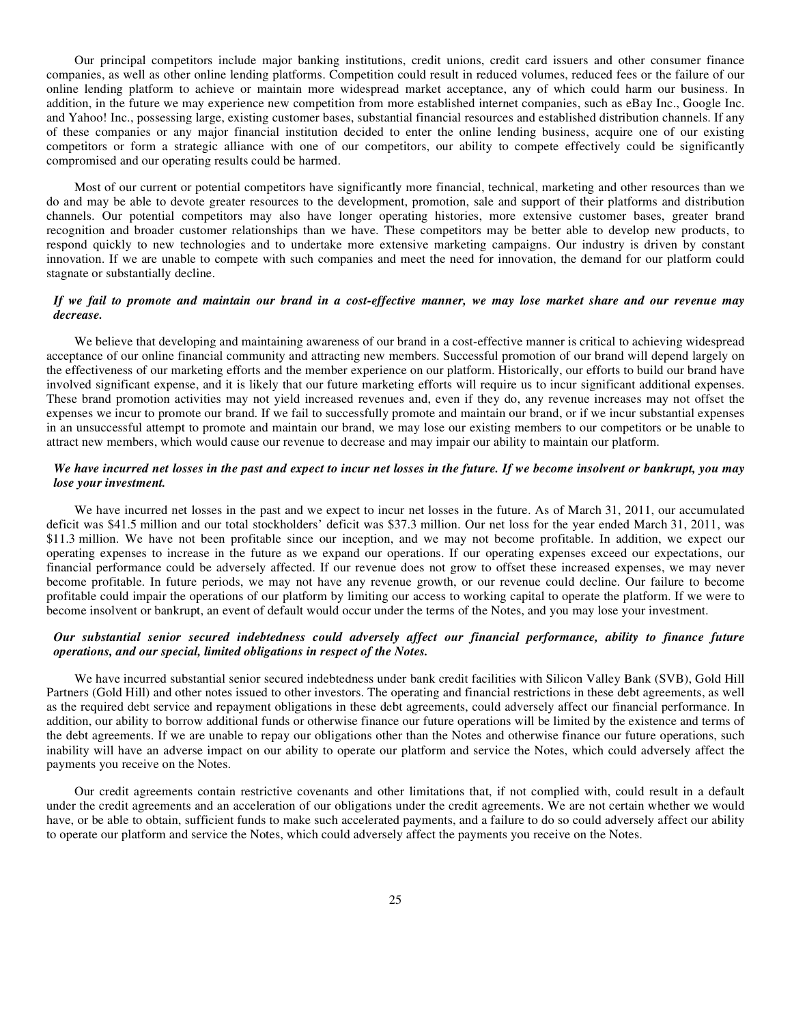Our principal competitors include major banking institutions, credit unions, credit card issuers and other consumer finance companies, as well as other online lending platforms. Competition could result in reduced volumes, reduced fees or the failure of our online lending platform to achieve or maintain more widespread market acceptance, any of which could harm our business. In addition, in the future we may experience new competition from more established internet companies, such as eBay Inc., Google Inc. and Yahoo! Inc., possessing large, existing customer bases, substantial financial resources and established distribution channels. If any of these companies or any major financial institution decided to enter the online lending business, acquire one of our existing competitors or form a strategic alliance with one of our competitors, our ability to compete effectively could be significantly compromised and our operating results could be harmed.

Most of our current or potential competitors have significantly more financial, technical, marketing and other resources than we do and may be able to devote greater resources to the development, promotion, sale and support of their platforms and distribution channels. Our potential competitors may also have longer operating histories, more extensive customer bases, greater brand recognition and broader customer relationships than we have. These competitors may be better able to develop new products, to respond quickly to new technologies and to undertake more extensive marketing campaigns. Our industry is driven by constant innovation. If we are unable to compete with such companies and meet the need for innovation, the demand for our platform could stagnate or substantially decline.

## *If we fail to promote and maintain our brand in a cost-effective manner, we may lose market share and our revenue may decrease.*

We believe that developing and maintaining awareness of our brand in a cost-effective manner is critical to achieving widespread acceptance of our online financial community and attracting new members. Successful promotion of our brand will depend largely on the effectiveness of our marketing efforts and the member experience on our platform. Historically, our efforts to build our brand have involved significant expense, and it is likely that our future marketing efforts will require us to incur significant additional expenses. These brand promotion activities may not yield increased revenues and, even if they do, any revenue increases may not offset the expenses we incur to promote our brand. If we fail to successfully promote and maintain our brand, or if we incur substantial expenses in an unsuccessful attempt to promote and maintain our brand, we may lose our existing members to our competitors or be unable to attract new members, which would cause our revenue to decrease and may impair our ability to maintain our platform.

# *We have incurred net losses in the past and expect to incur net losses in the future. If we become insolvent or bankrupt, you may lose your investment.*

We have incurred net losses in the past and we expect to incur net losses in the future. As of March 31, 2011, our accumulated deficit was \$41.5 million and our total stockholders' deficit was \$37.3 million. Our net loss for the year ended March 31, 2011, was \$11.3 million. We have not been profitable since our inception, and we may not become profitable. In addition, we expect our operating expenses to increase in the future as we expand our operations. If our operating expenses exceed our expectations, our financial performance could be adversely affected. If our revenue does not grow to offset these increased expenses, we may never become profitable. In future periods, we may not have any revenue growth, or our revenue could decline. Our failure to become profitable could impair the operations of our platform by limiting our access to working capital to operate the platform. If we were to become insolvent or bankrupt, an event of default would occur under the terms of the Notes, and you may lose your investment.

#### *Our substantial senior secured indebtedness could adversely affect our financial performance, ability to finance future operations, and our special, limited obligations in respect of the Notes.*

We have incurred substantial senior secured indebtedness under bank credit facilities with Silicon Valley Bank (SVB), Gold Hill Partners (Gold Hill) and other notes issued to other investors. The operating and financial restrictions in these debt agreements, as well as the required debt service and repayment obligations in these debt agreements, could adversely affect our financial performance. In addition, our ability to borrow additional funds or otherwise finance our future operations will be limited by the existence and terms of the debt agreements. If we are unable to repay our obligations other than the Notes and otherwise finance our future operations, such inability will have an adverse impact on our ability to operate our platform and service the Notes, which could adversely affect the payments you receive on the Notes.

Our credit agreements contain restrictive covenants and other limitations that, if not complied with, could result in a default under the credit agreements and an acceleration of our obligations under the credit agreements. We are not certain whether we would have, or be able to obtain, sufficient funds to make such accelerated payments, and a failure to do so could adversely affect our ability to operate our platform and service the Notes, which could adversely affect the payments you receive on the Notes.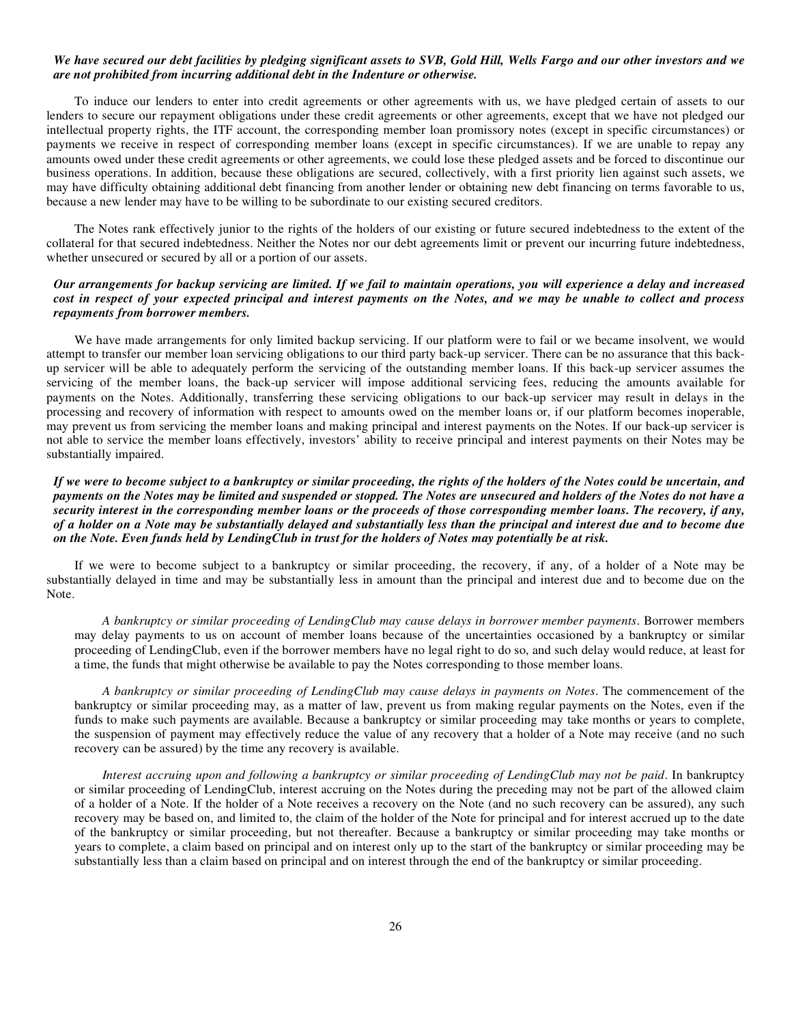#### *We have secured our debt facilities by pledging significant assets to SVB, Gold Hill, Wells Fargo and our other investors and we are not prohibited from incurring additional debt in the Indenture or otherwise.*

To induce our lenders to enter into credit agreements or other agreements with us, we have pledged certain of assets to our lenders to secure our repayment obligations under these credit agreements or other agreements, except that we have not pledged our intellectual property rights, the ITF account, the corresponding member loan promissory notes (except in specific circumstances) or payments we receive in respect of corresponding member loans (except in specific circumstances). If we are unable to repay any amounts owed under these credit agreements or other agreements, we could lose these pledged assets and be forced to discontinue our business operations. In addition, because these obligations are secured, collectively, with a first priority lien against such assets, we may have difficulty obtaining additional debt financing from another lender or obtaining new debt financing on terms favorable to us, because a new lender may have to be willing to be subordinate to our existing secured creditors.

The Notes rank effectively junior to the rights of the holders of our existing or future secured indebtedness to the extent of the collateral for that secured indebtedness. Neither the Notes nor our debt agreements limit or prevent our incurring future indebtedness, whether unsecured or secured by all or a portion of our assets.

# *Our arrangements for backup servicing are limited. If we fail to maintain operations, you will experience a delay and increased cost in respect of your expected principal and interest payments on the Notes, and we may be unable to collect and process repayments from borrower members.*

We have made arrangements for only limited backup servicing. If our platform were to fail or we became insolvent, we would attempt to transfer our member loan servicing obligations to our third party back-up servicer. There can be no assurance that this backup servicer will be able to adequately perform the servicing of the outstanding member loans. If this back-up servicer assumes the servicing of the member loans, the back-up servicer will impose additional servicing fees, reducing the amounts available for payments on the Notes. Additionally, transferring these servicing obligations to our back-up servicer may result in delays in the processing and recovery of information with respect to amounts owed on the member loans or, if our platform becomes inoperable, may prevent us from servicing the member loans and making principal and interest payments on the Notes. If our back-up servicer is not able to service the member loans effectively, investors' ability to receive principal and interest payments on their Notes may be substantially impaired.

## *If we were to become subject to a bankruptcy or similar proceeding, the rights of the holders of the Notes could be uncertain, and payments on the Notes may be limited and suspended or stopped. The Notes are unsecured and holders of the Notes do not have a security interest in the corresponding member loans or the proceeds of those corresponding member loans. The recovery, if any, of a holder on a Note may be substantially delayed and substantially less than the principal and interest due and to become due on the Note. Even funds held by LendingClub in trust for the holders of Notes may potentially be at risk.*

If we were to become subject to a bankruptcy or similar proceeding, the recovery, if any, of a holder of a Note may be substantially delayed in time and may be substantially less in amount than the principal and interest due and to become due on the Note.

*A bankruptcy or similar proceeding of LendingClub may cause delays in borrower member payments*. Borrower members may delay payments to us on account of member loans because of the uncertainties occasioned by a bankruptcy or similar proceeding of LendingClub, even if the borrower members have no legal right to do so, and such delay would reduce, at least for a time, the funds that might otherwise be available to pay the Notes corresponding to those member loans.

*A bankruptcy or similar proceeding of LendingClub may cause delays in payments on Notes*. The commencement of the bankruptcy or similar proceeding may, as a matter of law, prevent us from making regular payments on the Notes, even if the funds to make such payments are available. Because a bankruptcy or similar proceeding may take months or years to complete, the suspension of payment may effectively reduce the value of any recovery that a holder of a Note may receive (and no such recovery can be assured) by the time any recovery is available.

*Interest accruing upon and following a bankruptcy or similar proceeding of LendingClub may not be paid*. In bankruptcy or similar proceeding of LendingClub, interest accruing on the Notes during the preceding may not be part of the allowed claim of a holder of a Note. If the holder of a Note receives a recovery on the Note (and no such recovery can be assured), any such recovery may be based on, and limited to, the claim of the holder of the Note for principal and for interest accrued up to the date of the bankruptcy or similar proceeding, but not thereafter. Because a bankruptcy or similar proceeding may take months or years to complete, a claim based on principal and on interest only up to the start of the bankruptcy or similar proceeding may be substantially less than a claim based on principal and on interest through the end of the bankruptcy or similar proceeding.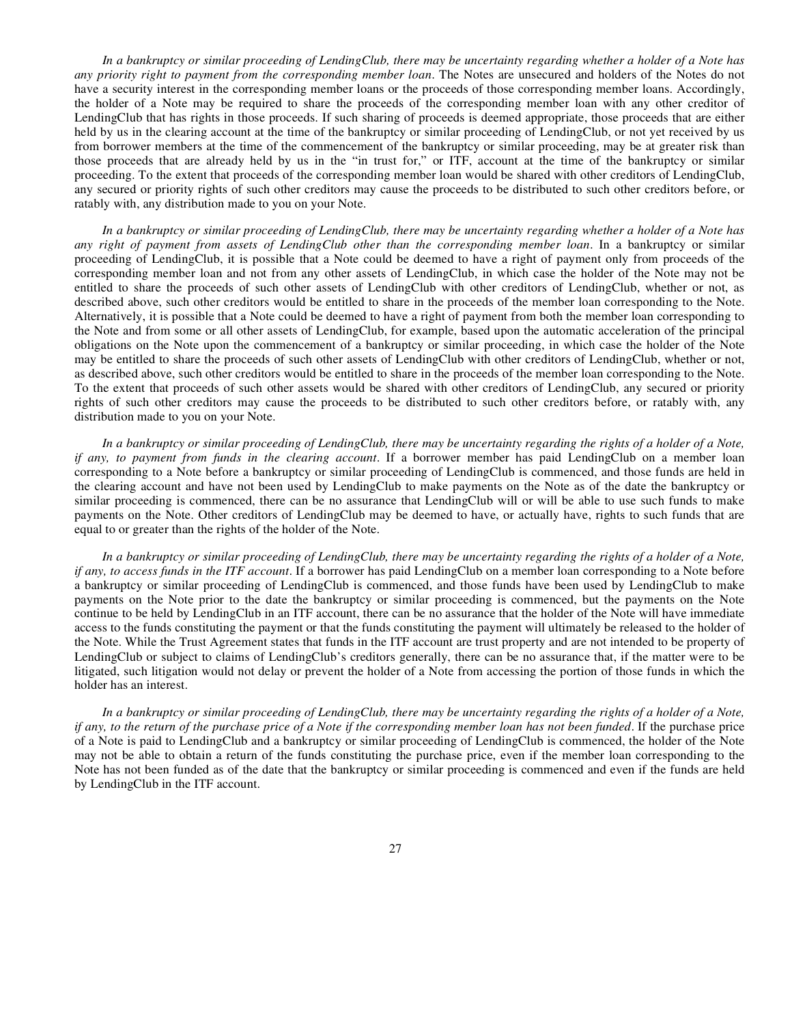*In a bankruptcy or similar proceeding of LendingClub, there may be uncertainty regarding whether a holder of a Note has any priority right to payment from the corresponding member loan*. The Notes are unsecured and holders of the Notes do not have a security interest in the corresponding member loans or the proceeds of those corresponding member loans. Accordingly, the holder of a Note may be required to share the proceeds of the corresponding member loan with any other creditor of LendingClub that has rights in those proceeds. If such sharing of proceeds is deemed appropriate, those proceeds that are either held by us in the clearing account at the time of the bankruptcy or similar proceeding of LendingClub, or not yet received by us from borrower members at the time of the commencement of the bankruptcy or similar proceeding, may be at greater risk than those proceeds that are already held by us in the "in trust for," or ITF, account at the time of the bankruptcy or similar proceeding. To the extent that proceeds of the corresponding member loan would be shared with other creditors of LendingClub, any secured or priority rights of such other creditors may cause the proceeds to be distributed to such other creditors before, or ratably with, any distribution made to you on your Note.

*In a bankruptcy or similar proceeding of LendingClub, there may be uncertainty regarding whether a holder of a Note has any right of payment from assets of LendingClub other than the corresponding member loan*. In a bankruptcy or similar proceeding of LendingClub, it is possible that a Note could be deemed to have a right of payment only from proceeds of the corresponding member loan and not from any other assets of LendingClub, in which case the holder of the Note may not be entitled to share the proceeds of such other assets of LendingClub with other creditors of LendingClub, whether or not, as described above, such other creditors would be entitled to share in the proceeds of the member loan corresponding to the Note. Alternatively, it is possible that a Note could be deemed to have a right of payment from both the member loan corresponding to the Note and from some or all other assets of LendingClub, for example, based upon the automatic acceleration of the principal obligations on the Note upon the commencement of a bankruptcy or similar proceeding, in which case the holder of the Note may be entitled to share the proceeds of such other assets of LendingClub with other creditors of LendingClub, whether or not, as described above, such other creditors would be entitled to share in the proceeds of the member loan corresponding to the Note. To the extent that proceeds of such other assets would be shared with other creditors of LendingClub, any secured or priority rights of such other creditors may cause the proceeds to be distributed to such other creditors before, or ratably with, any distribution made to you on your Note.

*In a bankruptcy or similar proceeding of LendingClub, there may be uncertainty regarding the rights of a holder of a Note, if any, to payment from funds in the clearing account*. If a borrower member has paid LendingClub on a member loan corresponding to a Note before a bankruptcy or similar proceeding of LendingClub is commenced, and those funds are held in the clearing account and have not been used by LendingClub to make payments on the Note as of the date the bankruptcy or similar proceeding is commenced, there can be no assurance that LendingClub will or will be able to use such funds to make payments on the Note. Other creditors of LendingClub may be deemed to have, or actually have, rights to such funds that are equal to or greater than the rights of the holder of the Note.

*In a bankruptcy or similar proceeding of LendingClub, there may be uncertainty regarding the rights of a holder of a Note, if any, to access funds in the ITF account*. If a borrower has paid LendingClub on a member loan corresponding to a Note before a bankruptcy or similar proceeding of LendingClub is commenced, and those funds have been used by LendingClub to make payments on the Note prior to the date the bankruptcy or similar proceeding is commenced, but the payments on the Note continue to be held by LendingClub in an ITF account, there can be no assurance that the holder of the Note will have immediate access to the funds constituting the payment or that the funds constituting the payment will ultimately be released to the holder of the Note. While the Trust Agreement states that funds in the ITF account are trust property and are not intended to be property of LendingClub or subject to claims of LendingClub's creditors generally, there can be no assurance that, if the matter were to be litigated, such litigation would not delay or prevent the holder of a Note from accessing the portion of those funds in which the holder has an interest.

*In a bankruptcy or similar proceeding of LendingClub, there may be uncertainty regarding the rights of a holder of a Note, if any, to the return of the purchase price of a Note if the corresponding member loan has not been funded*. If the purchase price of a Note is paid to LendingClub and a bankruptcy or similar proceeding of LendingClub is commenced, the holder of the Note may not be able to obtain a return of the funds constituting the purchase price, even if the member loan corresponding to the Note has not been funded as of the date that the bankruptcy or similar proceeding is commenced and even if the funds are held by LendingClub in the ITF account.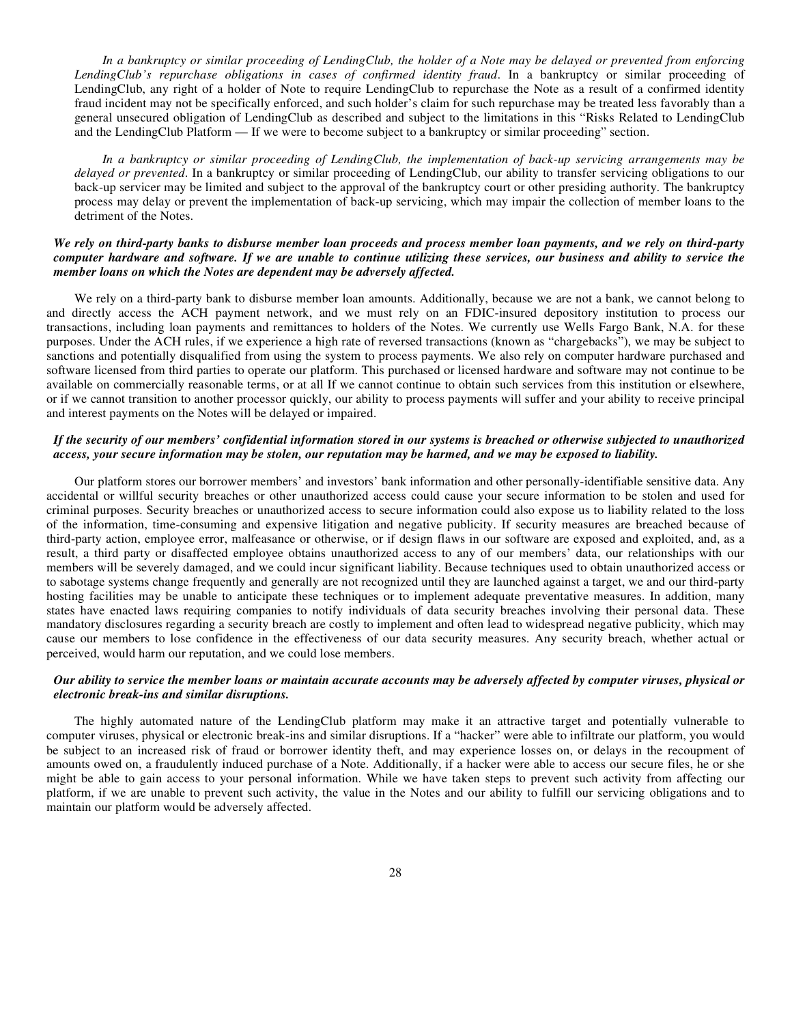*In a bankruptcy or similar proceeding of LendingClub, the holder of a Note may be delayed or prevented from enforcing LendingClub's repurchase obligations in cases of confirmed identity fraud*. In a bankruptcy or similar proceeding of LendingClub, any right of a holder of Note to require LendingClub to repurchase the Note as a result of a confirmed identity fraud incident may not be specifically enforced, and such holder's claim for such repurchase may be treated less favorably than a general unsecured obligation of LendingClub as described and subject to the limitations in this "Risks Related to LendingClub and the LendingClub Platform — If we were to become subject to a bankruptcy or similar proceeding" section.

*In a bankruptcy or similar proceeding of LendingClub, the implementation of back-up servicing arrangements may be delayed or prevented*. In a bankruptcy or similar proceeding of LendingClub, our ability to transfer servicing obligations to our back-up servicer may be limited and subject to the approval of the bankruptcy court or other presiding authority. The bankruptcy process may delay or prevent the implementation of back-up servicing, which may impair the collection of member loans to the detriment of the Notes.

## *We rely on third-party banks to disburse member loan proceeds and process member loan payments, and we rely on third-party computer hardware and software. If we are unable to continue utilizing these services, our business and ability to service the member loans on which the Notes are dependent may be adversely affected.*

We rely on a third-party bank to disburse member loan amounts. Additionally, because we are not a bank, we cannot belong to and directly access the ACH payment network, and we must rely on an FDIC-insured depository institution to process our transactions, including loan payments and remittances to holders of the Notes. We currently use Wells Fargo Bank, N.A. for these purposes. Under the ACH rules, if we experience a high rate of reversed transactions (known as "chargebacks"), we may be subject to sanctions and potentially disqualified from using the system to process payments. We also rely on computer hardware purchased and software licensed from third parties to operate our platform. This purchased or licensed hardware and software may not continue to be available on commercially reasonable terms, or at all If we cannot continue to obtain such services from this institution or elsewhere, or if we cannot transition to another processor quickly, our ability to process payments will suffer and your ability to receive principal and interest payments on the Notes will be delayed or impaired.

# *If the security of our members' confidential information stored in our systems is breached or otherwise subjected to unauthorized access, your secure information may be stolen, our reputation may be harmed, and we may be exposed to liability.*

Our platform stores our borrower members' and investors' bank information and other personally-identifiable sensitive data. Any accidental or willful security breaches or other unauthorized access could cause your secure information to be stolen and used for criminal purposes. Security breaches or unauthorized access to secure information could also expose us to liability related to the loss of the information, time-consuming and expensive litigation and negative publicity. If security measures are breached because of third-party action, employee error, malfeasance or otherwise, or if design flaws in our software are exposed and exploited, and, as a result, a third party or disaffected employee obtains unauthorized access to any of our members' data, our relationships with our members will be severely damaged, and we could incur significant liability. Because techniques used to obtain unauthorized access or to sabotage systems change frequently and generally are not recognized until they are launched against a target, we and our third-party hosting facilities may be unable to anticipate these techniques or to implement adequate preventative measures. In addition, many states have enacted laws requiring companies to notify individuals of data security breaches involving their personal data. These mandatory disclosures regarding a security breach are costly to implement and often lead to widespread negative publicity, which may cause our members to lose confidence in the effectiveness of our data security measures. Any security breach, whether actual or perceived, would harm our reputation, and we could lose members.

# *Our ability to service the member loans or maintain accurate accounts may be adversely affected by computer viruses, physical or electronic break-ins and similar disruptions.*

The highly automated nature of the LendingClub platform may make it an attractive target and potentially vulnerable to computer viruses, physical or electronic break-ins and similar disruptions. If a "hacker" were able to infiltrate our platform, you would be subject to an increased risk of fraud or borrower identity theft, and may experience losses on, or delays in the recoupment of amounts owed on, a fraudulently induced purchase of a Note. Additionally, if a hacker were able to access our secure files, he or she might be able to gain access to your personal information. While we have taken steps to prevent such activity from affecting our platform, if we are unable to prevent such activity, the value in the Notes and our ability to fulfill our servicing obligations and to maintain our platform would be adversely affected.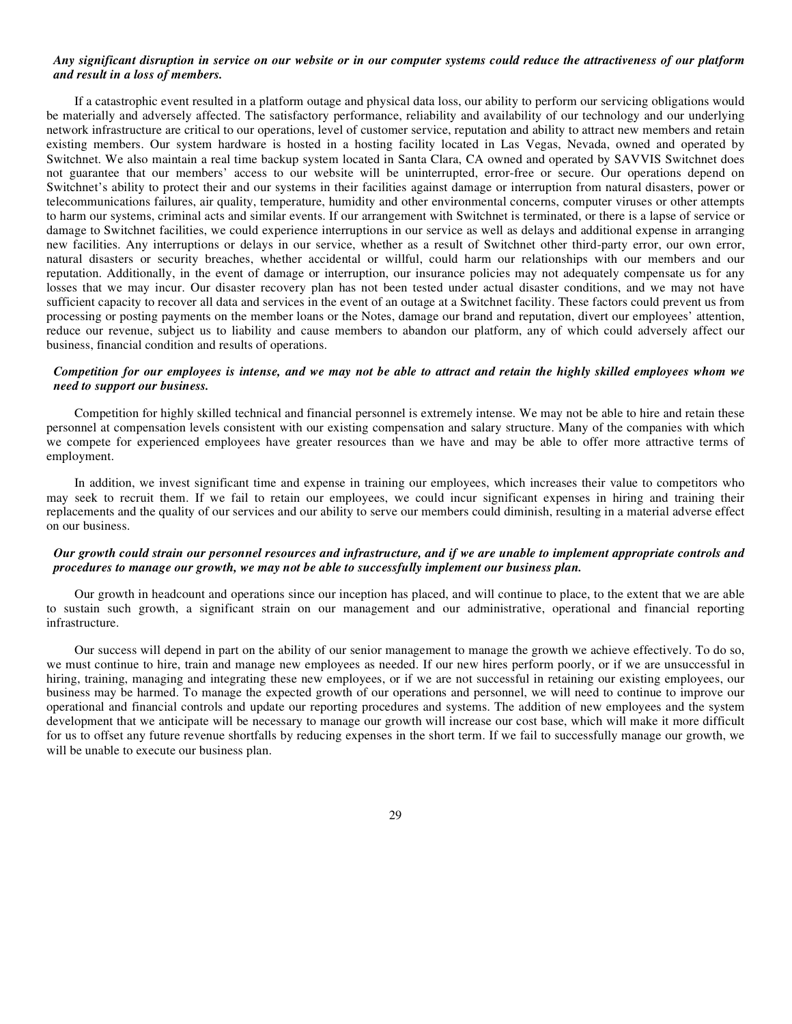#### *Any significant disruption in service on our website or in our computer systems could reduce the attractiveness of our platform and result in a loss of members.*

If a catastrophic event resulted in a platform outage and physical data loss, our ability to perform our servicing obligations would be materially and adversely affected. The satisfactory performance, reliability and availability of our technology and our underlying network infrastructure are critical to our operations, level of customer service, reputation and ability to attract new members and retain existing members. Our system hardware is hosted in a hosting facility located in Las Vegas, Nevada, owned and operated by Switchnet. We also maintain a real time backup system located in Santa Clara, CA owned and operated by SAVVIS Switchnet does not guarantee that our members' access to our website will be uninterrupted, error-free or secure. Our operations depend on Switchnet's ability to protect their and our systems in their facilities against damage or interruption from natural disasters, power or telecommunications failures, air quality, temperature, humidity and other environmental concerns, computer viruses or other attempts to harm our systems, criminal acts and similar events. If our arrangement with Switchnet is terminated, or there is a lapse of service or damage to Switchnet facilities, we could experience interruptions in our service as well as delays and additional expense in arranging new facilities. Any interruptions or delays in our service, whether as a result of Switchnet other third-party error, our own error, natural disasters or security breaches, whether accidental or willful, could harm our relationships with our members and our reputation. Additionally, in the event of damage or interruption, our insurance policies may not adequately compensate us for any losses that we may incur. Our disaster recovery plan has not been tested under actual disaster conditions, and we may not have sufficient capacity to recover all data and services in the event of an outage at a Switchnet facility. These factors could prevent us from processing or posting payments on the member loans or the Notes, damage our brand and reputation, divert our employees' attention, reduce our revenue, subject us to liability and cause members to abandon our platform, any of which could adversely affect our business, financial condition and results of operations.

#### *Competition for our employees is intense, and we may not be able to attract and retain the highly skilled employees whom we need to support our business.*

Competition for highly skilled technical and financial personnel is extremely intense. We may not be able to hire and retain these personnel at compensation levels consistent with our existing compensation and salary structure. Many of the companies with which we compete for experienced employees have greater resources than we have and may be able to offer more attractive terms of employment.

In addition, we invest significant time and expense in training our employees, which increases their value to competitors who may seek to recruit them. If we fail to retain our employees, we could incur significant expenses in hiring and training their replacements and the quality of our services and our ability to serve our members could diminish, resulting in a material adverse effect on our business.

# *Our growth could strain our personnel resources and infrastructure, and if we are unable to implement appropriate controls and procedures to manage our growth, we may not be able to successfully implement our business plan.*

Our growth in headcount and operations since our inception has placed, and will continue to place, to the extent that we are able to sustain such growth, a significant strain on our management and our administrative, operational and financial reporting infrastructure.

Our success will depend in part on the ability of our senior management to manage the growth we achieve effectively. To do so, we must continue to hire, train and manage new employees as needed. If our new hires perform poorly, or if we are unsuccessful in hiring, training, managing and integrating these new employees, or if we are not successful in retaining our existing employees, our business may be harmed. To manage the expected growth of our operations and personnel, we will need to continue to improve our operational and financial controls and update our reporting procedures and systems. The addition of new employees and the system development that we anticipate will be necessary to manage our growth will increase our cost base, which will make it more difficult for us to offset any future revenue shortfalls by reducing expenses in the short term. If we fail to successfully manage our growth, we will be unable to execute our business plan.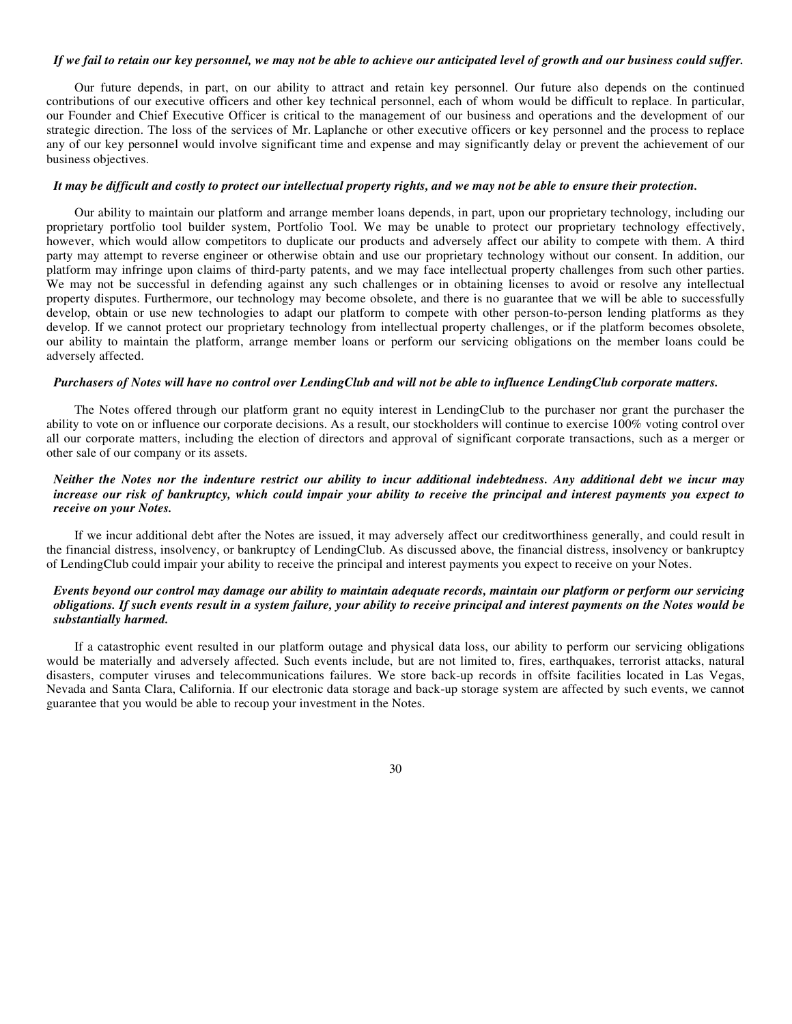#### *If we fail to retain our key personnel, we may not be able to achieve our anticipated level of growth and our business could suffer.*

Our future depends, in part, on our ability to attract and retain key personnel. Our future also depends on the continued contributions of our executive officers and other key technical personnel, each of whom would be difficult to replace. In particular, our Founder and Chief Executive Officer is critical to the management of our business and operations and the development of our strategic direction. The loss of the services of Mr. Laplanche or other executive officers or key personnel and the process to replace any of our key personnel would involve significant time and expense and may significantly delay or prevent the achievement of our business objectives.

## *It may be difficult and costly to protect our intellectual property rights, and we may not be able to ensure their protection.*

Our ability to maintain our platform and arrange member loans depends, in part, upon our proprietary technology, including our proprietary portfolio tool builder system, Portfolio Tool. We may be unable to protect our proprietary technology effectively, however, which would allow competitors to duplicate our products and adversely affect our ability to compete with them. A third party may attempt to reverse engineer or otherwise obtain and use our proprietary technology without our consent. In addition, our platform may infringe upon claims of third-party patents, and we may face intellectual property challenges from such other parties. We may not be successful in defending against any such challenges or in obtaining licenses to avoid or resolve any intellectual property disputes. Furthermore, our technology may become obsolete, and there is no guarantee that we will be able to successfully develop, obtain or use new technologies to adapt our platform to compete with other person-to-person lending platforms as they develop. If we cannot protect our proprietary technology from intellectual property challenges, or if the platform becomes obsolete, our ability to maintain the platform, arrange member loans or perform our servicing obligations on the member loans could be adversely affected.

# *Purchasers of Notes will have no control over LendingClub and will not be able to influence LendingClub corporate matters.*

The Notes offered through our platform grant no equity interest in LendingClub to the purchaser nor grant the purchaser the ability to vote on or influence our corporate decisions. As a result, our stockholders will continue to exercise 100% voting control over all our corporate matters, including the election of directors and approval of significant corporate transactions, such as a merger or other sale of our company or its assets.

#### *Neither the Notes nor the indenture restrict our ability to incur additional indebtedness. Any additional debt we incur may increase our risk of bankruptcy, which could impair your ability to receive the principal and interest payments you expect to receive on your Notes.*

If we incur additional debt after the Notes are issued, it may adversely affect our creditworthiness generally, and could result in the financial distress, insolvency, or bankruptcy of LendingClub. As discussed above, the financial distress, insolvency or bankruptcy of LendingClub could impair your ability to receive the principal and interest payments you expect to receive on your Notes.

# *Events beyond our control may damage our ability to maintain adequate records, maintain our platform or perform our servicing obligations. If such events result in a system failure, your ability to receive principal and interest payments on the Notes would be substantially harmed.*

If a catastrophic event resulted in our platform outage and physical data loss, our ability to perform our servicing obligations would be materially and adversely affected. Such events include, but are not limited to, fires, earthquakes, terrorist attacks, natural disasters, computer viruses and telecommunications failures. We store back-up records in offsite facilities located in Las Vegas, Nevada and Santa Clara, California. If our electronic data storage and back-up storage system are affected by such events, we cannot guarantee that you would be able to recoup your investment in the Notes.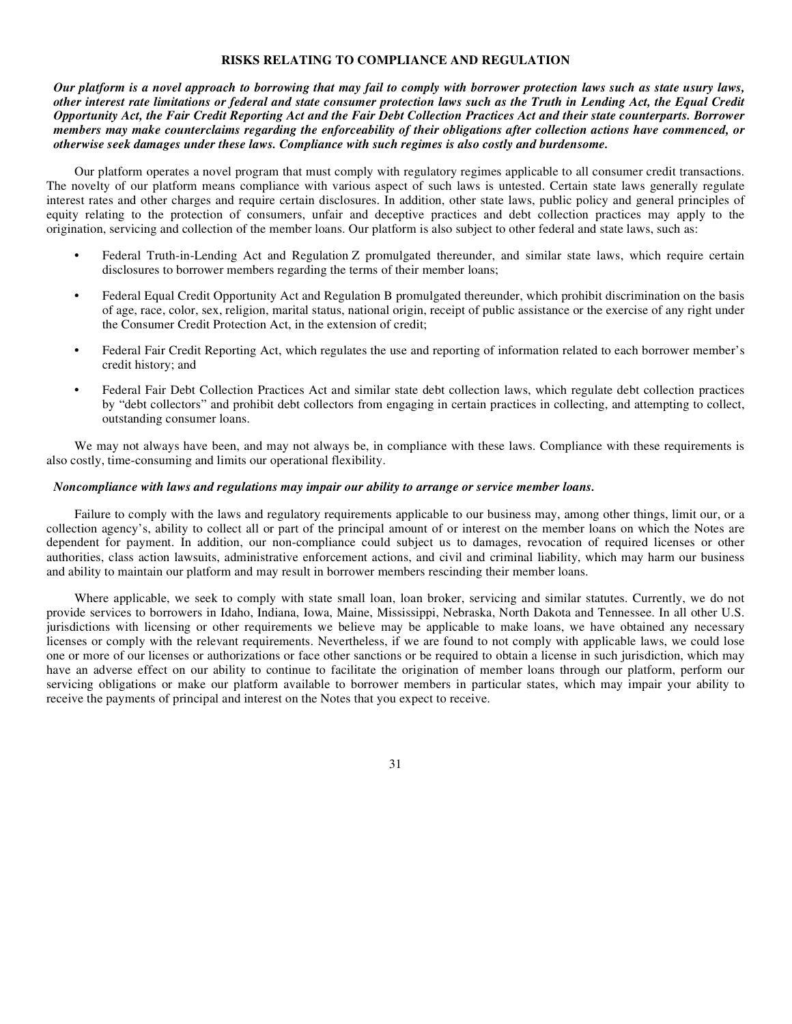#### **RISKS RELATING TO COMPLIANCE AND REGULATION**

*Our platform is a novel approach to borrowing that may fail to comply with borrower protection laws such as state usury laws, other interest rate limitations or federal and state consumer protection laws such as the Truth in Lending Act, the Equal Credit Opportunity Act, the Fair Credit Reporting Act and the Fair Debt Collection Practices Act and their state counterparts. Borrower members may make counterclaims regarding the enforceability of their obligations after collection actions have commenced, or otherwise seek damages under these laws. Compliance with such regimes is also costly and burdensome.*

Our platform operates a novel program that must comply with regulatory regimes applicable to all consumer credit transactions. The novelty of our platform means compliance with various aspect of such laws is untested. Certain state laws generally regulate interest rates and other charges and require certain disclosures. In addition, other state laws, public policy and general principles of equity relating to the protection of consumers, unfair and deceptive practices and debt collection practices may apply to the origination, servicing and collection of the member loans. Our platform is also subject to other federal and state laws, such as:

- **•** Federal Truth-in-Lending Act and Regulation Z promulgated thereunder, and similar state laws, which require certain disclosures to borrower members regarding the terms of their member loans;
- **•** Federal Equal Credit Opportunity Act and Regulation B promulgated thereunder, which prohibit discrimination on the basis of age, race, color, sex, religion, marital status, national origin, receipt of public assistance or the exercise of any right under the Consumer Credit Protection Act, in the extension of credit;
- **•** Federal Fair Credit Reporting Act, which regulates the use and reporting of information related to each borrower member's credit history; and
- **•** Federal Fair Debt Collection Practices Act and similar state debt collection laws, which regulate debt collection practices by "debt collectors" and prohibit debt collectors from engaging in certain practices in collecting, and attempting to collect, outstanding consumer loans.

We may not always have been, and may not always be, in compliance with these laws. Compliance with these requirements is also costly, time-consuming and limits our operational flexibility.

#### *Noncompliance with laws and regulations may impair our ability to arrange or service member loans.*

Failure to comply with the laws and regulatory requirements applicable to our business may, among other things, limit our, or a collection agency's, ability to collect all or part of the principal amount of or interest on the member loans on which the Notes are dependent for payment. In addition, our non-compliance could subject us to damages, revocation of required licenses or other authorities, class action lawsuits, administrative enforcement actions, and civil and criminal liability, which may harm our business and ability to maintain our platform and may result in borrower members rescinding their member loans.

Where applicable, we seek to comply with state small loan, loan broker, servicing and similar statutes. Currently, we do not provide services to borrowers in Idaho, Indiana, Iowa, Maine, Mississippi, Nebraska, North Dakota and Tennessee. In all other U.S. jurisdictions with licensing or other requirements we believe may be applicable to make loans, we have obtained any necessary licenses or comply with the relevant requirements. Nevertheless, if we are found to not comply with applicable laws, we could lose one or more of our licenses or authorizations or face other sanctions or be required to obtain a license in such jurisdiction, which may have an adverse effect on our ability to continue to facilitate the origination of member loans through our platform, perform our servicing obligations or make our platform available to borrower members in particular states, which may impair your ability to receive the payments of principal and interest on the Notes that you expect to receive.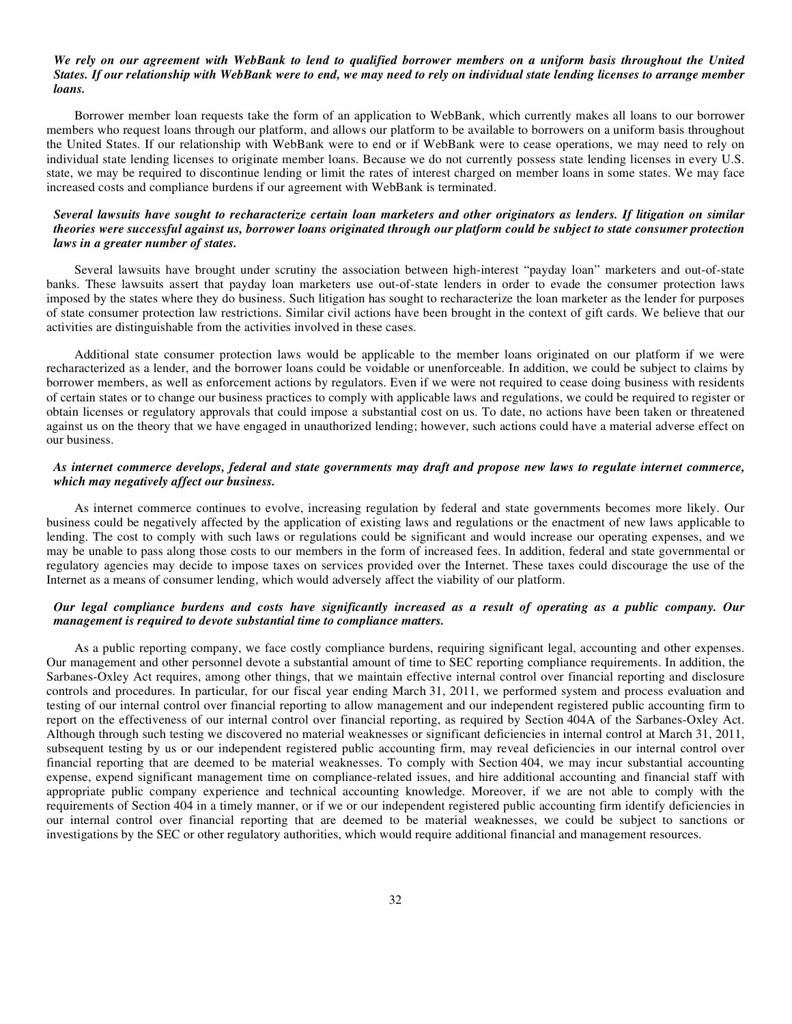#### *We rely on our agreement with WebBank to lend to qualified borrower members on a uniform basis throughout the United States. If our relationship with WebBank were to end, we may need to rely on individual state lending licenses to arrange member loans.*

Borrower member loan requests take the form of an application to WebBank, which currently makes all loans to our borrower members who request loans through our platform, and allows our platform to be available to borrowers on a uniform basis throughout the United States. If our relationship with WebBank were to end or if WebBank were to cease operations, we may need to rely on individual state lending licenses to originate member loans. Because we do not currently possess state lending licenses in every U.S. state, we may be required to discontinue lending or limit the rates of interest charged on member loans in some states. We may face increased costs and compliance burdens if our agreement with WebBank is terminated.

#### *Several lawsuits have sought to recharacterize certain loan marketers and other originators as lenders. If litigation on similar theories were successful against us, borrower loans originated through our platform could be subject to state consumer protection laws in a greater number of states.*

Several lawsuits have brought under scrutiny the association between high-interest "payday loan" marketers and out-of-state banks. These lawsuits assert that payday loan marketers use out-of-state lenders in order to evade the consumer protection laws imposed by the states where they do business. Such litigation has sought to recharacterize the loan marketer as the lender for purposes of state consumer protection law restrictions. Similar civil actions have been brought in the context of gift cards. We believe that our activities are distinguishable from the activities involved in these cases.

Additional state consumer protection laws would be applicable to the member loans originated on our platform if we were recharacterized as a lender, and the borrower loans could be voidable or unenforceable. In addition, we could be subject to claims by borrower members, as well as enforcement actions by regulators. Even if we were not required to cease doing business with residents of certain states or to change our business practices to comply with applicable laws and regulations, we could be required to register or obtain licenses or regulatory approvals that could impose a substantial cost on us. To date, no actions have been taken or threatened against us on the theory that we have engaged in unauthorized lending; however, such actions could have a material adverse effect on our business.

## *As internet commerce develops, federal and state governments may draft and propose new laws to regulate internet commerce, which may negatively affect our business.*

As internet commerce continues to evolve, increasing regulation by federal and state governments becomes more likely. Our business could be negatively affected by the application of existing laws and regulations or the enactment of new laws applicable to lending. The cost to comply with such laws or regulations could be significant and would increase our operating expenses, and we may be unable to pass along those costs to our members in the form of increased fees. In addition, federal and state governmental or regulatory agencies may decide to impose taxes on services provided over the Internet. These taxes could discourage the use of the Internet as a means of consumer lending, which would adversely affect the viability of our platform.

# *Our legal compliance burdens and costs have significantly increased as a result of operating as a public company. Our management is required to devote substantial time to compliance matters.*

As a public reporting company, we face costly compliance burdens, requiring significant legal, accounting and other expenses. Our management and other personnel devote a substantial amount of time to SEC reporting compliance requirements. In addition, the Sarbanes-Oxley Act requires, among other things, that we maintain effective internal control over financial reporting and disclosure controls and procedures. In particular, for our fiscal year ending March 31, 2011, we performed system and process evaluation and testing of our internal control over financial reporting to allow management and our independent registered public accounting firm to report on the effectiveness of our internal control over financial reporting, as required by Section 404A of the Sarbanes-Oxley Act. Although through such testing we discovered no material weaknesses or significant deficiencies in internal control at March 31, 2011, subsequent testing by us or our independent registered public accounting firm, may reveal deficiencies in our internal control over financial reporting that are deemed to be material weaknesses. To comply with Section 404, we may incur substantial accounting expense, expend significant management time on compliance-related issues, and hire additional accounting and financial staff with appropriate public company experience and technical accounting knowledge. Moreover, if we are not able to comply with the requirements of Section 404 in a timely manner, or if we or our independent registered public accounting firm identify deficiencies in our internal control over financial reporting that are deemed to be material weaknesses, we could be subject to sanctions or investigations by the SEC or other regulatory authorities, which would require additional financial and management resources.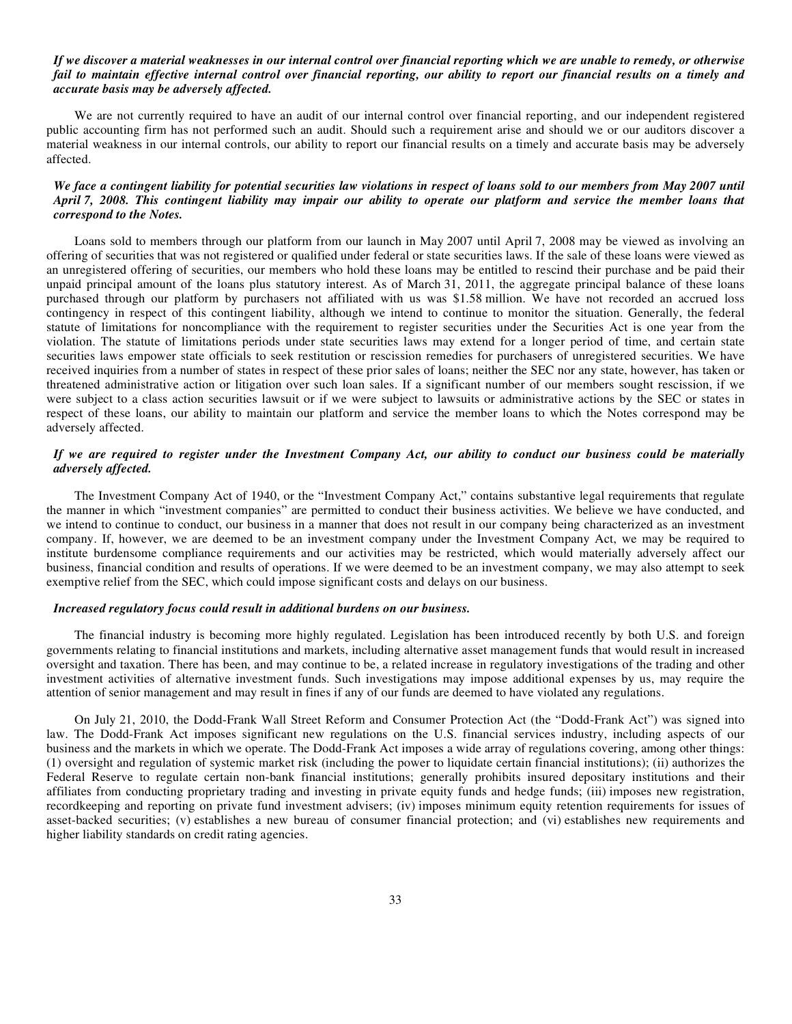#### *If we discover a material weaknesses in our internal control over financial reporting which we are unable to remedy, or otherwise fail to maintain effective internal control over financial reporting, our ability to report our financial results on a timely and accurate basis may be adversely affected.*

We are not currently required to have an audit of our internal control over financial reporting, and our independent registered public accounting firm has not performed such an audit. Should such a requirement arise and should we or our auditors discover a material weakness in our internal controls, our ability to report our financial results on a timely and accurate basis may be adversely affected.

# *We face a contingent liability for potential securities law violations in respect of loans sold to our members from May 2007 until April 7, 2008. This contingent liability may impair our ability to operate our platform and service the member loans that correspond to the Notes.*

Loans sold to members through our platform from our launch in May 2007 until April 7, 2008 may be viewed as involving an offering of securities that was not registered or qualified under federal or state securities laws. If the sale of these loans were viewed as an unregistered offering of securities, our members who hold these loans may be entitled to rescind their purchase and be paid their unpaid principal amount of the loans plus statutory interest. As of March 31, 2011, the aggregate principal balance of these loans purchased through our platform by purchasers not affiliated with us was \$1.58 million. We have not recorded an accrued loss contingency in respect of this contingent liability, although we intend to continue to monitor the situation. Generally, the federal statute of limitations for noncompliance with the requirement to register securities under the Securities Act is one year from the violation. The statute of limitations periods under state securities laws may extend for a longer period of time, and certain state securities laws empower state officials to seek restitution or rescission remedies for purchasers of unregistered securities. We have received inquiries from a number of states in respect of these prior sales of loans; neither the SEC nor any state, however, has taken or threatened administrative action or litigation over such loan sales. If a significant number of our members sought rescission, if we were subject to a class action securities lawsuit or if we were subject to lawsuits or administrative actions by the SEC or states in respect of these loans, our ability to maintain our platform and service the member loans to which the Notes correspond may be adversely affected.

# *If we are required to register under the Investment Company Act, our ability to conduct our business could be materially adversely affected.*

The Investment Company Act of 1940, or the "Investment Company Act," contains substantive legal requirements that regulate the manner in which "investment companies" are permitted to conduct their business activities. We believe we have conducted, and we intend to continue to conduct, our business in a manner that does not result in our company being characterized as an investment company. If, however, we are deemed to be an investment company under the Investment Company Act, we may be required to institute burdensome compliance requirements and our activities may be restricted, which would materially adversely affect our business, financial condition and results of operations. If we were deemed to be an investment company, we may also attempt to seek exemptive relief from the SEC, which could impose significant costs and delays on our business.

#### *Increased regulatory focus could result in additional burdens on our business.*

The financial industry is becoming more highly regulated. Legislation has been introduced recently by both U.S. and foreign governments relating to financial institutions and markets, including alternative asset management funds that would result in increased oversight and taxation. There has been, and may continue to be, a related increase in regulatory investigations of the trading and other investment activities of alternative investment funds. Such investigations may impose additional expenses by us, may require the attention of senior management and may result in fines if any of our funds are deemed to have violated any regulations.

On July 21, 2010, the Dodd-Frank Wall Street Reform and Consumer Protection Act (the "Dodd-Frank Act") was signed into law. The Dodd-Frank Act imposes significant new regulations on the U.S. financial services industry, including aspects of our business and the markets in which we operate. The Dodd-Frank Act imposes a wide array of regulations covering, among other things: (1) oversight and regulation of systemic market risk (including the power to liquidate certain financial institutions); (ii) authorizes the Federal Reserve to regulate certain non-bank financial institutions; generally prohibits insured depositary institutions and their affiliates from conducting proprietary trading and investing in private equity funds and hedge funds; (iii) imposes new registration, recordkeeping and reporting on private fund investment advisers; (iv) imposes minimum equity retention requirements for issues of asset-backed securities; (v) establishes a new bureau of consumer financial protection; and (vi) establishes new requirements and higher liability standards on credit rating agencies.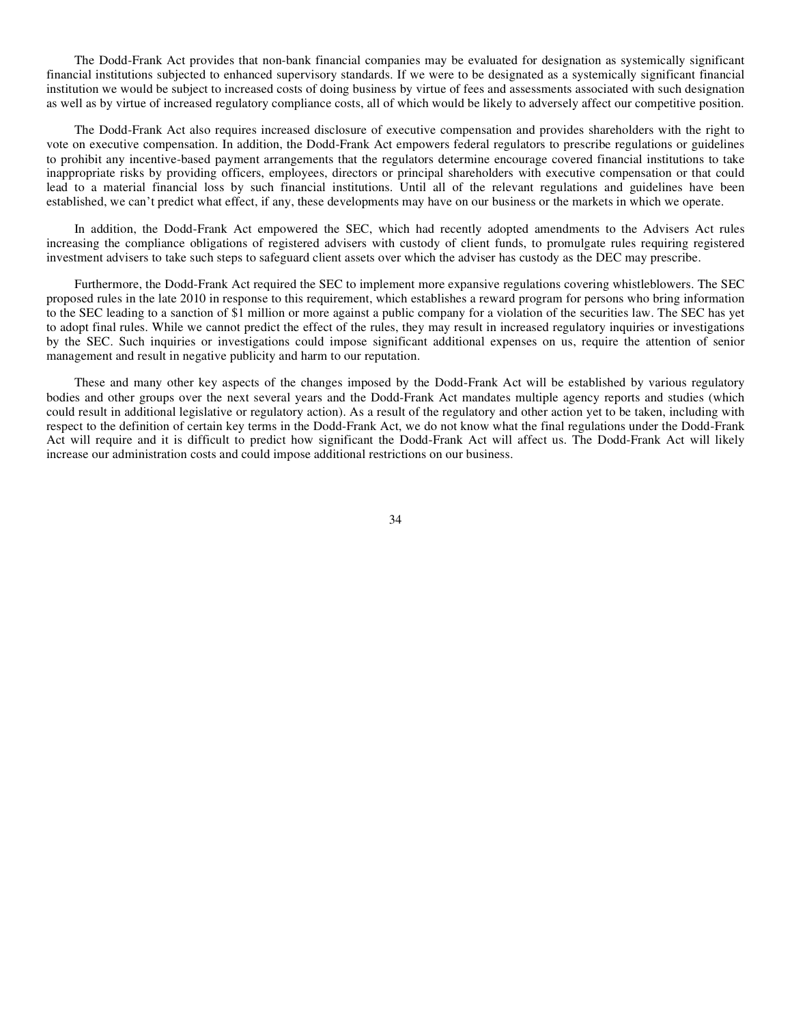The Dodd-Frank Act provides that non-bank financial companies may be evaluated for designation as systemically significant financial institutions subjected to enhanced supervisory standards. If we were to be designated as a systemically significant financial institution we would be subject to increased costs of doing business by virtue of fees and assessments associated with such designation as well as by virtue of increased regulatory compliance costs, all of which would be likely to adversely affect our competitive position.

The Dodd-Frank Act also requires increased disclosure of executive compensation and provides shareholders with the right to vote on executive compensation. In addition, the Dodd-Frank Act empowers federal regulators to prescribe regulations or guidelines to prohibit any incentive-based payment arrangements that the regulators determine encourage covered financial institutions to take inappropriate risks by providing officers, employees, directors or principal shareholders with executive compensation or that could lead to a material financial loss by such financial institutions. Until all of the relevant regulations and guidelines have been established, we can't predict what effect, if any, these developments may have on our business or the markets in which we operate.

In addition, the Dodd-Frank Act empowered the SEC, which had recently adopted amendments to the Advisers Act rules increasing the compliance obligations of registered advisers with custody of client funds, to promulgate rules requiring registered investment advisers to take such steps to safeguard client assets over which the adviser has custody as the DEC may prescribe.

Furthermore, the Dodd-Frank Act required the SEC to implement more expansive regulations covering whistleblowers. The SEC proposed rules in the late 2010 in response to this requirement, which establishes a reward program for persons who bring information to the SEC leading to a sanction of \$1 million or more against a public company for a violation of the securities law. The SEC has yet to adopt final rules. While we cannot predict the effect of the rules, they may result in increased regulatory inquiries or investigations by the SEC. Such inquiries or investigations could impose significant additional expenses on us, require the attention of senior management and result in negative publicity and harm to our reputation.

These and many other key aspects of the changes imposed by the Dodd-Frank Act will be established by various regulatory bodies and other groups over the next several years and the Dodd-Frank Act mandates multiple agency reports and studies (which could result in additional legislative or regulatory action). As a result of the regulatory and other action yet to be taken, including with respect to the definition of certain key terms in the Dodd-Frank Act, we do not know what the final regulations under the Dodd-Frank Act will require and it is difficult to predict how significant the Dodd-Frank Act will affect us. The Dodd-Frank Act will likely increase our administration costs and could impose additional restrictions on our business.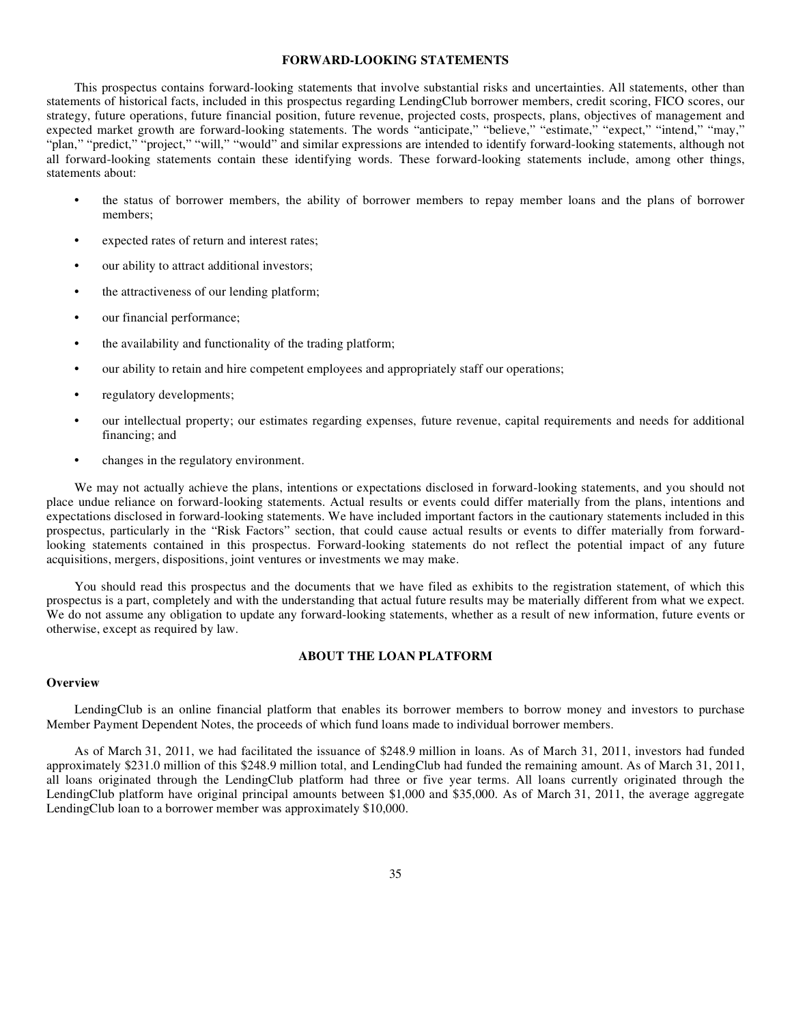#### **FORWARD-LOOKING STATEMENTS**

This prospectus contains forward-looking statements that involve substantial risks and uncertainties. All statements, other than statements of historical facts, included in this prospectus regarding LendingClub borrower members, credit scoring, FICO scores, our strategy, future operations, future financial position, future revenue, projected costs, prospects, plans, objectives of management and expected market growth are forward-looking statements. The words "anticipate," "believe," "estimate," "expect," "intend," "may," "plan," "predict," "project," "will," "would" and similar expressions are intended to identify forward-looking statements, although not all forward-looking statements contain these identifying words. These forward-looking statements include, among other things, statements about:

- **•** the status of borrower members, the ability of borrower members to repay member loans and the plans of borrower members;
- **•** expected rates of return and interest rates;
- **•** our ability to attract additional investors;
- **•** the attractiveness of our lending platform;
- **•** our financial performance;
- **•** the availability and functionality of the trading platform;
- **•** our ability to retain and hire competent employees and appropriately staff our operations;
- **•** regulatory developments;
- **•** our intellectual property; our estimates regarding expenses, future revenue, capital requirements and needs for additional financing; and
- changes in the regulatory environment.

We may not actually achieve the plans, intentions or expectations disclosed in forward-looking statements, and you should not place undue reliance on forward-looking statements. Actual results or events could differ materially from the plans, intentions and expectations disclosed in forward-looking statements. We have included important factors in the cautionary statements included in this prospectus, particularly in the "Risk Factors" section, that could cause actual results or events to differ materially from forwardlooking statements contained in this prospectus. Forward-looking statements do not reflect the potential impact of any future acquisitions, mergers, dispositions, joint ventures or investments we may make.

You should read this prospectus and the documents that we have filed as exhibits to the registration statement, of which this prospectus is a part, completely and with the understanding that actual future results may be materially different from what we expect. We do not assume any obligation to update any forward-looking statements, whether as a result of new information, future events or otherwise, except as required by law.

# **ABOUT THE LOAN PLATFORM**

#### **Overview**

LendingClub is an online financial platform that enables its borrower members to borrow money and investors to purchase Member Payment Dependent Notes, the proceeds of which fund loans made to individual borrower members.

As of March 31, 2011, we had facilitated the issuance of \$248.9 million in loans. As of March 31, 2011, investors had funded approximately \$231.0 million of this \$248.9 million total, and LendingClub had funded the remaining amount. As of March 31, 2011, all loans originated through the LendingClub platform had three or five year terms. All loans currently originated through the LendingClub platform have original principal amounts between \$1,000 and \$35,000. As of March 31, 2011, the average aggregate LendingClub loan to a borrower member was approximately \$10,000.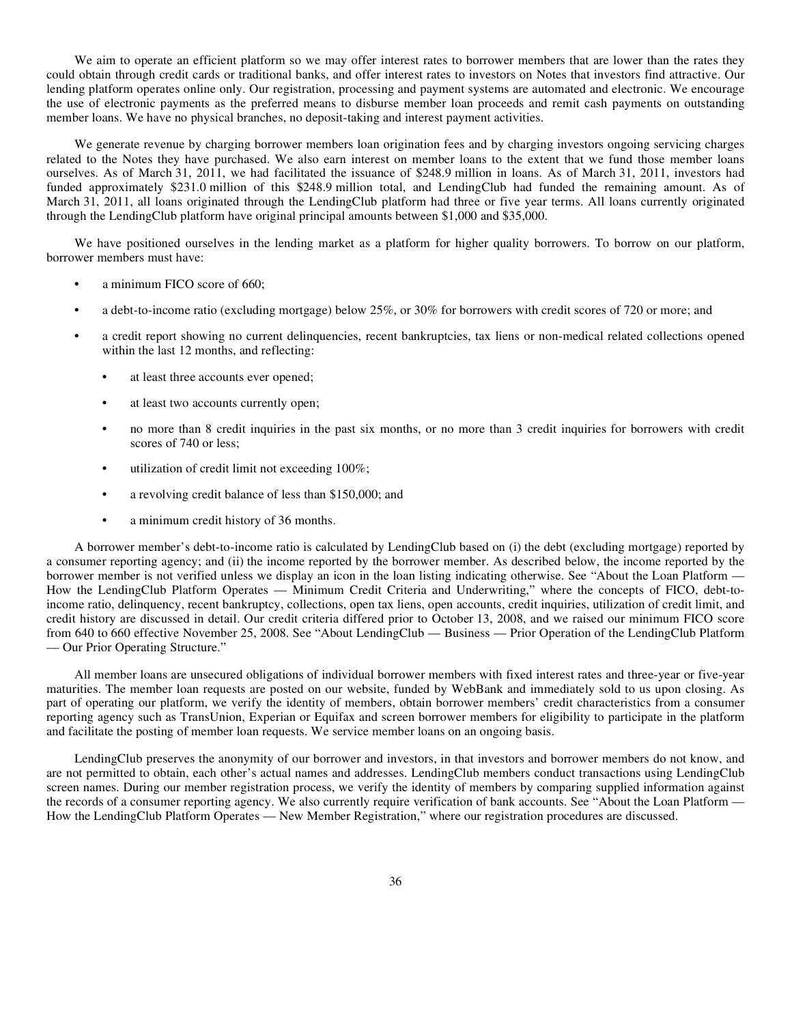We aim to operate an efficient platform so we may offer interest rates to borrower members that are lower than the rates they could obtain through credit cards or traditional banks, and offer interest rates to investors on Notes that investors find attractive. Our lending platform operates online only. Our registration, processing and payment systems are automated and electronic. We encourage the use of electronic payments as the preferred means to disburse member loan proceeds and remit cash payments on outstanding member loans. We have no physical branches, no deposit-taking and interest payment activities.

We generate revenue by charging borrower members loan origination fees and by charging investors ongoing servicing charges related to the Notes they have purchased. We also earn interest on member loans to the extent that we fund those member loans ourselves. As of March 31, 2011, we had facilitated the issuance of \$248.9 million in loans. As of March 31, 2011, investors had funded approximately \$231.0 million of this \$248.9 million total, and LendingClub had funded the remaining amount. As of March 31, 2011, all loans originated through the LendingClub platform had three or five year terms. All loans currently originated through the LendingClub platform have original principal amounts between \$1,000 and \$35,000.

We have positioned ourselves in the lending market as a platform for higher quality borrowers. To borrow on our platform, borrower members must have:

- a minimum FICO score of 660;
- **•** a debt-to-income ratio (excluding mortgage) below 25%, or 30% for borrowers with credit scores of 720 or more; and
- **•** a credit report showing no current delinquencies, recent bankruptcies, tax liens or non-medical related collections opened within the last 12 months, and reflecting:
	- **•** at least three accounts ever opened;
	- **•** at least two accounts currently open;
	- **•** no more than 8 credit inquiries in the past six months, or no more than 3 credit inquiries for borrowers with credit scores of 740 or less;
	- **•** utilization of credit limit not exceeding 100%;
	- **•** a revolving credit balance of less than \$150,000; and
	- **•** a minimum credit history of 36 months.

A borrower member's debt-to-income ratio is calculated by LendingClub based on (i) the debt (excluding mortgage) reported by a consumer reporting agency; and (ii) the income reported by the borrower member. As described below, the income reported by the borrower member is not verified unless we display an icon in the loan listing indicating otherwise. See "About the Loan Platform — How the LendingClub Platform Operates — Minimum Credit Criteria and Underwriting," where the concepts of FICO, debt-toincome ratio, delinquency, recent bankruptcy, collections, open tax liens, open accounts, credit inquiries, utilization of credit limit, and credit history are discussed in detail. Our credit criteria differed prior to October 13, 2008, and we raised our minimum FICO score from 640 to 660 effective November 25, 2008. See "About LendingClub — Business — Prior Operation of the LendingClub Platform — Our Prior Operating Structure."

All member loans are unsecured obligations of individual borrower members with fixed interest rates and three-year or five-year maturities. The member loan requests are posted on our website, funded by WebBank and immediately sold to us upon closing. As part of operating our platform, we verify the identity of members, obtain borrower members' credit characteristics from a consumer reporting agency such as TransUnion, Experian or Equifax and screen borrower members for eligibility to participate in the platform and facilitate the posting of member loan requests. We service member loans on an ongoing basis.

LendingClub preserves the anonymity of our borrower and investors, in that investors and borrower members do not know, and are not permitted to obtain, each other's actual names and addresses. LendingClub members conduct transactions using LendingClub screen names. During our member registration process, we verify the identity of members by comparing supplied information against the records of a consumer reporting agency. We also currently require verification of bank accounts. See "About the Loan Platform — How the LendingClub Platform Operates — New Member Registration," where our registration procedures are discussed.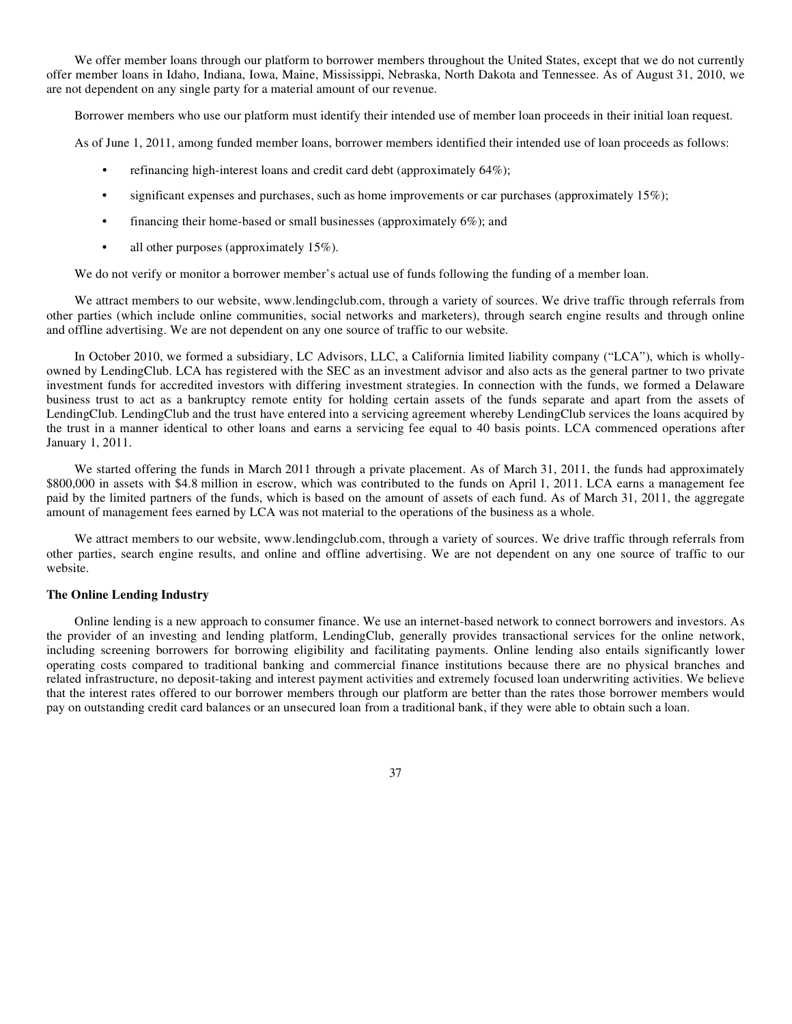We offer member loans through our platform to borrower members throughout the United States, except that we do not currently offer member loans in Idaho, Indiana, Iowa, Maine, Mississippi, Nebraska, North Dakota and Tennessee. As of August 31, 2010, we are not dependent on any single party for a material amount of our revenue.

Borrower members who use our platform must identify their intended use of member loan proceeds in their initial loan request.

As of June 1, 2011, among funded member loans, borrower members identified their intended use of loan proceeds as follows:

- **•** refinancing high-interest loans and credit card debt (approximately 64%);
- **•** significant expenses and purchases, such as home improvements or car purchases (approximately 15%);
- **•** financing their home-based or small businesses (approximately 6%); and
- all other purposes (approximately 15%).

We do not verify or monitor a borrower member's actual use of funds following the funding of a member loan.

We attract members to our website, www.lendingclub.com, through a variety of sources. We drive traffic through referrals from other parties (which include online communities, social networks and marketers), through search engine results and through online and offline advertising. We are not dependent on any one source of traffic to our website.

In October 2010, we formed a subsidiary, LC Advisors, LLC, a California limited liability company ("LCA"), which is whollyowned by LendingClub. LCA has registered with the SEC as an investment advisor and also acts as the general partner to two private investment funds for accredited investors with differing investment strategies. In connection with the funds, we formed a Delaware business trust to act as a bankruptcy remote entity for holding certain assets of the funds separate and apart from the assets of LendingClub. LendingClub and the trust have entered into a servicing agreement whereby LendingClub services the loans acquired by the trust in a manner identical to other loans and earns a servicing fee equal to 40 basis points. LCA commenced operations after January 1, 2011.

We started offering the funds in March 2011 through a private placement. As of March 31, 2011, the funds had approximately \$800,000 in assets with \$4.8 million in escrow, which was contributed to the funds on April 1, 2011. LCA earns a management fee paid by the limited partners of the funds, which is based on the amount of assets of each fund. As of March 31, 2011, the aggregate amount of management fees earned by LCA was not material to the operations of the business as a whole.

We attract members to our website, www.lendingclub.com, through a variety of sources. We drive traffic through referrals from other parties, search engine results, and online and offline advertising. We are not dependent on any one source of traffic to our website.

#### **The Online Lending Industry**

Online lending is a new approach to consumer finance. We use an internet-based network to connect borrowers and investors. As the provider of an investing and lending platform, LendingClub, generally provides transactional services for the online network, including screening borrowers for borrowing eligibility and facilitating payments. Online lending also entails significantly lower operating costs compared to traditional banking and commercial finance institutions because there are no physical branches and related infrastructure, no deposit-taking and interest payment activities and extremely focused loan underwriting activities. We believe that the interest rates offered to our borrower members through our platform are better than the rates those borrower members would pay on outstanding credit card balances or an unsecured loan from a traditional bank, if they were able to obtain such a loan.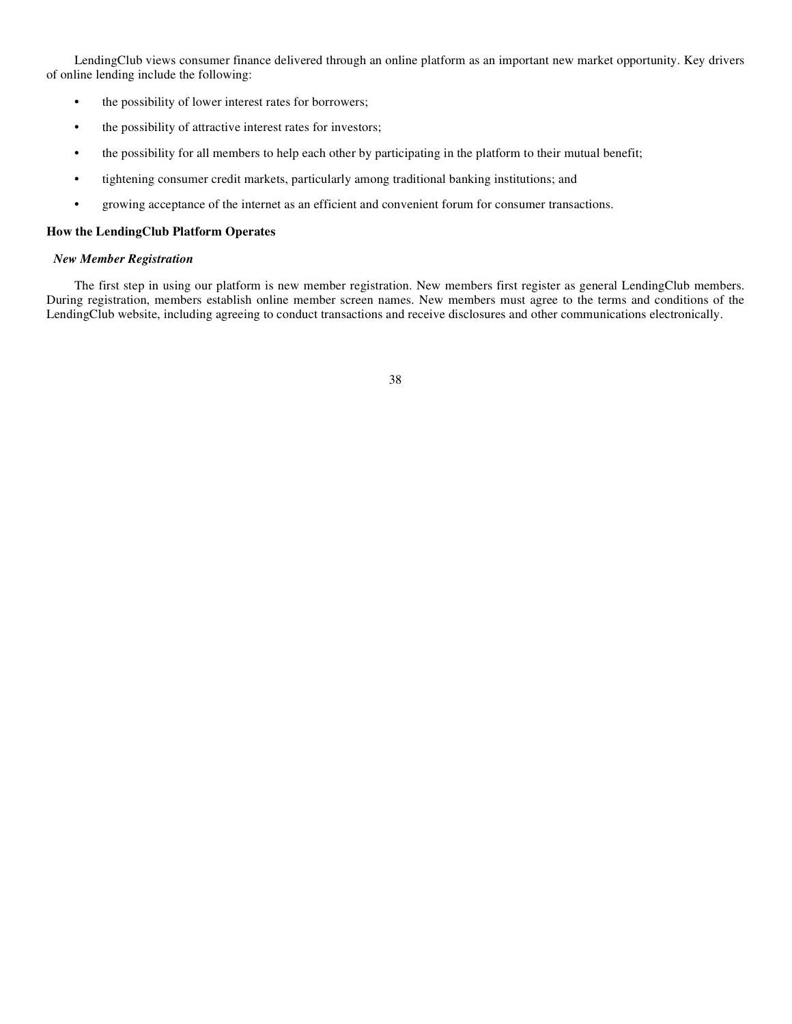LendingClub views consumer finance delivered through an online platform as an important new market opportunity. Key drivers of online lending include the following:

- **•** the possibility of lower interest rates for borrowers;
- **•** the possibility of attractive interest rates for investors;
- the possibility for all members to help each other by participating in the platform to their mutual benefit;
- **•** tightening consumer credit markets, particularly among traditional banking institutions; and
- **•** growing acceptance of the internet as an efficient and convenient forum for consumer transactions.

#### **How the LendingClub Platform Operates**

#### *New Member Registration*

The first step in using our platform is new member registration. New members first register as general LendingClub members. During registration, members establish online member screen names. New members must agree to the terms and conditions of the LendingClub website, including agreeing to conduct transactions and receive disclosures and other communications electronically.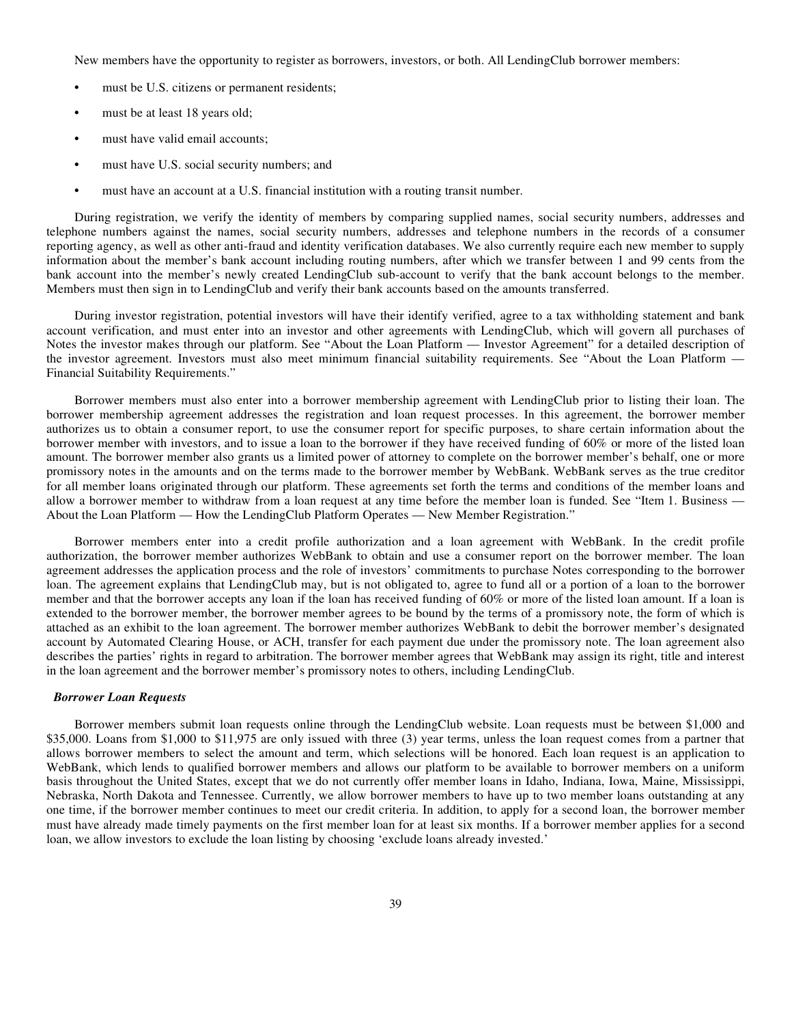New members have the opportunity to register as borrowers, investors, or both. All LendingClub borrower members:

- must be U.S. citizens or permanent residents;
- must be at least 18 years old;
- must have valid email accounts;
- **•** must have U.S. social security numbers; and
- must have an account at a U.S. financial institution with a routing transit number.

During registration, we verify the identity of members by comparing supplied names, social security numbers, addresses and telephone numbers against the names, social security numbers, addresses and telephone numbers in the records of a consumer reporting agency, as well as other anti-fraud and identity verification databases. We also currently require each new member to supply information about the member's bank account including routing numbers, after which we transfer between 1 and 99 cents from the bank account into the member's newly created LendingClub sub-account to verify that the bank account belongs to the member. Members must then sign in to LendingClub and verify their bank accounts based on the amounts transferred.

During investor registration, potential investors will have their identify verified, agree to a tax withholding statement and bank account verification, and must enter into an investor and other agreements with LendingClub, which will govern all purchases of Notes the investor makes through our platform. See "About the Loan Platform — Investor Agreement" for a detailed description of the investor agreement. Investors must also meet minimum financial suitability requirements. See "About the Loan Platform — Financial Suitability Requirements."

Borrower members must also enter into a borrower membership agreement with LendingClub prior to listing their loan. The borrower membership agreement addresses the registration and loan request processes. In this agreement, the borrower member authorizes us to obtain a consumer report, to use the consumer report for specific purposes, to share certain information about the borrower member with investors, and to issue a loan to the borrower if they have received funding of 60% or more of the listed loan amount. The borrower member also grants us a limited power of attorney to complete on the borrower member's behalf, one or more promissory notes in the amounts and on the terms made to the borrower member by WebBank. WebBank serves as the true creditor for all member loans originated through our platform. These agreements set forth the terms and conditions of the member loans and allow a borrower member to withdraw from a loan request at any time before the member loan is funded. See "Item 1. Business — About the Loan Platform — How the LendingClub Platform Operates — New Member Registration."

Borrower members enter into a credit profile authorization and a loan agreement with WebBank. In the credit profile authorization, the borrower member authorizes WebBank to obtain and use a consumer report on the borrower member. The loan agreement addresses the application process and the role of investors' commitments to purchase Notes corresponding to the borrower loan. The agreement explains that LendingClub may, but is not obligated to, agree to fund all or a portion of a loan to the borrower member and that the borrower accepts any loan if the loan has received funding of 60% or more of the listed loan amount. If a loan is extended to the borrower member, the borrower member agrees to be bound by the terms of a promissory note, the form of which is attached as an exhibit to the loan agreement. The borrower member authorizes WebBank to debit the borrower member's designated account by Automated Clearing House, or ACH, transfer for each payment due under the promissory note. The loan agreement also describes the parties' rights in regard to arbitration. The borrower member agrees that WebBank may assign its right, title and interest in the loan agreement and the borrower member's promissory notes to others, including LendingClub.

### *Borrower Loan Requests*

Borrower members submit loan requests online through the LendingClub website. Loan requests must be between \$1,000 and \$35,000. Loans from \$1,000 to \$11,975 are only issued with three (3) year terms, unless the loan request comes from a partner that allows borrower members to select the amount and term, which selections will be honored. Each loan request is an application to WebBank, which lends to qualified borrower members and allows our platform to be available to borrower members on a uniform basis throughout the United States, except that we do not currently offer member loans in Idaho, Indiana, Iowa, Maine, Mississippi, Nebraska, North Dakota and Tennessee. Currently, we allow borrower members to have up to two member loans outstanding at any one time, if the borrower member continues to meet our credit criteria. In addition, to apply for a second loan, the borrower member must have already made timely payments on the first member loan for at least six months. If a borrower member applies for a second loan, we allow investors to exclude the loan listing by choosing 'exclude loans already invested.'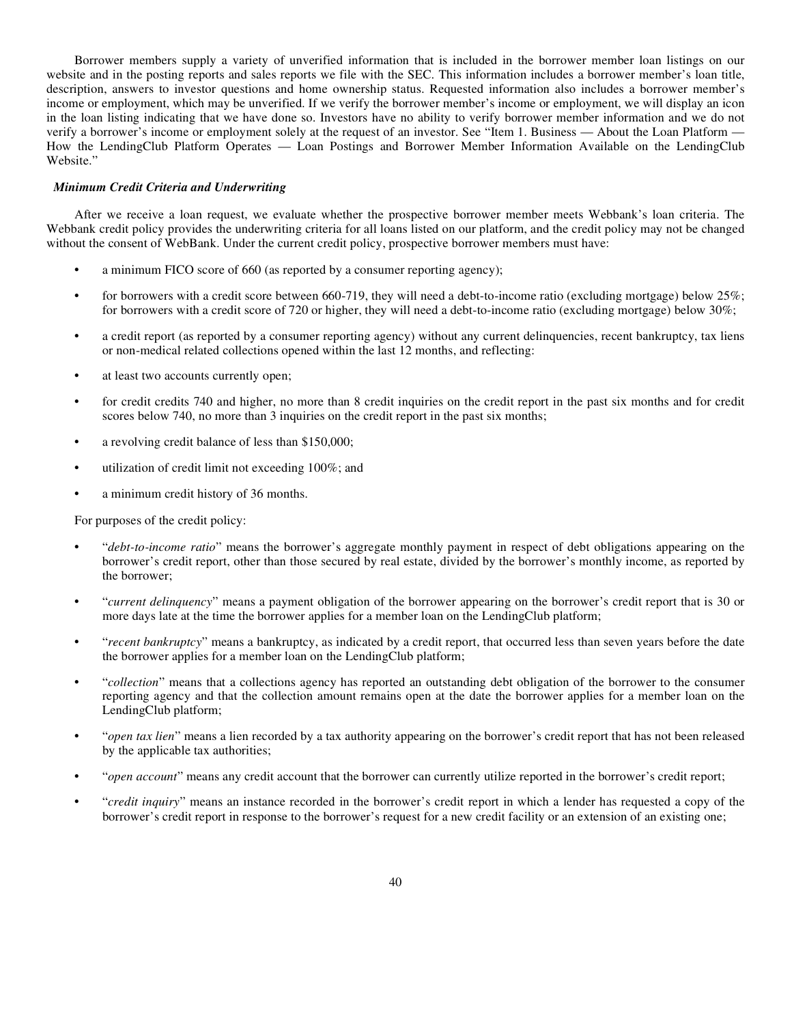Borrower members supply a variety of unverified information that is included in the borrower member loan listings on our website and in the posting reports and sales reports we file with the SEC. This information includes a borrower member's loan title, description, answers to investor questions and home ownership status. Requested information also includes a borrower member's income or employment, which may be unverified. If we verify the borrower member's income or employment, we will display an icon in the loan listing indicating that we have done so. Investors have no ability to verify borrower member information and we do not verify a borrower's income or employment solely at the request of an investor. See "Item 1. Business — About the Loan Platform — How the LendingClub Platform Operates — Loan Postings and Borrower Member Information Available on the LendingClub Website."

### *Minimum Credit Criteria and Underwriting*

After we receive a loan request, we evaluate whether the prospective borrower member meets Webbank's loan criteria. The Webbank credit policy provides the underwriting criteria for all loans listed on our platform, and the credit policy may not be changed without the consent of WebBank. Under the current credit policy, prospective borrower members must have:

- **•** a minimum FICO score of 660 (as reported by a consumer reporting agency);
- for borrowers with a credit score between 660-719, they will need a debt-to-income ratio (excluding mortgage) below 25%; for borrowers with a credit score of 720 or higher, they will need a debt-to-income ratio (excluding mortgage) below 30%;
- a credit report (as reported by a consumer reporting agency) without any current delinquencies, recent bankruptcy, tax liens or non-medical related collections opened within the last 12 months, and reflecting:
- **•** at least two accounts currently open;
- **•** for credit credits 740 and higher, no more than 8 credit inquiries on the credit report in the past six months and for credit scores below 740, no more than 3 inquiries on the credit report in the past six months;
- a revolving credit balance of less than \$150,000;
- **•** utilization of credit limit not exceeding 100%; and
- **•** a minimum credit history of 36 months.

For purposes of the credit policy:

- **•** "*debt-to-income ratio*" means the borrower's aggregate monthly payment in respect of debt obligations appearing on the borrower's credit report, other than those secured by real estate, divided by the borrower's monthly income, as reported by the borrower;
- **•** "*current delinquency*" means a payment obligation of the borrower appearing on the borrower's credit report that is 30 or more days late at the time the borrower applies for a member loan on the LendingClub platform;
- **•** "*recent bankruptcy*" means a bankruptcy, as indicated by a credit report, that occurred less than seven years before the date the borrower applies for a member loan on the LendingClub platform;
- **•** "*collection*" means that a collections agency has reported an outstanding debt obligation of the borrower to the consumer reporting agency and that the collection amount remains open at the date the borrower applies for a member loan on the LendingClub platform;
- **•** "*open tax lien*" means a lien recorded by a tax authority appearing on the borrower's credit report that has not been released by the applicable tax authorities;
- **•** "*open account*" means any credit account that the borrower can currently utilize reported in the borrower's credit report;
- **•** "*credit inquiry*" means an instance recorded in the borrower's credit report in which a lender has requested a copy of the borrower's credit report in response to the borrower's request for a new credit facility or an extension of an existing one;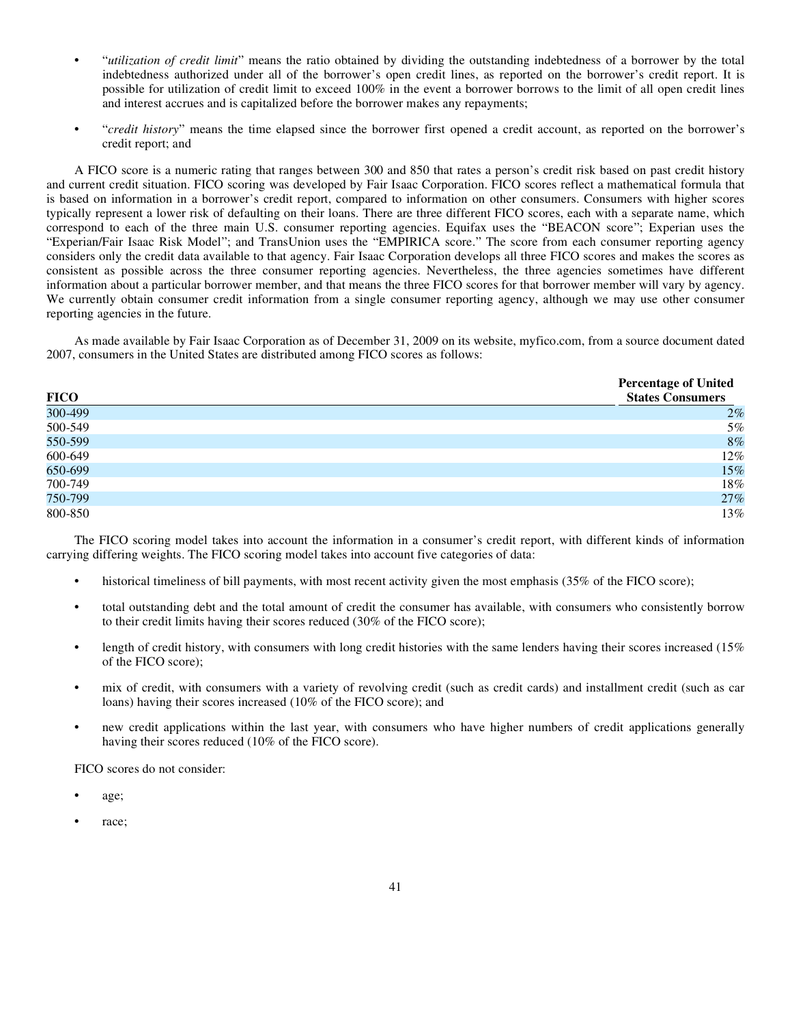- **•** "*utilization of credit limit*" means the ratio obtained by dividing the outstanding indebtedness of a borrower by the total indebtedness authorized under all of the borrower's open credit lines, as reported on the borrower's credit report. It is possible for utilization of credit limit to exceed 100% in the event a borrower borrows to the limit of all open credit lines and interest accrues and is capitalized before the borrower makes any repayments;
- **•** "*credit history*" means the time elapsed since the borrower first opened a credit account, as reported on the borrower's credit report; and

A FICO score is a numeric rating that ranges between 300 and 850 that rates a person's credit risk based on past credit history and current credit situation. FICO scoring was developed by Fair Isaac Corporation. FICO scores reflect a mathematical formula that is based on information in a borrower's credit report, compared to information on other consumers. Consumers with higher scores typically represent a lower risk of defaulting on their loans. There are three different FICO scores, each with a separate name, which correspond to each of the three main U.S. consumer reporting agencies. Equifax uses the "BEACON score"; Experian uses the "Experian/Fair Isaac Risk Model"; and TransUnion uses the "EMPIRICA score." The score from each consumer reporting agency considers only the credit data available to that agency. Fair Isaac Corporation develops all three FICO scores and makes the scores as consistent as possible across the three consumer reporting agencies. Nevertheless, the three agencies sometimes have different information about a particular borrower member, and that means the three FICO scores for that borrower member will vary by agency. We currently obtain consumer credit information from a single consumer reporting agency, although we may use other consumer reporting agencies in the future.

As made available by Fair Isaac Corporation as of December 31, 2009 on its website, myfico.com, from a source document dated 2007, consumers in the United States are distributed among FICO scores as follows:

| <b>FICO</b> | <b>Percentage of United</b><br><b>States Consumers</b> |
|-------------|--------------------------------------------------------|
| 300-499     | 2%                                                     |
| 500-549     | 5%                                                     |
| 550-599     | 8%                                                     |
| 600-649     | 12%                                                    |
| 650-699     | 15%                                                    |
| 700-749     | $18\%$                                                 |
| 750-799     | 27%                                                    |
| 800-850     | 13%                                                    |

The FICO scoring model takes into account the information in a consumer's credit report, with different kinds of information carrying differing weights. The FICO scoring model takes into account five categories of data:

- historical timeliness of bill payments, with most recent activity given the most emphasis (35% of the FICO score);
- **•** total outstanding debt and the total amount of credit the consumer has available, with consumers who consistently borrow to their credit limits having their scores reduced (30% of the FICO score);
- length of credit history, with consumers with long credit histories with the same lenders having their scores increased (15%) of the FICO score);
- **•** mix of credit, with consumers with a variety of revolving credit (such as credit cards) and installment credit (such as car loans) having their scores increased (10% of the FICO score); and
- **•** new credit applications within the last year, with consumers who have higher numbers of credit applications generally having their scores reduced (10% of the FICO score).

FICO scores do not consider:

- **•** age;
- **•** race;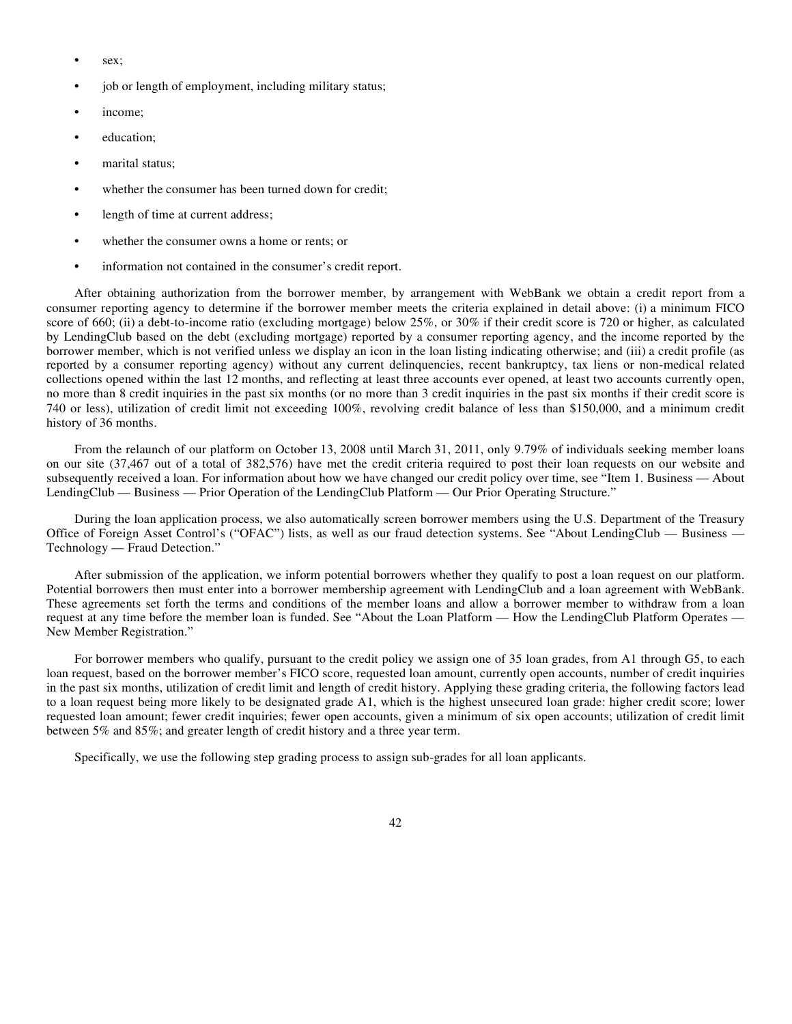- **•** sex;
- **•** job or length of employment, including military status;
- **•** income;
- **•** education;
- **•** marital status;
- **•** whether the consumer has been turned down for credit;
- **•** length of time at current address;
- **•** whether the consumer owns a home or rents; or
- **•** information not contained in the consumer's credit report.

After obtaining authorization from the borrower member, by arrangement with WebBank we obtain a credit report from a consumer reporting agency to determine if the borrower member meets the criteria explained in detail above: (i) a minimum FICO score of 660; (ii) a debt-to-income ratio (excluding mortgage) below 25%, or 30% if their credit score is 720 or higher, as calculated by LendingClub based on the debt (excluding mortgage) reported by a consumer reporting agency, and the income reported by the borrower member, which is not verified unless we display an icon in the loan listing indicating otherwise; and (iii) a credit profile (as reported by a consumer reporting agency) without any current delinquencies, recent bankruptcy, tax liens or non-medical related collections opened within the last 12 months, and reflecting at least three accounts ever opened, at least two accounts currently open, no more than 8 credit inquiries in the past six months (or no more than 3 credit inquiries in the past six months if their credit score is 740 or less), utilization of credit limit not exceeding 100%, revolving credit balance of less than \$150,000, and a minimum credit history of 36 months.

From the relaunch of our platform on October 13, 2008 until March 31, 2011, only 9.79% of individuals seeking member loans on our site (37,467 out of a total of 382,576) have met the credit criteria required to post their loan requests on our website and subsequently received a loan. For information about how we have changed our credit policy over time, see "Item 1. Business — About LendingClub — Business — Prior Operation of the LendingClub Platform — Our Prior Operating Structure."

During the loan application process, we also automatically screen borrower members using the U.S. Department of the Treasury Office of Foreign Asset Control's ("OFAC") lists, as well as our fraud detection systems. See "About LendingClub — Business — Technology — Fraud Detection."

After submission of the application, we inform potential borrowers whether they qualify to post a loan request on our platform. Potential borrowers then must enter into a borrower membership agreement with LendingClub and a loan agreement with WebBank. These agreements set forth the terms and conditions of the member loans and allow a borrower member to withdraw from a loan request at any time before the member loan is funded. See "About the Loan Platform — How the LendingClub Platform Operates — New Member Registration."

For borrower members who qualify, pursuant to the credit policy we assign one of 35 loan grades, from A1 through G5, to each loan request, based on the borrower member's FICO score, requested loan amount, currently open accounts, number of credit inquiries in the past six months, utilization of credit limit and length of credit history. Applying these grading criteria, the following factors lead to a loan request being more likely to be designated grade A1, which is the highest unsecured loan grade: higher credit score; lower requested loan amount; fewer credit inquiries; fewer open accounts, given a minimum of six open accounts; utilization of credit limit between 5% and 85%; and greater length of credit history and a three year term.

Specifically, we use the following step grading process to assign sub-grades for all loan applicants.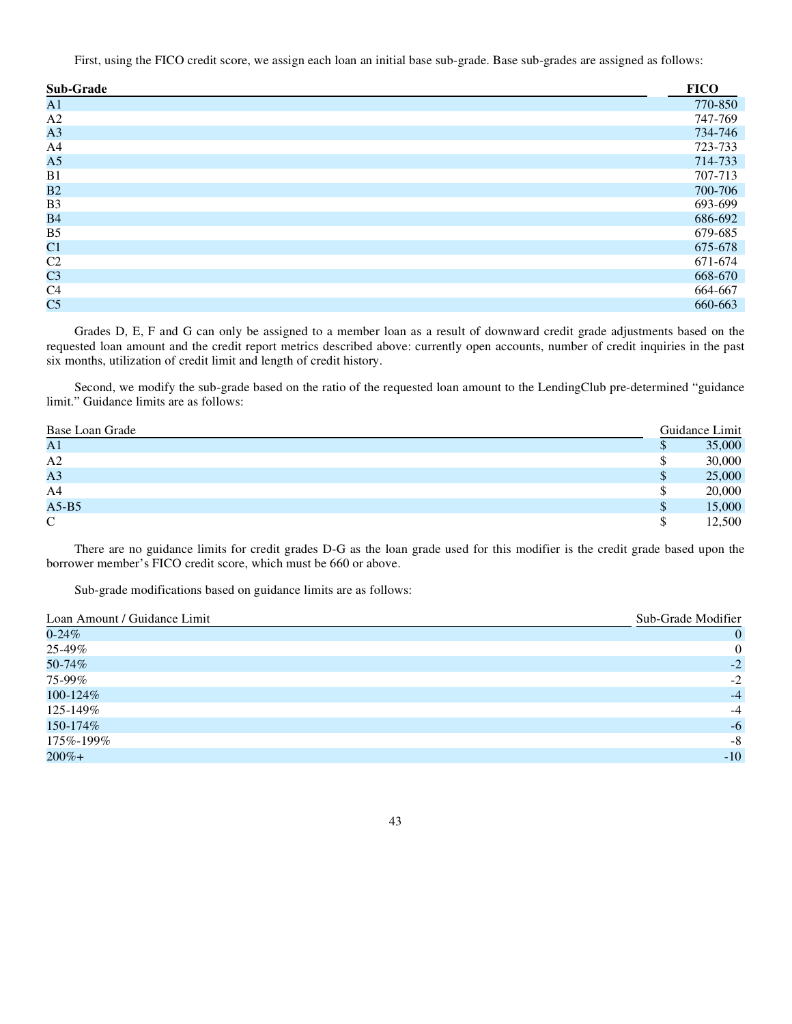First, using the FICO credit score, we assign each loan an initial base sub-grade. Base sub-grades are assigned as follows:

| <b>Sub-Grade</b> | <b>FICO</b> |
|------------------|-------------|
| A1               | 770-850     |
| A2               | 747-769     |
| A3               | 734-746     |
| A <sub>4</sub>   | 723-733     |
| A <sub>5</sub>   | 714-733     |
| B1               | 707-713     |
| B <sub>2</sub>   | 700-706     |
| B <sub>3</sub>   | 693-699     |
| <b>B4</b>        | 686-692     |
| B <sub>5</sub>   | 679-685     |
| C1               | 675-678     |
| C2               | 671-674     |
| C <sub>3</sub>   | 668-670     |
| C4               | 664-667     |
| C <sub>5</sub>   | 660-663     |

Grades D, E, F and G can only be assigned to a member loan as a result of downward credit grade adjustments based on the requested loan amount and the credit report metrics described above: currently open accounts, number of credit inquiries in the past six months, utilization of credit limit and length of credit history.

Second, we modify the sub-grade based on the ratio of the requested loan amount to the LendingClub pre-determined "guidance limit." Guidance limits are as follows:

| Base Loan Grade |   | Guidance Limit |
|-----------------|---|----------------|
| A <sub>1</sub>  |   | 35,000         |
| A2              |   | 30,000         |
| A <sub>3</sub>  | P | 25,000         |
| A4              | Ъ | 20,000         |
| $A5-B5$         | S | 15,000         |
| $\mathbf C$     | S | 12,500         |

There are no guidance limits for credit grades D-G as the loan grade used for this modifier is the credit grade based upon the borrower member's FICO credit score, which must be 660 or above.

Sub-grade modifications based on guidance limits are as follows:

| Loan Amount / Guidance Limit | Sub-Grade Modifier |
|------------------------------|--------------------|
| $0 - 24\%$                   | 0                  |
| 25-49%                       | $\overline{0}$     |
| 50-74%                       | $-2$               |
| 75-99%                       | $-2$               |
| 100-124%                     | $-4$               |
| 125-149%                     | $-4$               |
| 150-174%                     | $-6$               |
| 175%-199%                    | $-8$               |
| $200% +$                     | $-10$              |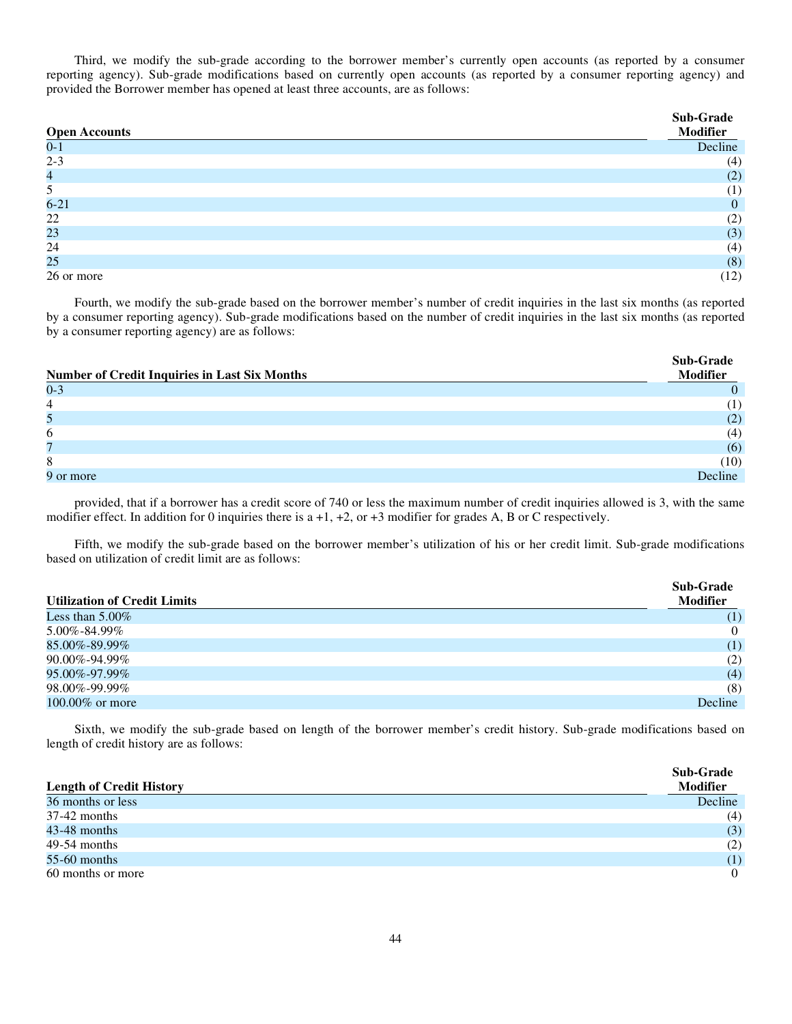Third, we modify the sub-grade according to the borrower member's currently open accounts (as reported by a consumer reporting agency). Sub-grade modifications based on currently open accounts (as reported by a consumer reporting agency) and provided the Borrower member has opened at least three accounts, are as follows:

| <b>Open Accounts</b> | Sub-Grade<br>Modifier |
|----------------------|-----------------------|
| $0 - 1$              | Decline               |
| $2 - 3$              | (4)                   |
| 4                    | (2)                   |
| 5                    | (1)                   |
| $6 - 21$             | $\theta$              |
| 22                   | (2)                   |
| 23                   | (3)                   |
| 24                   | (4)                   |
| 25                   | (8)                   |
| 26 or more           | (12)                  |

Fourth, we modify the sub-grade based on the borrower member's number of credit inquiries in the last six months (as reported by a consumer reporting agency). Sub-grade modifications based on the number of credit inquiries in the last six months (as reported by a consumer reporting agency) are as follows:

| <b>Number of Credit Inquiries in Last Six Months</b> | Sub-Grade<br><b>Modifier</b> |
|------------------------------------------------------|------------------------------|
| $0 - 3$                                              |                              |
| $\overline{4}$                                       | $\left(1\right)$             |
| 5                                                    | (2)                          |
| 6                                                    | (4)                          |
|                                                      | (6)                          |
| 8                                                    | (10)                         |
| 9 or more                                            | Decline                      |

provided, that if a borrower has a credit score of 740 or less the maximum number of credit inquiries allowed is 3, with the same modifier effect. In addition for 0 inquiries there is  $a +1$ ,  $+2$ , or  $+3$  modifier for grades A, B or C respectively.

Fifth, we modify the sub-grade based on the borrower member's utilization of his or her credit limit. Sub-grade modifications based on utilization of credit limit are as follows:

| <b>Utilization of Credit Limits</b> | <b>Sub-Grade</b><br><b>Modifier</b> |
|-------------------------------------|-------------------------------------|
| Less than $5.00\%$                  | (1)                                 |
| 5.00%-84.99%                        | $\overline{0}$                      |
| 85.00%-89.99%                       | (1)                                 |
| 90.00%-94.99%                       | (2)                                 |
| 95.00%-97.99%                       | (4)                                 |
| 98.00%-99.99%                       | (8)                                 |
| 100.00% or more                     | Decline                             |

Sixth, we modify the sub-grade based on length of the borrower member's credit history. Sub-grade modifications based on length of credit history are as follows:

| <b>Length of Credit History</b> | <b>Sub-Grade</b><br><b>Modifier</b> |
|---------------------------------|-------------------------------------|
| 36 months or less               | Decline                             |
| $37-42$ months                  | (4)                                 |
| $43-48$ months                  | (3)                                 |
| $49-54$ months                  | (2)                                 |
| $55-60$ months                  | (1)                                 |
| 60 months or more               | $\theta$                            |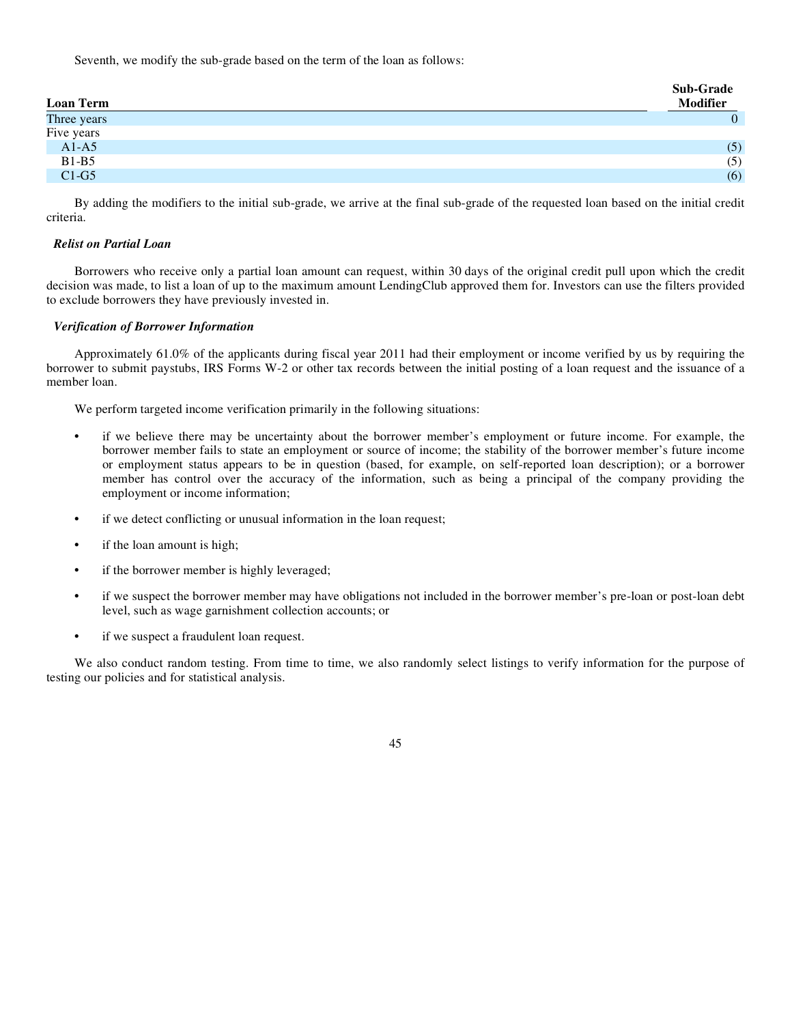Seventh, we modify the sub-grade based on the term of the loan as follows:

| <b>Loan Term</b> | Sub-Grade<br><b>Modifier</b> |
|------------------|------------------------------|
| Three years      | 0                            |
| Five years       |                              |
| $A1-A5$          | (5)                          |
| $B1-B5$          | (5)                          |
| $C1-G5$          | (6)                          |

By adding the modifiers to the initial sub-grade, we arrive at the final sub-grade of the requested loan based on the initial credit criteria.

## *Relist on Partial Loan*

Borrowers who receive only a partial loan amount can request, within 30 days of the original credit pull upon which the credit decision was made, to list a loan of up to the maximum amount LendingClub approved them for. Investors can use the filters provided to exclude borrowers they have previously invested in.

## *Verification of Borrower Information*

Approximately 61.0% of the applicants during fiscal year 2011 had their employment or income verified by us by requiring the borrower to submit paystubs, IRS Forms W-2 or other tax records between the initial posting of a loan request and the issuance of a member loan.

We perform targeted income verification primarily in the following situations:

- **•** if we believe there may be uncertainty about the borrower member's employment or future income. For example, the borrower member fails to state an employment or source of income; the stability of the borrower member's future income or employment status appears to be in question (based, for example, on self-reported loan description); or a borrower member has control over the accuracy of the information, such as being a principal of the company providing the employment or income information;
- **•** if we detect conflicting or unusual information in the loan request;
- **•** if the loan amount is high;
- if the borrower member is highly leveraged;
- **•** if we suspect the borrower member may have obligations not included in the borrower member's pre-loan or post-loan debt level, such as wage garnishment collection accounts; or
- **•** if we suspect a fraudulent loan request.

We also conduct random testing. From time to time, we also randomly select listings to verify information for the purpose of testing our policies and for statistical analysis.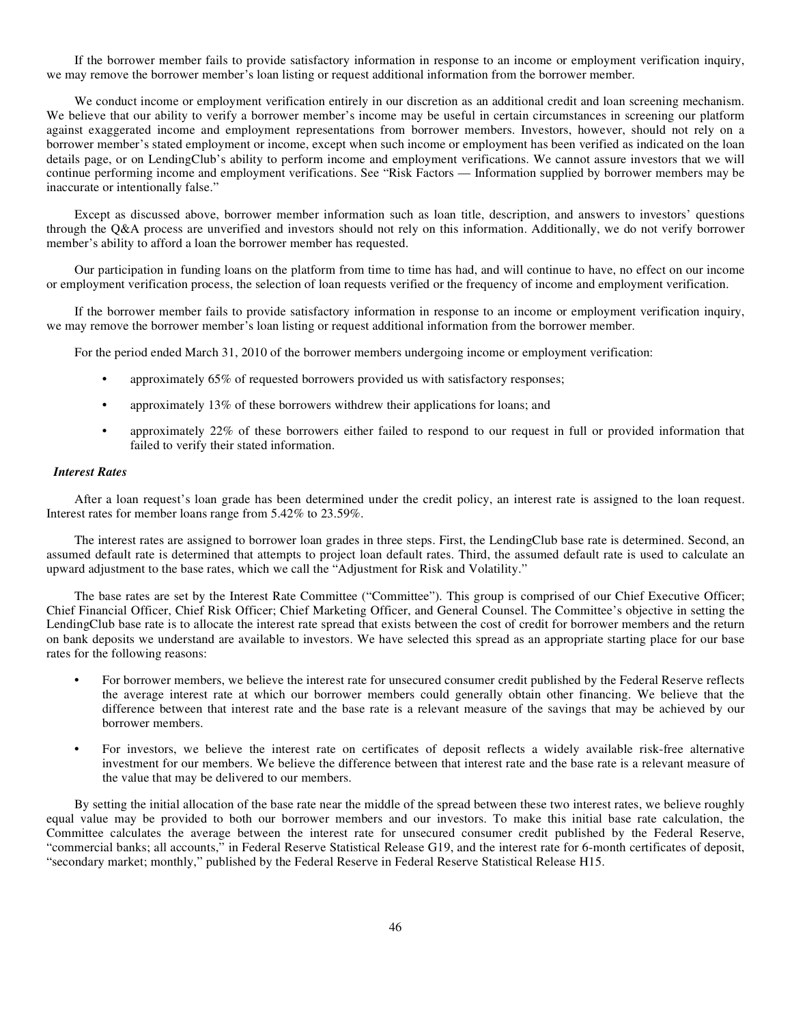If the borrower member fails to provide satisfactory information in response to an income or employment verification inquiry, we may remove the borrower member's loan listing or request additional information from the borrower member.

We conduct income or employment verification entirely in our discretion as an additional credit and loan screening mechanism. We believe that our ability to verify a borrower member's income may be useful in certain circumstances in screening our platform against exaggerated income and employment representations from borrower members. Investors, however, should not rely on a borrower member's stated employment or income, except when such income or employment has been verified as indicated on the loan details page, or on LendingClub's ability to perform income and employment verifications. We cannot assure investors that we will continue performing income and employment verifications. See "Risk Factors — Information supplied by borrower members may be inaccurate or intentionally false."

Except as discussed above, borrower member information such as loan title, description, and answers to investors' questions through the Q&A process are unverified and investors should not rely on this information. Additionally, we do not verify borrower member's ability to afford a loan the borrower member has requested.

Our participation in funding loans on the platform from time to time has had, and will continue to have, no effect on our income or employment verification process, the selection of loan requests verified or the frequency of income and employment verification.

If the borrower member fails to provide satisfactory information in response to an income or employment verification inquiry, we may remove the borrower member's loan listing or request additional information from the borrower member.

For the period ended March 31, 2010 of the borrower members undergoing income or employment verification:

- **•** approximately 65% of requested borrowers provided us with satisfactory responses;
- **•** approximately 13% of these borrowers withdrew their applications for loans; and
- **•** approximately 22% of these borrowers either failed to respond to our request in full or provided information that failed to verify their stated information.

### *Interest Rates*

After a loan request's loan grade has been determined under the credit policy, an interest rate is assigned to the loan request. Interest rates for member loans range from 5.42% to 23.59%.

The interest rates are assigned to borrower loan grades in three steps. First, the LendingClub base rate is determined. Second, an assumed default rate is determined that attempts to project loan default rates. Third, the assumed default rate is used to calculate an upward adjustment to the base rates, which we call the "Adjustment for Risk and Volatility."

The base rates are set by the Interest Rate Committee ("Committee"). This group is comprised of our Chief Executive Officer; Chief Financial Officer, Chief Risk Officer; Chief Marketing Officer, and General Counsel. The Committee's objective in setting the LendingClub base rate is to allocate the interest rate spread that exists between the cost of credit for borrower members and the return on bank deposits we understand are available to investors. We have selected this spread as an appropriate starting place for our base rates for the following reasons:

- **•** For borrower members, we believe the interest rate for unsecured consumer credit published by the Federal Reserve reflects the average interest rate at which our borrower members could generally obtain other financing. We believe that the difference between that interest rate and the base rate is a relevant measure of the savings that may be achieved by our borrower members.
- **•** For investors, we believe the interest rate on certificates of deposit reflects a widely available risk-free alternative investment for our members. We believe the difference between that interest rate and the base rate is a relevant measure of the value that may be delivered to our members.

By setting the initial allocation of the base rate near the middle of the spread between these two interest rates, we believe roughly equal value may be provided to both our borrower members and our investors. To make this initial base rate calculation, the Committee calculates the average between the interest rate for unsecured consumer credit published by the Federal Reserve, "commercial banks; all accounts," in Federal Reserve Statistical Release G19, and the interest rate for 6-month certificates of deposit, "secondary market; monthly," published by the Federal Reserve in Federal Reserve Statistical Release H15.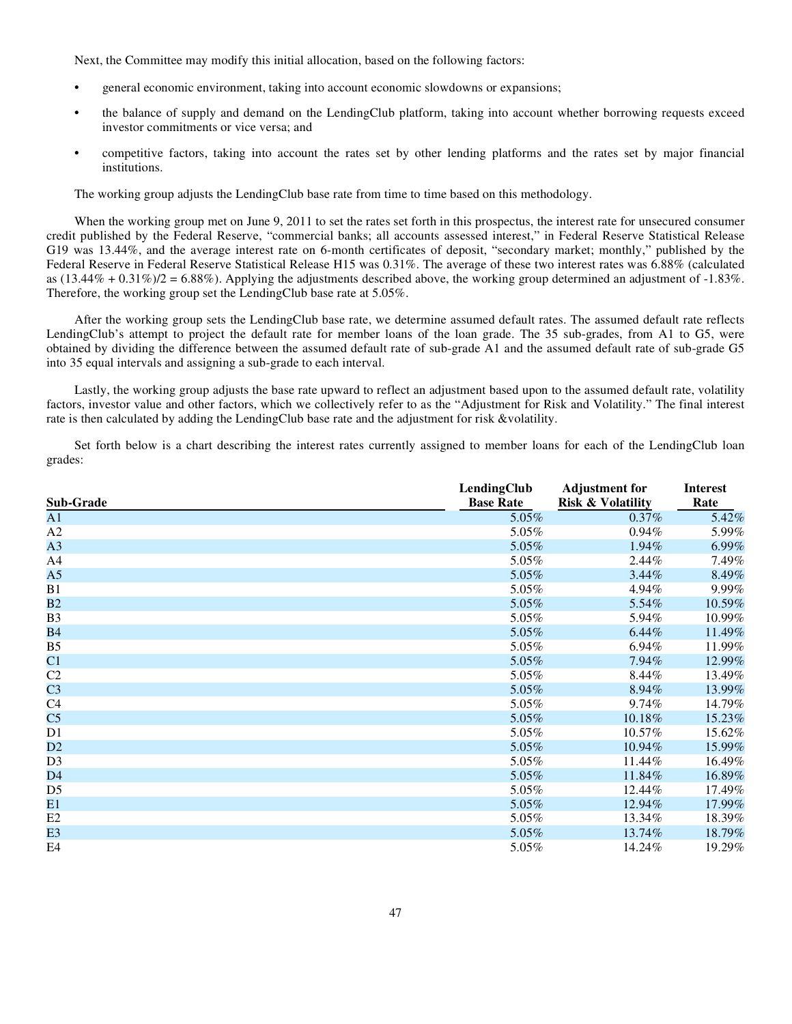Next, the Committee may modify this initial allocation, based on the following factors:

- **•** general economic environment, taking into account economic slowdowns or expansions;
- **•** the balance of supply and demand on the LendingClub platform, taking into account whether borrowing requests exceed investor commitments or vice versa; and
- **•** competitive factors, taking into account the rates set by other lending platforms and the rates set by major financial institutions.

The working group adjusts the LendingClub base rate from time to time based on this methodology.

When the working group met on June 9, 2011 to set the rates set forth in this prospectus, the interest rate for unsecured consumer credit published by the Federal Reserve, "commercial banks; all accounts assessed interest," in Federal Reserve Statistical Release G19 was 13.44%, and the average interest rate on 6-month certificates of deposit, "secondary market; monthly," published by the Federal Reserve in Federal Reserve Statistical Release H15 was 0.31%. The average of these two interest rates was 6.88% (calculated as  $(13.44\% + 0.31\%/2 = 6.88\%)$ . Applying the adjustments described above, the working group determined an adjustment of -1.83%. Therefore, the working group set the LendingClub base rate at 5.05%.

After the working group sets the LendingClub base rate, we determine assumed default rates. The assumed default rate reflects LendingClub's attempt to project the default rate for member loans of the loan grade. The 35 sub-grades, from A1 to G5, were obtained by dividing the difference between the assumed default rate of sub-grade A1 and the assumed default rate of sub-grade G5 into 35 equal intervals and assigning a sub-grade to each interval.

Lastly, the working group adjusts the base rate upward to reflect an adjustment based upon to the assumed default rate, volatility factors, investor value and other factors, which we collectively refer to as the "Adjustment for Risk and Volatility." The final interest rate is then calculated by adding the LendingClub base rate and the adjustment for risk &volatility.

Set forth below is a chart describing the interest rates currently assigned to member loans for each of the LendingClub loan grades:

| Sub-Grade      | LendingClub<br><b>Base Rate</b> | <b>Adjustment for</b><br><b>Risk &amp; Volatility</b> | <b>Interest</b><br>Rate |
|----------------|---------------------------------|-------------------------------------------------------|-------------------------|
| A <sub>1</sub> | $5.05\%$                        | $0.37\%$                                              | 5.42%                   |
| A2             | 5.05%                           | $0.94\%$                                              | 5.99%                   |
| A3             | 5.05%                           | 1.94%                                                 | 6.99%                   |
| A4             | 5.05%                           | 2.44%                                                 | 7.49%                   |
| A <sub>5</sub> | 5.05%                           | 3.44%                                                 | 8.49%                   |
| B1             | 5.05%                           | 4.94%                                                 | 9.99%                   |
| B2             | 5.05%                           | 5.54%                                                 | 10.59%                  |
| B <sub>3</sub> | 5.05%                           | 5.94%                                                 | 10.99%                  |
| <b>B4</b>      | 5.05%                           | 6.44%                                                 | 11.49%                  |
| B <sub>5</sub> | 5.05%                           | 6.94%                                                 | 11.99%                  |
| C1             | 5.05%                           | 7.94%                                                 | 12.99%                  |
| C2             | 5.05%                           | 8.44%                                                 | 13.49%                  |
| C <sub>3</sub> | 5.05%                           | 8.94%                                                 | 13.99%                  |
| C <sub>4</sub> | 5.05%                           | 9.74%                                                 | 14.79%                  |
| C <sub>5</sub> | $5.05\%$                        | 10.18%                                                | 15.23%                  |
| D1             | 5.05%                           | 10.57%                                                | 15.62%                  |
| D2             | 5.05%                           | 10.94%                                                | 15.99%                  |
| D <sub>3</sub> | 5.05%                           | 11.44%                                                | 16.49%                  |
| D <sub>4</sub> | 5.05%                           | 11.84%                                                | 16.89%                  |
| D <sub>5</sub> | 5.05%                           | 12.44%                                                | 17.49%                  |
| E1             | 5.05%                           | 12.94%                                                | 17.99%                  |
| E2             | 5.05%                           | 13.34%                                                | 18.39%                  |
| E3             | 5.05%                           | 13.74%                                                | 18.79%                  |
| E4             | 5.05%                           | 14.24%                                                | 19.29%                  |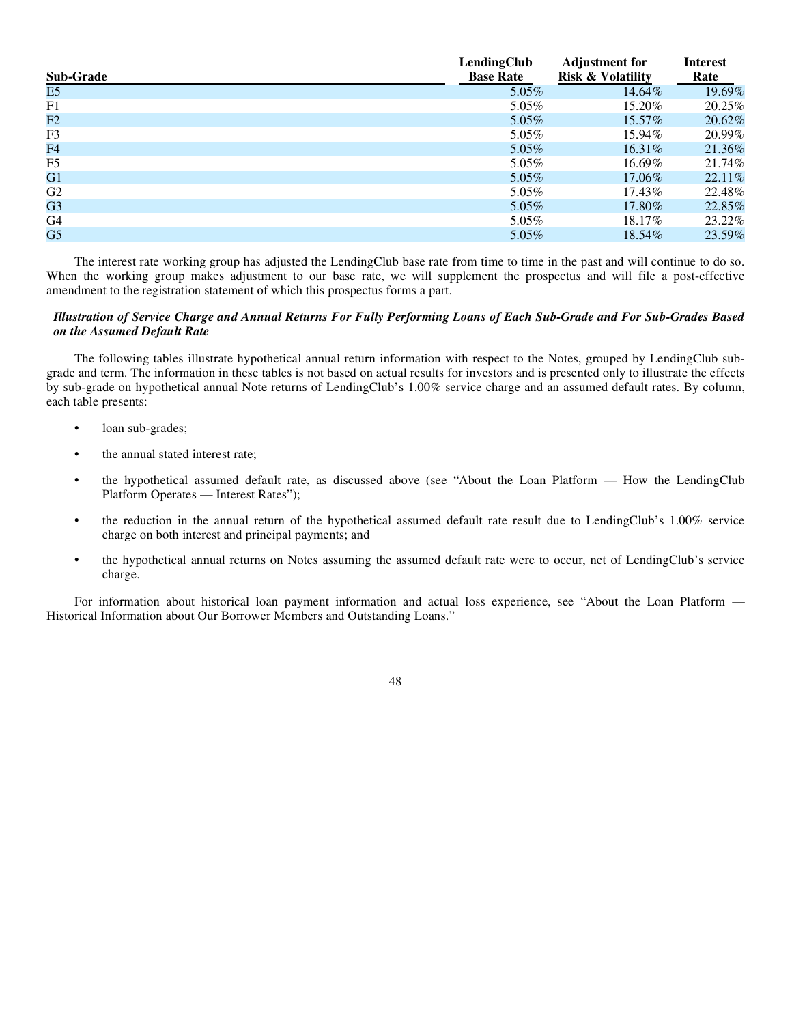| Sub-Grade      | LendingClub<br><b>Base Rate</b> | <b>Adjustment for</b><br><b>Risk &amp; Volatility</b> | Interest<br>Rate |
|----------------|---------------------------------|-------------------------------------------------------|------------------|
| E5             | 5.05%                           | 14.64%                                                | 19.69%           |
| F1             | 5.05%                           | 15.20%                                                | 20.25%           |
| F2             | $5.05\%$                        | 15.57%                                                | 20.62%           |
| F <sub>3</sub> | $5.05\%$                        | 15.94%                                                | 20.99%           |
| F4             | $5.05\%$                        | $16.31\%$                                             | 21.36%           |
| F <sub>5</sub> | $5.05\%$                        | 16.69%                                                | 21.74%           |
| G1             | $5.05\%$                        | 17.06%                                                | 22.11%           |
| G <sub>2</sub> | 5.05%                           | 17.43%                                                | 22.48%           |
| G <sub>3</sub> | $5.05\%$                        | 17.80%                                                | 22.85%           |
| G <sub>4</sub> | 5.05%                           | 18.17\%                                               | 23.22%           |
| G <sub>5</sub> | $5.05\%$                        | 18.54%                                                | 23.59%           |

The interest rate working group has adjusted the LendingClub base rate from time to time in the past and will continue to do so. When the working group makes adjustment to our base rate, we will supplement the prospectus and will file a post-effective amendment to the registration statement of which this prospectus forms a part.

## *Illustration of Service Charge and Annual Returns For Fully Performing Loans of Each Sub-Grade and For Sub-Grades Based on the Assumed Default Rate*

The following tables illustrate hypothetical annual return information with respect to the Notes, grouped by LendingClub subgrade and term. The information in these tables is not based on actual results for investors and is presented only to illustrate the effects by sub-grade on hypothetical annual Note returns of LendingClub's 1.00% service charge and an assumed default rates. By column, each table presents:

- **•** loan sub-grades;
- **•** the annual stated interest rate;
- the hypothetical assumed default rate, as discussed above (see "About the Loan Platform How the LendingClub Platform Operates — Interest Rates");
- the reduction in the annual return of the hypothetical assumed default rate result due to LendingClub's 1.00% service charge on both interest and principal payments; and
- the hypothetical annual returns on Notes assuming the assumed default rate were to occur, net of LendingClub's service charge.

For information about historical loan payment information and actual loss experience, see "About the Loan Platform — Historical Information about Our Borrower Members and Outstanding Loans."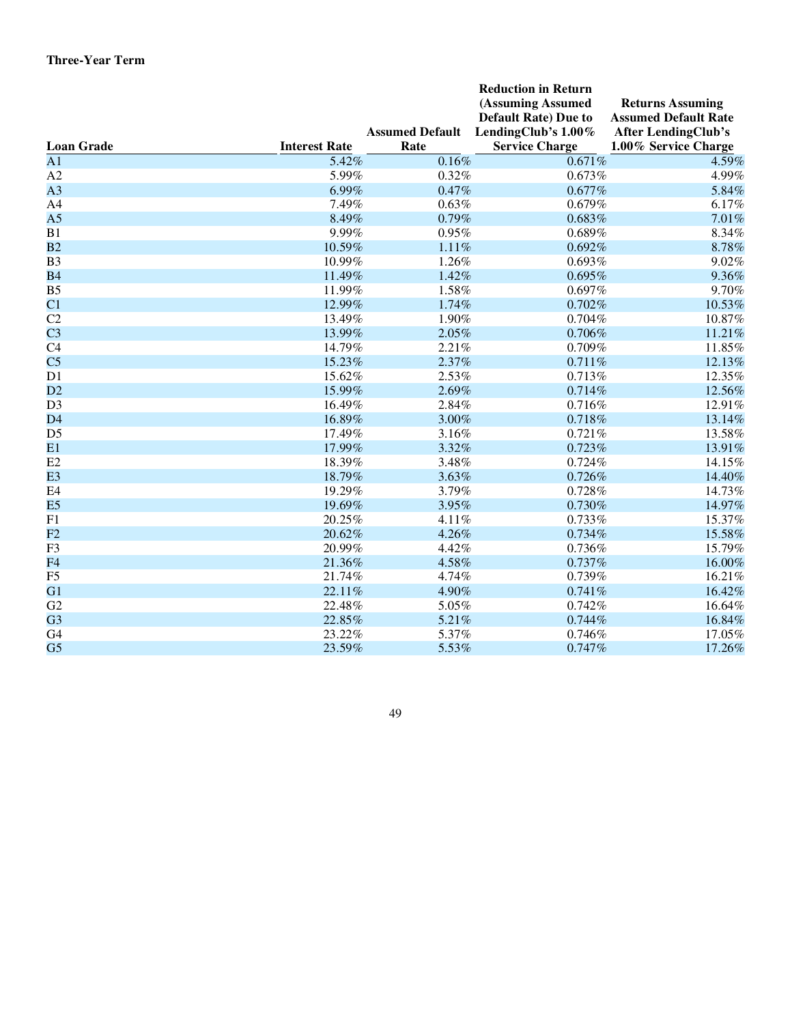| (Assuming Assumed<br><b>Returns Assuming</b><br><b>Default Rate)</b> Due to<br><b>Assumed Default Rate</b><br>LendingClub's 1.00%<br><b>Assumed Default</b><br><b>After LendingClub's</b><br><b>Service Charge</b><br><b>Loan Grade</b><br><b>Interest Rate</b><br>Rate<br>1.00% Service Charge<br>$\overline{A1}$<br>0.16%<br>5.42%<br>0.671%<br>$\rm A2$<br>5.99%<br>0.32%<br>$0.673\%$<br>A3<br>6.99%<br>0.47%<br>0.677% | 4.59%<br>4.99%<br>5.84%<br>6.17%<br>7.01%<br>8.34%<br>8.78%<br>9.02% |
|-----------------------------------------------------------------------------------------------------------------------------------------------------------------------------------------------------------------------------------------------------------------------------------------------------------------------------------------------------------------------------------------------------------------------------|----------------------------------------------------------------------|
|                                                                                                                                                                                                                                                                                                                                                                                                                             |                                                                      |
|                                                                                                                                                                                                                                                                                                                                                                                                                             |                                                                      |
|                                                                                                                                                                                                                                                                                                                                                                                                                             |                                                                      |
|                                                                                                                                                                                                                                                                                                                                                                                                                             |                                                                      |
|                                                                                                                                                                                                                                                                                                                                                                                                                             |                                                                      |
|                                                                                                                                                                                                                                                                                                                                                                                                                             |                                                                      |
|                                                                                                                                                                                                                                                                                                                                                                                                                             |                                                                      |
| 7.49%<br>A4<br>0.63%<br>0.679%                                                                                                                                                                                                                                                                                                                                                                                              |                                                                      |
| A <sub>5</sub><br>8.49%<br>0.79%<br>0.683%                                                                                                                                                                                                                                                                                                                                                                                  |                                                                      |
| B1<br>9.99%<br>0.95%<br>0.689%                                                                                                                                                                                                                                                                                                                                                                                              |                                                                      |
| B2<br>10.59%<br>1.11%<br>0.692%                                                                                                                                                                                                                                                                                                                                                                                             |                                                                      |
| B <sub>3</sub><br>10.99%<br>1.26%<br>0.693%                                                                                                                                                                                                                                                                                                                                                                                 |                                                                      |
| <b>B4</b><br>11.49%<br>1.42%<br>0.695%                                                                                                                                                                                                                                                                                                                                                                                      | 9.36%                                                                |
| 11.99%<br>1.58%<br>B <sub>5</sub><br>0.697%                                                                                                                                                                                                                                                                                                                                                                                 | 9.70%                                                                |
| C1<br>12.99%<br>1.74%<br>0.702%                                                                                                                                                                                                                                                                                                                                                                                             | 10.53%                                                               |
| C2<br>1.90%<br>13.49%<br>0.704%                                                                                                                                                                                                                                                                                                                                                                                             | 10.87%                                                               |
| C <sub>3</sub><br>13.99%<br>2.05%<br>0.706%                                                                                                                                                                                                                                                                                                                                                                                 | 11.21%                                                               |
| C <sub>4</sub><br>14.79%<br>2.21%<br>0.709%                                                                                                                                                                                                                                                                                                                                                                                 | 11.85%                                                               |
| C <sub>5</sub><br>2.37%<br>15.23%<br>0.711%                                                                                                                                                                                                                                                                                                                                                                                 | 12.13%                                                               |
| D1<br>15.62%<br>2.53%<br>0.713%                                                                                                                                                                                                                                                                                                                                                                                             | 12.35%                                                               |
| 15.99%<br>2.69%<br>0.714%<br>D2                                                                                                                                                                                                                                                                                                                                                                                             | 12.56%                                                               |
| D <sub>3</sub><br>16.49%<br>2.84%<br>0.716%                                                                                                                                                                                                                                                                                                                                                                                 | 12.91%                                                               |
| D4<br>16.89%<br>3.00%<br>0.718%                                                                                                                                                                                                                                                                                                                                                                                             | 13.14%                                                               |
| D <sub>5</sub><br>17.49%<br>3.16%<br>0.721%                                                                                                                                                                                                                                                                                                                                                                                 | 13.58%                                                               |
| E1<br>3.32%<br>0.723%<br>17.99%                                                                                                                                                                                                                                                                                                                                                                                             | 13.91%                                                               |
| E2<br>18.39%<br>3.48%<br>0.724%                                                                                                                                                                                                                                                                                                                                                                                             | 14.15%                                                               |
| E <sub>3</sub><br>18.79%<br>3.63%<br>0.726%                                                                                                                                                                                                                                                                                                                                                                                 | 14.40%                                                               |
| E <sub>4</sub><br>19.29%<br>3.79%<br>0.728%                                                                                                                                                                                                                                                                                                                                                                                 | 14.73%                                                               |
| E <sub>5</sub><br>19.69%<br>3.95%<br>0.730%                                                                                                                                                                                                                                                                                                                                                                                 | 14.97%                                                               |
| ${\rm F}1$<br>20.25%<br>4.11%<br>0.733%                                                                                                                                                                                                                                                                                                                                                                                     | 15.37%                                                               |
| F2<br>20.62%<br>4.26%<br>0.734%                                                                                                                                                                                                                                                                                                                                                                                             | 15.58%                                                               |
| F <sub>3</sub><br>20.99%<br>4.42%<br>0.736%                                                                                                                                                                                                                                                                                                                                                                                 | 15.79%                                                               |
| F <sub>4</sub><br>21.36%<br>4.58%<br>0.737%                                                                                                                                                                                                                                                                                                                                                                                 | 16.00%                                                               |
| ${\rm F}5$<br>21.74%<br>4.74%<br>0.739%                                                                                                                                                                                                                                                                                                                                                                                     | 16.21%                                                               |
| G1<br>4.90%<br>22.11%<br>0.741%                                                                                                                                                                                                                                                                                                                                                                                             | 16.42%                                                               |
| G2<br>22.48%<br>5.05%<br>0.742%                                                                                                                                                                                                                                                                                                                                                                                             | 16.64%                                                               |
| G <sub>3</sub><br>22.85%<br>5.21%<br>0.744%                                                                                                                                                                                                                                                                                                                                                                                 | 16.84%                                                               |
| G4<br>23.22%<br>5.37%<br>0.746%                                                                                                                                                                                                                                                                                                                                                                                             | 17.05%                                                               |
| G <sub>5</sub><br>5.53%<br>23.59%<br>0.747%                                                                                                                                                                                                                                                                                                                                                                                 | 17.26%                                                               |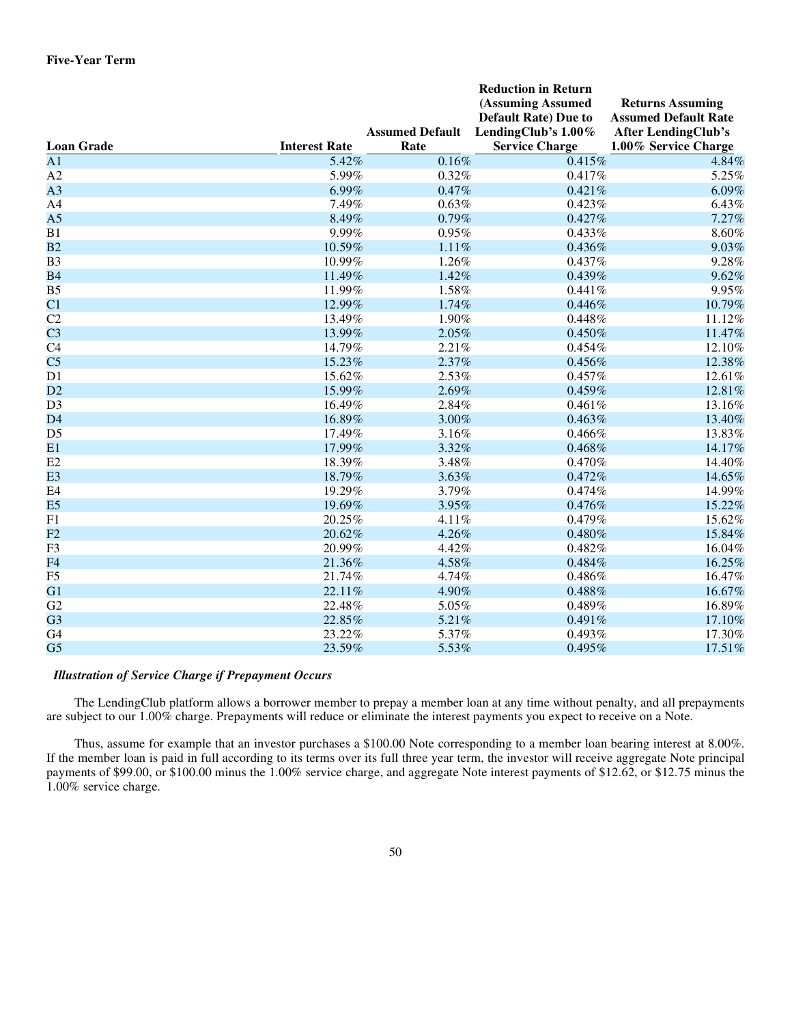|                   |                      |                        | <b>Reduction in Return</b>  |                             |
|-------------------|----------------------|------------------------|-----------------------------|-----------------------------|
|                   |                      |                        | (Assuming Assumed           | <b>Returns Assuming</b>     |
|                   |                      |                        | <b>Default Rate)</b> Due to | <b>Assumed Default Rate</b> |
|                   |                      | <b>Assumed Default</b> | LendingClub's 1.00%         | <b>After LendingClub's</b>  |
| <b>Loan Grade</b> | <b>Interest Rate</b> | Rate                   | <b>Service Charge</b>       | 1.00% Service Charge        |
| $\overline{A1}$   | 5.42%                | 0.16%                  | 0.415%                      | 4.84%                       |
| A2                | 5.99%                | 0.32%                  | 0.417%                      | 5.25%                       |
| A <sub>3</sub>    | 6.99%                | 0.47%                  | 0.421%                      | 6.09%                       |
| A4                | 7.49%                | 0.63%                  | 0.423%                      | 6.43%                       |
| A <sub>5</sub>    | 8.49%                | 0.79%                  | 0.427%                      | 7.27%                       |
| B1                | 9.99%                | 0.95%                  | 0.433%                      | 8.60%                       |
| B2                | 10.59%               | 1.11%                  | 0.436%                      | 9.03%                       |
| B <sub>3</sub>    | 10.99%               | 1.26%                  | 0.437%                      | 9.28%                       |
| <b>B4</b>         | 11.49%               | 1.42%                  | 0.439%                      | 9.62%                       |
| B <sub>5</sub>    | 11.99%               | 1.58%                  | 0.441%                      | 9.95%                       |
| C <sub>1</sub>    | 12.99%               | 1.74%                  | 0.446%                      | 10.79%                      |
| C2                | 13.49%               | 1.90%                  | 0.448%                      | 11.12%                      |
| C <sub>3</sub>    | 13.99%               | 2.05%                  | 0.450%                      | 11.47%                      |
| C4                | 14.79%               | 2.21%                  | $0.454\%$                   | 12.10%                      |
| C <sub>5</sub>    | 15.23%               | 2.37%                  | 0.456%                      | 12.38%                      |
| D1                | 15.62%               | 2.53%                  | 0.457%                      | 12.61%                      |
| D2                | 15.99%               | 2.69%                  | 0.459%                      | 12.81%                      |
| D <sub>3</sub>    | 16.49%               | 2.84%                  | 0.461%                      | 13.16%                      |
| D <sub>4</sub>    | 16.89%               | 3.00%                  | 0.463%                      | 13.40%                      |
| D <sub>5</sub>    | 17.49%               | 3.16%                  | 0.466%                      | 13.83%                      |
| E1                | 17.99%               | 3.32%                  | 0.468%                      | 14.17%                      |
| E2                | 18.39%               | 3.48%                  | 0.470%                      | 14.40%                      |
| E <sub>3</sub>    | 18.79%               | 3.63%                  | 0.472%                      | 14.65%                      |
| E <sub>4</sub>    | 19.29%               | 3.79%                  | 0.474%                      | 14.99%                      |
| E <sub>5</sub>    | 19.69%               | 3.95%                  | 0.476%                      | 15.22%                      |
| F1                | 20.25%               | 4.11%                  | 0.479%                      | 15.62%                      |
| F2                | 20.62%               | 4.26%                  | $0.480\%$                   | 15.84%                      |
| F <sub>3</sub>    | 20.99%               | 4.42%                  | 0.482%                      | 16.04%                      |
| F <sub>4</sub>    | 21.36%               | 4.58%                  | 0.484%                      | 16.25%                      |
| F <sub>5</sub>    | 21.74%               | 4.74%                  | 0.486%                      | 16.47%                      |
| G1                | 22.11%               | 4.90%                  | 0.488%                      | 16.67%                      |
| G2                | 22.48%               | 5.05%                  | 0.489%                      | 16.89%                      |
| G <sub>3</sub>    | 22.85%               | 5.21%                  | 0.491%                      | 17.10%                      |
| G <sub>4</sub>    | 23.22%               | 5.37%                  | $0.493\%$                   | 17.30%                      |
| G <sub>5</sub>    | 23.59%               | 5.53%                  | 0.495%                      | 17.51%                      |

# *Illustration of Service Charge if Prepayment Occurs*

The LendingClub platform allows a borrower member to prepay a member loan at any time without penalty, and all prepayments are subject to our 1.00% charge. Prepayments will reduce or eliminate the interest payments you expect to receive on a Note.

Thus, assume for example that an investor purchases a \$100.00 Note corresponding to a member loan bearing interest at 8.00%. If the member loan is paid in full according to its terms over its full three year term, the investor will receive aggregate Note principal payments of \$99.00, or \$100.00 minus the 1.00% service charge, and aggregate Note interest payments of \$12.62, or \$12.75 minus the 1.00% service charge.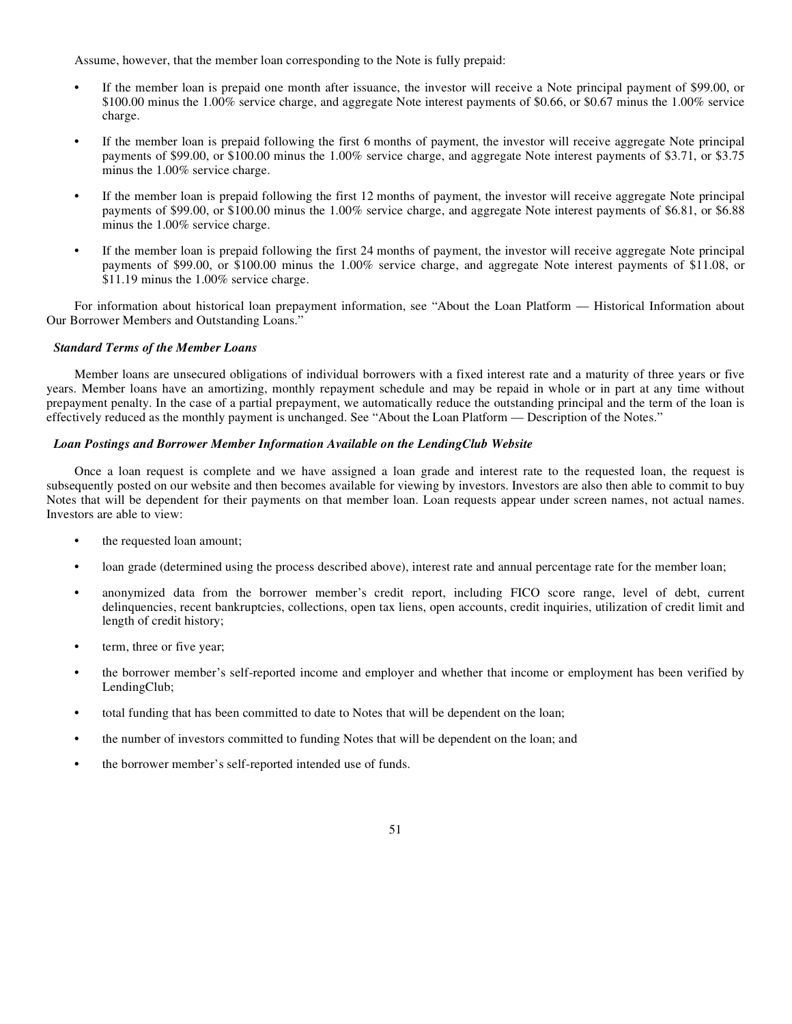Assume, however, that the member loan corresponding to the Note is fully prepaid:

- **•** If the member loan is prepaid one month after issuance, the investor will receive a Note principal payment of \$99.00, or \$100.00 minus the 1.00% service charge, and aggregate Note interest payments of \$0.66, or \$0.67 minus the 1.00% service charge.
- **•** If the member loan is prepaid following the first 6 months of payment, the investor will receive aggregate Note principal payments of \$99.00, or \$100.00 minus the 1.00% service charge, and aggregate Note interest payments of \$3.71, or \$3.75 minus the 1.00% service charge.
- **•** If the member loan is prepaid following the first 12 months of payment, the investor will receive aggregate Note principal payments of \$99.00, or \$100.00 minus the 1.00% service charge, and aggregate Note interest payments of \$6.81, or \$6.88 minus the 1.00% service charge.
- **•** If the member loan is prepaid following the first 24 months of payment, the investor will receive aggregate Note principal payments of \$99.00, or \$100.00 minus the 1.00% service charge, and aggregate Note interest payments of \$11.08, or \$11.19 minus the 1.00% service charge.

For information about historical loan prepayment information, see "About the Loan Platform — Historical Information about Our Borrower Members and Outstanding Loans."

### *Standard Terms of the Member Loans*

Member loans are unsecured obligations of individual borrowers with a fixed interest rate and a maturity of three years or five years. Member loans have an amortizing, monthly repayment schedule and may be repaid in whole or in part at any time without prepayment penalty. In the case of a partial prepayment, we automatically reduce the outstanding principal and the term of the loan is effectively reduced as the monthly payment is unchanged. See "About the Loan Platform — Description of the Notes."

### *Loan Postings and Borrower Member Information Available on the LendingClub Website*

Once a loan request is complete and we have assigned a loan grade and interest rate to the requested loan, the request is subsequently posted on our website and then becomes available for viewing by investors. Investors are also then able to commit to buy Notes that will be dependent for their payments on that member loan. Loan requests appear under screen names, not actual names. Investors are able to view:

- **•** the requested loan amount;
- **•** loan grade (determined using the process described above), interest rate and annual percentage rate for the member loan;
- **•** anonymized data from the borrower member's credit report, including FICO score range, level of debt, current delinquencies, recent bankruptcies, collections, open tax liens, open accounts, credit inquiries, utilization of credit limit and length of credit history;
- term, three or five year;
- **•** the borrower member's self-reported income and employer and whether that income or employment has been verified by LendingClub;
- **•** total funding that has been committed to date to Notes that will be dependent on the loan;
- the number of investors committed to funding Notes that will be dependent on the loan; and
- **•** the borrower member's self-reported intended use of funds.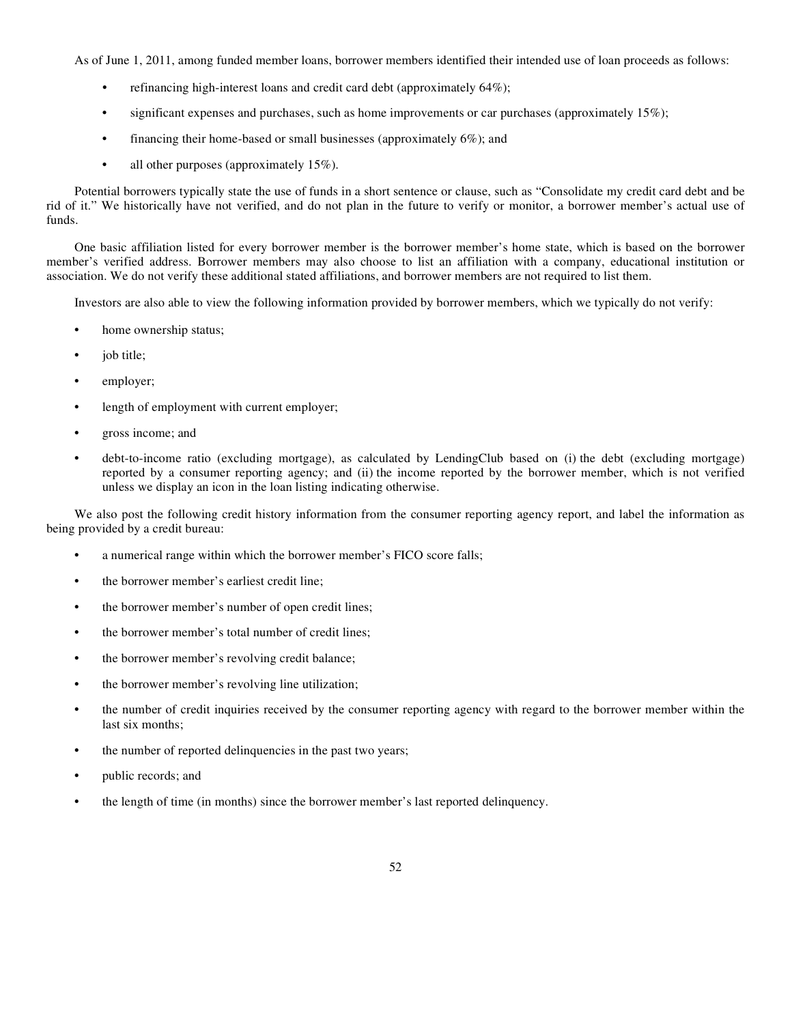As of June 1, 2011, among funded member loans, borrower members identified their intended use of loan proceeds as follows:

- **•** refinancing high-interest loans and credit card debt (approximately 64%);
- **•** significant expenses and purchases, such as home improvements or car purchases (approximately 15%);
- financing their home-based or small businesses (approximately 6%); and
- **•** all other purposes (approximately 15%).

Potential borrowers typically state the use of funds in a short sentence or clause, such as "Consolidate my credit card debt and be rid of it." We historically have not verified, and do not plan in the future to verify or monitor, a borrower member's actual use of funds.

One basic affiliation listed for every borrower member is the borrower member's home state, which is based on the borrower member's verified address. Borrower members may also choose to list an affiliation with a company, educational institution or association. We do not verify these additional stated affiliations, and borrower members are not required to list them.

Investors are also able to view the following information provided by borrower members, which we typically do not verify:

- home ownership status;
- **•** job title;
- **•** employer;
- length of employment with current employer;
- **•** gross income; and
- **•** debt-to-income ratio (excluding mortgage), as calculated by LendingClub based on (i) the debt (excluding mortgage) reported by a consumer reporting agency; and (ii) the income reported by the borrower member, which is not verified unless we display an icon in the loan listing indicating otherwise.

We also post the following credit history information from the consumer reporting agency report, and label the information as being provided by a credit bureau:

- **•** a numerical range within which the borrower member's FICO score falls;
- the borrower member's earliest credit line;
- the borrower member's number of open credit lines;
- the borrower member's total number of credit lines;
- the borrower member's revolving credit balance;
- the borrower member's revolving line utilization;
- the number of credit inquiries received by the consumer reporting agency with regard to the borrower member within the last six months;
- the number of reported delinquencies in the past two years;
- **•** public records; and
- the length of time (in months) since the borrower member's last reported delinquency.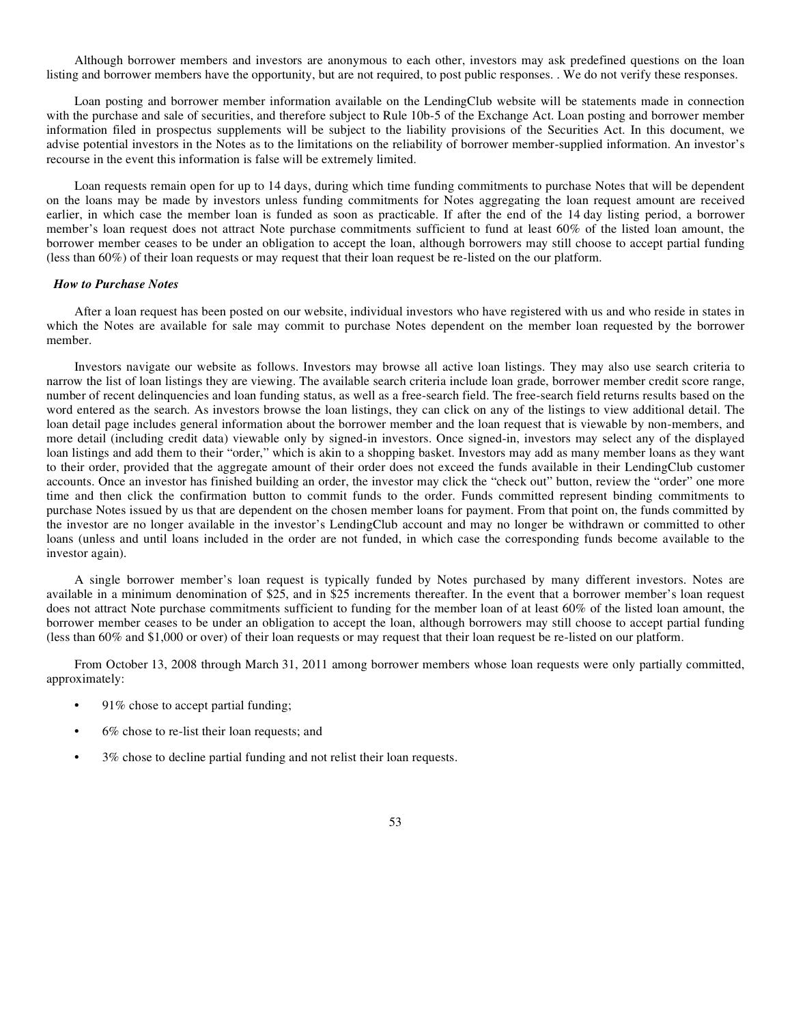Although borrower members and investors are anonymous to each other, investors may ask predefined questions on the loan listing and borrower members have the opportunity, but are not required, to post public responses. . We do not verify these responses.

Loan posting and borrower member information available on the LendingClub website will be statements made in connection with the purchase and sale of securities, and therefore subject to Rule 10b-5 of the Exchange Act. Loan posting and borrower member information filed in prospectus supplements will be subject to the liability provisions of the Securities Act. In this document, we advise potential investors in the Notes as to the limitations on the reliability of borrower member-supplied information. An investor's recourse in the event this information is false will be extremely limited.

Loan requests remain open for up to 14 days, during which time funding commitments to purchase Notes that will be dependent on the loans may be made by investors unless funding commitments for Notes aggregating the loan request amount are received earlier, in which case the member loan is funded as soon as practicable. If after the end of the 14 day listing period, a borrower member's loan request does not attract Note purchase commitments sufficient to fund at least 60% of the listed loan amount, the borrower member ceases to be under an obligation to accept the loan, although borrowers may still choose to accept partial funding (less than 60%) of their loan requests or may request that their loan request be re-listed on the our platform.

# *How to Purchase Notes*

After a loan request has been posted on our website, individual investors who have registered with us and who reside in states in which the Notes are available for sale may commit to purchase Notes dependent on the member loan requested by the borrower member.

Investors navigate our website as follows. Investors may browse all active loan listings. They may also use search criteria to narrow the list of loan listings they are viewing. The available search criteria include loan grade, borrower member credit score range, number of recent delinquencies and loan funding status, as well as a free-search field. The free-search field returns results based on the word entered as the search. As investors browse the loan listings, they can click on any of the listings to view additional detail. The loan detail page includes general information about the borrower member and the loan request that is viewable by non-members, and more detail (including credit data) viewable only by signed-in investors. Once signed-in, investors may select any of the displayed loan listings and add them to their "order," which is akin to a shopping basket. Investors may add as many member loans as they want to their order, provided that the aggregate amount of their order does not exceed the funds available in their LendingClub customer accounts. Once an investor has finished building an order, the investor may click the "check out" button, review the "order" one more time and then click the confirmation button to commit funds to the order. Funds committed represent binding commitments to purchase Notes issued by us that are dependent on the chosen member loans for payment. From that point on, the funds committed by the investor are no longer available in the investor's LendingClub account and may no longer be withdrawn or committed to other loans (unless and until loans included in the order are not funded, in which case the corresponding funds become available to the investor again).

A single borrower member's loan request is typically funded by Notes purchased by many different investors. Notes are available in a minimum denomination of \$25, and in \$25 increments thereafter. In the event that a borrower member's loan request does not attract Note purchase commitments sufficient to funding for the member loan of at least 60% of the listed loan amount, the borrower member ceases to be under an obligation to accept the loan, although borrowers may still choose to accept partial funding (less than 60% and \$1,000 or over) of their loan requests or may request that their loan request be re-listed on our platform.

From October 13, 2008 through March 31, 2011 among borrower members whose loan requests were only partially committed, approximately:

- **•** 91% chose to accept partial funding;
- **•** 6% chose to re-list their loan requests; and
- **•** 3% chose to decline partial funding and not relist their loan requests.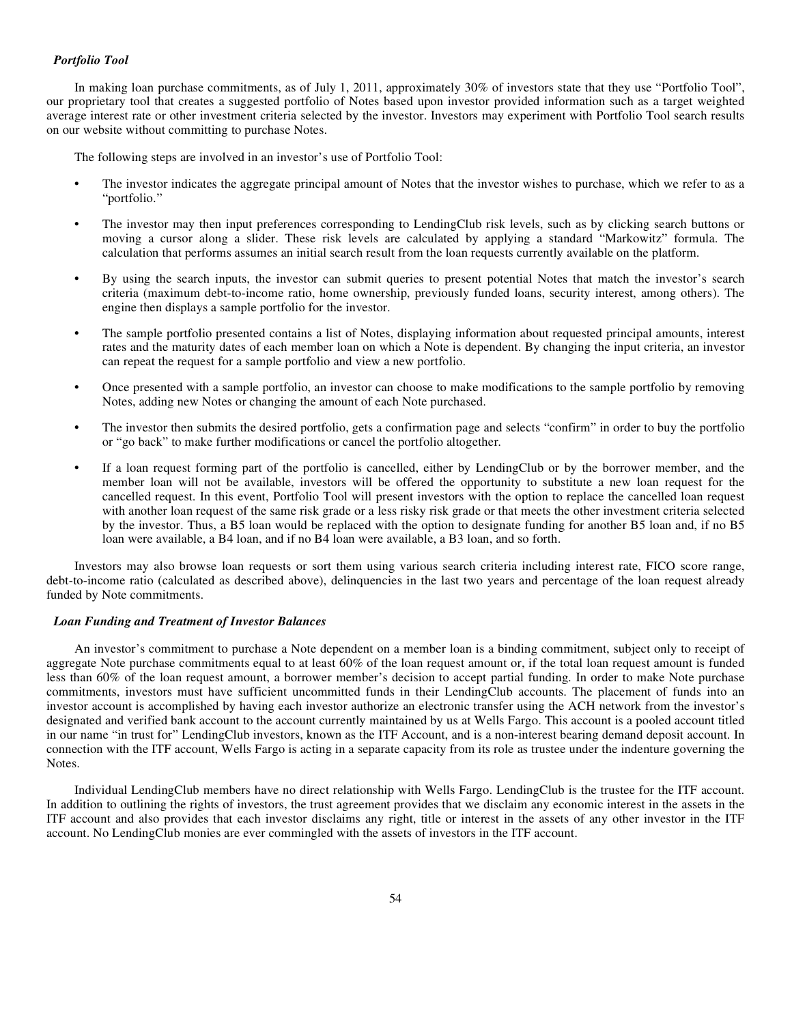#### *Portfolio Tool*

In making loan purchase commitments, as of July 1, 2011, approximately 30% of investors state that they use "Portfolio Tool", our proprietary tool that creates a suggested portfolio of Notes based upon investor provided information such as a target weighted average interest rate or other investment criteria selected by the investor. Investors may experiment with Portfolio Tool search results on our website without committing to purchase Notes.

The following steps are involved in an investor's use of Portfolio Tool:

- The investor indicates the aggregate principal amount of Notes that the investor wishes to purchase, which we refer to as a "portfolio."
- **•** The investor may then input preferences corresponding to LendingClub risk levels, such as by clicking search buttons or moving a cursor along a slider. These risk levels are calculated by applying a standard "Markowitz" formula. The calculation that performs assumes an initial search result from the loan requests currently available on the platform.
- **•** By using the search inputs, the investor can submit queries to present potential Notes that match the investor's search criteria (maximum debt-to-income ratio, home ownership, previously funded loans, security interest, among others). The engine then displays a sample portfolio for the investor.
- **•** The sample portfolio presented contains a list of Notes, displaying information about requested principal amounts, interest rates and the maturity dates of each member loan on which a Note is dependent. By changing the input criteria, an investor can repeat the request for a sample portfolio and view a new portfolio.
- **•** Once presented with a sample portfolio, an investor can choose to make modifications to the sample portfolio by removing Notes, adding new Notes or changing the amount of each Note purchased.
- **•** The investor then submits the desired portfolio, gets a confirmation page and selects "confirm" in order to buy the portfolio or "go back" to make further modifications or cancel the portfolio altogether.
- **•** If a loan request forming part of the portfolio is cancelled, either by LendingClub or by the borrower member, and the member loan will not be available, investors will be offered the opportunity to substitute a new loan request for the cancelled request. In this event, Portfolio Tool will present investors with the option to replace the cancelled loan request with another loan request of the same risk grade or a less risky risk grade or that meets the other investment criteria selected by the investor. Thus, a B5 loan would be replaced with the option to designate funding for another B5 loan and, if no B5 loan were available, a B4 loan, and if no B4 loan were available, a B3 loan, and so forth.

Investors may also browse loan requests or sort them using various search criteria including interest rate, FICO score range, debt-to-income ratio (calculated as described above), delinquencies in the last two years and percentage of the loan request already funded by Note commitments.

### *Loan Funding and Treatment of Investor Balances*

An investor's commitment to purchase a Note dependent on a member loan is a binding commitment, subject only to receipt of aggregate Note purchase commitments equal to at least 60% of the loan request amount or, if the total loan request amount is funded less than 60% of the loan request amount, a borrower member's decision to accept partial funding. In order to make Note purchase commitments, investors must have sufficient uncommitted funds in their LendingClub accounts. The placement of funds into an investor account is accomplished by having each investor authorize an electronic transfer using the ACH network from the investor's designated and verified bank account to the account currently maintained by us at Wells Fargo. This account is a pooled account titled in our name "in trust for" LendingClub investors, known as the ITF Account, and is a non-interest bearing demand deposit account. In connection with the ITF account, Wells Fargo is acting in a separate capacity from its role as trustee under the indenture governing the Notes.

Individual LendingClub members have no direct relationship with Wells Fargo. LendingClub is the trustee for the ITF account. In addition to outlining the rights of investors, the trust agreement provides that we disclaim any economic interest in the assets in the ITF account and also provides that each investor disclaims any right, title or interest in the assets of any other investor in the ITF account. No LendingClub monies are ever commingled with the assets of investors in the ITF account.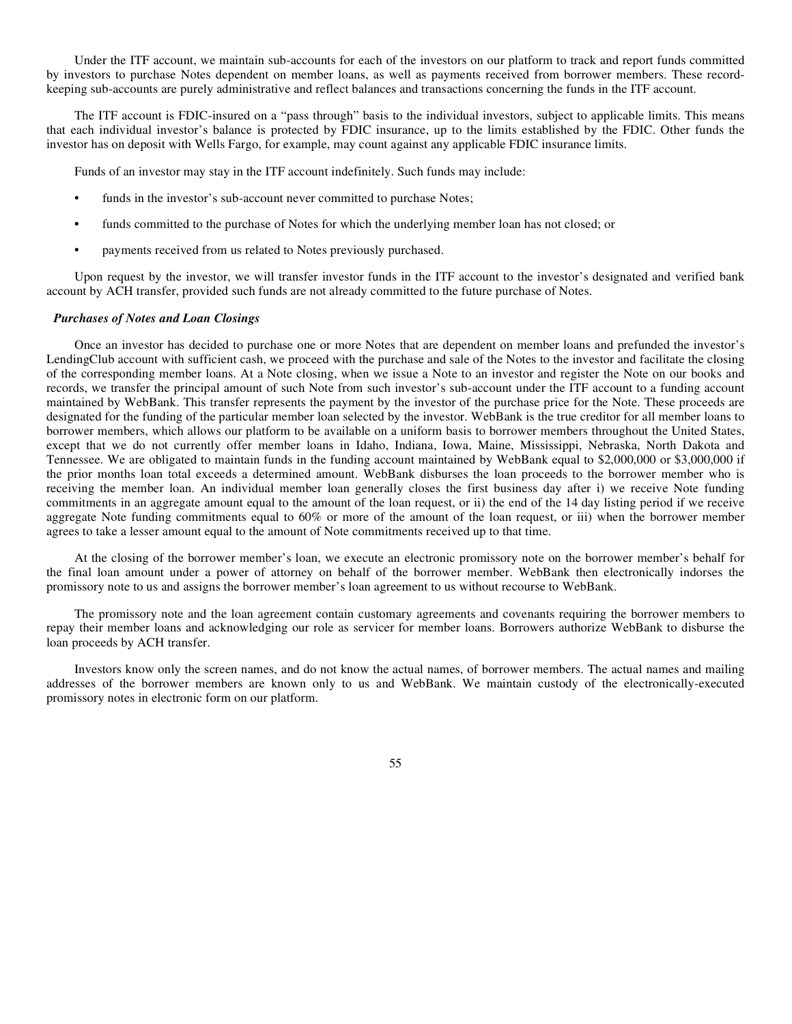Under the ITF account, we maintain sub-accounts for each of the investors on our platform to track and report funds committed by investors to purchase Notes dependent on member loans, as well as payments received from borrower members. These recordkeeping sub-accounts are purely administrative and reflect balances and transactions concerning the funds in the ITF account.

The ITF account is FDIC-insured on a "pass through" basis to the individual investors, subject to applicable limits. This means that each individual investor's balance is protected by FDIC insurance, up to the limits established by the FDIC. Other funds the investor has on deposit with Wells Fargo, for example, may count against any applicable FDIC insurance limits.

Funds of an investor may stay in the ITF account indefinitely. Such funds may include:

- funds in the investor's sub-account never committed to purchase Notes;
- **•** funds committed to the purchase of Notes for which the underlying member loan has not closed; or
- **•** payments received from us related to Notes previously purchased.

Upon request by the investor, we will transfer investor funds in the ITF account to the investor's designated and verified bank account by ACH transfer, provided such funds are not already committed to the future purchase of Notes.

#### *Purchases of Notes and Loan Closings*

Once an investor has decided to purchase one or more Notes that are dependent on member loans and prefunded the investor's LendingClub account with sufficient cash, we proceed with the purchase and sale of the Notes to the investor and facilitate the closing of the corresponding member loans. At a Note closing, when we issue a Note to an investor and register the Note on our books and records, we transfer the principal amount of such Note from such investor's sub-account under the ITF account to a funding account maintained by WebBank. This transfer represents the payment by the investor of the purchase price for the Note. These proceeds are designated for the funding of the particular member loan selected by the investor. WebBank is the true creditor for all member loans to borrower members, which allows our platform to be available on a uniform basis to borrower members throughout the United States, except that we do not currently offer member loans in Idaho, Indiana, Iowa, Maine, Mississippi, Nebraska, North Dakota and Tennessee. We are obligated to maintain funds in the funding account maintained by WebBank equal to \$2,000,000 or \$3,000,000 if the prior months loan total exceeds a determined amount. WebBank disburses the loan proceeds to the borrower member who is receiving the member loan. An individual member loan generally closes the first business day after i) we receive Note funding commitments in an aggregate amount equal to the amount of the loan request, or ii) the end of the 14 day listing period if we receive aggregate Note funding commitments equal to 60% or more of the amount of the loan request, or iii) when the borrower member agrees to take a lesser amount equal to the amount of Note commitments received up to that time.

At the closing of the borrower member's loan, we execute an electronic promissory note on the borrower member's behalf for the final loan amount under a power of attorney on behalf of the borrower member. WebBank then electronically indorses the promissory note to us and assigns the borrower member's loan agreement to us without recourse to WebBank.

The promissory note and the loan agreement contain customary agreements and covenants requiring the borrower members to repay their member loans and acknowledging our role as servicer for member loans. Borrowers authorize WebBank to disburse the loan proceeds by ACH transfer.

Investors know only the screen names, and do not know the actual names, of borrower members. The actual names and mailing addresses of the borrower members are known only to us and WebBank. We maintain custody of the electronically-executed promissory notes in electronic form on our platform.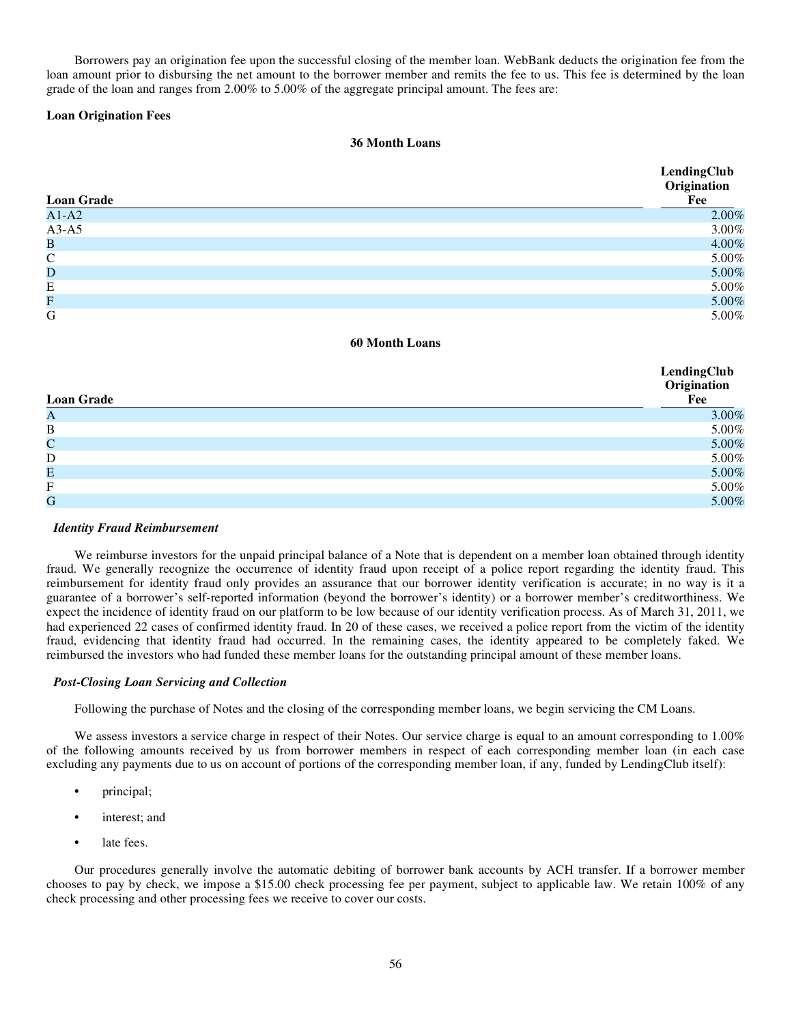Borrowers pay an origination fee upon the successful closing of the member loan. WebBank deducts the origination fee from the loan amount prior to disbursing the net amount to the borrower member and remits the fee to us. This fee is determined by the loan grade of the loan and ranges from 2.00% to 5.00% of the aggregate principal amount. The fees are:

# **Loan Origination Fees**

# **36 Month Loans**

|                   | LendingClub<br>Origination |
|-------------------|----------------------------|
| <b>Loan Grade</b> | Fee                        |
| $A1-A2$           | 2.00%                      |
| $A3-A5$           | 3.00%                      |
| $\bf{B}$          | 4.00%                      |
| $\mathsf{C}$      | 5.00%                      |
| $\mathbf D$       | 5.00%                      |
| E                 | 5.00%                      |
| F                 | 5.00%                      |
| G                 | 5.00%                      |

## **60 Month Loans**

|                           | LendingClub<br>Origination |
|---------------------------|----------------------------|
| <b>Loan Grade</b>         | Fee                        |
| A                         | 3.00%                      |
| $\bf{B}$                  | 5.00%                      |
| $\mathbf C$               | 5.00%                      |
| D                         | $5.00\%$                   |
| Е                         | $5.00\%$                   |
| $\boldsymbol{\mathrm{F}}$ | $5.00\%$                   |
| G                         | 5.00%                      |

## *Identity Fraud Reimbursement*

We reimburse investors for the unpaid principal balance of a Note that is dependent on a member loan obtained through identity fraud. We generally recognize the occurrence of identity fraud upon receipt of a police report regarding the identity fraud. This reimbursement for identity fraud only provides an assurance that our borrower identity verification is accurate; in no way is it a guarantee of a borrower's self-reported information (beyond the borrower's identity) or a borrower member's creditworthiness. We expect the incidence of identity fraud on our platform to be low because of our identity verification process. As of March 31, 2011, we had experienced 22 cases of confirmed identity fraud. In 20 of these cases, we received a police report from the victim of the identity fraud, evidencing that identity fraud had occurred. In the remaining cases, the identity appeared to be completely faked. We reimbursed the investors who had funded these member loans for the outstanding principal amount of these member loans.

## *Post-Closing Loan Servicing and Collection*

Following the purchase of Notes and the closing of the corresponding member loans, we begin servicing the CM Loans.

We assess investors a service charge in respect of their Notes. Our service charge is equal to an amount corresponding to 1.00% of the following amounts received by us from borrower members in respect of each corresponding member loan (in each case excluding any payments due to us on account of portions of the corresponding member loan, if any, funded by LendingClub itself):

- **•** principal;
- **•** interest; and
- late fees.

Our procedures generally involve the automatic debiting of borrower bank accounts by ACH transfer. If a borrower member chooses to pay by check, we impose a \$15.00 check processing fee per payment, subject to applicable law. We retain 100% of any check processing and other processing fees we receive to cover our costs.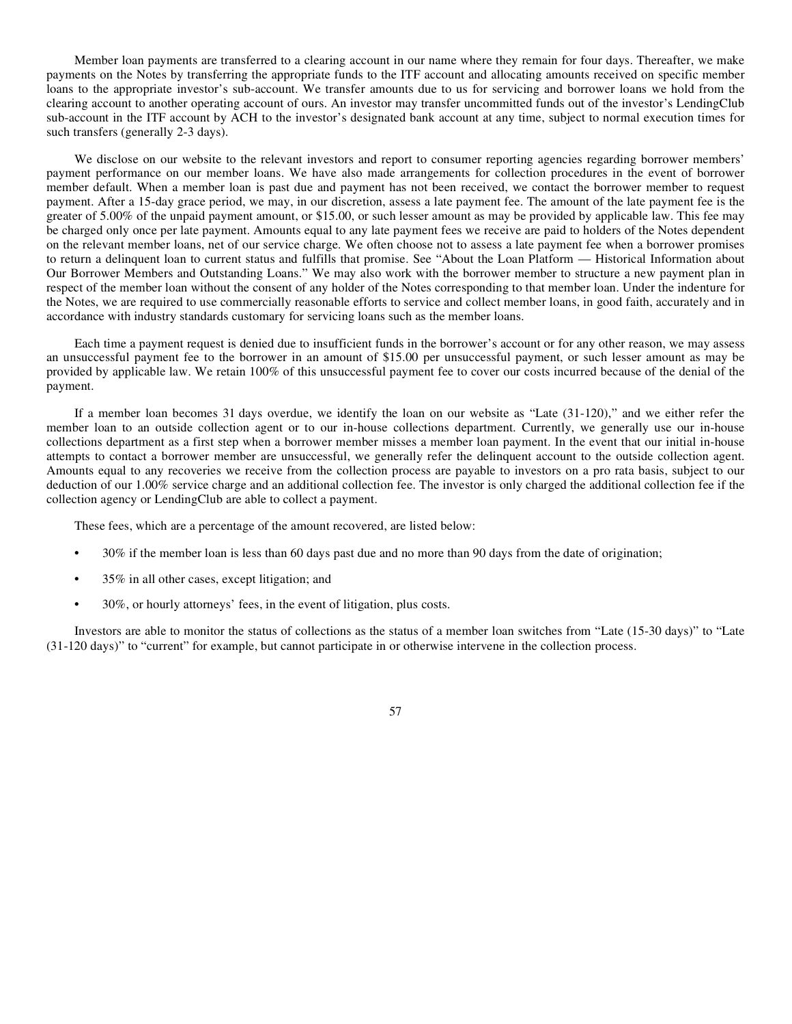Member loan payments are transferred to a clearing account in our name where they remain for four days. Thereafter, we make payments on the Notes by transferring the appropriate funds to the ITF account and allocating amounts received on specific member loans to the appropriate investor's sub-account. We transfer amounts due to us for servicing and borrower loans we hold from the clearing account to another operating account of ours. An investor may transfer uncommitted funds out of the investor's LendingClub sub-account in the ITF account by ACH to the investor's designated bank account at any time, subject to normal execution times for such transfers (generally 2-3 days).

We disclose on our website to the relevant investors and report to consumer reporting agencies regarding borrower members' payment performance on our member loans. We have also made arrangements for collection procedures in the event of borrower member default. When a member loan is past due and payment has not been received, we contact the borrower member to request payment. After a 15-day grace period, we may, in our discretion, assess a late payment fee. The amount of the late payment fee is the greater of 5.00% of the unpaid payment amount, or \$15.00, or such lesser amount as may be provided by applicable law. This fee may be charged only once per late payment. Amounts equal to any late payment fees we receive are paid to holders of the Notes dependent on the relevant member loans, net of our service charge. We often choose not to assess a late payment fee when a borrower promises to return a delinquent loan to current status and fulfills that promise. See "About the Loan Platform — Historical Information about Our Borrower Members and Outstanding Loans." We may also work with the borrower member to structure a new payment plan in respect of the member loan without the consent of any holder of the Notes corresponding to that member loan. Under the indenture for the Notes, we are required to use commercially reasonable efforts to service and collect member loans, in good faith, accurately and in accordance with industry standards customary for servicing loans such as the member loans.

Each time a payment request is denied due to insufficient funds in the borrower's account or for any other reason, we may assess an unsuccessful payment fee to the borrower in an amount of \$15.00 per unsuccessful payment, or such lesser amount as may be provided by applicable law. We retain 100% of this unsuccessful payment fee to cover our costs incurred because of the denial of the payment.

If a member loan becomes 31 days overdue, we identify the loan on our website as "Late (31-120)," and we either refer the member loan to an outside collection agent or to our in-house collections department. Currently, we generally use our in-house collections department as a first step when a borrower member misses a member loan payment. In the event that our initial in-house attempts to contact a borrower member are unsuccessful, we generally refer the delinquent account to the outside collection agent. Amounts equal to any recoveries we receive from the collection process are payable to investors on a pro rata basis, subject to our deduction of our 1.00% service charge and an additional collection fee. The investor is only charged the additional collection fee if the collection agency or LendingClub are able to collect a payment.

These fees, which are a percentage of the amount recovered, are listed below:

- **•** 30% if the member loan is less than 60 days past due and no more than 90 days from the date of origination;
- **•** 35% in all other cases, except litigation; and
- **•** 30%, or hourly attorneys' fees, in the event of litigation, plus costs.

Investors are able to monitor the status of collections as the status of a member loan switches from "Late (15-30 days)" to "Late (31-120 days)" to "current" for example, but cannot participate in or otherwise intervene in the collection process.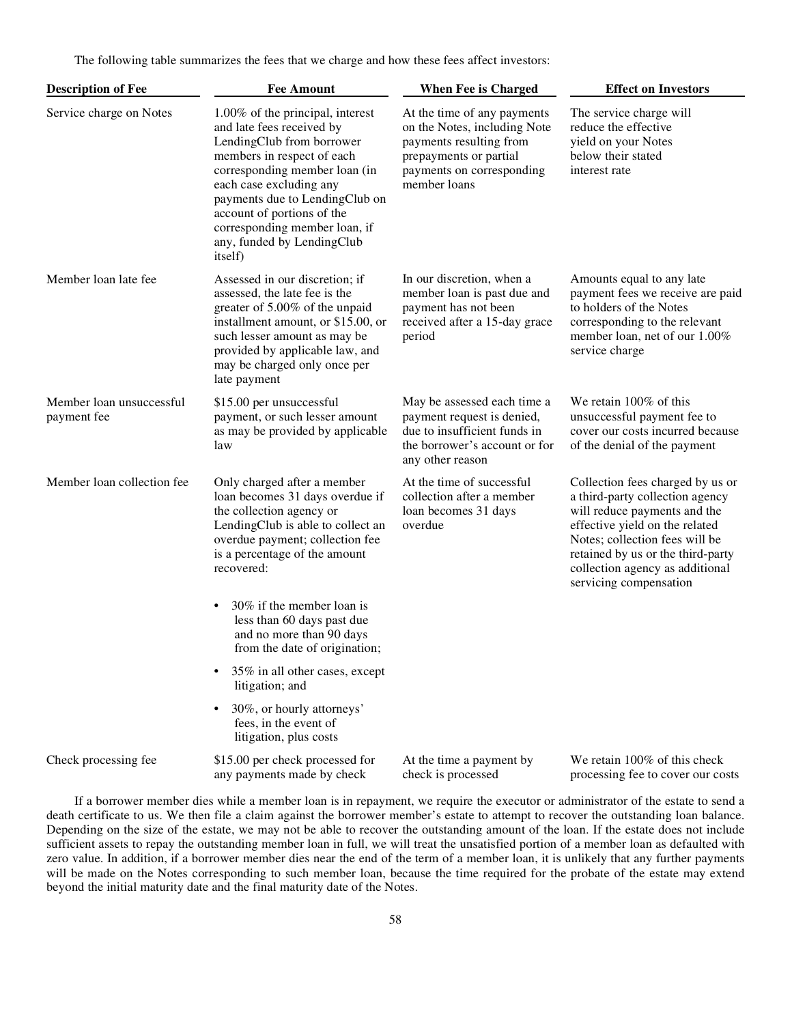The following table summarizes the fees that we charge and how these fees affect investors:

| <b>Description of Fee</b>               | <b>Fee Amount</b>                                                                                                                                                                                                                                                                                                              | <b>When Fee is Charged</b>                                                                                                                                    | <b>Effect on Investors</b>                                                                                                                                                                                                                                                |
|-----------------------------------------|--------------------------------------------------------------------------------------------------------------------------------------------------------------------------------------------------------------------------------------------------------------------------------------------------------------------------------|---------------------------------------------------------------------------------------------------------------------------------------------------------------|---------------------------------------------------------------------------------------------------------------------------------------------------------------------------------------------------------------------------------------------------------------------------|
| Service charge on Notes                 | 1.00% of the principal, interest<br>and late fees received by<br>LendingClub from borrower<br>members in respect of each<br>corresponding member loan (in<br>each case excluding any<br>payments due to LendingClub on<br>account of portions of the<br>corresponding member loan, if<br>any, funded by LendingClub<br>itself) | At the time of any payments<br>on the Notes, including Note<br>payments resulting from<br>prepayments or partial<br>payments on corresponding<br>member loans | The service charge will<br>reduce the effective<br>yield on your Notes<br>below their stated<br>interest rate                                                                                                                                                             |
| Member loan late fee                    | Assessed in our discretion; if<br>assessed, the late fee is the<br>greater of 5.00% of the unpaid<br>installment amount, or \$15.00, or<br>such lesser amount as may be<br>provided by applicable law, and<br>may be charged only once per<br>late payment                                                                     | In our discretion, when a<br>member loan is past due and<br>payment has not been<br>received after a 15-day grace<br>period                                   | Amounts equal to any late<br>payment fees we receive are paid<br>to holders of the Notes<br>corresponding to the relevant<br>member loan, net of our 1.00%<br>service charge                                                                                              |
| Member loan unsuccessful<br>payment fee | \$15.00 per unsuccessful<br>payment, or such lesser amount<br>as may be provided by applicable<br>law                                                                                                                                                                                                                          | May be assessed each time a<br>payment request is denied,<br>due to insufficient funds in<br>the borrower's account or for<br>any other reason                | We retain 100% of this<br>unsuccessful payment fee to<br>cover our costs incurred because<br>of the denial of the payment                                                                                                                                                 |
| Member loan collection fee              | Only charged after a member<br>loan becomes 31 days overdue if<br>the collection agency or<br>LendingClub is able to collect an<br>overdue payment; collection fee<br>is a percentage of the amount<br>recovered:                                                                                                              | At the time of successful<br>collection after a member<br>loan becomes 31 days<br>overdue                                                                     | Collection fees charged by us or<br>a third-party collection agency<br>will reduce payments and the<br>effective yield on the related<br>Notes; collection fees will be<br>retained by us or the third-party<br>collection agency as additional<br>servicing compensation |
|                                         | 30% if the member loan is<br>٠<br>less than 60 days past due<br>and no more than 90 days<br>from the date of origination;                                                                                                                                                                                                      |                                                                                                                                                               |                                                                                                                                                                                                                                                                           |
|                                         | 35% in all other cases, except<br>٠<br>litigation; and                                                                                                                                                                                                                                                                         |                                                                                                                                                               |                                                                                                                                                                                                                                                                           |
|                                         | 30%, or hourly attorneys'<br>٠<br>fees, in the event of<br>litigation, plus costs                                                                                                                                                                                                                                              |                                                                                                                                                               |                                                                                                                                                                                                                                                                           |
| Check processing fee                    | \$15.00 per check processed for<br>any payments made by check                                                                                                                                                                                                                                                                  | At the time a payment by<br>check is processed                                                                                                                | We retain 100% of this check<br>processing fee to cover our costs                                                                                                                                                                                                         |

If a borrower member dies while a member loan is in repayment, we require the executor or administrator of the estate to send a death certificate to us. We then file a claim against the borrower member's estate to attempt to recover the outstanding loan balance. Depending on the size of the estate, we may not be able to recover the outstanding amount of the loan. If the estate does not include sufficient assets to repay the outstanding member loan in full, we will treat the unsatisfied portion of a member loan as defaulted with zero value. In addition, if a borrower member dies near the end of the term of a member loan, it is unlikely that any further payments will be made on the Notes corresponding to such member loan, because the time required for the probate of the estate may extend beyond the initial maturity date and the final maturity date of the Notes.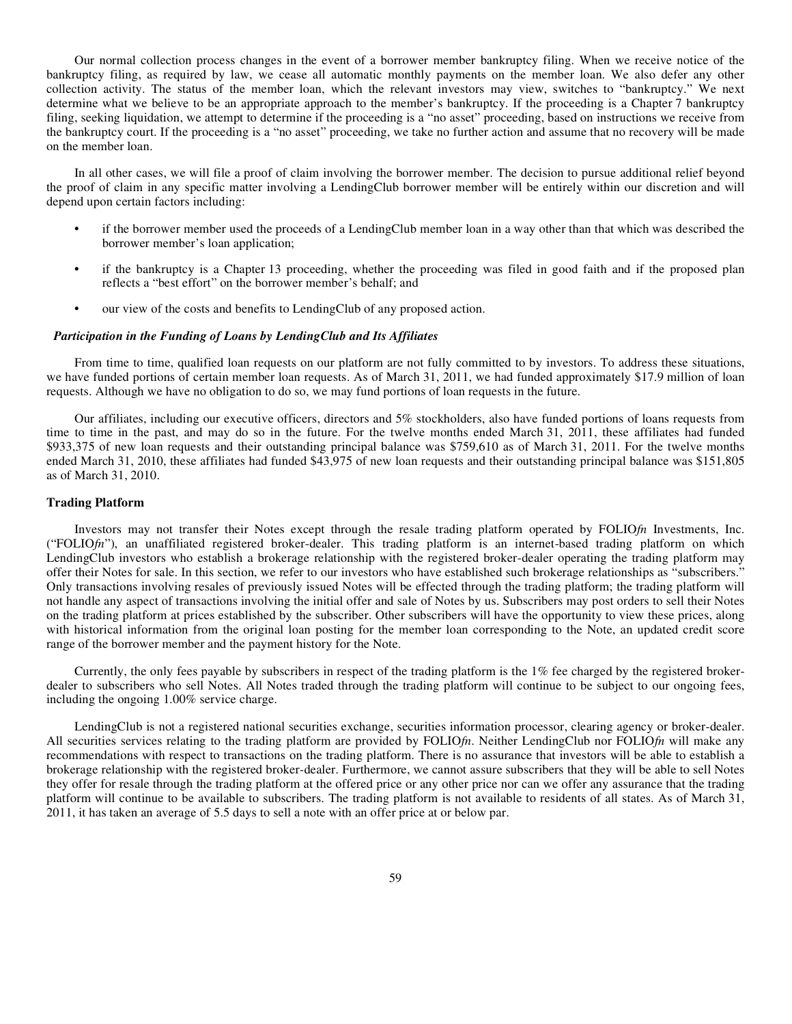Our normal collection process changes in the event of a borrower member bankruptcy filing. When we receive notice of the bankruptcy filing, as required by law, we cease all automatic monthly payments on the member loan. We also defer any other collection activity. The status of the member loan, which the relevant investors may view, switches to "bankruptcy." We next determine what we believe to be an appropriate approach to the member's bankruptcy. If the proceeding is a Chapter 7 bankruptcy filing, seeking liquidation, we attempt to determine if the proceeding is a "no asset" proceeding, based on instructions we receive from the bankruptcy court. If the proceeding is a "no asset" proceeding, we take no further action and assume that no recovery will be made on the member loan.

In all other cases, we will file a proof of claim involving the borrower member. The decision to pursue additional relief beyond the proof of claim in any specific matter involving a LendingClub borrower member will be entirely within our discretion and will depend upon certain factors including:

- **•** if the borrower member used the proceeds of a LendingClub member loan in a way other than that which was described the borrower member's loan application;
- **•** if the bankruptcy is a Chapter 13 proceeding, whether the proceeding was filed in good faith and if the proposed plan reflects a "best effort" on the borrower member's behalf; and
- **•** our view of the costs and benefits to LendingClub of any proposed action.

#### *Participation in the Funding of Loans by LendingClub and Its Affiliates*

From time to time, qualified loan requests on our platform are not fully committed to by investors. To address these situations, we have funded portions of certain member loan requests. As of March 31, 2011, we had funded approximately \$17.9 million of loan requests. Although we have no obligation to do so, we may fund portions of loan requests in the future.

Our affiliates, including our executive officers, directors and 5% stockholders, also have funded portions of loans requests from time to time in the past, and may do so in the future. For the twelve months ended March 31, 2011, these affiliates had funded \$933,375 of new loan requests and their outstanding principal balance was \$759,610 as of March 31, 2011. For the twelve months ended March 31, 2010, these affiliates had funded \$43,975 of new loan requests and their outstanding principal balance was \$151,805 as of March 31, 2010.

#### **Trading Platform**

Investors may not transfer their Notes except through the resale trading platform operated by FOLIO*fn* Investments, Inc. ("FOLIO*fn*"), an unaffiliated registered broker-dealer. This trading platform is an internet-based trading platform on which LendingClub investors who establish a brokerage relationship with the registered broker-dealer operating the trading platform may offer their Notes for sale. In this section, we refer to our investors who have established such brokerage relationships as "subscribers." Only transactions involving resales of previously issued Notes will be effected through the trading platform; the trading platform will not handle any aspect of transactions involving the initial offer and sale of Notes by us. Subscribers may post orders to sell their Notes on the trading platform at prices established by the subscriber. Other subscribers will have the opportunity to view these prices, along with historical information from the original loan posting for the member loan corresponding to the Note, an updated credit score range of the borrower member and the payment history for the Note.

Currently, the only fees payable by subscribers in respect of the trading platform is the 1% fee charged by the registered brokerdealer to subscribers who sell Notes. All Notes traded through the trading platform will continue to be subject to our ongoing fees, including the ongoing 1.00% service charge.

LendingClub is not a registered national securities exchange, securities information processor, clearing agency or broker-dealer. All securities services relating to the trading platform are provided by FOLIO*fn*. Neither LendingClub nor FOLIO*fn* will make any recommendations with respect to transactions on the trading platform. There is no assurance that investors will be able to establish a brokerage relationship with the registered broker-dealer. Furthermore, we cannot assure subscribers that they will be able to sell Notes they offer for resale through the trading platform at the offered price or any other price nor can we offer any assurance that the trading platform will continue to be available to subscribers. The trading platform is not available to residents of all states. As of March 31, 2011, it has taken an average of 5.5 days to sell a note with an offer price at or below par.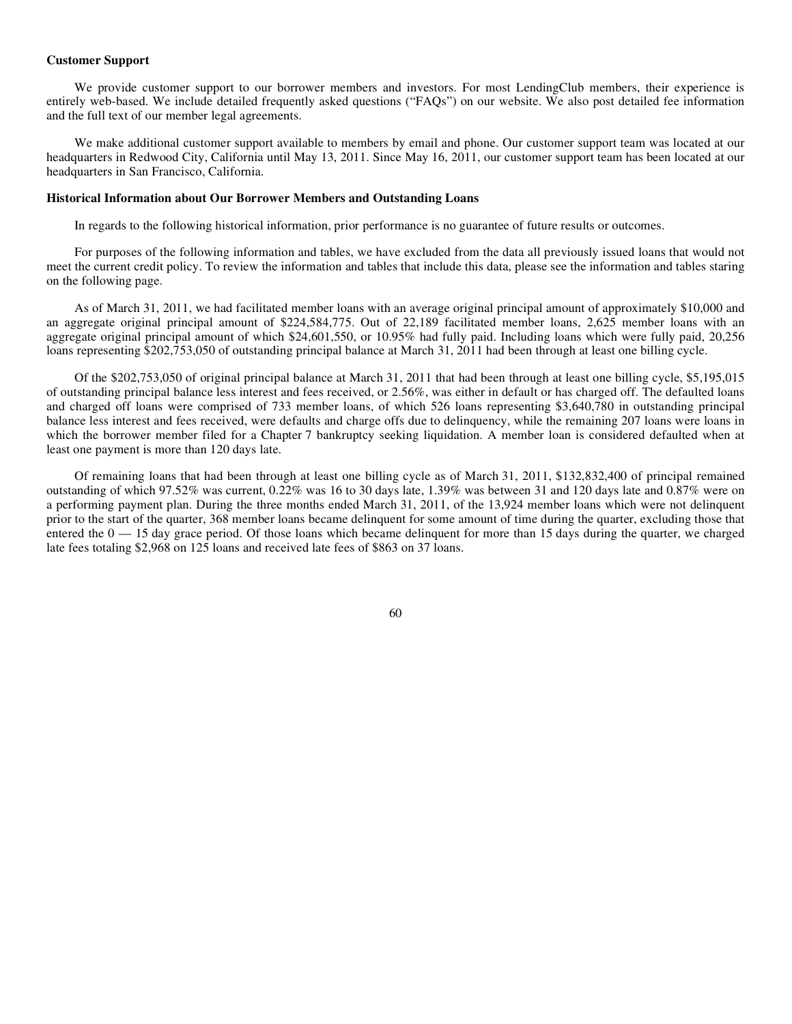#### **Customer Support**

We provide customer support to our borrower members and investors. For most LendingClub members, their experience is entirely web-based. We include detailed frequently asked questions ("FAQs") on our website. We also post detailed fee information and the full text of our member legal agreements.

We make additional customer support available to members by email and phone. Our customer support team was located at our headquarters in Redwood City, California until May 13, 2011. Since May 16, 2011, our customer support team has been located at our headquarters in San Francisco, California.

## **Historical Information about Our Borrower Members and Outstanding Loans**

In regards to the following historical information, prior performance is no guarantee of future results or outcomes.

For purposes of the following information and tables, we have excluded from the data all previously issued loans that would not meet the current credit policy. To review the information and tables that include this data, please see the information and tables staring on the following page.

As of March 31, 2011, we had facilitated member loans with an average original principal amount of approximately \$10,000 and an aggregate original principal amount of \$224,584,775. Out of 22,189 facilitated member loans, 2,625 member loans with an aggregate original principal amount of which \$24,601,550, or 10.95% had fully paid. Including loans which were fully paid, 20,256 loans representing \$202,753,050 of outstanding principal balance at March 31, 2011 had been through at least one billing cycle.

Of the \$202,753,050 of original principal balance at March 31, 2011 that had been through at least one billing cycle, \$5,195,015 of outstanding principal balance less interest and fees received, or 2.56%, was either in default or has charged off. The defaulted loans and charged off loans were comprised of 733 member loans, of which 526 loans representing \$3,640,780 in outstanding principal balance less interest and fees received, were defaults and charge offs due to delinquency, while the remaining 207 loans were loans in which the borrower member filed for a Chapter 7 bankruptcy seeking liquidation. A member loan is considered defaulted when at least one payment is more than 120 days late.

Of remaining loans that had been through at least one billing cycle as of March 31, 2011, \$132,832,400 of principal remained outstanding of which 97.52% was current, 0.22% was 16 to 30 days late, 1.39% was between 31 and 120 days late and 0.87% were on a performing payment plan. During the three months ended March 31, 2011, of the 13,924 member loans which were not delinquent prior to the start of the quarter, 368 member loans became delinquent for some amount of time during the quarter, excluding those that entered the  $0 - 15$  day grace period. Of those loans which became delinquent for more than 15 days during the quarter, we charged late fees totaling \$2,968 on 125 loans and received late fees of \$863 on 37 loans.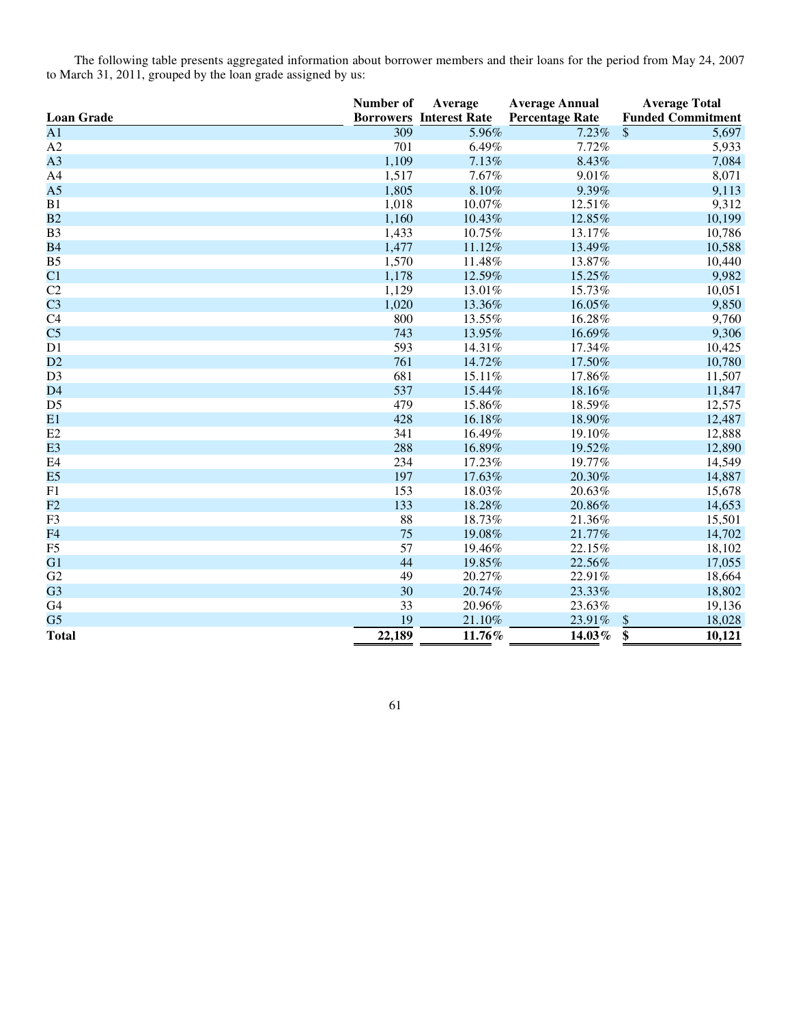The following table presents aggregated information about borrower members and their loans for the period from May 24, 2007 to March 31, 2011, grouped by the loan grade assigned by us:

|                   | Number of | Average                        | <b>Average Annual</b>  | <b>Average Total</b>     |
|-------------------|-----------|--------------------------------|------------------------|--------------------------|
| <b>Loan Grade</b> |           | <b>Borrowers Interest Rate</b> | <b>Percentage Rate</b> | <b>Funded Commitment</b> |
| $\overline{A1}$   | 309       | 5.96%                          | 7.23%                  | \$<br>5,697              |
| A2                | 701       | 6.49%                          | 7.72%                  | 5,933                    |
| A <sub>3</sub>    | 1,109     | 7.13%                          | 8.43%                  | 7,084                    |
| A4                | 1,517     | 7.67%                          | 9.01%                  | 8,071                    |
| A <sub>5</sub>    | 1,805     | 8.10%                          | 9.39%                  | 9,113                    |
| B1                | 1,018     | 10.07%                         | 12.51%                 | 9,312                    |
| B2                | 1,160     | 10.43%                         | 12.85%                 | 10,199                   |
| B <sub>3</sub>    | 1,433     | 10.75%                         | 13.17%                 | 10,786                   |
| <b>B4</b>         | 1,477     | 11.12%                         | 13.49%                 | 10,588                   |
| B <sub>5</sub>    | 1,570     | 11.48%                         | 13.87%                 | 10,440                   |
| C <sub>1</sub>    | 1,178     | 12.59%                         | 15.25%                 | 9,982                    |
| C <sub>2</sub>    | 1,129     | 13.01%                         | 15.73%                 | 10,051                   |
| C <sub>3</sub>    | 1,020     | 13.36%                         | 16.05%                 | 9,850                    |
| C <sub>4</sub>    | 800       | 13.55%                         | 16.28%                 | 9,760                    |
| C <sub>5</sub>    | 743       | 13.95%                         | 16.69%                 | 9,306                    |
| D1                | 593       | 14.31%                         | 17.34%                 | 10,425                   |
| D2                | 761       | 14.72%                         | 17.50%                 | 10,780                   |
| D <sub>3</sub>    | 681       | 15.11%                         | 17.86%                 | 11,507                   |
| D <sub>4</sub>    | 537       | 15.44%                         | 18.16%                 | 11,847                   |
| D <sub>5</sub>    | 479       | 15.86%                         | 18.59%                 | 12,575                   |
| E1                | 428       | 16.18%                         | 18.90%                 | 12,487                   |
| E2                | 341       | 16.49%                         | 19.10%                 | 12,888                   |
| E <sub>3</sub>    | 288       | 16.89%                         | 19.52%                 | 12,890                   |
| E4                | 234       | 17.23%                         | 19.77%                 | 14,549                   |
| E5                | 197       | 17.63%                         | 20.30%                 | 14,887                   |
| F1                | 153       | 18.03%                         | 20.63%                 | 15,678                   |
| F2                | 133       | 18.28%                         | 20.86%                 | 14,653                   |
| F3                | 88        | 18.73%                         | 21.36%                 | 15,501                   |
| F <sub>4</sub>    | 75        | 19.08%                         | 21.77%                 | 14,702                   |
| F <sub>5</sub>    | 57        | 19.46%                         | 22.15%                 | 18,102                   |
| G1                | 44        | 19.85%                         | 22.56%                 | 17,055                   |
| G2                | 49        | 20.27%                         | 22.91%                 | 18,664                   |
| G <sub>3</sub>    | 30        | 20.74%                         | 23.33%                 | 18,802                   |
| G4                | 33        | 20.96%                         | 23.63%                 | 19,136                   |
| G <sub>5</sub>    | 19        | 21.10%                         | 23.91%                 | 18,028<br>\$             |
| <b>Total</b>      | 22,189    | 11.76%                         | 14.03%                 | \$<br>10,121             |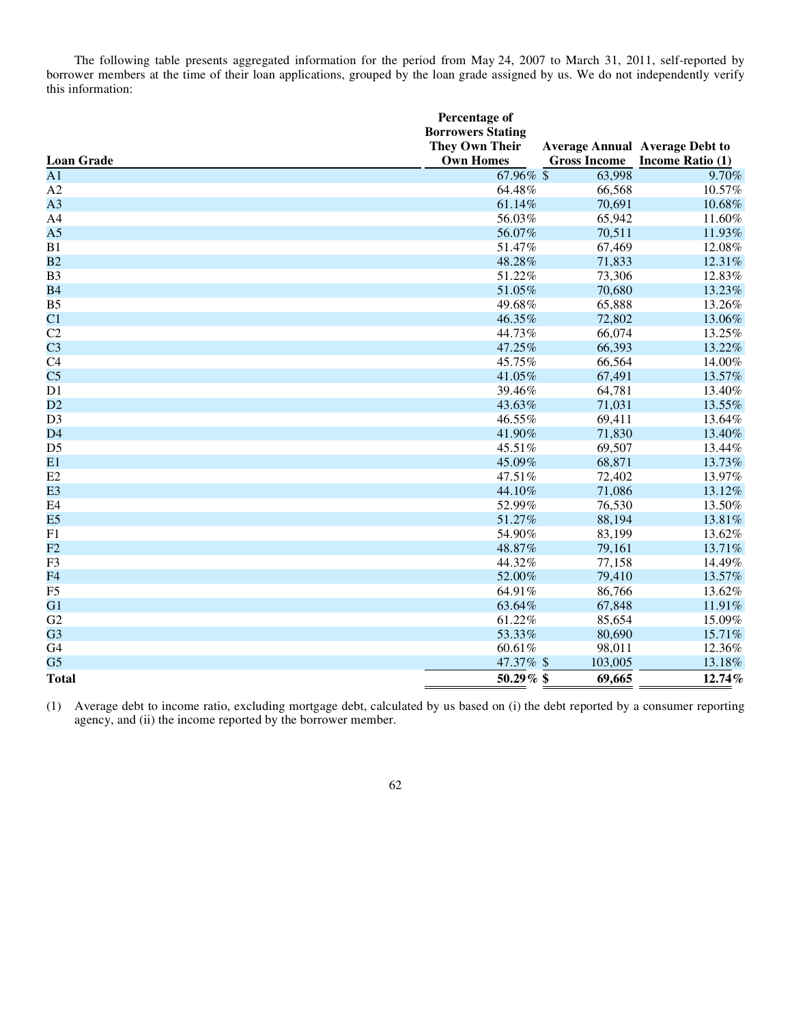The following table presents aggregated information for the period from May 24, 2007 to March 31, 2011, self-reported by borrower members at the time of their loan applications, grouped by the loan grade assigned by us. We do not independently verify this information:

|                   | Percentage of<br><b>Borrowers Stating</b><br><b>They Own Their</b> |                     | <b>Average Annual Average Debt to</b> |
|-------------------|--------------------------------------------------------------------|---------------------|---------------------------------------|
| <b>Loan Grade</b> | <b>Own Homes</b>                                                   | <b>Gross Income</b> | Income Ratio (1)                      |
| A <sub>1</sub>    | 67.96% \$                                                          | 63,998              | 9.70%                                 |
| A2                | 64.48%                                                             | 66,568              | 10.57%                                |
| A <sub>3</sub>    | 61.14%                                                             | 70,691              | 10.68%                                |
| A <sub>4</sub>    | 56.03%                                                             | 65,942              | 11.60%                                |
| A <sub>5</sub>    | 56.07%                                                             | 70,511              | 11.93%                                |
| B1                | 51.47%                                                             | 67,469              | 12.08%                                |
| B2                | 48.28%                                                             | 71,833              | 12.31%                                |
| B <sub>3</sub>    | 51.22%                                                             | 73,306              | 12.83%                                |
| <b>B4</b>         | 51.05%                                                             | 70,680              | 13.23%                                |
| B <sub>5</sub>    | 49.68%                                                             | 65,888              | 13.26%                                |
| C1                | 46.35%                                                             | 72,802              | 13.06%                                |
| C2                | 44.73%                                                             | 66,074              | 13.25%                                |
| C <sub>3</sub>    | 47.25%                                                             | 66,393              | 13.22%                                |
| C4                | 45.75%                                                             | 66,564              | 14.00%                                |
| C <sub>5</sub>    | 41.05%                                                             | 67,491              | 13.57%                                |
| D1                | 39.46%                                                             | 64,781              | 13.40%                                |
| D2                | 43.63%                                                             | 71,031              | 13.55%                                |
| D <sub>3</sub>    | 46.55%                                                             | 69,411              | 13.64%                                |
| D <sub>4</sub>    | 41.90%                                                             | 71,830              | 13.40%                                |
| D <sub>5</sub>    | 45.51%                                                             | 69,507              | 13.44%                                |
| E1                | 45.09%                                                             | 68,871              | 13.73%                                |
| E2                | 47.51%                                                             | 72,402              | 13.97%                                |
| E <sub>3</sub>    | 44.10%                                                             | 71,086              | 13.12%                                |
| E4                | 52.99%                                                             | 76,530              | 13.50%                                |
| E <sub>5</sub>    | 51.27%                                                             | 88,194              | 13.81%                                |
| F1                | 54.90%                                                             | 83,199              | 13.62%                                |
| F2                | 48.87%                                                             | 79,161              | 13.71%                                |
| F <sub>3</sub>    | 44.32%                                                             | 77,158              | 14.49%                                |
| F <sub>4</sub>    | 52.00%                                                             | 79,410              | 13.57%                                |
| F <sub>5</sub>    | 64.91%                                                             | 86,766              | 13.62%                                |
| G1                | 63.64%                                                             | 67,848              | 11.91%                                |
| G <sub>2</sub>    | 61.22%                                                             | 85,654              | 15.09%                                |
| G <sub>3</sub>    | 53.33%                                                             | 80,690              | 15.71%                                |
| G4                | 60.61%                                                             | 98,011              | 12.36%                                |
| G <sub>5</sub>    | 47.37% \$                                                          | 103,005             | 13.18%                                |
| <b>Total</b>      | 50.29% \$                                                          | 69,665              | 12.74%                                |

 (1) Average debt to income ratio, excluding mortgage debt, calculated by us based on (i) the debt reported by a consumer reporting agency, and (ii) the income reported by the borrower member.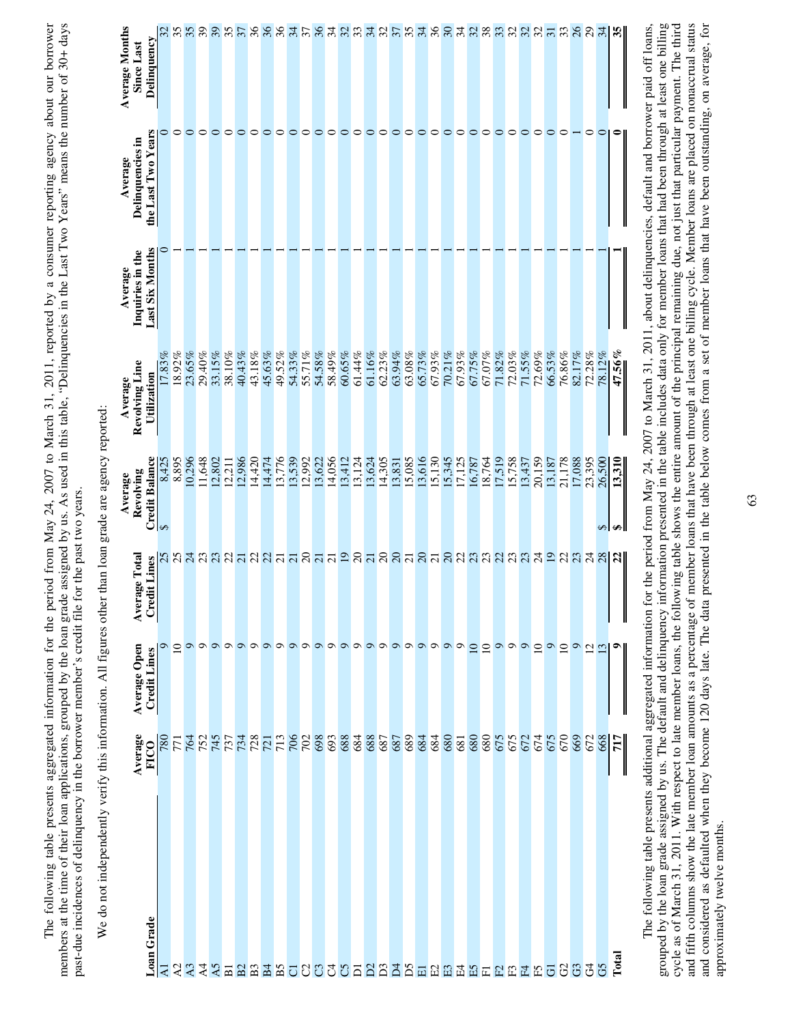The following table presents aggregated information for the period from May 24, 2007 to March 31, 2011, reported by a consumer reporting agency about our borrower<br>members at the time of their loan applications, grouped by members at the time of their loan applications, grouped by the loan grade assigned by us. As used in this table, "Delinquencies in the Last Two Years" means the number of 30+ days The following table presents aggregated information for the period from May 24, 2007 to March 31, 2011, reported by a consumer reporting agency about our borrower past-due incidences of delinquency in the borrower member's credit file for the past two years. past-due incidences of delinquency in the borrower member's credit file for the past two years.

| ;                                                                                                                    |
|----------------------------------------------------------------------------------------------------------------------|
| l                                                                                                                    |
|                                                                                                                      |
| i                                                                                                                    |
|                                                                                                                      |
| $\overline{\phantom{a}}$                                                                                             |
| くく                                                                                                                   |
|                                                                                                                      |
|                                                                                                                      |
|                                                                                                                      |
| ١                                                                                                                    |
|                                                                                                                      |
|                                                                                                                      |
|                                                                                                                      |
|                                                                                                                      |
| -<br>-<br>-                                                                                                          |
|                                                                                                                      |
|                                                                                                                      |
|                                                                                                                      |
| ţ<br>l                                                                                                               |
|                                                                                                                      |
|                                                                                                                      |
| ı                                                                                                                    |
|                                                                                                                      |
|                                                                                                                      |
| :                                                                                                                    |
|                                                                                                                      |
|                                                                                                                      |
| ֧֦֦֦֧֦֧ׅ֧֧֧֧֧֧֧֧֧ׅ֧֧֧֧֧֛֧֧֧ׅ֧֧֛֪֛֚֚֚֚֚֚֚֚֚֚֚֚֚֚֚֚֚֚֚֚֚֝֝֝֝֬֝֝֝֝֝֝֝֝֝֝֬֝֝֝֬֝֝֬֝֝֬֝֬֝֬֝֬֝֬֝֬֝֬֝֬֝֝֬֝֬֝֬֝֬֝֝֝֬֝֬֝֬֝֝֬֝֝ |
|                                                                                                                      |
|                                                                                                                      |
| $\frac{1}{2}$                                                                                                        |
| ï                                                                                                                    |
|                                                                                                                      |
|                                                                                                                      |
|                                                                                                                      |
|                                                                                                                      |
|                                                                                                                      |
|                                                                                                                      |
|                                                                                                                      |
| 1<br>i                                                                                                               |

|                | Average<br>FICO | Average Open<br>Credit Lines | age Total<br>Avera | Revolving<br>Average              | Revolving Line<br>Average | Inquiries in the<br>Average | Delinquencies in<br>Average | <b>Average Months</b><br>Since Last |
|----------------|-----------------|------------------------------|--------------------|-----------------------------------|---------------------------|-----------------------------|-----------------------------|-------------------------------------|
| Loan Grade     |                 |                              | dit Lines<br>Crec  | $\frac{Credit \, Balance}{8,425}$ | Utilization               | Last Six Months             | the Last Two Years          | Delinquency                         |
| $\overline{z}$ |                 |                              |                    | 8,425                             | 17.83%                    |                             |                             |                                     |
| 23             |                 |                              |                    | 8,895                             | 18.92%                    |                             | $\circ$                     | 358                                 |
|                |                 |                              |                    | 10,296                            | 23.65%                    |                             | $\circ$                     |                                     |
| A4<br>A5       |                 |                              |                    | 11,648                            | 29.40%                    |                             |                             |                                     |
|                |                 |                              |                    | 12,802                            | 33.15%                    |                             | $\circ$                     | 35                                  |
| $\overline{B}$ |                 |                              |                    | 12,211                            | 38.10%                    |                             |                             |                                     |
|                |                 |                              |                    | 12,986                            | 40.43%                    |                             |                             | 57                                  |
|                |                 |                              |                    | 14,420                            | 43.18%                    |                             | $\circ$                     |                                     |
|                |                 |                              |                    | 14,474                            | 45.63%                    |                             | $\circ$                     |                                     |
|                |                 |                              |                    | 13,776                            | 49.52%                    |                             | $\circ$                     | នននិងក្នុងដន្ទាន់នាំងន              |
|                |                 |                              |                    | 13,539                            | 54.33%                    |                             | $\circ$                     |                                     |
|                |                 |                              |                    | 12,992                            | 55.71%                    |                             |                             |                                     |
|                |                 |                              |                    | 13,622                            | $54.58\%$                 |                             | $\circ$                     |                                     |
|                |                 |                              |                    | 14,056                            | 58.49%                    |                             | ○                           |                                     |
|                |                 |                              |                    | 13,412                            | 60.65%                    |                             | 0                           |                                     |
|                |                 |                              |                    | 13,124                            | 61.44%                    |                             | c                           |                                     |
|                |                 |                              |                    | 13,624                            | 61.16%                    |                             | っ                           |                                     |
|                |                 |                              |                    | 14,305                            | 62.23%                    |                             | っ                           |                                     |
|                |                 |                              |                    | 13,831                            | 63.94%                    |                             | ○                           |                                     |
|                |                 |                              |                    | 15,085                            | $63.08\%$                 |                             | っ                           |                                     |
|                |                 |                              |                    | 13,616                            | 65.73%                    |                             | ○                           | 38                                  |
|                |                 |                              |                    | 15,130                            | 67.93%                    |                             | っ                           |                                     |
|                |                 |                              |                    | 15,345                            | 70.21%                    |                             | $\circ$                     |                                     |
|                |                 |                              |                    | 17,125                            | 67.93%                    |                             | $\circ$                     | $-8488$                             |
|                |                 |                              |                    | 16,787                            | 67.75%                    |                             | $\circ$                     |                                     |
|                |                 |                              |                    | 18,764                            | 67.07%                    |                             |                             |                                     |
|                |                 |                              |                    | 17,519                            | 71.82%                    |                             | $\circ$                     | $R$ ន $R$ ន $R$ គ $R$               |
|                |                 |                              |                    | 15,758                            | 72.03%                    |                             | $\circ$                     |                                     |
|                |                 |                              |                    | 13,437                            | 71.55%                    |                             | $\circ$                     |                                     |
|                |                 |                              |                    | 20,159                            | 72.69%                    |                             | $\circ$                     |                                     |
|                |                 |                              |                    | 13,187                            | 66.53%                    |                             | $\circ$                     |                                     |
|                |                 |                              |                    | 21,178                            | 76.86%                    |                             | $\circ$                     |                                     |
|                |                 |                              |                    | 17,088                            | 82.17%                    |                             |                             | $\%$                                |
|                |                 |                              |                    | 23,395                            | 72.28%                    |                             | $\circ$                     | $\mathbb{S}$                        |
|                |                 |                              |                    | 26,500<br>$\leftrightarrow$       | 78.12%                    |                             | $\circ$                     | $\mathbb{R}$                        |
| Total          | 717             |                              |                    | 13,310<br>₩                       | 47.56%                    |                             |                             |                                     |
|                |                 |                              |                    |                                   |                           |                             |                             |                                     |

grouped by the loan grade assigned by us. The default and delinquency information presented in the table includes data only for member loans that had been through at least one billing cycle as of March 31, 2011. With respect to late member loans, the following table shows the entire amount of the principal remaining due, not just that particular payment. The third and fifth columns show the late member loan amounts as a percentage of member loans thave been through at least one billing cycle. Member loans are placed on nonaccrual status and considered as defaulted when they become 120 days late. The data presented in the table below comes from a set of member loans that have been outstanding, on average, for grouped by the loan grade assigned by us. The default and delinquency information presented in the table includes data only for member loans that had been through at least one billing cycle as of March 31, 2011. With respect to late member loans, the following table shows the entire amount of the principal remaining due, not just that particular payment. The third and fifth columns show the late member loan amounts as a percentage of member loans that have been through at least one billing cycle. Member loans are placed on nonaccrual status and considered as defaulted when they become 120 days late. The data presented in the table below comes from a set of member loans that have been outstanding, on average, for The following table presents additional aggregated information for the period from May 24, 2007 to March 31, 2011, about delinquencies, default and borrower paid off loans, The following table presents additional aggregated information for the period from May 24, 2007 to March 31, 2011, about delinquencies, default and borrower paid off loans, approximately twelve months. approximately twelve months.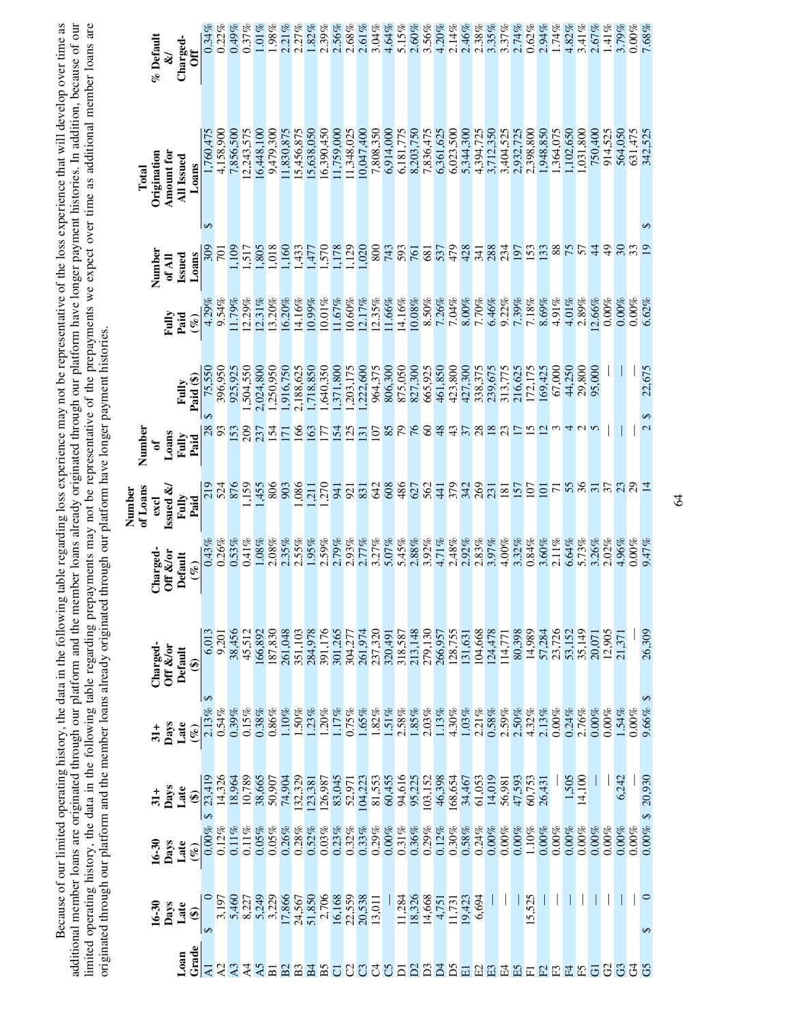Because of our limited operating history, the data in the following table regarding loss experience may not be representative of the loss experience that will develop over time as<br>additional member loans are originated thr additional member loans are originated through our platform and the member loans already originated through our platform have longer payment histories. In addition, because of our limited operating history, the data in the following table regarding prepayments may not be representative of the prepayments we expect over time as additional member loans are Because of our limited operating history, the data in the following table regarding loss experience may not be representative of the loss experience that will develop over time as originated through our platform and the member loans already originated through our platform have longer payment histories.

|                    | % Default<br>¥              | Charged-          | ð                         | 0.34%               | 0.22%       | 0.49%          | 0.37%      | $1.01\%$  | $1.98\%$        | 2.21%               | 2.27%          | 1.82%            | 2.39%     | 2.56%           | 2.68%     | 2.61%           | 3.04%     | 4.64%     | 5.15%     | 2.60%        | 3.56%        | 4.20%     | 2.14%     | 2.46%           | 2.38%     | 3.35%          | 3.37%            | 2.74%        | 0.62%          | 2.94%     | 1.74%          | 4.82%    | 3.41%    | 2.67%          | 1.41%          | 3.79%          | $0.00\%$ | 7.68%             |
|--------------------|-----------------------------|-------------------|---------------------------|---------------------|-------------|----------------|------------|-----------|-----------------|---------------------|----------------|------------------|-----------|-----------------|-----------|-----------------|-----------|-----------|-----------|--------------|--------------|-----------|-----------|-----------------|-----------|----------------|------------------|--------------|----------------|-----------|----------------|----------|----------|----------------|----------------|----------------|----------|-------------------|
| Total              | Amount for<br>Origination   | <b>All Issued</b> | Loans                     | ,760,475            | 4,158,900   | 7,856,500      | 12,243,575 | 6,448,100 | 9,479,300       | 1,830,875           | 5,456,875      | 5,638,050        | 6,390,450 | 1,759,000       | 1,348,025 | 10,047,400      | 7,808,350 | 6,914,000 | 6,181,775 | 8,203,750    | 7,836,475    | 6,361,625 | 6,023,500 | 5,344,300       | 4,394,725 | 3,712,350      | 3,404,525        | 2,932,725    | 2,398,800      | 1,948,850 | .364,075       | ,102,650 | ,031,800 | 750,400        | 914,525        | 564,050        | 631,475  | 342,525           |
|                    | Number<br>of All            | <b>Issued</b>     | Loans                     | $\Theta$            |             | .09            | 1,517      | 1,805     | 0.018           | 1,160               | 1,433          | $-477$           | 0.251     | ,178            | 1,129     | 1,020           | 800       | 743       | 593       | 761          | 681          | 537       | 479       | 428             | 341       | 288            | 234              | 197          | 153            | <b>33</b> | 88             | 75       | 57       | $\overline{4}$ | $\frac{9}{4}$  | $\mathfrak{S}$ |          | ₩<br>$\mathbf{S}$ |
|                    | Fully                       | Paid              | $(\%)$                    | 4.29%               | 9.54%       | 1.79%          | 12.29%     | 12.31%    | 13.20%          | 16.20%              | 14.16%         | 10.99%           | $10.01\%$ | 11.67%          | $10.60\%$ | 12.17%          | 12.35%    | 1.66%     | 14.16%    | 10.08%       | 8.50%        | 7.26%     | 7.04%     | $8.00\%$        | 7.70%     | 6.46%          | 9.22%            | 7.39%        | 7.18%          | 8.69%     | 4.91%          | 4.01%    | 2.89%    | 12.66%         | $0.00\%$       | $0.00\%$       | $0.00\%$ | 6.62%             |
|                    |                             | Fully             | Paid (\$)                 | 75,550              | 396,950     | 925,925        | 1,504,550  | 2,024,800 | 1,250,950       | 1,916,750           | 2,188,625      | .,718,850        | 1,640,350 | ,371,800        | ,203,175  | ,222,600        | 964,375   | 806,300   | 875,050   | 827,300      | 665,925      | 461,850   | 423,800   | 427,300         | 338,375   | 239,675        | 313,775          | 216,625      | 172,175        | 169,425   | 67,000         | 44,250   | 29,800   | 95,000         |                |                |          | 22,675            |
| Number             | Loans<br>ಕ                  | Fully             | Paid                      | ↔<br>$\frac{8}{93}$ |             | 153            | 209        | 237       | $\overline{54}$ | $\overline{\Gamma}$ | 991            | 63               | 77        | $\overline{54}$ | 25        | $\overline{13}$ | 107       | 85        |           | 94           | $\infty$     | 48        | 43        | $\frac{37}{28}$ |           | $\frac{8}{23}$ |                  | $\Box$       | $\overline{5}$ | $\Xi$     |                | 4        |          |                |                |                |          | ↮<br>2            |
| of Loans<br>Number | <b>Issued &amp;</b><br>excl | Fully             | Paid                      | 219                 | 524         | 876            | ,159       | ,455      | 806             | 903                 | ,086           | $\overline{211}$ | ,270      | 941             | 921       | 831             | 642       | 608       | 486       | 627          | 562          | 441       | 379       | 342             | 269       | 231            | $\overline{181}$ | 157          | $\overline{5}$ | $\Xi$     | $\overline{7}$ | 55       | 36       | $\Xi$          | 37             |                | 29       |                   |
|                    | Charged-<br>Off &/or        | Default           | $(\mathscr{C})$           | 0.43%               | 0.26%       | 0.53%          | $0.41\%$   | 1.08%     | 2.08%           | 2.35%               | 2.55%          | 1.95%            | 2.59%     | 2.79%           | 2.93%     | 2.77%           | 3.27%     | 5.07%     | 5.45%     | 2.88%        | 3.92%        | 4.71%     | 2.48%     | 2.92%           | 2.83%     | 3.97%          | 4.00%            | 3.32%        | 0.84%          | 3.60%     | $2.11\%$       | 6.64%    | 5.73%    | 3.26%          | 2.02%          | 4.96%          | $0.00\%$ | 9.47%             |
|                    | Charged-<br>Off &/or        | Default           | ⊕                         | 6,013               | 9,201       | 38,456         | 45,512     | 166,892   | 187,830         | 261,048             | 351,103        | 284,978          | 391,176   | 301,265         | 304,277   | 261,974         | 237,320   | 320,491   | 318,587   | 213,148      | 279,130      | 266,957   | 128,755   | 131,631         | 104,668   | 124,478        | 114,771          | 80,398       | 14,989         | 57,284    | 23,726         | 53,152   | 35,149   | 20,071         | 12,905         |                |          | 26,309            |
|                    | Days                        | Late              | $(\%)$                    | 2.13%               | 0.54%       | 0.39%          | 0.15%      | 0.38%     | 0.86%           | 1.10%               | .50%           | .23%             | .20%      | 17%             | 0.75%     | 1.65%           | 1.82%     | $.51\%$   | 2.58%     | 1.85%        | 2.03%        | 1.13%     | 4.30%     | 1.03%           | 2.21%     | 0.58%          | $2.59\%$         | 2.50%        | 4.32%          | 2.13%     | $0.00\%$       | 0.24%    | 2.76%    | 0.00%          | 0.00%          | 1.54%          | $0.00\%$ | $\Theta$<br>9.66% |
|                    | Days<br>$\frac{1}{31}$      | Late              | ⊕                         | 23,419              | 14,326      | 18,964         | 10,789     | 38,665    | 50,907          | 74,904              | 132,329        | 123,381          | 126,987   | 83,045          | 52,971    | 104,223         | 81,553    | 60,455    | 94,616    | 95,225       | 103,152      | 46,398    | 168,654   | 34,467          | 61,053    | 14,019         | 56,981           | 47,593       | 60,753         | 26,431    |                | 1,505    | 14,100   |                |                | 6,242          |          | 20,930            |
|                    | Days<br>$16 - 30$           | Late              | $\widetilde{\mathscr{C}}$ | $0.00\%$            | 0.12%       | $0.11\%$       | $0.11\%$   | 0.05%     | 0.05%           | 0.26%               | 0.28%          | 0.52%            | 0.03%     | 0.23%           | 0.32%     | 0.33%           | 0.29%     | 0.00%     | $0.31\%$  | $0.36\%$     | 0.29%        | 0.12%     | $0.30\%$  | 0.58%           | 0.24%     | 0.00%          | $0.00\%$         | 0.00%        | 1.10%          | 0.00%     | 0.00%          | $0.00\%$ | 0.00%    | 0.00%          | 0.00%          | $0.00\%$       | $0.00\%$ | $0.00\%$ \$       |
|                    | 16-30<br>Days               | Late              | $\widehat{\mathbf{e}}$    |                     | 3,197       | 5,460          | 8,227      | 5,249     |                 | 17,866              | 24,567         | 51,850           | 2,706     | 16,168          | 22,559    | 20,538          | 13,011    |           | 11,284    | 18,326       | 14,668       | 4,751     | 11,731    | 19,423          | 6.694     |                |                  |              | 525<br>15      |           |                |          |          |                |                |                |          | $\Theta$          |
|                    |                             | Loan              | Grade                     | $\overline{z}$      | $\lambda$ 2 | A <sub>3</sub> | $\vec{A}$  | A5        | $\overline{B}$  | B <sub>2</sub>      | B <sub>3</sub> | $\Xi$            | Β5        | ō               | S         | ී               | J         | 5         | ದ         | $\mathbb{S}$ | $\mathbf{D}$ | Ă         | Σá        | 囩               | E         | E3             | 모                | $\mathbb{E}$ | 匸              | E         | E              | 묘        | £        | $\overline{5}$ | $\mathbb{S}^2$ | C3             | 3        | G5                |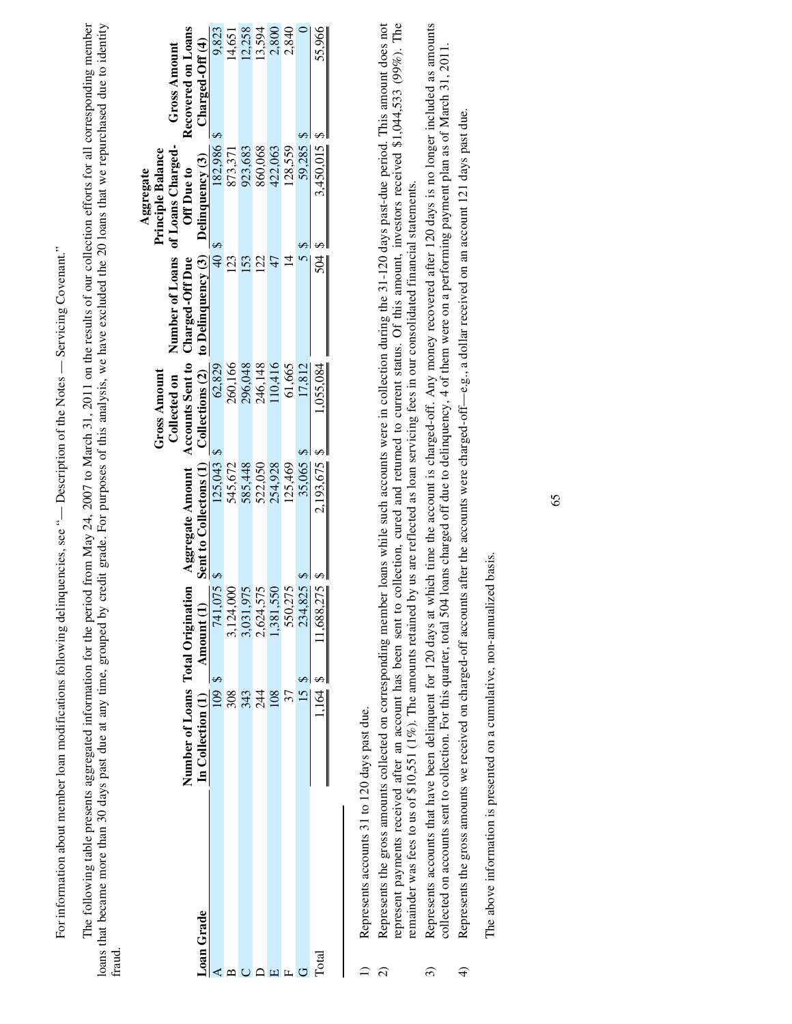For information about member loan modifications following delinquencies, see "- Description of the Notes - Servicing Covenant." For information about member loan modifications following delinquencies, see "— Description of the Notes — Servicing Covenant."

loans that became more than 30 days past due at any time, grouped by credit grade. For purposes of this analysis, we have excluded the 20 loans that we repurchased due to identity The following table presents aggregated information for the period from May 24, 2007 to March 31, 2011 on the results of our collection efforts for all corresponding member The following table presents aggregated information for the period from May 24, 2007 to March 31, 2011 on the results of our collection efforts for all corresponding member loans that became more than 30 days past due at any time, grouped by credit grade. For purposes of this analysis, we have excluded the 20 loans that we repurchased due to identity fraud.

|            |                                  |                        |                                                   |              |                                    | Aggregate                         |                     |
|------------|----------------------------------|------------------------|---------------------------------------------------|--------------|------------------------------------|-----------------------------------|---------------------|
|            |                                  |                        |                                                   | Gross Amount |                                    | <b>Principle Balance</b>          |                     |
|            |                                  |                        |                                                   | Collected on |                                    | Number of Loans of Loans Charged- | <b>Gross Amount</b> |
|            | Number of Loans Total Originatio | F                      | Aggregate Amount Accounts Sent to Charged-Off Due |              |                                    | Off Due to                        | Recovered on Loans  |
| Loan Grade | In Collection (1)                | Amount (1)             | Sent to Collectons (1)                            |              | Collections (2) to Delinquency (3) | Delinquency (3)                   | Charged-Off (4)     |
|            | 109                              | 741,07                 | 125,043                                           | 62,829       | ्<br>स                             | 182,986 \$                        | 9,823               |
|            | 308                              | ,124,00                | 545,672                                           | 260,166      | 123                                | 373,371                           | 14,651              |
|            | 344                              |                        | 585,448                                           | 296,048      | <b>53</b>                          | 923,683                           | 12,258              |
|            |                                  | 3,031,975<br>2,624,575 | 522,050                                           | 246,148      | S                                  | 860,068                           | 13,594              |
|            | 108                              | , 381, 55              | 254,928                                           | 10,416       |                                    | 422,063                           | 2,800               |
|            |                                  | 550,27                 | 125,469                                           | 61,665       |                                    | 128,559                           | 2,840               |
|            |                                  | 234,82                 | 35,065                                            | 17,812       |                                    | 59,285                            |                     |
| Total      |                                  | 588.27                 | 2,193,675                                         | .055.084     | 50 <sub>q</sub>                    | 3,450,015                         | 55.966              |
|            |                                  |                        |                                                   |              |                                    |                                   |                     |

1) Represents accounts 31 to 120 days past due. Represents accounts 31 to 120 days past due.  $\Omega$ 

2) Represents the gross amounts collected on corresponding member loans while such accounts were in collection during the 31-120 days past-due period. This amount does not Represents the gross amounts collected on corresponding member loans while such accounts were in collection during the 31-120 days past-due period. This amount does not represent payments received after an account has been sent to collection, cured and returned to current status. Of this amount, investors received \$1,044,533 (99%). The represent payments received after an account has been sent to collection, cured and returned to current status. Of this amount, investors received \$1,044,533 (99%). The remainder was fees to us of \$10,551 (1%). The amounts retained by us are reflected as loan servicing fees in our consolidated financial statements. remainder was fees to us of \$10,551 (1%). The amounts retained by us are reflected as loan servicing fees in our consolidated financial statements.  $\widehat{\infty}$ 

3) Represents accounts that have been delinquent for 120 days at which time the account is charged-off. Any money recovered after 120 days is no longer included as amounts Represents accounts that have been delinquent for 120 days at which time the account is charged-off. Any money recovered after 120 days is no longer included as amounts collected on accounts sent to collection. For this qu collected on accounts sent to collection. For this quarter, total 504 loans charged off due to delinquency, 4 of them were on a performing payment plan as of March 31, 2011.  $\widehat{\mathfrak{D}}$ 

Represents the gross amounts we received on charged-off accounts after the accounts were charged-off—e.g., a dollar received on an account 121 days past due. Represents the gross amounts we received on charged-off accounts after the accounts were charged-off—e.g., a dollar received on an account 121 days past due.  $\widehat{+}$ 

The above information is presented on a cumulative, non-annualized basis. The above information is presented on a cumulative, non-annualized basis.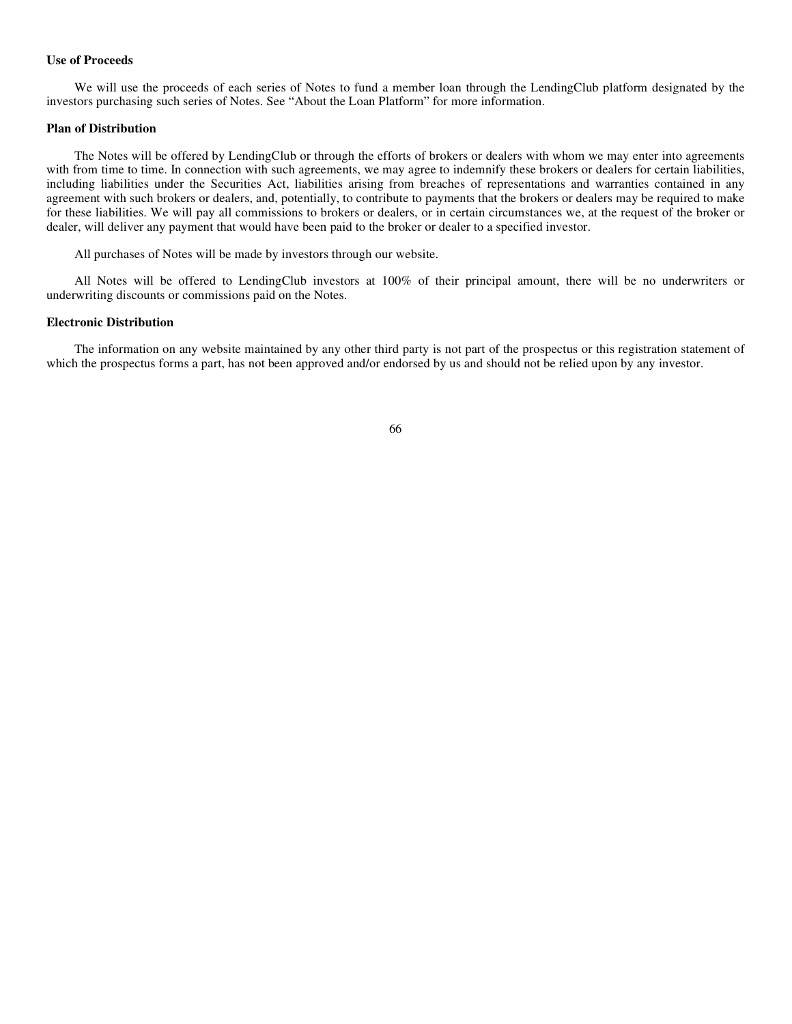### **Use of Proceeds**

We will use the proceeds of each series of Notes to fund a member loan through the LendingClub platform designated by the investors purchasing such series of Notes. See "About the Loan Platform" for more information.

#### **Plan of Distribution**

The Notes will be offered by LendingClub or through the efforts of brokers or dealers with whom we may enter into agreements with from time to time. In connection with such agreements, we may agree to indemnify these brokers or dealers for certain liabilities, including liabilities under the Securities Act, liabilities arising from breaches of representations and warranties contained in any agreement with such brokers or dealers, and, potentially, to contribute to payments that the brokers or dealers may be required to make for these liabilities. We will pay all commissions to brokers or dealers, or in certain circumstances we, at the request of the broker or dealer, will deliver any payment that would have been paid to the broker or dealer to a specified investor.

All purchases of Notes will be made by investors through our website.

All Notes will be offered to LendingClub investors at 100% of their principal amount, there will be no underwriters or underwriting discounts or commissions paid on the Notes.

#### **Electronic Distribution**

The information on any website maintained by any other third party is not part of the prospectus or this registration statement of which the prospectus forms a part, has not been approved and/or endorsed by us and should not be relied upon by any investor.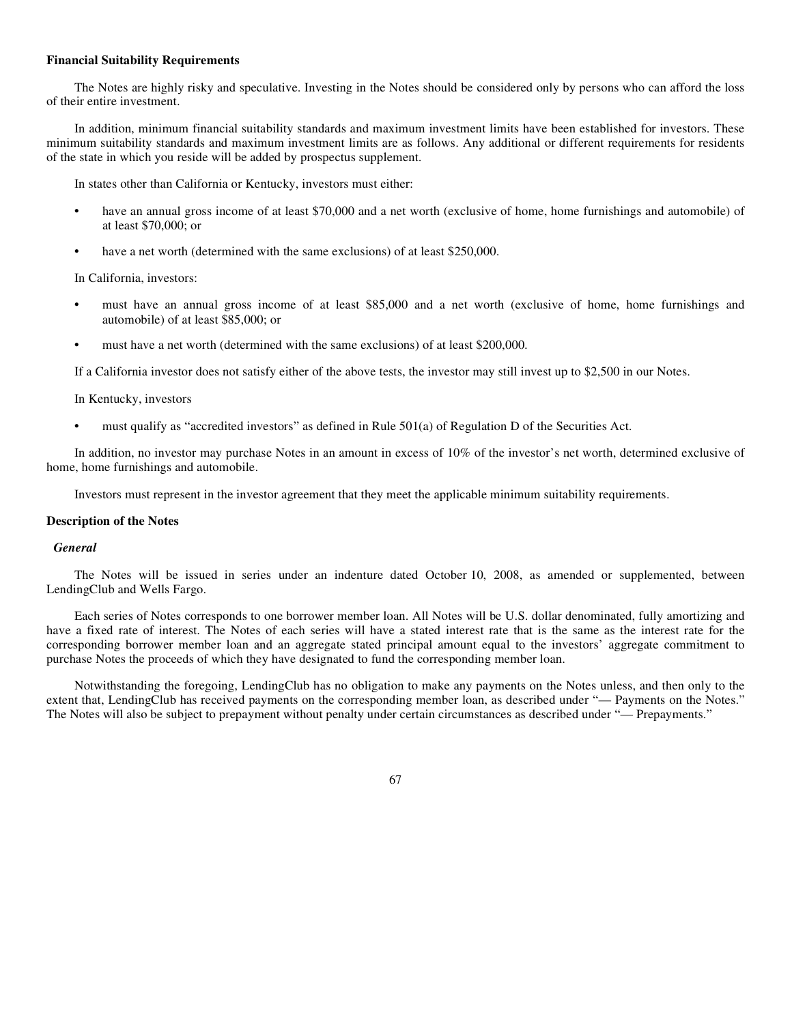### **Financial Suitability Requirements**

The Notes are highly risky and speculative. Investing in the Notes should be considered only by persons who can afford the loss of their entire investment.

In addition, minimum financial suitability standards and maximum investment limits have been established for investors. These minimum suitability standards and maximum investment limits are as follows. Any additional or different requirements for residents of the state in which you reside will be added by prospectus supplement.

In states other than California or Kentucky, investors must either:

- **•** have an annual gross income of at least \$70,000 and a net worth (exclusive of home, home furnishings and automobile) of at least \$70,000; or
- have a net worth (determined with the same exclusions) of at least \$250,000.

In California, investors:

- **•** must have an annual gross income of at least \$85,000 and a net worth (exclusive of home, home furnishings and automobile) of at least \$85,000; or
- **•** must have a net worth (determined with the same exclusions) of at least \$200,000.

If a California investor does not satisfy either of the above tests, the investor may still invest up to \$2,500 in our Notes.

In Kentucky, investors

**•** must qualify as "accredited investors" as defined in Rule 501(a) of Regulation D of the Securities Act.

In addition, no investor may purchase Notes in an amount in excess of 10% of the investor's net worth, determined exclusive of home, home furnishings and automobile.

Investors must represent in the investor agreement that they meet the applicable minimum suitability requirements.

### **Description of the Notes**

# *General*

The Notes will be issued in series under an indenture dated October 10, 2008, as amended or supplemented, between LendingClub and Wells Fargo.

Each series of Notes corresponds to one borrower member loan. All Notes will be U.S. dollar denominated, fully amortizing and have a fixed rate of interest. The Notes of each series will have a stated interest rate that is the same as the interest rate for the corresponding borrower member loan and an aggregate stated principal amount equal to the investors' aggregate commitment to purchase Notes the proceeds of which they have designated to fund the corresponding member loan.

Notwithstanding the foregoing, LendingClub has no obligation to make any payments on the Notes unless, and then only to the extent that, LendingClub has received payments on the corresponding member loan, as described under "— Payments on the Notes." The Notes will also be subject to prepayment without penalty under certain circumstances as described under "— Prepayments."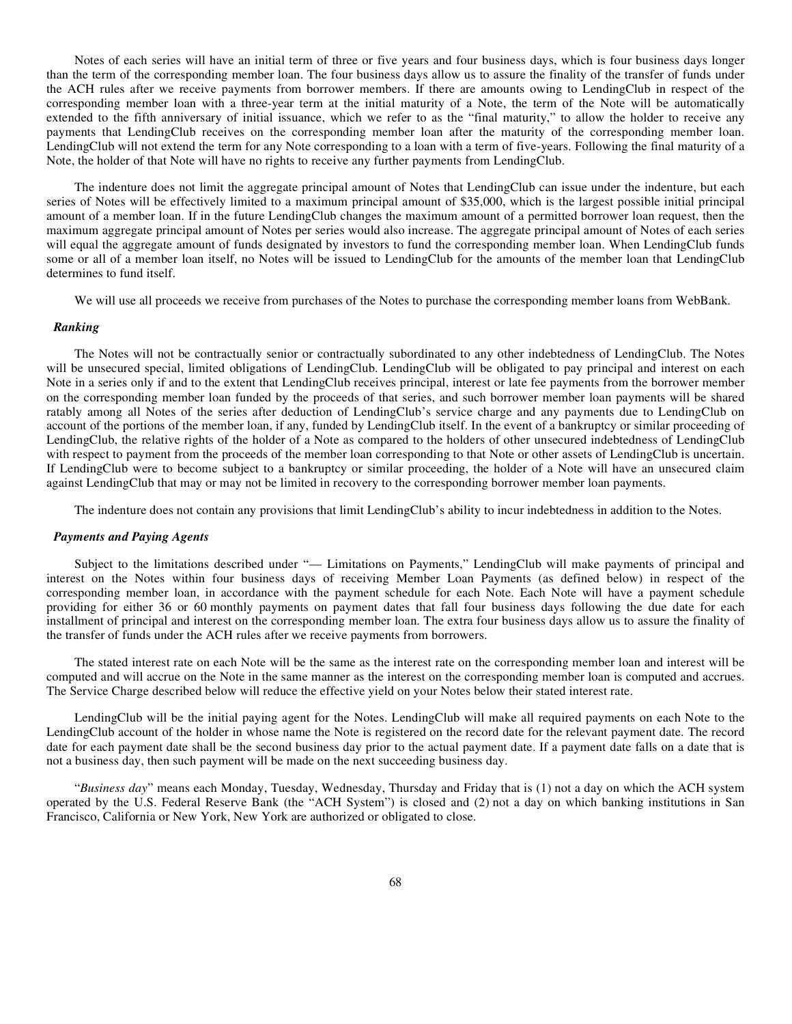Notes of each series will have an initial term of three or five years and four business days, which is four business days longer than the term of the corresponding member loan. The four business days allow us to assure the finality of the transfer of funds under the ACH rules after we receive payments from borrower members. If there are amounts owing to LendingClub in respect of the corresponding member loan with a three-year term at the initial maturity of a Note, the term of the Note will be automatically extended to the fifth anniversary of initial issuance, which we refer to as the "final maturity," to allow the holder to receive any payments that LendingClub receives on the corresponding member loan after the maturity of the corresponding member loan. LendingClub will not extend the term for any Note corresponding to a loan with a term of five-years. Following the final maturity of a Note, the holder of that Note will have no rights to receive any further payments from LendingClub.

The indenture does not limit the aggregate principal amount of Notes that LendingClub can issue under the indenture, but each series of Notes will be effectively limited to a maximum principal amount of \$35,000, which is the largest possible initial principal amount of a member loan. If in the future LendingClub changes the maximum amount of a permitted borrower loan request, then the maximum aggregate principal amount of Notes per series would also increase. The aggregate principal amount of Notes of each series will equal the aggregate amount of funds designated by investors to fund the corresponding member loan. When LendingClub funds some or all of a member loan itself, no Notes will be issued to LendingClub for the amounts of the member loan that LendingClub determines to fund itself.

We will use all proceeds we receive from purchases of the Notes to purchase the corresponding member loans from WebBank.

### *Ranking*

The Notes will not be contractually senior or contractually subordinated to any other indebtedness of LendingClub. The Notes will be unsecured special, limited obligations of LendingClub. LendingClub will be obligated to pay principal and interest on each Note in a series only if and to the extent that LendingClub receives principal, interest or late fee payments from the borrower member on the corresponding member loan funded by the proceeds of that series, and such borrower member loan payments will be shared ratably among all Notes of the series after deduction of LendingClub's service charge and any payments due to LendingClub on account of the portions of the member loan, if any, funded by LendingClub itself. In the event of a bankruptcy or similar proceeding of LendingClub, the relative rights of the holder of a Note as compared to the holders of other unsecured indebtedness of LendingClub with respect to payment from the proceeds of the member loan corresponding to that Note or other assets of LendingClub is uncertain. If LendingClub were to become subject to a bankruptcy or similar proceeding, the holder of a Note will have an unsecured claim against LendingClub that may or may not be limited in recovery to the corresponding borrower member loan payments.

The indenture does not contain any provisions that limit LendingClub's ability to incur indebtedness in addition to the Notes.

### *Payments and Paying Agents*

Subject to the limitations described under "— Limitations on Payments," LendingClub will make payments of principal and interest on the Notes within four business days of receiving Member Loan Payments (as defined below) in respect of the corresponding member loan, in accordance with the payment schedule for each Note. Each Note will have a payment schedule providing for either 36 or 60 monthly payments on payment dates that fall four business days following the due date for each installment of principal and interest on the corresponding member loan. The extra four business days allow us to assure the finality of the transfer of funds under the ACH rules after we receive payments from borrowers.

The stated interest rate on each Note will be the same as the interest rate on the corresponding member loan and interest will be computed and will accrue on the Note in the same manner as the interest on the corresponding member loan is computed and accrues. The Service Charge described below will reduce the effective yield on your Notes below their stated interest rate.

LendingClub will be the initial paying agent for the Notes. LendingClub will make all required payments on each Note to the LendingClub account of the holder in whose name the Note is registered on the record date for the relevant payment date. The record date for each payment date shall be the second business day prior to the actual payment date. If a payment date falls on a date that is not a business day, then such payment will be made on the next succeeding business day.

"*Business day*" means each Monday, Tuesday, Wednesday, Thursday and Friday that is (1) not a day on which the ACH system operated by the U.S. Federal Reserve Bank (the "ACH System") is closed and (2) not a day on which banking institutions in San Francisco, California or New York, New York are authorized or obligated to close.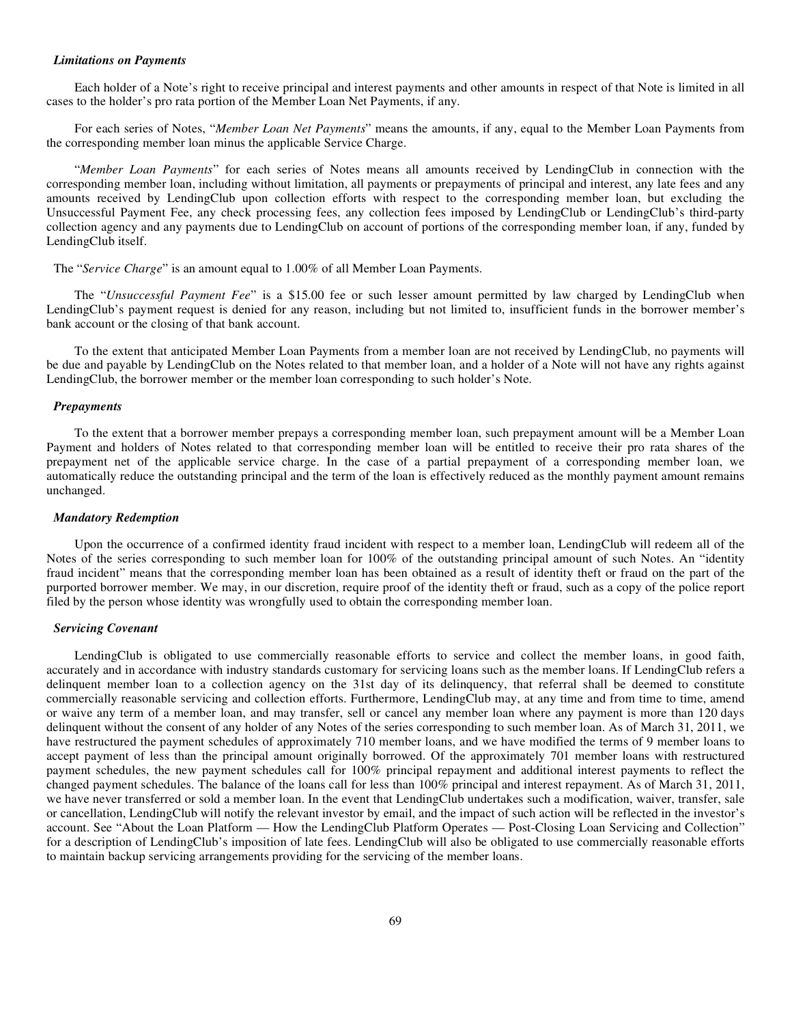#### *Limitations on Payments*

Each holder of a Note's right to receive principal and interest payments and other amounts in respect of that Note is limited in all cases to the holder's pro rata portion of the Member Loan Net Payments, if any.

For each series of Notes, "*Member Loan Net Payments*" means the amounts, if any, equal to the Member Loan Payments from the corresponding member loan minus the applicable Service Charge.

"*Member Loan Payments*" for each series of Notes means all amounts received by LendingClub in connection with the corresponding member loan, including without limitation, all payments or prepayments of principal and interest, any late fees and any amounts received by LendingClub upon collection efforts with respect to the corresponding member loan, but excluding the Unsuccessful Payment Fee, any check processing fees, any collection fees imposed by LendingClub or LendingClub's third-party collection agency and any payments due to LendingClub on account of portions of the corresponding member loan, if any, funded by LendingClub itself.

The "*Service Charge*" is an amount equal to 1.00% of all Member Loan Payments.

The "*Unsuccessful Payment Fee*" is a \$15.00 fee or such lesser amount permitted by law charged by LendingClub when LendingClub's payment request is denied for any reason, including but not limited to, insufficient funds in the borrower member's bank account or the closing of that bank account.

To the extent that anticipated Member Loan Payments from a member loan are not received by LendingClub, no payments will be due and payable by LendingClub on the Notes related to that member loan, and a holder of a Note will not have any rights against LendingClub, the borrower member or the member loan corresponding to such holder's Note.

### *Prepayments*

To the extent that a borrower member prepays a corresponding member loan, such prepayment amount will be a Member Loan Payment and holders of Notes related to that corresponding member loan will be entitled to receive their pro rata shares of the prepayment net of the applicable service charge. In the case of a partial prepayment of a corresponding member loan, we automatically reduce the outstanding principal and the term of the loan is effectively reduced as the monthly payment amount remains unchanged.

#### *Mandatory Redemption*

Upon the occurrence of a confirmed identity fraud incident with respect to a member loan, LendingClub will redeem all of the Notes of the series corresponding to such member loan for 100% of the outstanding principal amount of such Notes. An "identity fraud incident" means that the corresponding member loan has been obtained as a result of identity theft or fraud on the part of the purported borrower member. We may, in our discretion, require proof of the identity theft or fraud, such as a copy of the police report filed by the person whose identity was wrongfully used to obtain the corresponding member loan.

#### *Servicing Covenant*

LendingClub is obligated to use commercially reasonable efforts to service and collect the member loans, in good faith, accurately and in accordance with industry standards customary for servicing loans such as the member loans. If LendingClub refers a delinquent member loan to a collection agency on the 31st day of its delinquency, that referral shall be deemed to constitute commercially reasonable servicing and collection efforts. Furthermore, LendingClub may, at any time and from time to time, amend or waive any term of a member loan, and may transfer, sell or cancel any member loan where any payment is more than 120 days delinquent without the consent of any holder of any Notes of the series corresponding to such member loan. As of March 31, 2011, we have restructured the payment schedules of approximately 710 member loans, and we have modified the terms of 9 member loans to accept payment of less than the principal amount originally borrowed. Of the approximately 701 member loans with restructured payment schedules, the new payment schedules call for 100% principal repayment and additional interest payments to reflect the changed payment schedules. The balance of the loans call for less than 100% principal and interest repayment. As of March 31, 2011, we have never transferred or sold a member loan. In the event that LendingClub undertakes such a modification, waiver, transfer, sale or cancellation, LendingClub will notify the relevant investor by email, and the impact of such action will be reflected in the investor's account. See "About the Loan Platform — How the LendingClub Platform Operates — Post-Closing Loan Servicing and Collection" for a description of LendingClub's imposition of late fees. LendingClub will also be obligated to use commercially reasonable efforts to maintain backup servicing arrangements providing for the servicing of the member loans.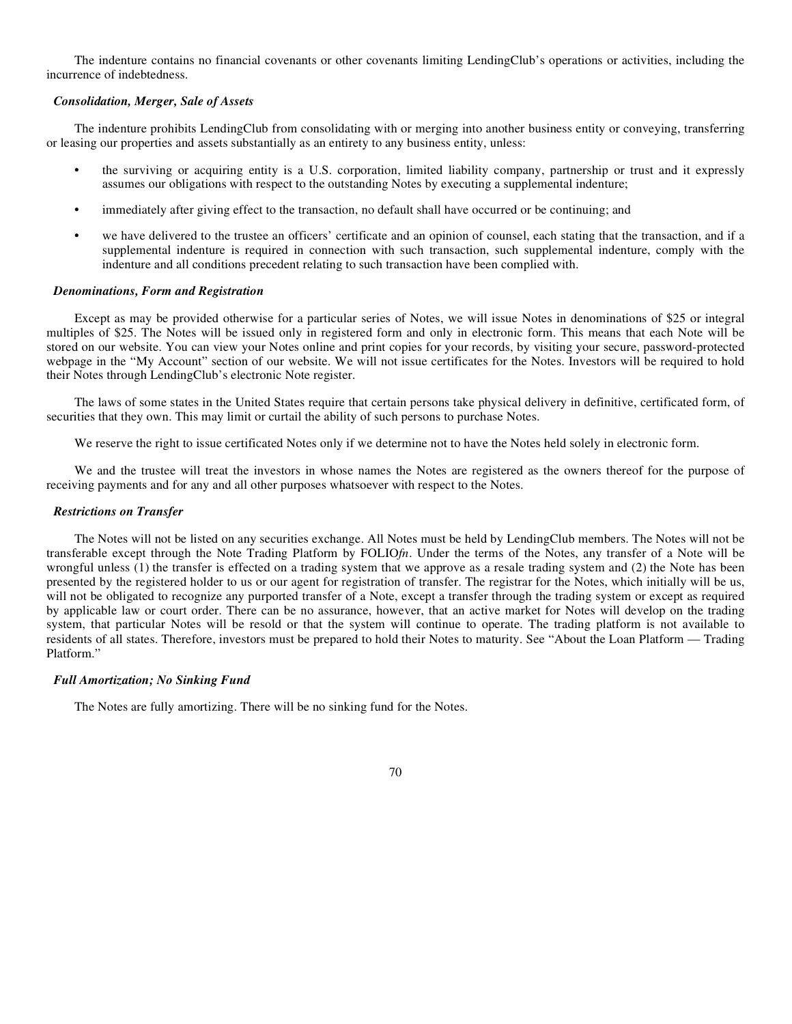The indenture contains no financial covenants or other covenants limiting LendingClub's operations or activities, including the incurrence of indebtedness.

#### *Consolidation, Merger, Sale of Assets*

The indenture prohibits LendingClub from consolidating with or merging into another business entity or conveying, transferring or leasing our properties and assets substantially as an entirety to any business entity, unless:

- **•** the surviving or acquiring entity is a U.S. corporation, limited liability company, partnership or trust and it expressly assumes our obligations with respect to the outstanding Notes by executing a supplemental indenture;
- **•** immediately after giving effect to the transaction, no default shall have occurred or be continuing; and
- **•** we have delivered to the trustee an officers' certificate and an opinion of counsel, each stating that the transaction, and if a supplemental indenture is required in connection with such transaction, such supplemental indenture, comply with the indenture and all conditions precedent relating to such transaction have been complied with.

### *Denominations, Form and Registration*

Except as may be provided otherwise for a particular series of Notes, we will issue Notes in denominations of \$25 or integral multiples of \$25. The Notes will be issued only in registered form and only in electronic form. This means that each Note will be stored on our website. You can view your Notes online and print copies for your records, by visiting your secure, password-protected webpage in the "My Account" section of our website. We will not issue certificates for the Notes. Investors will be required to hold their Notes through LendingClub's electronic Note register.

The laws of some states in the United States require that certain persons take physical delivery in definitive, certificated form, of securities that they own. This may limit or curtail the ability of such persons to purchase Notes.

We reserve the right to issue certificated Notes only if we determine not to have the Notes held solely in electronic form.

We and the trustee will treat the investors in whose names the Notes are registered as the owners thereof for the purpose of receiving payments and for any and all other purposes whatsoever with respect to the Notes.

#### *Restrictions on Transfer*

The Notes will not be listed on any securities exchange. All Notes must be held by LendingClub members. The Notes will not be transferable except through the Note Trading Platform by FOLIO*fn*. Under the terms of the Notes, any transfer of a Note will be wrongful unless (1) the transfer is effected on a trading system that we approve as a resale trading system and (2) the Note has been presented by the registered holder to us or our agent for registration of transfer. The registrar for the Notes, which initially will be us, will not be obligated to recognize any purported transfer of a Note, except a transfer through the trading system or except as required by applicable law or court order. There can be no assurance, however, that an active market for Notes will develop on the trading system, that particular Notes will be resold or that the system will continue to operate. The trading platform is not available to residents of all states. Therefore, investors must be prepared to hold their Notes to maturity. See "About the Loan Platform — Trading Platform."

### *Full Amortization; No Sinking Fund*

The Notes are fully amortizing. There will be no sinking fund for the Notes.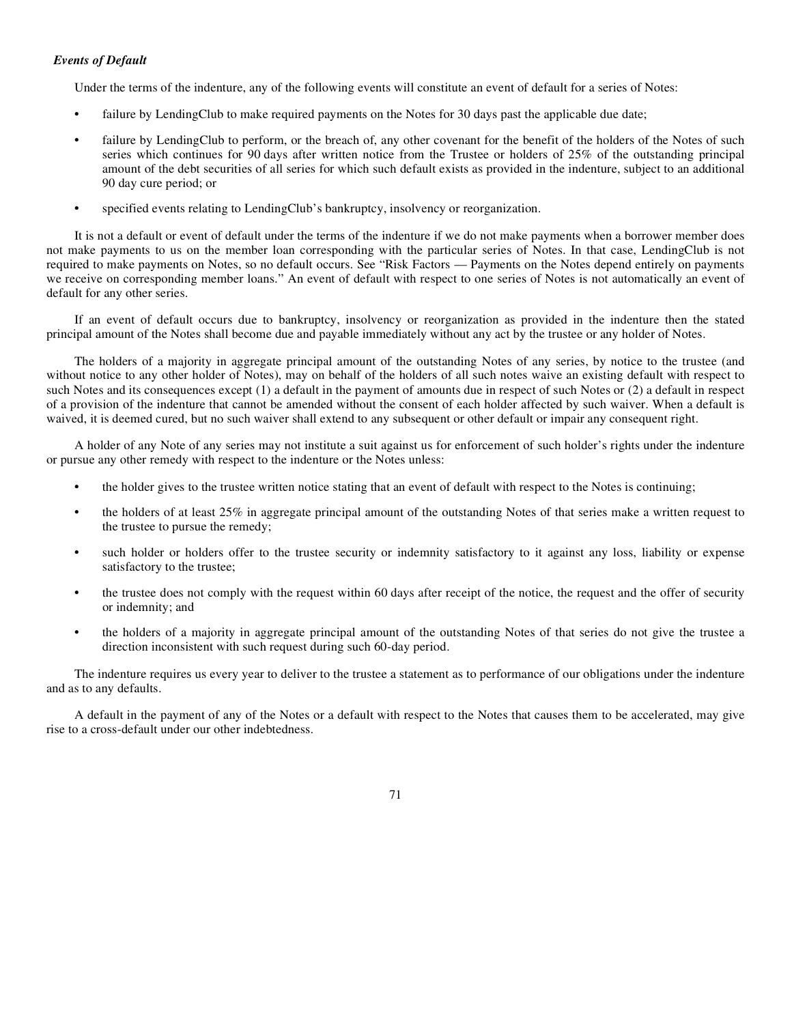# *Events of Default*

Under the terms of the indenture, any of the following events will constitute an event of default for a series of Notes:

- failure by LendingClub to make required payments on the Notes for 30 days past the applicable due date;
- failure by LendingClub to perform, or the breach of, any other covenant for the benefit of the holders of the Notes of such series which continues for 90 days after written notice from the Trustee or holders of 25% of the outstanding principal amount of the debt securities of all series for which such default exists as provided in the indenture, subject to an additional 90 day cure period; or
- specified events relating to LendingClub's bankruptcy, insolvency or reorganization.

It is not a default or event of default under the terms of the indenture if we do not make payments when a borrower member does not make payments to us on the member loan corresponding with the particular series of Notes. In that case, LendingClub is not required to make payments on Notes, so no default occurs. See "Risk Factors — Payments on the Notes depend entirely on payments we receive on corresponding member loans." An event of default with respect to one series of Notes is not automatically an event of default for any other series.

If an event of default occurs due to bankruptcy, insolvency or reorganization as provided in the indenture then the stated principal amount of the Notes shall become due and payable immediately without any act by the trustee or any holder of Notes.

The holders of a majority in aggregate principal amount of the outstanding Notes of any series, by notice to the trustee (and without notice to any other holder of Notes), may on behalf of the holders of all such notes waive an existing default with respect to such Notes and its consequences except (1) a default in the payment of amounts due in respect of such Notes or (2) a default in respect of a provision of the indenture that cannot be amended without the consent of each holder affected by such waiver. When a default is waived, it is deemed cured, but no such waiver shall extend to any subsequent or other default or impair any consequent right.

A holder of any Note of any series may not institute a suit against us for enforcement of such holder's rights under the indenture or pursue any other remedy with respect to the indenture or the Notes unless:

- **•** the holder gives to the trustee written notice stating that an event of default with respect to the Notes is continuing;
- the holders of at least 25% in aggregate principal amount of the outstanding Notes of that series make a written request to the trustee to pursue the remedy;
- such holder or holders offer to the trustee security or indemnity satisfactory to it against any loss, liability or expense satisfactory to the trustee;
- **•** the trustee does not comply with the request within 60 days after receipt of the notice, the request and the offer of security or indemnity; and
- **•** the holders of a majority in aggregate principal amount of the outstanding Notes of that series do not give the trustee a direction inconsistent with such request during such 60-day period.

The indenture requires us every year to deliver to the trustee a statement as to performance of our obligations under the indenture and as to any defaults.

A default in the payment of any of the Notes or a default with respect to the Notes that causes them to be accelerated, may give rise to a cross-default under our other indebtedness.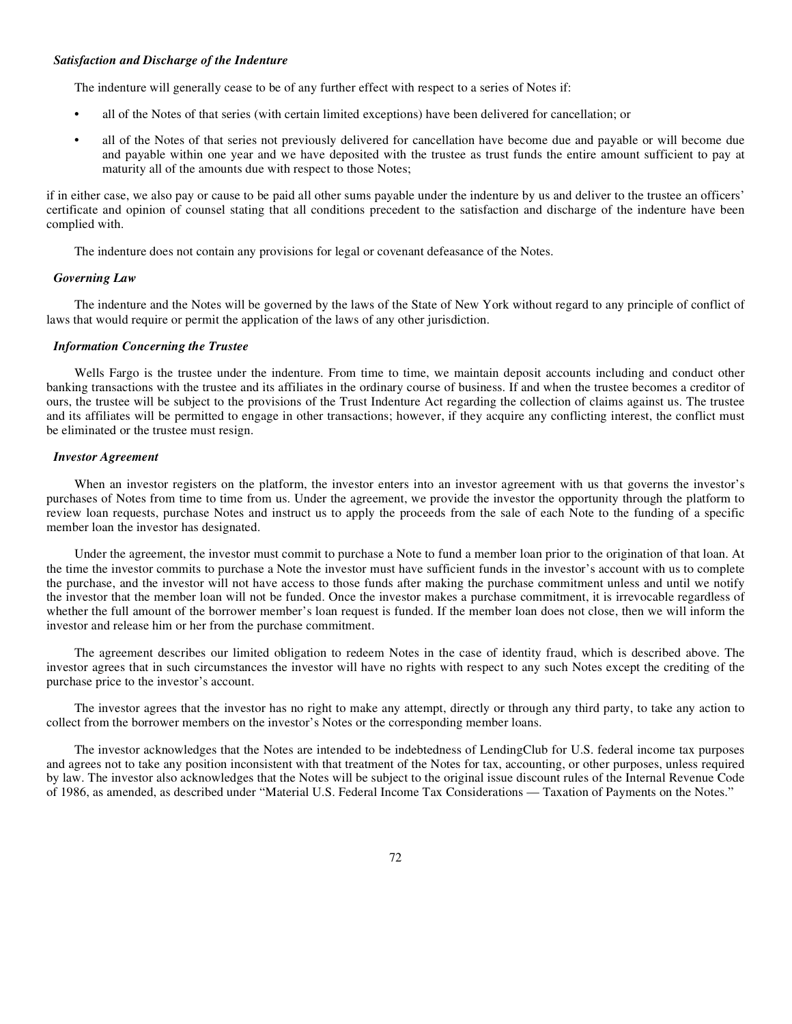#### *Satisfaction and Discharge of the Indenture*

The indenture will generally cease to be of any further effect with respect to a series of Notes if:

- **•** all of the Notes of that series (with certain limited exceptions) have been delivered for cancellation; or
- **•** all of the Notes of that series not previously delivered for cancellation have become due and payable or will become due and payable within one year and we have deposited with the trustee as trust funds the entire amount sufficient to pay at maturity all of the amounts due with respect to those Notes;

if in either case, we also pay or cause to be paid all other sums payable under the indenture by us and deliver to the trustee an officers' certificate and opinion of counsel stating that all conditions precedent to the satisfaction and discharge of the indenture have been complied with.

The indenture does not contain any provisions for legal or covenant defeasance of the Notes.

### *Governing Law*

The indenture and the Notes will be governed by the laws of the State of New York without regard to any principle of conflict of laws that would require or permit the application of the laws of any other jurisdiction.

### *Information Concerning the Trustee*

Wells Fargo is the trustee under the indenture. From time to time, we maintain deposit accounts including and conduct other banking transactions with the trustee and its affiliates in the ordinary course of business. If and when the trustee becomes a creditor of ours, the trustee will be subject to the provisions of the Trust Indenture Act regarding the collection of claims against us. The trustee and its affiliates will be permitted to engage in other transactions; however, if they acquire any conflicting interest, the conflict must be eliminated or the trustee must resign.

### *Investor Agreement*

When an investor registers on the platform, the investor enters into an investor agreement with us that governs the investor's purchases of Notes from time to time from us. Under the agreement, we provide the investor the opportunity through the platform to review loan requests, purchase Notes and instruct us to apply the proceeds from the sale of each Note to the funding of a specific member loan the investor has designated.

Under the agreement, the investor must commit to purchase a Note to fund a member loan prior to the origination of that loan. At the time the investor commits to purchase a Note the investor must have sufficient funds in the investor's account with us to complete the purchase, and the investor will not have access to those funds after making the purchase commitment unless and until we notify the investor that the member loan will not be funded. Once the investor makes a purchase commitment, it is irrevocable regardless of whether the full amount of the borrower member's loan request is funded. If the member loan does not close, then we will inform the investor and release him or her from the purchase commitment.

The agreement describes our limited obligation to redeem Notes in the case of identity fraud, which is described above. The investor agrees that in such circumstances the investor will have no rights with respect to any such Notes except the crediting of the purchase price to the investor's account.

The investor agrees that the investor has no right to make any attempt, directly or through any third party, to take any action to collect from the borrower members on the investor's Notes or the corresponding member loans.

The investor acknowledges that the Notes are intended to be indebtedness of LendingClub for U.S. federal income tax purposes and agrees not to take any position inconsistent with that treatment of the Notes for tax, accounting, or other purposes, unless required by law. The investor also acknowledges that the Notes will be subject to the original issue discount rules of the Internal Revenue Code of 1986, as amended, as described under "Material U.S. Federal Income Tax Considerations — Taxation of Payments on the Notes."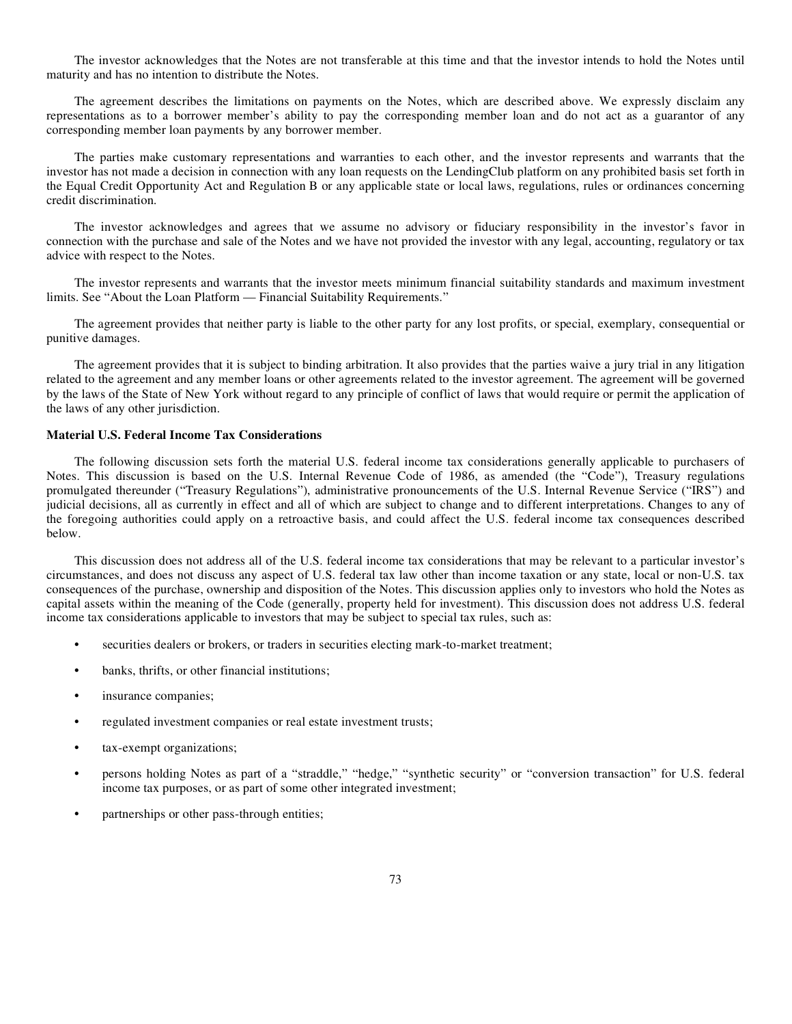The investor acknowledges that the Notes are not transferable at this time and that the investor intends to hold the Notes until maturity and has no intention to distribute the Notes.

The agreement describes the limitations on payments on the Notes, which are described above. We expressly disclaim any representations as to a borrower member's ability to pay the corresponding member loan and do not act as a guarantor of any corresponding member loan payments by any borrower member.

The parties make customary representations and warranties to each other, and the investor represents and warrants that the investor has not made a decision in connection with any loan requests on the LendingClub platform on any prohibited basis set forth in the Equal Credit Opportunity Act and Regulation B or any applicable state or local laws, regulations, rules or ordinances concerning credit discrimination.

The investor acknowledges and agrees that we assume no advisory or fiduciary responsibility in the investor's favor in connection with the purchase and sale of the Notes and we have not provided the investor with any legal, accounting, regulatory or tax advice with respect to the Notes.

The investor represents and warrants that the investor meets minimum financial suitability standards and maximum investment limits. See "About the Loan Platform — Financial Suitability Requirements."

The agreement provides that neither party is liable to the other party for any lost profits, or special, exemplary, consequential or punitive damages.

The agreement provides that it is subject to binding arbitration. It also provides that the parties waive a jury trial in any litigation related to the agreement and any member loans or other agreements related to the investor agreement. The agreement will be governed by the laws of the State of New York without regard to any principle of conflict of laws that would require or permit the application of the laws of any other jurisdiction.

# **Material U.S. Federal Income Tax Considerations**

The following discussion sets forth the material U.S. federal income tax considerations generally applicable to purchasers of Notes. This discussion is based on the U.S. Internal Revenue Code of 1986, as amended (the "Code"), Treasury regulations promulgated thereunder ("Treasury Regulations"), administrative pronouncements of the U.S. Internal Revenue Service ("IRS") and judicial decisions, all as currently in effect and all of which are subject to change and to different interpretations. Changes to any of the foregoing authorities could apply on a retroactive basis, and could affect the U.S. federal income tax consequences described below.

This discussion does not address all of the U.S. federal income tax considerations that may be relevant to a particular investor's circumstances, and does not discuss any aspect of U.S. federal tax law other than income taxation or any state, local or non-U.S. tax consequences of the purchase, ownership and disposition of the Notes. This discussion applies only to investors who hold the Notes as capital assets within the meaning of the Code (generally, property held for investment). This discussion does not address U.S. federal income tax considerations applicable to investors that may be subject to special tax rules, such as:

- **•** securities dealers or brokers, or traders in securities electing mark-to-market treatment;
- banks, thrifts, or other financial institutions;
- **•** insurance companies;
- **•** regulated investment companies or real estate investment trusts;
- **•** tax-exempt organizations;
- **•** persons holding Notes as part of a "straddle," "hedge," "synthetic security" or "conversion transaction" for U.S. federal income tax purposes, or as part of some other integrated investment;
- **•** partnerships or other pass-through entities;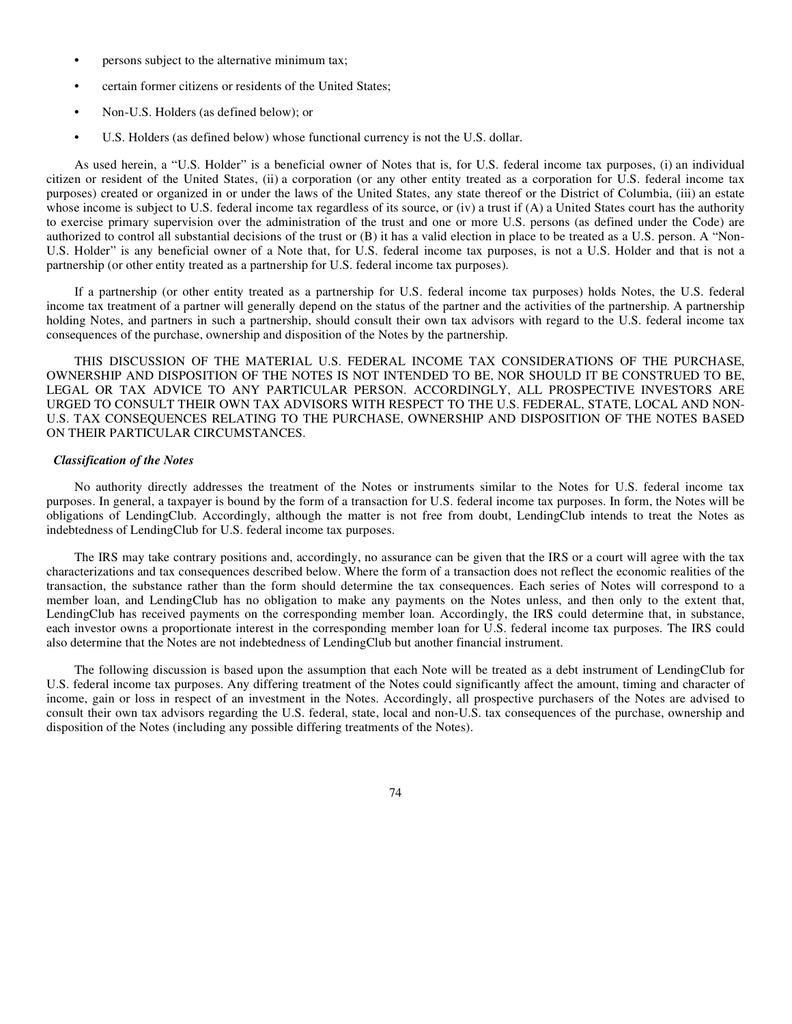- **•** persons subject to the alternative minimum tax;
- **•** certain former citizens or residents of the United States;
- **•** Non-U.S. Holders (as defined below); or
- **•** U.S. Holders (as defined below) whose functional currency is not the U.S. dollar.

As used herein, a "U.S. Holder" is a beneficial owner of Notes that is, for U.S. federal income tax purposes, (i) an individual citizen or resident of the United States, (ii) a corporation (or any other entity treated as a corporation for U.S. federal income tax purposes) created or organized in or under the laws of the United States, any state thereof or the District of Columbia, (iii) an estate whose income is subject to U.S. federal income tax regardless of its source, or (iv) a trust if (A) a United States court has the authority to exercise primary supervision over the administration of the trust and one or more U.S. persons (as defined under the Code) are authorized to control all substantial decisions of the trust or (B) it has a valid election in place to be treated as a U.S. person. A "Non-U.S. Holder" is any beneficial owner of a Note that, for U.S. federal income tax purposes, is not a U.S. Holder and that is not a partnership (or other entity treated as a partnership for U.S. federal income tax purposes).

If a partnership (or other entity treated as a partnership for U.S. federal income tax purposes) holds Notes, the U.S. federal income tax treatment of a partner will generally depend on the status of the partner and the activities of the partnership. A partnership holding Notes, and partners in such a partnership, should consult their own tax advisors with regard to the U.S. federal income tax consequences of the purchase, ownership and disposition of the Notes by the partnership.

THIS DISCUSSION OF THE MATERIAL U.S. FEDERAL INCOME TAX CONSIDERATIONS OF THE PURCHASE, OWNERSHIP AND DISPOSITION OF THE NOTES IS NOT INTENDED TO BE, NOR SHOULD IT BE CONSTRUED TO BE, LEGAL OR TAX ADVICE TO ANY PARTICULAR PERSON. ACCORDINGLY, ALL PROSPECTIVE INVESTORS ARE URGED TO CONSULT THEIR OWN TAX ADVISORS WITH RESPECT TO THE U.S. FEDERAL, STATE, LOCAL AND NON-U.S. TAX CONSEQUENCES RELATING TO THE PURCHASE, OWNERSHIP AND DISPOSITION OF THE NOTES BASED ON THEIR PARTICULAR CIRCUMSTANCES.

### *Classification of the Notes*

No authority directly addresses the treatment of the Notes or instruments similar to the Notes for U.S. federal income tax purposes. In general, a taxpayer is bound by the form of a transaction for U.S. federal income tax purposes. In form, the Notes will be obligations of LendingClub. Accordingly, although the matter is not free from doubt, LendingClub intends to treat the Notes as indebtedness of LendingClub for U.S. federal income tax purposes.

The IRS may take contrary positions and, accordingly, no assurance can be given that the IRS or a court will agree with the tax characterizations and tax consequences described below. Where the form of a transaction does not reflect the economic realities of the transaction, the substance rather than the form should determine the tax consequences. Each series of Notes will correspond to a member loan, and LendingClub has no obligation to make any payments on the Notes unless, and then only to the extent that, LendingClub has received payments on the corresponding member loan. Accordingly, the IRS could determine that, in substance, each investor owns a proportionate interest in the corresponding member loan for U.S. federal income tax purposes. The IRS could also determine that the Notes are not indebtedness of LendingClub but another financial instrument.

The following discussion is based upon the assumption that each Note will be treated as a debt instrument of LendingClub for U.S. federal income tax purposes. Any differing treatment of the Notes could significantly affect the amount, timing and character of income, gain or loss in respect of an investment in the Notes. Accordingly, all prospective purchasers of the Notes are advised to consult their own tax advisors regarding the U.S. federal, state, local and non-U.S. tax consequences of the purchase, ownership and disposition of the Notes (including any possible differing treatments of the Notes).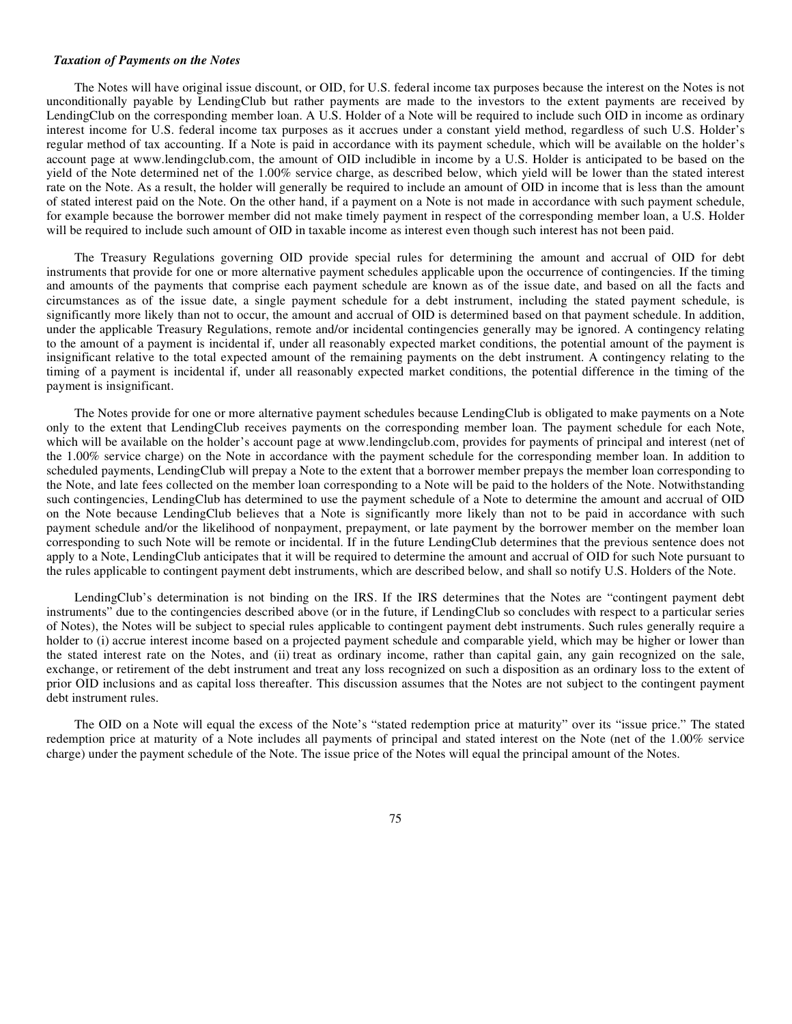#### *Taxation of Payments on the Notes*

The Notes will have original issue discount, or OID, for U.S. federal income tax purposes because the interest on the Notes is not unconditionally payable by LendingClub but rather payments are made to the investors to the extent payments are received by LendingClub on the corresponding member loan. A U.S. Holder of a Note will be required to include such OID in income as ordinary interest income for U.S. federal income tax purposes as it accrues under a constant yield method, regardless of such U.S. Holder's regular method of tax accounting. If a Note is paid in accordance with its payment schedule, which will be available on the holder's account page at www.lendingclub.com, the amount of OID includible in income by a U.S. Holder is anticipated to be based on the yield of the Note determined net of the 1.00% service charge, as described below, which yield will be lower than the stated interest rate on the Note. As a result, the holder will generally be required to include an amount of OID in income that is less than the amount of stated interest paid on the Note. On the other hand, if a payment on a Note is not made in accordance with such payment schedule, for example because the borrower member did not make timely payment in respect of the corresponding member loan, a U.S. Holder will be required to include such amount of OID in taxable income as interest even though such interest has not been paid.

The Treasury Regulations governing OID provide special rules for determining the amount and accrual of OID for debt instruments that provide for one or more alternative payment schedules applicable upon the occurrence of contingencies. If the timing and amounts of the payments that comprise each payment schedule are known as of the issue date, and based on all the facts and circumstances as of the issue date, a single payment schedule for a debt instrument, including the stated payment schedule, is significantly more likely than not to occur, the amount and accrual of OID is determined based on that payment schedule. In addition, under the applicable Treasury Regulations, remote and/or incidental contingencies generally may be ignored. A contingency relating to the amount of a payment is incidental if, under all reasonably expected market conditions, the potential amount of the payment is insignificant relative to the total expected amount of the remaining payments on the debt instrument. A contingency relating to the timing of a payment is incidental if, under all reasonably expected market conditions, the potential difference in the timing of the payment is insignificant.

The Notes provide for one or more alternative payment schedules because LendingClub is obligated to make payments on a Note only to the extent that LendingClub receives payments on the corresponding member loan. The payment schedule for each Note, which will be available on the holder's account page at www.lendingclub.com, provides for payments of principal and interest (net of the 1.00% service charge) on the Note in accordance with the payment schedule for the corresponding member loan. In addition to scheduled payments, LendingClub will prepay a Note to the extent that a borrower member prepays the member loan corresponding to the Note, and late fees collected on the member loan corresponding to a Note will be paid to the holders of the Note. Notwithstanding such contingencies, LendingClub has determined to use the payment schedule of a Note to determine the amount and accrual of OID on the Note because LendingClub believes that a Note is significantly more likely than not to be paid in accordance with such payment schedule and/or the likelihood of nonpayment, prepayment, or late payment by the borrower member on the member loan corresponding to such Note will be remote or incidental. If in the future LendingClub determines that the previous sentence does not apply to a Note, LendingClub anticipates that it will be required to determine the amount and accrual of OID for such Note pursuant to the rules applicable to contingent payment debt instruments, which are described below, and shall so notify U.S. Holders of the Note.

LendingClub's determination is not binding on the IRS. If the IRS determines that the Notes are "contingent payment debt instruments" due to the contingencies described above (or in the future, if LendingClub so concludes with respect to a particular series of Notes), the Notes will be subject to special rules applicable to contingent payment debt instruments. Such rules generally require a holder to (i) accrue interest income based on a projected payment schedule and comparable yield, which may be higher or lower than the stated interest rate on the Notes, and (ii) treat as ordinary income, rather than capital gain, any gain recognized on the sale, exchange, or retirement of the debt instrument and treat any loss recognized on such a disposition as an ordinary loss to the extent of prior OID inclusions and as capital loss thereafter. This discussion assumes that the Notes are not subject to the contingent payment debt instrument rules.

The OID on a Note will equal the excess of the Note's "stated redemption price at maturity" over its "issue price." The stated redemption price at maturity of a Note includes all payments of principal and stated interest on the Note (net of the 1.00% service charge) under the payment schedule of the Note. The issue price of the Notes will equal the principal amount of the Notes.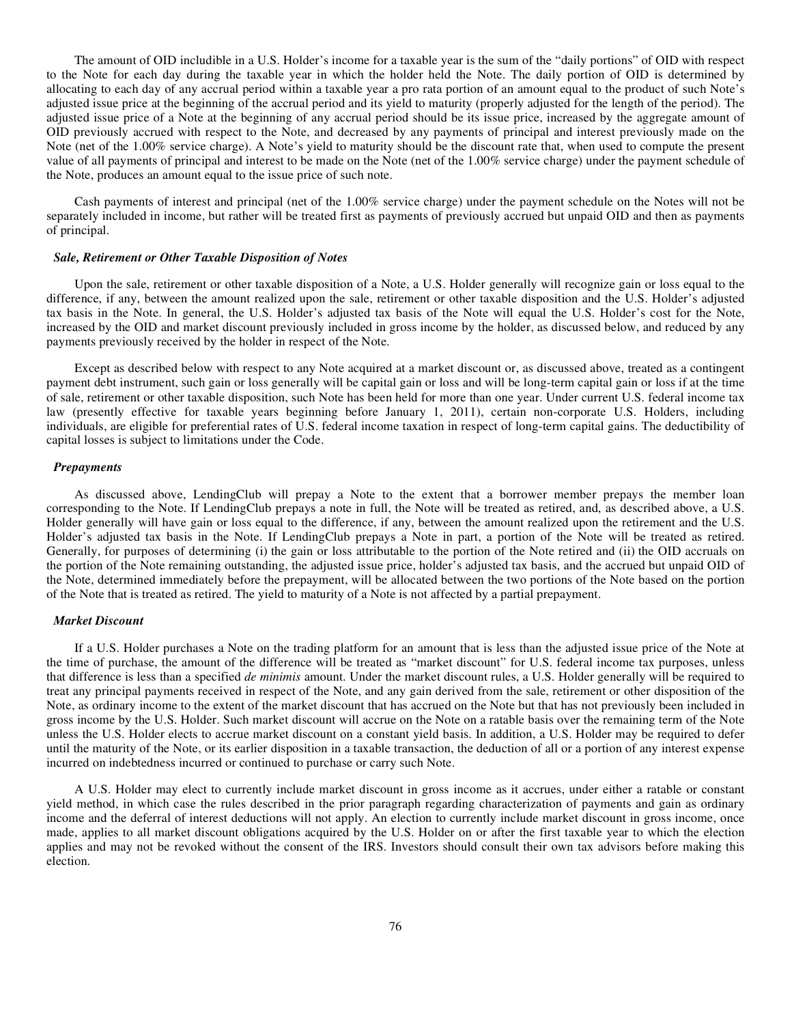The amount of OID includible in a U.S. Holder's income for a taxable year is the sum of the "daily portions" of OID with respect to the Note for each day during the taxable year in which the holder held the Note. The daily portion of OID is determined by allocating to each day of any accrual period within a taxable year a pro rata portion of an amount equal to the product of such Note's adjusted issue price at the beginning of the accrual period and its yield to maturity (properly adjusted for the length of the period). The adjusted issue price of a Note at the beginning of any accrual period should be its issue price, increased by the aggregate amount of OID previously accrued with respect to the Note, and decreased by any payments of principal and interest previously made on the Note (net of the 1.00% service charge). A Note's yield to maturity should be the discount rate that, when used to compute the present value of all payments of principal and interest to be made on the Note (net of the 1.00% service charge) under the payment schedule of the Note, produces an amount equal to the issue price of such note.

Cash payments of interest and principal (net of the 1.00% service charge) under the payment schedule on the Notes will not be separately included in income, but rather will be treated first as payments of previously accrued but unpaid OID and then as payments of principal.

## *Sale, Retirement or Other Taxable Disposition of Notes*

Upon the sale, retirement or other taxable disposition of a Note, a U.S. Holder generally will recognize gain or loss equal to the difference, if any, between the amount realized upon the sale, retirement or other taxable disposition and the U.S. Holder's adjusted tax basis in the Note. In general, the U.S. Holder's adjusted tax basis of the Note will equal the U.S. Holder's cost for the Note, increased by the OID and market discount previously included in gross income by the holder, as discussed below, and reduced by any payments previously received by the holder in respect of the Note.

Except as described below with respect to any Note acquired at a market discount or, as discussed above, treated as a contingent payment debt instrument, such gain or loss generally will be capital gain or loss and will be long-term capital gain or loss if at the time of sale, retirement or other taxable disposition, such Note has been held for more than one year. Under current U.S. federal income tax law (presently effective for taxable years beginning before January 1, 2011), certain non-corporate U.S. Holders, including individuals, are eligible for preferential rates of U.S. federal income taxation in respect of long-term capital gains. The deductibility of capital losses is subject to limitations under the Code.

## *Prepayments*

As discussed above, LendingClub will prepay a Note to the extent that a borrower member prepays the member loan corresponding to the Note. If LendingClub prepays a note in full, the Note will be treated as retired, and, as described above, a U.S. Holder generally will have gain or loss equal to the difference, if any, between the amount realized upon the retirement and the U.S. Holder's adjusted tax basis in the Note. If LendingClub prepays a Note in part, a portion of the Note will be treated as retired. Generally, for purposes of determining (i) the gain or loss attributable to the portion of the Note retired and (ii) the OID accruals on the portion of the Note remaining outstanding, the adjusted issue price, holder's adjusted tax basis, and the accrued but unpaid OID of the Note, determined immediately before the prepayment, will be allocated between the two portions of the Note based on the portion of the Note that is treated as retired. The yield to maturity of a Note is not affected by a partial prepayment.

### *Market Discount*

If a U.S. Holder purchases a Note on the trading platform for an amount that is less than the adjusted issue price of the Note at the time of purchase, the amount of the difference will be treated as "market discount" for U.S. federal income tax purposes, unless that difference is less than a specified *de minimis* amount. Under the market discount rules, a U.S. Holder generally will be required to treat any principal payments received in respect of the Note, and any gain derived from the sale, retirement or other disposition of the Note, as ordinary income to the extent of the market discount that has accrued on the Note but that has not previously been included in gross income by the U.S. Holder. Such market discount will accrue on the Note on a ratable basis over the remaining term of the Note unless the U.S. Holder elects to accrue market discount on a constant yield basis. In addition, a U.S. Holder may be required to defer until the maturity of the Note, or its earlier disposition in a taxable transaction, the deduction of all or a portion of any interest expense incurred on indebtedness incurred or continued to purchase or carry such Note.

A U.S. Holder may elect to currently include market discount in gross income as it accrues, under either a ratable or constant yield method, in which case the rules described in the prior paragraph regarding characterization of payments and gain as ordinary income and the deferral of interest deductions will not apply. An election to currently include market discount in gross income, once made, applies to all market discount obligations acquired by the U.S. Holder on or after the first taxable year to which the election applies and may not be revoked without the consent of the IRS. Investors should consult their own tax advisors before making this election.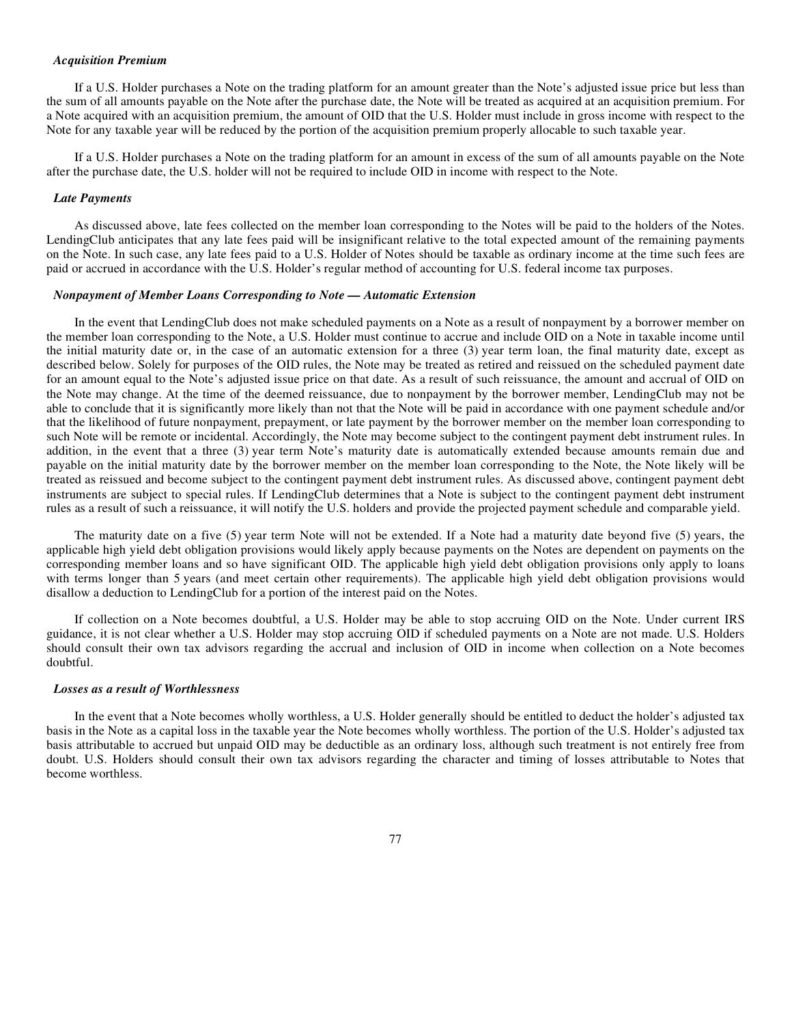#### *Acquisition Premium*

If a U.S. Holder purchases a Note on the trading platform for an amount greater than the Note's adjusted issue price but less than the sum of all amounts payable on the Note after the purchase date, the Note will be treated as acquired at an acquisition premium. For a Note acquired with an acquisition premium, the amount of OID that the U.S. Holder must include in gross income with respect to the Note for any taxable year will be reduced by the portion of the acquisition premium properly allocable to such taxable year.

If a U.S. Holder purchases a Note on the trading platform for an amount in excess of the sum of all amounts payable on the Note after the purchase date, the U.S. holder will not be required to include OID in income with respect to the Note.

## *Late Payments*

As discussed above, late fees collected on the member loan corresponding to the Notes will be paid to the holders of the Notes. LendingClub anticipates that any late fees paid will be insignificant relative to the total expected amount of the remaining payments on the Note. In such case, any late fees paid to a U.S. Holder of Notes should be taxable as ordinary income at the time such fees are paid or accrued in accordance with the U.S. Holder's regular method of accounting for U.S. federal income tax purposes.

## *Nonpayment of Member Loans Corresponding to Note — Automatic Extension*

In the event that LendingClub does not make scheduled payments on a Note as a result of nonpayment by a borrower member on the member loan corresponding to the Note, a U.S. Holder must continue to accrue and include OID on a Note in taxable income until the initial maturity date or, in the case of an automatic extension for a three (3) year term loan, the final maturity date, except as described below. Solely for purposes of the OID rules, the Note may be treated as retired and reissued on the scheduled payment date for an amount equal to the Note's adjusted issue price on that date. As a result of such reissuance, the amount and accrual of OID on the Note may change. At the time of the deemed reissuance, due to nonpayment by the borrower member, LendingClub may not be able to conclude that it is significantly more likely than not that the Note will be paid in accordance with one payment schedule and/or that the likelihood of future nonpayment, prepayment, or late payment by the borrower member on the member loan corresponding to such Note will be remote or incidental. Accordingly, the Note may become subject to the contingent payment debt instrument rules. In addition, in the event that a three (3) year term Note's maturity date is automatically extended because amounts remain due and payable on the initial maturity date by the borrower member on the member loan corresponding to the Note, the Note likely will be treated as reissued and become subject to the contingent payment debt instrument rules. As discussed above, contingent payment debt instruments are subject to special rules. If LendingClub determines that a Note is subject to the contingent payment debt instrument rules as a result of such a reissuance, it will notify the U.S. holders and provide the projected payment schedule and comparable yield.

The maturity date on a five (5) year term Note will not be extended. If a Note had a maturity date beyond five (5) years, the applicable high yield debt obligation provisions would likely apply because payments on the Notes are dependent on payments on the corresponding member loans and so have significant OID. The applicable high yield debt obligation provisions only apply to loans with terms longer than 5 years (and meet certain other requirements). The applicable high yield debt obligation provisions would disallow a deduction to LendingClub for a portion of the interest paid on the Notes.

If collection on a Note becomes doubtful, a U.S. Holder may be able to stop accruing OID on the Note. Under current IRS guidance, it is not clear whether a U.S. Holder may stop accruing OID if scheduled payments on a Note are not made. U.S. Holders should consult their own tax advisors regarding the accrual and inclusion of OID in income when collection on a Note becomes doubtful.

### *Losses as a result of Worthlessness*

In the event that a Note becomes wholly worthless, a U.S. Holder generally should be entitled to deduct the holder's adjusted tax basis in the Note as a capital loss in the taxable year the Note becomes wholly worthless. The portion of the U.S. Holder's adjusted tax basis attributable to accrued but unpaid OID may be deductible as an ordinary loss, although such treatment is not entirely free from doubt. U.S. Holders should consult their own tax advisors regarding the character and timing of losses attributable to Notes that become worthless.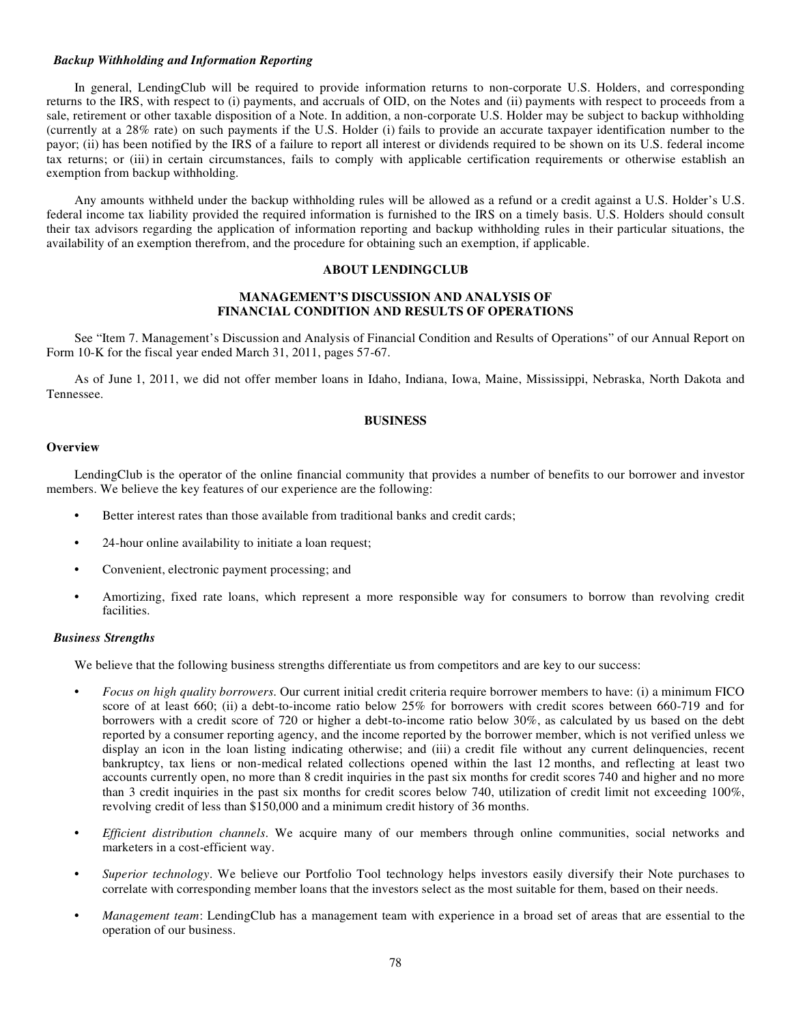# *Backup Withholding and Information Reporting*

In general, LendingClub will be required to provide information returns to non-corporate U.S. Holders, and corresponding returns to the IRS, with respect to (i) payments, and accruals of OID, on the Notes and (ii) payments with respect to proceeds from a sale, retirement or other taxable disposition of a Note. In addition, a non-corporate U.S. Holder may be subject to backup withholding (currently at a 28% rate) on such payments if the U.S. Holder (i) fails to provide an accurate taxpayer identification number to the payor; (ii) has been notified by the IRS of a failure to report all interest or dividends required to be shown on its U.S. federal income tax returns; or (iii) in certain circumstances, fails to comply with applicable certification requirements or otherwise establish an exemption from backup withholding.

Any amounts withheld under the backup withholding rules will be allowed as a refund or a credit against a U.S. Holder's U.S. federal income tax liability provided the required information is furnished to the IRS on a timely basis. U.S. Holders should consult their tax advisors regarding the application of information reporting and backup withholding rules in their particular situations, the availability of an exemption therefrom, and the procedure for obtaining such an exemption, if applicable.

# **ABOUT LENDINGCLUB**

# **MANAGEMENT'S DISCUSSION AND ANALYSIS OF FINANCIAL CONDITION AND RESULTS OF OPERATIONS**

See "Item 7. Management's Discussion and Analysis of Financial Condition and Results of Operations" of our Annual Report on Form 10-K for the fiscal year ended March 31, 2011, pages 57-67.

As of June 1, 2011, we did not offer member loans in Idaho, Indiana, Iowa, Maine, Mississippi, Nebraska, North Dakota and Tennessee.

# **BUSINESS**

# **Overview**

LendingClub is the operator of the online financial community that provides a number of benefits to our borrower and investor members. We believe the key features of our experience are the following:

- **•** Better interest rates than those available from traditional banks and credit cards;
- **•** 24-hour online availability to initiate a loan request;
- **•** Convenient, electronic payment processing; and
- **•** Amortizing, fixed rate loans, which represent a more responsible way for consumers to borrow than revolving credit facilities.

## *Business Strengths*

We believe that the following business strengths differentiate us from competitors and are key to our success:

- **•** *Focus on high quality borrowers*. Our current initial credit criteria require borrower members to have: (i) a minimum FICO score of at least 660; (ii) a debt-to-income ratio below 25% for borrowers with credit scores between 660-719 and for borrowers with a credit score of 720 or higher a debt-to-income ratio below 30%, as calculated by us based on the debt reported by a consumer reporting agency, and the income reported by the borrower member, which is not verified unless we display an icon in the loan listing indicating otherwise; and (iii) a credit file without any current delinquencies, recent bankruptcy, tax liens or non-medical related collections opened within the last 12 months, and reflecting at least two accounts currently open, no more than 8 credit inquiries in the past six months for credit scores 740 and higher and no more than 3 credit inquiries in the past six months for credit scores below 740, utilization of credit limit not exceeding 100%, revolving credit of less than \$150,000 and a minimum credit history of 36 months.
- **•** *Efficient distribution channels*. We acquire many of our members through online communities, social networks and marketers in a cost-efficient way.
- **•** *Superior technology*. We believe our Portfolio Tool technology helps investors easily diversify their Note purchases to correlate with corresponding member loans that the investors select as the most suitable for them, based on their needs.
- **•** *Management team*: LendingClub has a management team with experience in a broad set of areas that are essential to the operation of our business.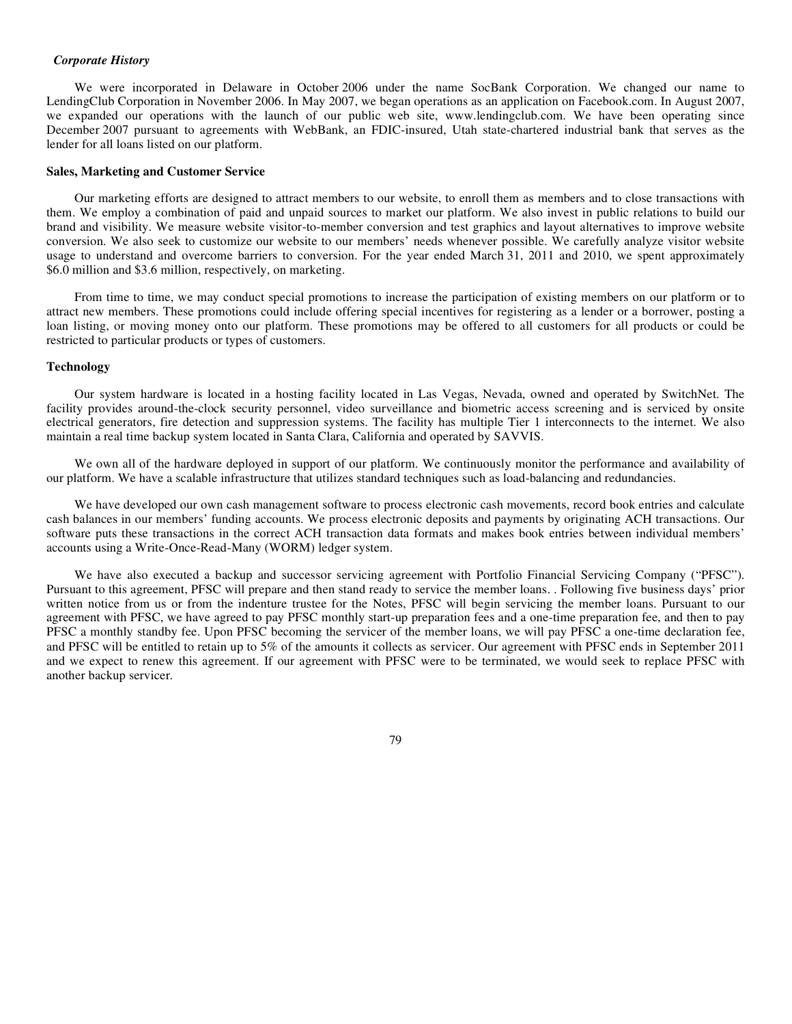### *Corporate History*

We were incorporated in Delaware in October 2006 under the name SocBank Corporation. We changed our name to LendingClub Corporation in November 2006. In May 2007, we began operations as an application on Facebook.com. In August 2007, we expanded our operations with the launch of our public web site, www.lendingclub.com. We have been operating since December 2007 pursuant to agreements with WebBank, an FDIC-insured, Utah state-chartered industrial bank that serves as the lender for all loans listed on our platform.

## **Sales, Marketing and Customer Service**

Our marketing efforts are designed to attract members to our website, to enroll them as members and to close transactions with them. We employ a combination of paid and unpaid sources to market our platform. We also invest in public relations to build our brand and visibility. We measure website visitor-to-member conversion and test graphics and layout alternatives to improve website conversion. We also seek to customize our website to our members' needs whenever possible. We carefully analyze visitor website usage to understand and overcome barriers to conversion. For the year ended March 31, 2011 and 2010, we spent approximately \$6.0 million and \$3.6 million, respectively, on marketing.

From time to time, we may conduct special promotions to increase the participation of existing members on our platform or to attract new members. These promotions could include offering special incentives for registering as a lender or a borrower, posting a loan listing, or moving money onto our platform. These promotions may be offered to all customers for all products or could be restricted to particular products or types of customers.

# **Technology**

Our system hardware is located in a hosting facility located in Las Vegas, Nevada, owned and operated by SwitchNet. The facility provides around-the-clock security personnel, video surveillance and biometric access screening and is serviced by onsite electrical generators, fire detection and suppression systems. The facility has multiple Tier 1 interconnects to the internet. We also maintain a real time backup system located in Santa Clara, California and operated by SAVVIS.

We own all of the hardware deployed in support of our platform. We continuously monitor the performance and availability of our platform. We have a scalable infrastructure that utilizes standard techniques such as load-balancing and redundancies.

We have developed our own cash management software to process electronic cash movements, record book entries and calculate cash balances in our members' funding accounts. We process electronic deposits and payments by originating ACH transactions. Our software puts these transactions in the correct ACH transaction data formats and makes book entries between individual members' accounts using a Write-Once-Read-Many (WORM) ledger system.

We have also executed a backup and successor servicing agreement with Portfolio Financial Servicing Company ("PFSC"). Pursuant to this agreement, PFSC will prepare and then stand ready to service the member loans. . Following five business days' prior written notice from us or from the indenture trustee for the Notes, PFSC will begin servicing the member loans. Pursuant to our agreement with PFSC, we have agreed to pay PFSC monthly start-up preparation fees and a one-time preparation fee, and then to pay PFSC a monthly standby fee. Upon PFSC becoming the servicer of the member loans, we will pay PFSC a one-time declaration fee, and PFSC will be entitled to retain up to 5% of the amounts it collects as servicer. Our agreement with PFSC ends in September 2011 and we expect to renew this agreement. If our agreement with PFSC were to be terminated, we would seek to replace PFSC with another backup servicer.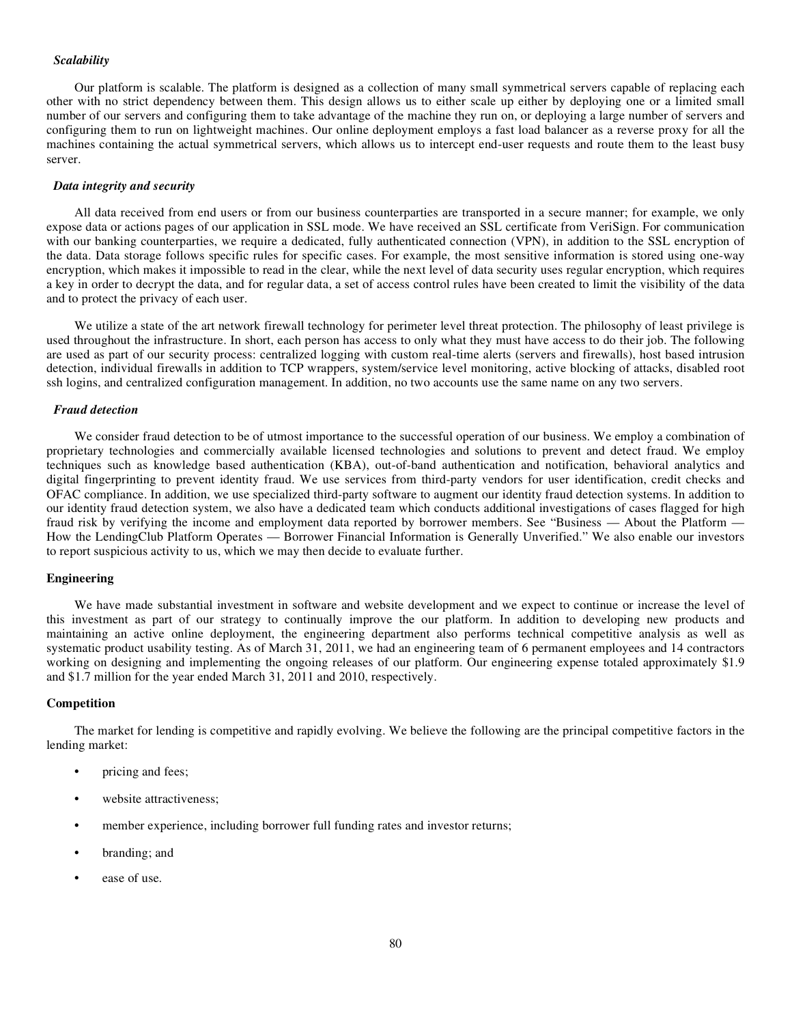# *Scalability*

Our platform is scalable. The platform is designed as a collection of many small symmetrical servers capable of replacing each other with no strict dependency between them. This design allows us to either scale up either by deploying one or a limited small number of our servers and configuring them to take advantage of the machine they run on, or deploying a large number of servers and configuring them to run on lightweight machines. Our online deployment employs a fast load balancer as a reverse proxy for all the machines containing the actual symmetrical servers, which allows us to intercept end-user requests and route them to the least busy server.

# *Data integrity and security*

All data received from end users or from our business counterparties are transported in a secure manner; for example, we only expose data or actions pages of our application in SSL mode. We have received an SSL certificate from VeriSign. For communication with our banking counterparties, we require a dedicated, fully authenticated connection (VPN), in addition to the SSL encryption of the data. Data storage follows specific rules for specific cases. For example, the most sensitive information is stored using one-way encryption, which makes it impossible to read in the clear, while the next level of data security uses regular encryption, which requires a key in order to decrypt the data, and for regular data, a set of access control rules have been created to limit the visibility of the data and to protect the privacy of each user.

We utilize a state of the art network firewall technology for perimeter level threat protection. The philosophy of least privilege is used throughout the infrastructure. In short, each person has access to only what they must have access to do their job. The following are used as part of our security process: centralized logging with custom real-time alerts (servers and firewalls), host based intrusion detection, individual firewalls in addition to TCP wrappers, system/service level monitoring, active blocking of attacks, disabled root ssh logins, and centralized configuration management. In addition, no two accounts use the same name on any two servers.

#### *Fraud detection*

We consider fraud detection to be of utmost importance to the successful operation of our business. We employ a combination of proprietary technologies and commercially available licensed technologies and solutions to prevent and detect fraud. We employ techniques such as knowledge based authentication (KBA), out-of-band authentication and notification, behavioral analytics and digital fingerprinting to prevent identity fraud. We use services from third-party vendors for user identification, credit checks and OFAC compliance. In addition, we use specialized third-party software to augment our identity fraud detection systems. In addition to our identity fraud detection system, we also have a dedicated team which conducts additional investigations of cases flagged for high fraud risk by verifying the income and employment data reported by borrower members. See "Business — About the Platform — How the LendingClub Platform Operates — Borrower Financial Information is Generally Unverified." We also enable our investors to report suspicious activity to us, which we may then decide to evaluate further.

### **Engineering**

We have made substantial investment in software and website development and we expect to continue or increase the level of this investment as part of our strategy to continually improve the our platform. In addition to developing new products and maintaining an active online deployment, the engineering department also performs technical competitive analysis as well as systematic product usability testing. As of March 31, 2011, we had an engineering team of 6 permanent employees and 14 contractors working on designing and implementing the ongoing releases of our platform. Our engineering expense totaled approximately \$1.9 and \$1.7 million for the year ended March 31, 2011 and 2010, respectively.

### **Competition**

The market for lending is competitive and rapidly evolving. We believe the following are the principal competitive factors in the lending market:

- **•** pricing and fees;
- **•** website attractiveness;
- **•** member experience, including borrower full funding rates and investor returns;
- **•** branding; and
- **•** ease of use.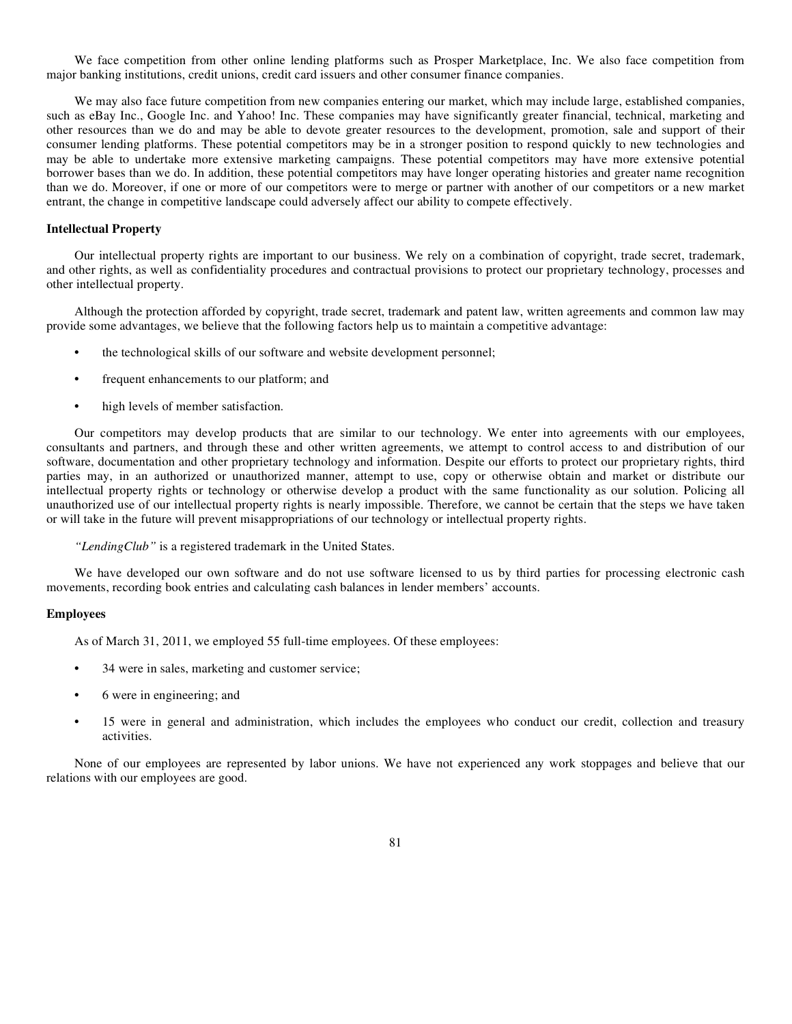We face competition from other online lending platforms such as Prosper Marketplace, Inc. We also face competition from major banking institutions, credit unions, credit card issuers and other consumer finance companies.

We may also face future competition from new companies entering our market, which may include large, established companies, such as eBay Inc., Google Inc. and Yahoo! Inc. These companies may have significantly greater financial, technical, marketing and other resources than we do and may be able to devote greater resources to the development, promotion, sale and support of their consumer lending platforms. These potential competitors may be in a stronger position to respond quickly to new technologies and may be able to undertake more extensive marketing campaigns. These potential competitors may have more extensive potential borrower bases than we do. In addition, these potential competitors may have longer operating histories and greater name recognition than we do. Moreover, if one or more of our competitors were to merge or partner with another of our competitors or a new market entrant, the change in competitive landscape could adversely affect our ability to compete effectively.

# **Intellectual Property**

Our intellectual property rights are important to our business. We rely on a combination of copyright, trade secret, trademark, and other rights, as well as confidentiality procedures and contractual provisions to protect our proprietary technology, processes and other intellectual property.

Although the protection afforded by copyright, trade secret, trademark and patent law, written agreements and common law may provide some advantages, we believe that the following factors help us to maintain a competitive advantage:

- **•** the technological skills of our software and website development personnel;
- **•** frequent enhancements to our platform; and
- **•** high levels of member satisfaction.

Our competitors may develop products that are similar to our technology. We enter into agreements with our employees, consultants and partners, and through these and other written agreements, we attempt to control access to and distribution of our software, documentation and other proprietary technology and information. Despite our efforts to protect our proprietary rights, third parties may, in an authorized or unauthorized manner, attempt to use, copy or otherwise obtain and market or distribute our intellectual property rights or technology or otherwise develop a product with the same functionality as our solution. Policing all unauthorized use of our intellectual property rights is nearly impossible. Therefore, we cannot be certain that the steps we have taken or will take in the future will prevent misappropriations of our technology or intellectual property rights.

*"LendingClub"* is a registered trademark in the United States.

We have developed our own software and do not use software licensed to us by third parties for processing electronic cash movements, recording book entries and calculating cash balances in lender members' accounts.

## **Employees**

As of March 31, 2011, we employed 55 full-time employees. Of these employees:

- **•** 34 were in sales, marketing and customer service;
- **•** 6 were in engineering; and
- **•** 15 were in general and administration, which includes the employees who conduct our credit, collection and treasury activities.

None of our employees are represented by labor unions. We have not experienced any work stoppages and believe that our relations with our employees are good.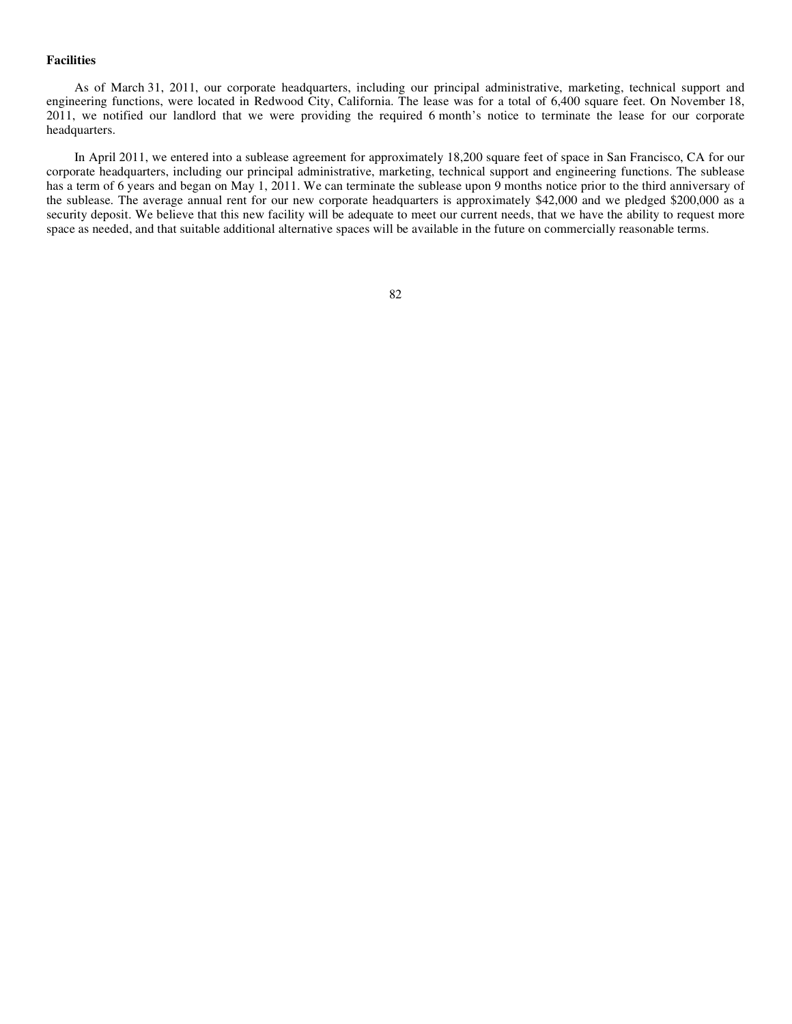# **Facilities**

As of March 31, 2011, our corporate headquarters, including our principal administrative, marketing, technical support and engineering functions, were located in Redwood City, California. The lease was for a total of 6,400 square feet. On November 18, 2011, we notified our landlord that we were providing the required 6 month's notice to terminate the lease for our corporate headquarters.

In April 2011, we entered into a sublease agreement for approximately 18,200 square feet of space in San Francisco, CA for our corporate headquarters, including our principal administrative, marketing, technical support and engineering functions. The sublease has a term of 6 years and began on May 1, 2011. We can terminate the sublease upon 9 months notice prior to the third anniversary of the sublease. The average annual rent for our new corporate headquarters is approximately \$42,000 and we pledged \$200,000 as a security deposit. We believe that this new facility will be adequate to meet our current needs, that we have the ability to request more space as needed, and that suitable additional alternative spaces will be available in the future on commercially reasonable terms.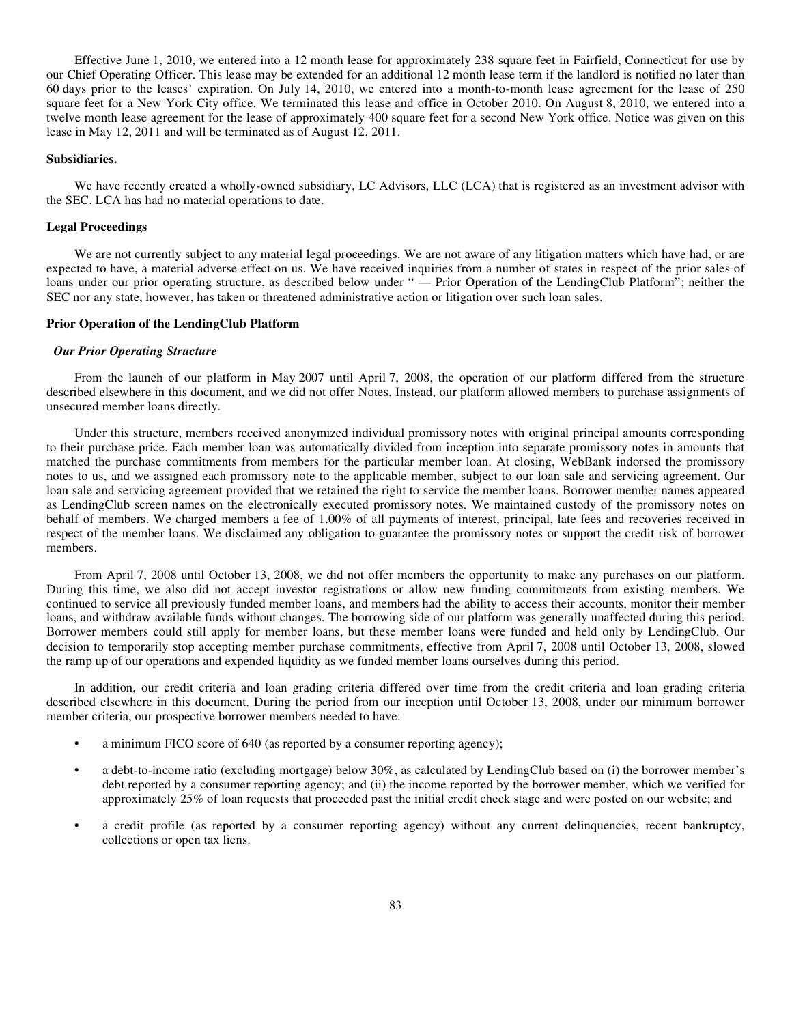Effective June 1, 2010, we entered into a 12 month lease for approximately 238 square feet in Fairfield, Connecticut for use by our Chief Operating Officer. This lease may be extended for an additional 12 month lease term if the landlord is notified no later than 60 days prior to the leases' expiration. On July 14, 2010, we entered into a month-to-month lease agreement for the lease of 250 square feet for a New York City office. We terminated this lease and office in October 2010. On August 8, 2010, we entered into a twelve month lease agreement for the lease of approximately 400 square feet for a second New York office. Notice was given on this lease in May 12, 2011 and will be terminated as of August 12, 2011.

## **Subsidiaries.**

We have recently created a wholly-owned subsidiary, LC Advisors, LLC (LCA) that is registered as an investment advisor with the SEC. LCA has had no material operations to date.

### **Legal Proceedings**

We are not currently subject to any material legal proceedings. We are not aware of any litigation matters which have had, or are expected to have, a material adverse effect on us. We have received inquiries from a number of states in respect of the prior sales of loans under our prior operating structure, as described below under " — Prior Operation of the LendingClub Platform"; neither the SEC nor any state, however, has taken or threatened administrative action or litigation over such loan sales.

#### **Prior Operation of the LendingClub Platform**

#### *Our Prior Operating Structure*

From the launch of our platform in May 2007 until April 7, 2008, the operation of our platform differed from the structure described elsewhere in this document, and we did not offer Notes. Instead, our platform allowed members to purchase assignments of unsecured member loans directly.

Under this structure, members received anonymized individual promissory notes with original principal amounts corresponding to their purchase price. Each member loan was automatically divided from inception into separate promissory notes in amounts that matched the purchase commitments from members for the particular member loan. At closing, WebBank indorsed the promissory notes to us, and we assigned each promissory note to the applicable member, subject to our loan sale and servicing agreement. Our loan sale and servicing agreement provided that we retained the right to service the member loans. Borrower member names appeared as LendingClub screen names on the electronically executed promissory notes. We maintained custody of the promissory notes on behalf of members. We charged members a fee of 1.00% of all payments of interest, principal, late fees and recoveries received in respect of the member loans. We disclaimed any obligation to guarantee the promissory notes or support the credit risk of borrower members.

From April 7, 2008 until October 13, 2008, we did not offer members the opportunity to make any purchases on our platform. During this time, we also did not accept investor registrations or allow new funding commitments from existing members. We continued to service all previously funded member loans, and members had the ability to access their accounts, monitor their member loans, and withdraw available funds without changes. The borrowing side of our platform was generally unaffected during this period. Borrower members could still apply for member loans, but these member loans were funded and held only by LendingClub. Our decision to temporarily stop accepting member purchase commitments, effective from April 7, 2008 until October 13, 2008, slowed the ramp up of our operations and expended liquidity as we funded member loans ourselves during this period.

In addition, our credit criteria and loan grading criteria differed over time from the credit criteria and loan grading criteria described elsewhere in this document. During the period from our inception until October 13, 2008, under our minimum borrower member criteria, our prospective borrower members needed to have:

- **•** a minimum FICO score of 640 (as reported by a consumer reporting agency);
- **•** a debt-to-income ratio (excluding mortgage) below 30%, as calculated by LendingClub based on (i) the borrower member's debt reported by a consumer reporting agency; and (ii) the income reported by the borrower member, which we verified for approximately 25% of loan requests that proceeded past the initial credit check stage and were posted on our website; and
- **•** a credit profile (as reported by a consumer reporting agency) without any current delinquencies, recent bankruptcy, collections or open tax liens.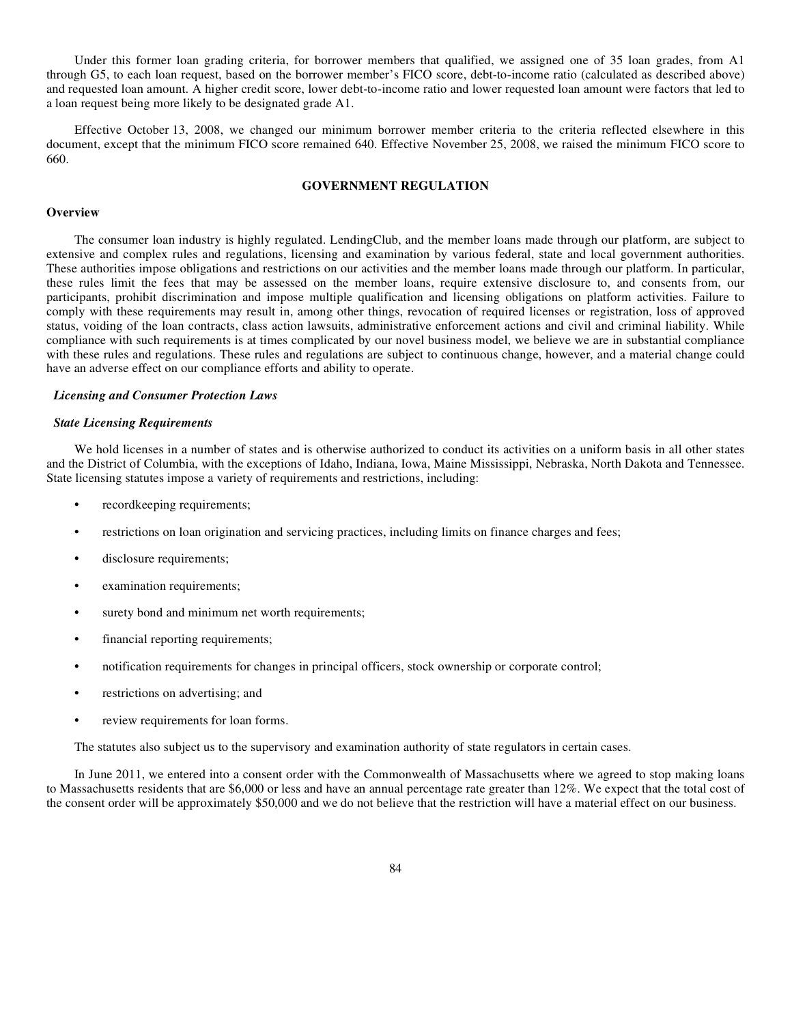Under this former loan grading criteria, for borrower members that qualified, we assigned one of 35 loan grades, from A1 through G5, to each loan request, based on the borrower member's FICO score, debt-to-income ratio (calculated as described above) and requested loan amount. A higher credit score, lower debt-to-income ratio and lower requested loan amount were factors that led to a loan request being more likely to be designated grade A1.

Effective October 13, 2008, we changed our minimum borrower member criteria to the criteria reflected elsewhere in this document, except that the minimum FICO score remained 640. Effective November 25, 2008, we raised the minimum FICO score to 660.

# **GOVERNMENT REGULATION**

# **Overview**

The consumer loan industry is highly regulated. LendingClub, and the member loans made through our platform, are subject to extensive and complex rules and regulations, licensing and examination by various federal, state and local government authorities. These authorities impose obligations and restrictions on our activities and the member loans made through our platform. In particular, these rules limit the fees that may be assessed on the member loans, require extensive disclosure to, and consents from, our participants, prohibit discrimination and impose multiple qualification and licensing obligations on platform activities. Failure to comply with these requirements may result in, among other things, revocation of required licenses or registration, loss of approved status, voiding of the loan contracts, class action lawsuits, administrative enforcement actions and civil and criminal liability. While compliance with such requirements is at times complicated by our novel business model, we believe we are in substantial compliance with these rules and regulations. These rules and regulations are subject to continuous change, however, and a material change could have an adverse effect on our compliance efforts and ability to operate.

#### *Licensing and Consumer Protection Laws*

#### *State Licensing Requirements*

We hold licenses in a number of states and is otherwise authorized to conduct its activities on a uniform basis in all other states and the District of Columbia, with the exceptions of Idaho, Indiana, Iowa, Maine Mississippi, Nebraska, North Dakota and Tennessee. State licensing statutes impose a variety of requirements and restrictions, including:

- **•** recordkeeping requirements;
- restrictions on loan origination and servicing practices, including limits on finance charges and fees;
- **•** disclosure requirements;
- **•** examination requirements;
- **•** surety bond and minimum net worth requirements;
- **•** financial reporting requirements;
- notification requirements for changes in principal officers, stock ownership or corporate control;
- **•** restrictions on advertising; and
- **•** review requirements for loan forms.

The statutes also subject us to the supervisory and examination authority of state regulators in certain cases.

In June 2011, we entered into a consent order with the Commonwealth of Massachusetts where we agreed to stop making loans to Massachusetts residents that are \$6,000 or less and have an annual percentage rate greater than 12%. We expect that the total cost of the consent order will be approximately \$50,000 and we do not believe that the restriction will have a material effect on our business.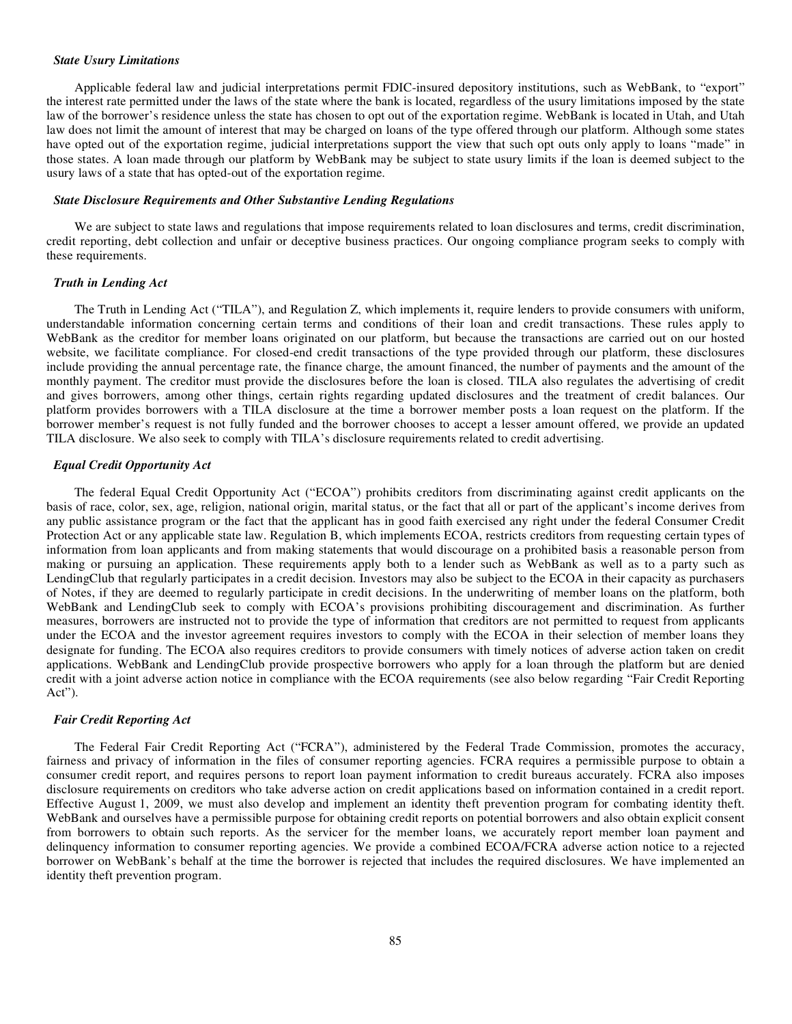#### *State Usury Limitations*

Applicable federal law and judicial interpretations permit FDIC-insured depository institutions, such as WebBank, to "export" the interest rate permitted under the laws of the state where the bank is located, regardless of the usury limitations imposed by the state law of the borrower's residence unless the state has chosen to opt out of the exportation regime. WebBank is located in Utah, and Utah law does not limit the amount of interest that may be charged on loans of the type offered through our platform. Although some states have opted out of the exportation regime, judicial interpretations support the view that such opt outs only apply to loans "made" in those states. A loan made through our platform by WebBank may be subject to state usury limits if the loan is deemed subject to the usury laws of a state that has opted-out of the exportation regime.

### *State Disclosure Requirements and Other Substantive Lending Regulations*

We are subject to state laws and regulations that impose requirements related to loan disclosures and terms, credit discrimination, credit reporting, debt collection and unfair or deceptive business practices. Our ongoing compliance program seeks to comply with these requirements.

## *Truth in Lending Act*

The Truth in Lending Act ("TILA"), and Regulation Z, which implements it, require lenders to provide consumers with uniform, understandable information concerning certain terms and conditions of their loan and credit transactions. These rules apply to WebBank as the creditor for member loans originated on our platform, but because the transactions are carried out on our hosted website, we facilitate compliance. For closed-end credit transactions of the type provided through our platform, these disclosures include providing the annual percentage rate, the finance charge, the amount financed, the number of payments and the amount of the monthly payment. The creditor must provide the disclosures before the loan is closed. TILA also regulates the advertising of credit and gives borrowers, among other things, certain rights regarding updated disclosures and the treatment of credit balances. Our platform provides borrowers with a TILA disclosure at the time a borrower member posts a loan request on the platform. If the borrower member's request is not fully funded and the borrower chooses to accept a lesser amount offered, we provide an updated TILA disclosure. We also seek to comply with TILA's disclosure requirements related to credit advertising.

# *Equal Credit Opportunity Act*

The federal Equal Credit Opportunity Act ("ECOA") prohibits creditors from discriminating against credit applicants on the basis of race, color, sex, age, religion, national origin, marital status, or the fact that all or part of the applicant's income derives from any public assistance program or the fact that the applicant has in good faith exercised any right under the federal Consumer Credit Protection Act or any applicable state law. Regulation B, which implements ECOA, restricts creditors from requesting certain types of information from loan applicants and from making statements that would discourage on a prohibited basis a reasonable person from making or pursuing an application. These requirements apply both to a lender such as WebBank as well as to a party such as LendingClub that regularly participates in a credit decision. Investors may also be subject to the ECOA in their capacity as purchasers of Notes, if they are deemed to regularly participate in credit decisions. In the underwriting of member loans on the platform, both WebBank and LendingClub seek to comply with ECOA's provisions prohibiting discouragement and discrimination. As further measures, borrowers are instructed not to provide the type of information that creditors are not permitted to request from applicants under the ECOA and the investor agreement requires investors to comply with the ECOA in their selection of member loans they designate for funding. The ECOA also requires creditors to provide consumers with timely notices of adverse action taken on credit applications. WebBank and LendingClub provide prospective borrowers who apply for a loan through the platform but are denied credit with a joint adverse action notice in compliance with the ECOA requirements (see also below regarding "Fair Credit Reporting Act").

#### *Fair Credit Reporting Act*

The Federal Fair Credit Reporting Act ("FCRA"), administered by the Federal Trade Commission, promotes the accuracy, fairness and privacy of information in the files of consumer reporting agencies. FCRA requires a permissible purpose to obtain a consumer credit report, and requires persons to report loan payment information to credit bureaus accurately. FCRA also imposes disclosure requirements on creditors who take adverse action on credit applications based on information contained in a credit report. Effective August 1, 2009, we must also develop and implement an identity theft prevention program for combating identity theft. WebBank and ourselves have a permissible purpose for obtaining credit reports on potential borrowers and also obtain explicit consent from borrowers to obtain such reports. As the servicer for the member loans, we accurately report member loan payment and delinquency information to consumer reporting agencies. We provide a combined ECOA/FCRA adverse action notice to a rejected borrower on WebBank's behalf at the time the borrower is rejected that includes the required disclosures. We have implemented an identity theft prevention program.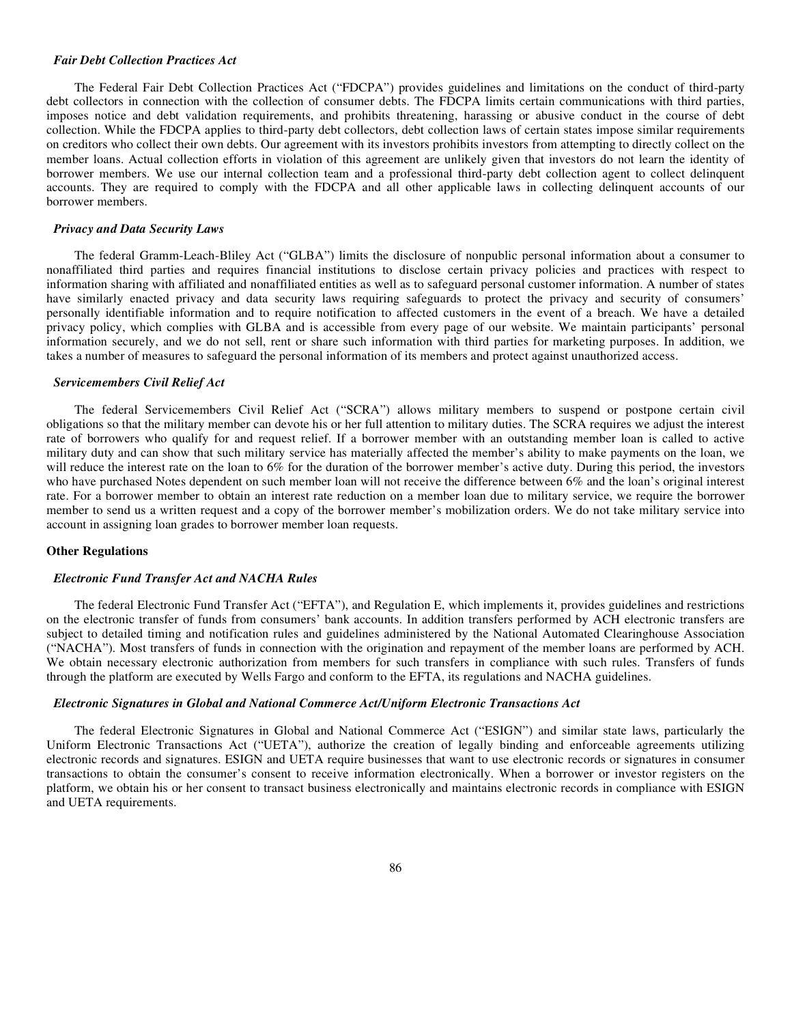#### *Fair Debt Collection Practices Act*

The Federal Fair Debt Collection Practices Act ("FDCPA") provides guidelines and limitations on the conduct of third-party debt collectors in connection with the collection of consumer debts. The FDCPA limits certain communications with third parties, imposes notice and debt validation requirements, and prohibits threatening, harassing or abusive conduct in the course of debt collection. While the FDCPA applies to third-party debt collectors, debt collection laws of certain states impose similar requirements on creditors who collect their own debts. Our agreement with its investors prohibits investors from attempting to directly collect on the member loans. Actual collection efforts in violation of this agreement are unlikely given that investors do not learn the identity of borrower members. We use our internal collection team and a professional third-party debt collection agent to collect delinquent accounts. They are required to comply with the FDCPA and all other applicable laws in collecting delinquent accounts of our borrower members.

### *Privacy and Data Security Laws*

The federal Gramm-Leach-Bliley Act ("GLBA") limits the disclosure of nonpublic personal information about a consumer to nonaffiliated third parties and requires financial institutions to disclose certain privacy policies and practices with respect to information sharing with affiliated and nonaffiliated entities as well as to safeguard personal customer information. A number of states have similarly enacted privacy and data security laws requiring safeguards to protect the privacy and security of consumers' personally identifiable information and to require notification to affected customers in the event of a breach. We have a detailed privacy policy, which complies with GLBA and is accessible from every page of our website. We maintain participants' personal information securely, and we do not sell, rent or share such information with third parties for marketing purposes. In addition, we takes a number of measures to safeguard the personal information of its members and protect against unauthorized access.

# *Servicemembers Civil Relief Act*

The federal Servicemembers Civil Relief Act ("SCRA") allows military members to suspend or postpone certain civil obligations so that the military member can devote his or her full attention to military duties. The SCRA requires we adjust the interest rate of borrowers who qualify for and request relief. If a borrower member with an outstanding member loan is called to active military duty and can show that such military service has materially affected the member's ability to make payments on the loan, we will reduce the interest rate on the loan to 6% for the duration of the borrower member's active duty. During this period, the investors who have purchased Notes dependent on such member loan will not receive the difference between 6% and the loan's original interest rate. For a borrower member to obtain an interest rate reduction on a member loan due to military service, we require the borrower member to send us a written request and a copy of the borrower member's mobilization orders. We do not take military service into account in assigning loan grades to borrower member loan requests.

#### **Other Regulations**

### *Electronic Fund Transfer Act and NACHA Rules*

The federal Electronic Fund Transfer Act ("EFTA"), and Regulation E, which implements it, provides guidelines and restrictions on the electronic transfer of funds from consumers' bank accounts. In addition transfers performed by ACH electronic transfers are subject to detailed timing and notification rules and guidelines administered by the National Automated Clearinghouse Association ("NACHA"). Most transfers of funds in connection with the origination and repayment of the member loans are performed by ACH. We obtain necessary electronic authorization from members for such transfers in compliance with such rules. Transfers of funds through the platform are executed by Wells Fargo and conform to the EFTA, its regulations and NACHA guidelines.

# *Electronic Signatures in Global and National Commerce Act/Uniform Electronic Transactions Act*

The federal Electronic Signatures in Global and National Commerce Act ("ESIGN") and similar state laws, particularly the Uniform Electronic Transactions Act ("UETA"), authorize the creation of legally binding and enforceable agreements utilizing electronic records and signatures. ESIGN and UETA require businesses that want to use electronic records or signatures in consumer transactions to obtain the consumer's consent to receive information electronically. When a borrower or investor registers on the platform, we obtain his or her consent to transact business electronically and maintains electronic records in compliance with ESIGN and UETA requirements.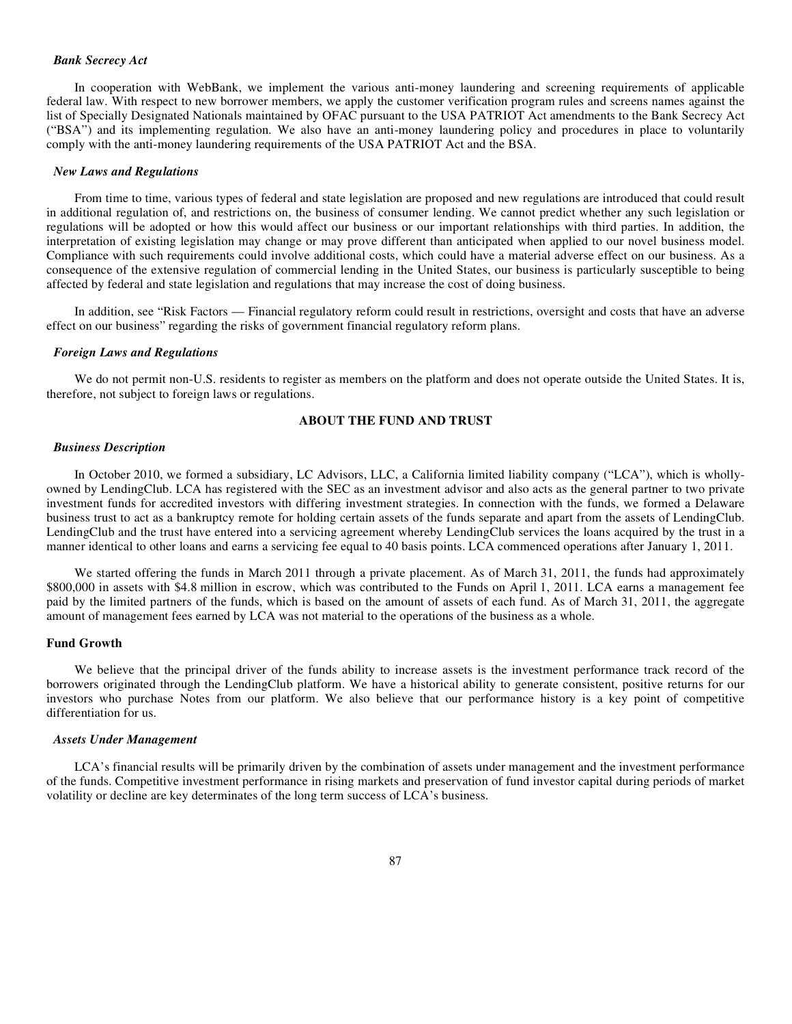### *Bank Secrecy Act*

In cooperation with WebBank, we implement the various anti-money laundering and screening requirements of applicable federal law. With respect to new borrower members, we apply the customer verification program rules and screens names against the list of Specially Designated Nationals maintained by OFAC pursuant to the USA PATRIOT Act amendments to the Bank Secrecy Act ("BSA") and its implementing regulation. We also have an anti-money laundering policy and procedures in place to voluntarily comply with the anti-money laundering requirements of the USA PATRIOT Act and the BSA.

### *New Laws and Regulations*

From time to time, various types of federal and state legislation are proposed and new regulations are introduced that could result in additional regulation of, and restrictions on, the business of consumer lending. We cannot predict whether any such legislation or regulations will be adopted or how this would affect our business or our important relationships with third parties. In addition, the interpretation of existing legislation may change or may prove different than anticipated when applied to our novel business model. Compliance with such requirements could involve additional costs, which could have a material adverse effect on our business. As a consequence of the extensive regulation of commercial lending in the United States, our business is particularly susceptible to being affected by federal and state legislation and regulations that may increase the cost of doing business.

In addition, see "Risk Factors — Financial regulatory reform could result in restrictions, oversight and costs that have an adverse effect on our business" regarding the risks of government financial regulatory reform plans.

#### *Foreign Laws and Regulations*

We do not permit non-U.S. residents to register as members on the platform and does not operate outside the United States. It is, therefore, not subject to foreign laws or regulations.

# **ABOUT THE FUND AND TRUST**

### *Business Description*

In October 2010, we formed a subsidiary, LC Advisors, LLC, a California limited liability company ("LCA"), which is whollyowned by LendingClub. LCA has registered with the SEC as an investment advisor and also acts as the general partner to two private investment funds for accredited investors with differing investment strategies. In connection with the funds, we formed a Delaware business trust to act as a bankruptcy remote for holding certain assets of the funds separate and apart from the assets of LendingClub. LendingClub and the trust have entered into a servicing agreement whereby LendingClub services the loans acquired by the trust in a manner identical to other loans and earns a servicing fee equal to 40 basis points. LCA commenced operations after January 1, 2011.

We started offering the funds in March 2011 through a private placement. As of March 31, 2011, the funds had approximately \$800,000 in assets with \$4.8 million in escrow, which was contributed to the Funds on April 1, 2011. LCA earns a management fee paid by the limited partners of the funds, which is based on the amount of assets of each fund. As of March 31, 2011, the aggregate amount of management fees earned by LCA was not material to the operations of the business as a whole.

# **Fund Growth**

We believe that the principal driver of the funds ability to increase assets is the investment performance track record of the borrowers originated through the LendingClub platform. We have a historical ability to generate consistent, positive returns for our investors who purchase Notes from our platform. We also believe that our performance history is a key point of competitive differentiation for us.

#### *Assets Under Management*

LCA's financial results will be primarily driven by the combination of assets under management and the investment performance of the funds. Competitive investment performance in rising markets and preservation of fund investor capital during periods of market volatility or decline are key determinates of the long term success of LCA's business.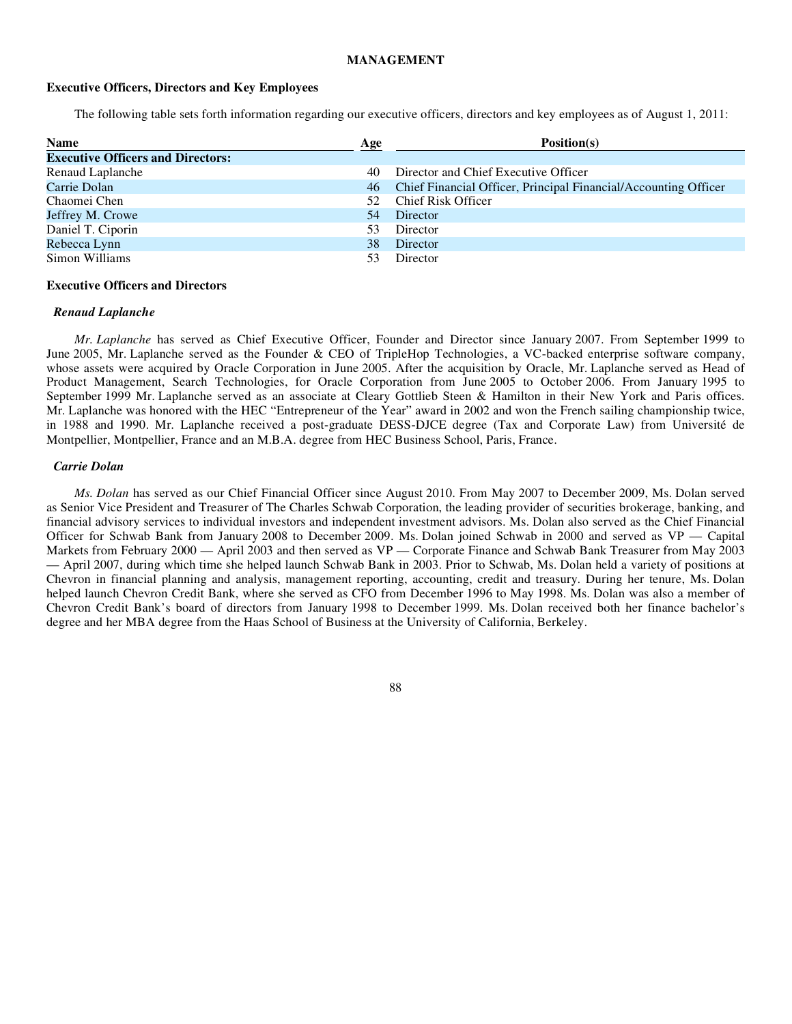### **MANAGEMENT**

### **Executive Officers, Directors and Key Employees**

The following table sets forth information regarding our executive officers, directors and key employees as of August 1, 2011:

| <b>Name</b>                              | Age | Position(s)                                                     |  |  |
|------------------------------------------|-----|-----------------------------------------------------------------|--|--|
| <b>Executive Officers and Directors:</b> |     |                                                                 |  |  |
| Renaud Laplanche                         | 40  | Director and Chief Executive Officer                            |  |  |
| Carrie Dolan                             | 46  | Chief Financial Officer, Principal Financial/Accounting Officer |  |  |
| Chaomei Chen                             | 52. | Chief Risk Officer                                              |  |  |
| Jeffrey M. Crowe                         | 54  | Director                                                        |  |  |
| Daniel T. Ciporin                        | 53  | Director                                                        |  |  |
| Rebecca Lynn                             | 38  | Director                                                        |  |  |
| Simon Williams                           |     | Director                                                        |  |  |

### **Executive Officers and Directors**

### *Renaud Laplanche*

*Mr. Laplanche* has served as Chief Executive Officer, Founder and Director since January 2007. From September 1999 to June 2005, Mr. Laplanche served as the Founder & CEO of TripleHop Technologies, a VC-backed enterprise software company, whose assets were acquired by Oracle Corporation in June 2005. After the acquisition by Oracle, Mr. Laplanche served as Head of Product Management, Search Technologies, for Oracle Corporation from June 2005 to October 2006. From January 1995 to September 1999 Mr. Laplanche served as an associate at Cleary Gottlieb Steen & Hamilton in their New York and Paris offices. Mr. Laplanche was honored with the HEC "Entrepreneur of the Year" award in 2002 and won the French sailing championship twice, in 1988 and 1990. Mr. Laplanche received a post-graduate DESS-DJCE degree (Tax and Corporate Law) from Université de Montpellier, Montpellier, France and an M.B.A. degree from HEC Business School, Paris, France.

#### *Carrie Dolan*

*Ms. Dolan* has served as our Chief Financial Officer since August 2010. From May 2007 to December 2009, Ms. Dolan served as Senior Vice President and Treasurer of The Charles Schwab Corporation, the leading provider of securities brokerage, banking, and financial advisory services to individual investors and independent investment advisors. Ms. Dolan also served as the Chief Financial Officer for Schwab Bank from January 2008 to December 2009. Ms. Dolan joined Schwab in 2000 and served as VP — Capital Markets from February 2000 — April 2003 and then served as VP — Corporate Finance and Schwab Bank Treasurer from May 2003 — April 2007, during which time she helped launch Schwab Bank in 2003. Prior to Schwab, Ms. Dolan held a variety of positions at Chevron in financial planning and analysis, management reporting, accounting, credit and treasury. During her tenure, Ms. Dolan helped launch Chevron Credit Bank, where she served as CFO from December 1996 to May 1998. Ms. Dolan was also a member of Chevron Credit Bank's board of directors from January 1998 to December 1999. Ms. Dolan received both her finance bachelor's degree and her MBA degree from the Haas School of Business at the University of California, Berkeley.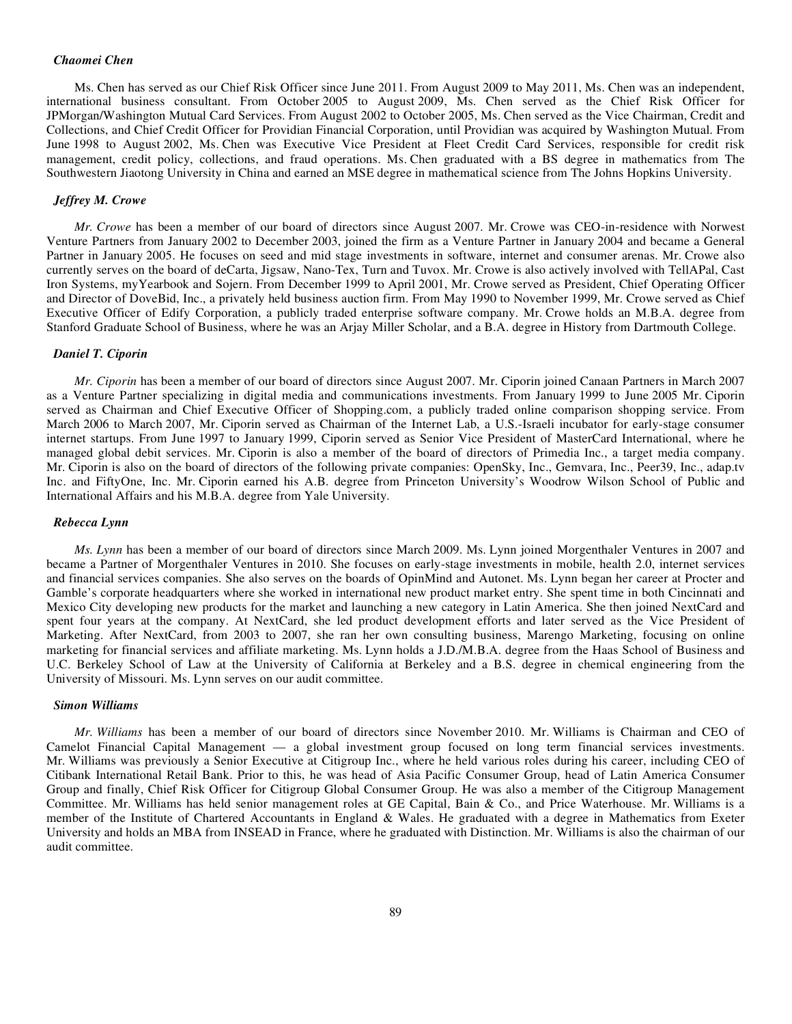## *Chaomei Chen*

Ms. Chen has served as our Chief Risk Officer since June 2011. From August 2009 to May 2011, Ms. Chen was an independent, international business consultant. From October 2005 to August 2009, Ms. Chen served as the Chief Risk Officer for JPMorgan/Washington Mutual Card Services. From August 2002 to October 2005, Ms. Chen served as the Vice Chairman, Credit and Collections, and Chief Credit Officer for Providian Financial Corporation, until Providian was acquired by Washington Mutual. From June 1998 to August 2002, Ms. Chen was Executive Vice President at Fleet Credit Card Services, responsible for credit risk management, credit policy, collections, and fraud operations. Ms. Chen graduated with a BS degree in mathematics from The Southwestern Jiaotong University in China and earned an MSE degree in mathematical science from The Johns Hopkins University.

# *Jeffrey M. Crowe*

*Mr. Crowe* has been a member of our board of directors since August 2007. Mr. Crowe was CEO-in-residence with Norwest Venture Partners from January 2002 to December 2003, joined the firm as a Venture Partner in January 2004 and became a General Partner in January 2005. He focuses on seed and mid stage investments in software, internet and consumer arenas. Mr. Crowe also currently serves on the board of deCarta, Jigsaw, Nano-Tex, Turn and Tuvox. Mr. Crowe is also actively involved with TellAPal, Cast Iron Systems, myYearbook and Sojern. From December 1999 to April 2001, Mr. Crowe served as President, Chief Operating Officer and Director of DoveBid, Inc., a privately held business auction firm. From May 1990 to November 1999, Mr. Crowe served as Chief Executive Officer of Edify Corporation, a publicly traded enterprise software company. Mr. Crowe holds an M.B.A. degree from Stanford Graduate School of Business, where he was an Arjay Miller Scholar, and a B.A. degree in History from Dartmouth College.

#### *Daniel T. Ciporin*

*Mr. Ciporin* has been a member of our board of directors since August 2007. Mr. Ciporin joined Canaan Partners in March 2007 as a Venture Partner specializing in digital media and communications investments. From January 1999 to June 2005 Mr. Ciporin served as Chairman and Chief Executive Officer of Shopping.com, a publicly traded online comparison shopping service. From March 2006 to March 2007, Mr. Ciporin served as Chairman of the Internet Lab, a U.S.-Israeli incubator for early-stage consumer internet startups. From June 1997 to January 1999, Ciporin served as Senior Vice President of MasterCard International, where he managed global debit services. Mr. Ciporin is also a member of the board of directors of Primedia Inc., a target media company. Mr. Ciporin is also on the board of directors of the following private companies: OpenSky, Inc., Gemvara, Inc., Peer39, Inc., adap.tv Inc. and FiftyOne, Inc. Mr. Ciporin earned his A.B. degree from Princeton University's Woodrow Wilson School of Public and International Affairs and his M.B.A. degree from Yale University.

### *Rebecca Lynn*

*Ms. Lynn* has been a member of our board of directors since March 2009. Ms. Lynn joined Morgenthaler Ventures in 2007 and became a Partner of Morgenthaler Ventures in 2010. She focuses on early-stage investments in mobile, health 2.0, internet services and financial services companies. She also serves on the boards of OpinMind and Autonet. Ms. Lynn began her career at Procter and Gamble's corporate headquarters where she worked in international new product market entry. She spent time in both Cincinnati and Mexico City developing new products for the market and launching a new category in Latin America. She then joined NextCard and spent four years at the company. At NextCard, she led product development efforts and later served as the Vice President of Marketing. After NextCard, from 2003 to 2007, she ran her own consulting business, Marengo Marketing, focusing on online marketing for financial services and affiliate marketing. Ms. Lynn holds a J.D./M.B.A. degree from the Haas School of Business and U.C. Berkeley School of Law at the University of California at Berkeley and a B.S. degree in chemical engineering from the University of Missouri. Ms. Lynn serves on our audit committee.

### *Simon Williams*

*Mr. Williams* has been a member of our board of directors since November 2010. Mr. Williams is Chairman and CEO of Camelot Financial Capital Management — a global investment group focused on long term financial services investments. Mr. Williams was previously a Senior Executive at Citigroup Inc., where he held various roles during his career, including CEO of Citibank International Retail Bank. Prior to this, he was head of Asia Pacific Consumer Group, head of Latin America Consumer Group and finally, Chief Risk Officer for Citigroup Global Consumer Group. He was also a member of the Citigroup Management Committee. Mr. Williams has held senior management roles at GE Capital, Bain & Co., and Price Waterhouse. Mr. Williams is a member of the Institute of Chartered Accountants in England & Wales. He graduated with a degree in Mathematics from Exeter University and holds an MBA from INSEAD in France, where he graduated with Distinction. Mr. Williams is also the chairman of our audit committee.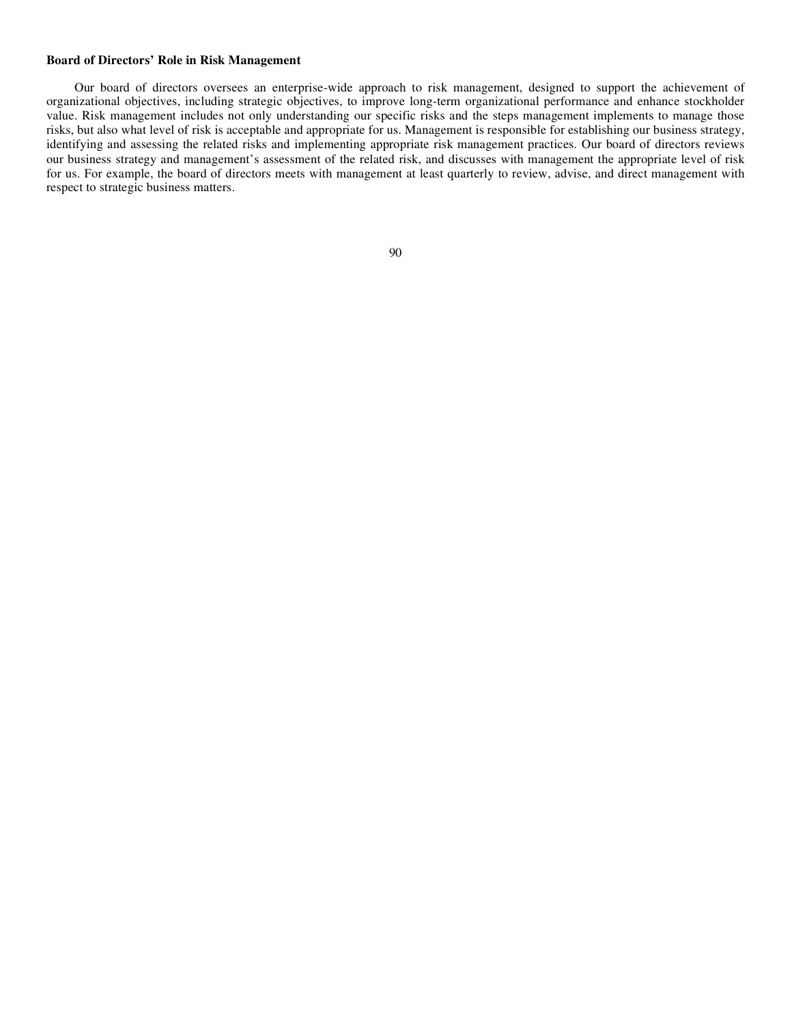## **Board of Directors' Role in Risk Management**

Our board of directors oversees an enterprise-wide approach to risk management, designed to support the achievement of organizational objectives, including strategic objectives, to improve long-term organizational performance and enhance stockholder value. Risk management includes not only understanding our specific risks and the steps management implements to manage those risks, but also what level of risk is acceptable and appropriate for us. Management is responsible for establishing our business strategy, identifying and assessing the related risks and implementing appropriate risk management practices. Our board of directors reviews our business strategy and management's assessment of the related risk, and discusses with management the appropriate level of risk for us. For example, the board of directors meets with management at least quarterly to review, advise, and direct management with respect to strategic business matters.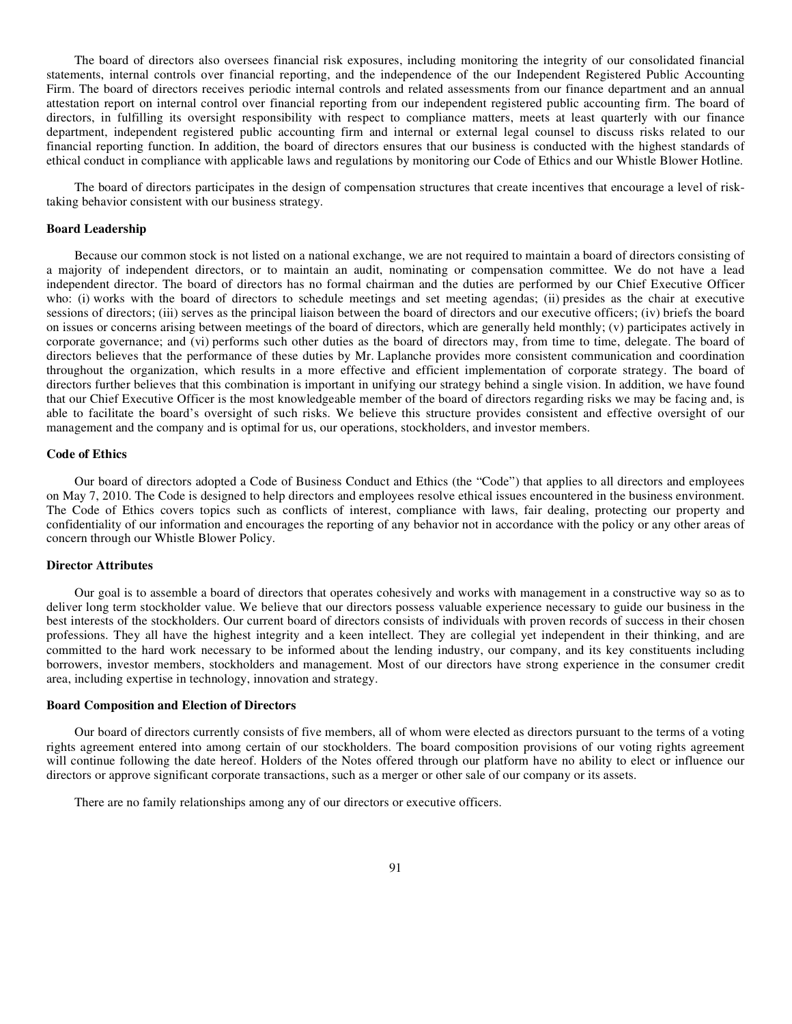The board of directors also oversees financial risk exposures, including monitoring the integrity of our consolidated financial statements, internal controls over financial reporting, and the independence of the our Independent Registered Public Accounting Firm. The board of directors receives periodic internal controls and related assessments from our finance department and an annual attestation report on internal control over financial reporting from our independent registered public accounting firm. The board of directors, in fulfilling its oversight responsibility with respect to compliance matters, meets at least quarterly with our finance department, independent registered public accounting firm and internal or external legal counsel to discuss risks related to our financial reporting function. In addition, the board of directors ensures that our business is conducted with the highest standards of ethical conduct in compliance with applicable laws and regulations by monitoring our Code of Ethics and our Whistle Blower Hotline.

The board of directors participates in the design of compensation structures that create incentives that encourage a level of risktaking behavior consistent with our business strategy.

### **Board Leadership**

Because our common stock is not listed on a national exchange, we are not required to maintain a board of directors consisting of a majority of independent directors, or to maintain an audit, nominating or compensation committee. We do not have a lead independent director. The board of directors has no formal chairman and the duties are performed by our Chief Executive Officer who: (i) works with the board of directors to schedule meetings and set meeting agendas; (ii) presides as the chair at executive sessions of directors; (iii) serves as the principal liaison between the board of directors and our executive officers; (iv) briefs the board on issues or concerns arising between meetings of the board of directors, which are generally held monthly; (v) participates actively in corporate governance; and (vi) performs such other duties as the board of directors may, from time to time, delegate. The board of directors believes that the performance of these duties by Mr. Laplanche provides more consistent communication and coordination throughout the organization, which results in a more effective and efficient implementation of corporate strategy. The board of directors further believes that this combination is important in unifying our strategy behind a single vision. In addition, we have found that our Chief Executive Officer is the most knowledgeable member of the board of directors regarding risks we may be facing and, is able to facilitate the board's oversight of such risks. We believe this structure provides consistent and effective oversight of our management and the company and is optimal for us, our operations, stockholders, and investor members.

## **Code of Ethics**

Our board of directors adopted a Code of Business Conduct and Ethics (the "Code") that applies to all directors and employees on May 7, 2010. The Code is designed to help directors and employees resolve ethical issues encountered in the business environment. The Code of Ethics covers topics such as conflicts of interest, compliance with laws, fair dealing, protecting our property and confidentiality of our information and encourages the reporting of any behavior not in accordance with the policy or any other areas of concern through our Whistle Blower Policy.

#### **Director Attributes**

Our goal is to assemble a board of directors that operates cohesively and works with management in a constructive way so as to deliver long term stockholder value. We believe that our directors possess valuable experience necessary to guide our business in the best interests of the stockholders. Our current board of directors consists of individuals with proven records of success in their chosen professions. They all have the highest integrity and a keen intellect. They are collegial yet independent in their thinking, and are committed to the hard work necessary to be informed about the lending industry, our company, and its key constituents including borrowers, investor members, stockholders and management. Most of our directors have strong experience in the consumer credit area, including expertise in technology, innovation and strategy.

# **Board Composition and Election of Directors**

Our board of directors currently consists of five members, all of whom were elected as directors pursuant to the terms of a voting rights agreement entered into among certain of our stockholders. The board composition provisions of our voting rights agreement will continue following the date hereof. Holders of the Notes offered through our platform have no ability to elect or influence our directors or approve significant corporate transactions, such as a merger or other sale of our company or its assets.

There are no family relationships among any of our directors or executive officers.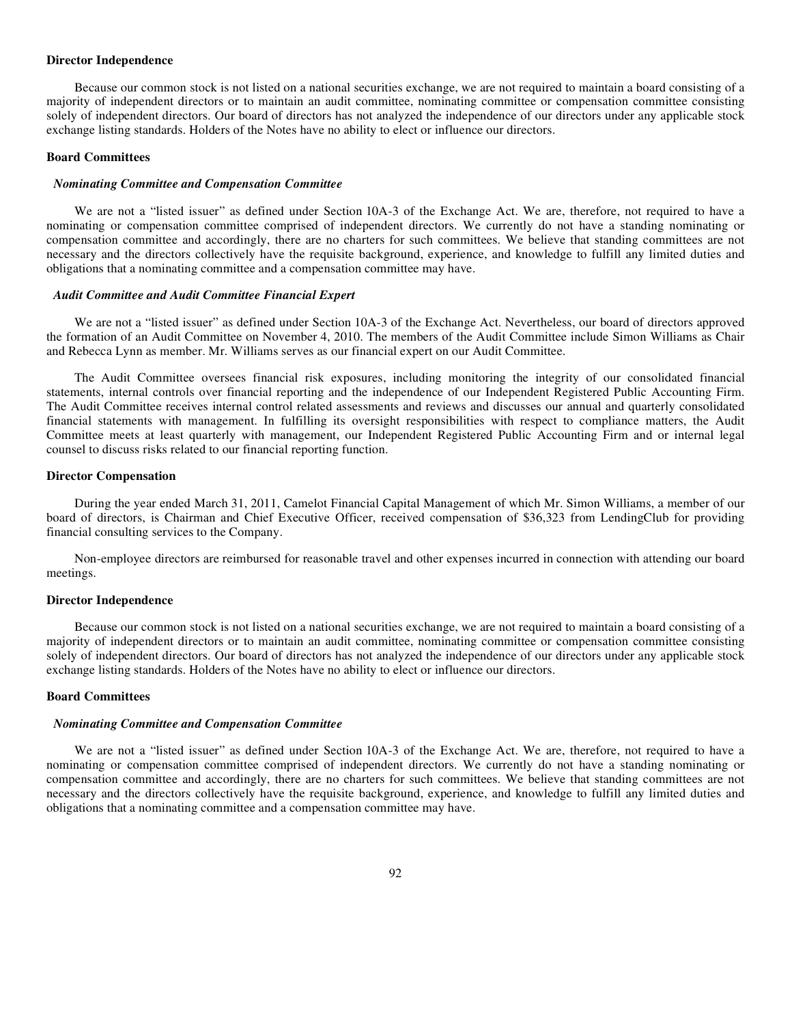#### **Director Independence**

Because our common stock is not listed on a national securities exchange, we are not required to maintain a board consisting of a majority of independent directors or to maintain an audit committee, nominating committee or compensation committee consisting solely of independent directors. Our board of directors has not analyzed the independence of our directors under any applicable stock exchange listing standards. Holders of the Notes have no ability to elect or influence our directors.

## **Board Committees**

#### *Nominating Committee and Compensation Committee*

We are not a "listed issuer" as defined under Section 10A-3 of the Exchange Act. We are, therefore, not required to have a nominating or compensation committee comprised of independent directors. We currently do not have a standing nominating or compensation committee and accordingly, there are no charters for such committees. We believe that standing committees are not necessary and the directors collectively have the requisite background, experience, and knowledge to fulfill any limited duties and obligations that a nominating committee and a compensation committee may have.

### *Audit Committee and Audit Committee Financial Expert*

We are not a "listed issuer" as defined under Section 10A-3 of the Exchange Act. Nevertheless, our board of directors approved the formation of an Audit Committee on November 4, 2010. The members of the Audit Committee include Simon Williams as Chair and Rebecca Lynn as member. Mr. Williams serves as our financial expert on our Audit Committee.

The Audit Committee oversees financial risk exposures, including monitoring the integrity of our consolidated financial statements, internal controls over financial reporting and the independence of our Independent Registered Public Accounting Firm. The Audit Committee receives internal control related assessments and reviews and discusses our annual and quarterly consolidated financial statements with management. In fulfilling its oversight responsibilities with respect to compliance matters, the Audit Committee meets at least quarterly with management, our Independent Registered Public Accounting Firm and or internal legal counsel to discuss risks related to our financial reporting function.

### **Director Compensation**

During the year ended March 31, 2011, Camelot Financial Capital Management of which Mr. Simon Williams, a member of our board of directors, is Chairman and Chief Executive Officer, received compensation of \$36,323 from LendingClub for providing financial consulting services to the Company.

Non-employee directors are reimbursed for reasonable travel and other expenses incurred in connection with attending our board meetings.

### **Director Independence**

Because our common stock is not listed on a national securities exchange, we are not required to maintain a board consisting of a majority of independent directors or to maintain an audit committee, nominating committee or compensation committee consisting solely of independent directors. Our board of directors has not analyzed the independence of our directors under any applicable stock exchange listing standards. Holders of the Notes have no ability to elect or influence our directors.

# **Board Committees**

### *Nominating Committee and Compensation Committee*

We are not a "listed issuer" as defined under Section 10A-3 of the Exchange Act. We are, therefore, not required to have a nominating or compensation committee comprised of independent directors. We currently do not have a standing nominating or compensation committee and accordingly, there are no charters for such committees. We believe that standing committees are not necessary and the directors collectively have the requisite background, experience, and knowledge to fulfill any limited duties and obligations that a nominating committee and a compensation committee may have.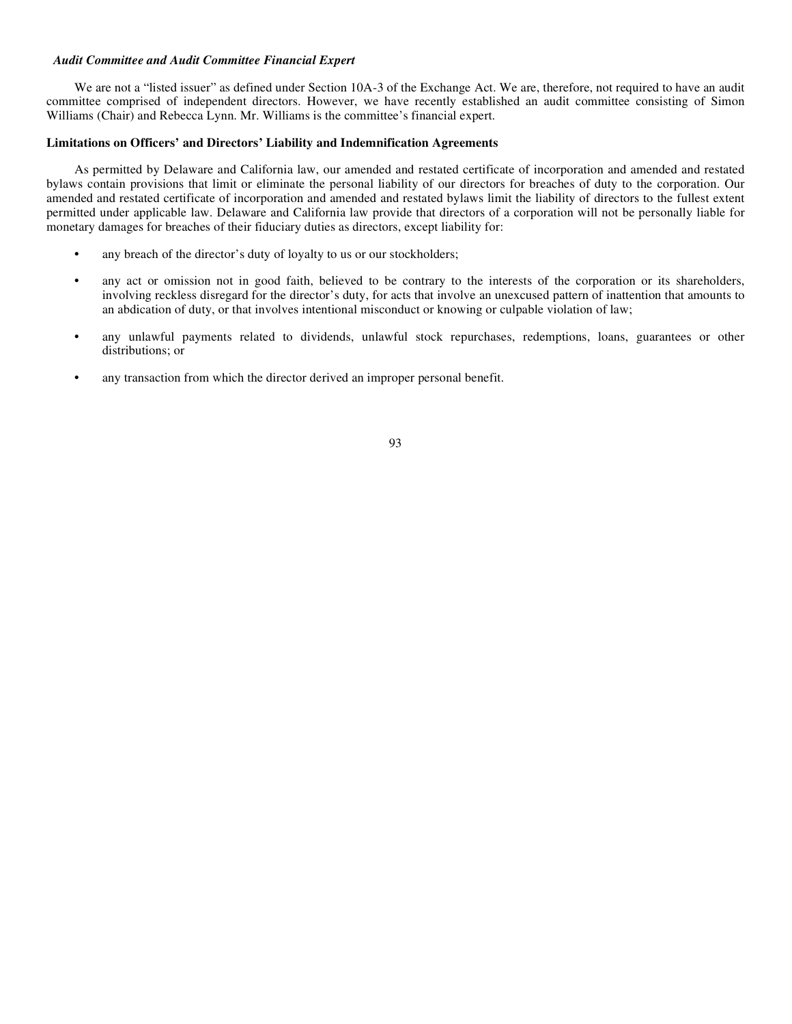# *Audit Committee and Audit Committee Financial Expert*

We are not a "listed issuer" as defined under Section 10A-3 of the Exchange Act. We are, therefore, not required to have an audit committee comprised of independent directors. However, we have recently established an audit committee consisting of Simon Williams (Chair) and Rebecca Lynn. Mr. Williams is the committee's financial expert.

# **Limitations on Officers' and Directors' Liability and Indemnification Agreements**

As permitted by Delaware and California law, our amended and restated certificate of incorporation and amended and restated bylaws contain provisions that limit or eliminate the personal liability of our directors for breaches of duty to the corporation. Our amended and restated certificate of incorporation and amended and restated bylaws limit the liability of directors to the fullest extent permitted under applicable law. Delaware and California law provide that directors of a corporation will not be personally liable for monetary damages for breaches of their fiduciary duties as directors, except liability for:

- any breach of the director's duty of loyalty to us or our stockholders;
- **•** any act or omission not in good faith, believed to be contrary to the interests of the corporation or its shareholders, involving reckless disregard for the director's duty, for acts that involve an unexcused pattern of inattention that amounts to an abdication of duty, or that involves intentional misconduct or knowing or culpable violation of law;
- any unlawful payments related to dividends, unlawful stock repurchases, redemptions, loans, guarantees or other distributions; or
- **•** any transaction from which the director derived an improper personal benefit.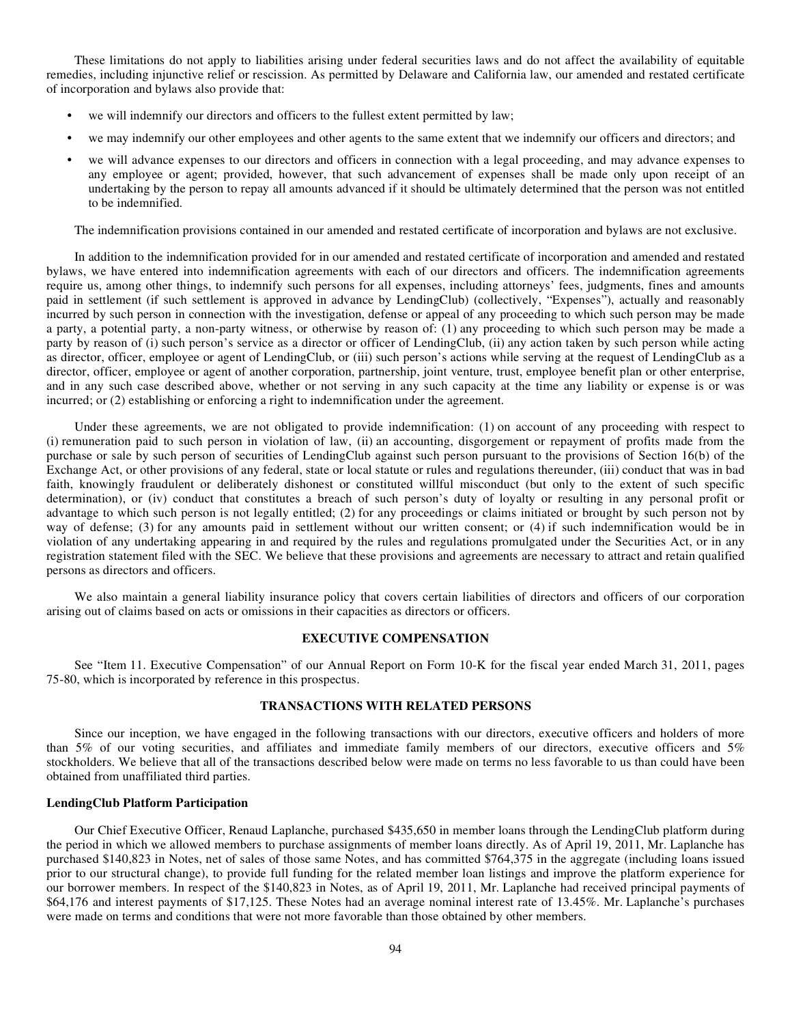These limitations do not apply to liabilities arising under federal securities laws and do not affect the availability of equitable remedies, including injunctive relief or rescission. As permitted by Delaware and California law, our amended and restated certificate of incorporation and bylaws also provide that:

- **•** we will indemnify our directors and officers to the fullest extent permitted by law;
- **•** we may indemnify our other employees and other agents to the same extent that we indemnify our officers and directors; and
- **•** we will advance expenses to our directors and officers in connection with a legal proceeding, and may advance expenses to any employee or agent; provided, however, that such advancement of expenses shall be made only upon receipt of an undertaking by the person to repay all amounts advanced if it should be ultimately determined that the person was not entitled to be indemnified.

The indemnification provisions contained in our amended and restated certificate of incorporation and bylaws are not exclusive.

In addition to the indemnification provided for in our amended and restated certificate of incorporation and amended and restated bylaws, we have entered into indemnification agreements with each of our directors and officers. The indemnification agreements require us, among other things, to indemnify such persons for all expenses, including attorneys' fees, judgments, fines and amounts paid in settlement (if such settlement is approved in advance by LendingClub) (collectively, "Expenses"), actually and reasonably incurred by such person in connection with the investigation, defense or appeal of any proceeding to which such person may be made a party, a potential party, a non-party witness, or otherwise by reason of: (1) any proceeding to which such person may be made a party by reason of (i) such person's service as a director or officer of LendingClub, (ii) any action taken by such person while acting as director, officer, employee or agent of LendingClub, or (iii) such person's actions while serving at the request of LendingClub as a director, officer, employee or agent of another corporation, partnership, joint venture, trust, employee benefit plan or other enterprise, and in any such case described above, whether or not serving in any such capacity at the time any liability or expense is or was incurred; or (2) establishing or enforcing a right to indemnification under the agreement.

Under these agreements, we are not obligated to provide indemnification: (1) on account of any proceeding with respect to (i) remuneration paid to such person in violation of law, (ii) an accounting, disgorgement or repayment of profits made from the purchase or sale by such person of securities of LendingClub against such person pursuant to the provisions of Section 16(b) of the Exchange Act, or other provisions of any federal, state or local statute or rules and regulations thereunder, (iii) conduct that was in bad faith, knowingly fraudulent or deliberately dishonest or constituted willful misconduct (but only to the extent of such specific determination), or (iv) conduct that constitutes a breach of such person's duty of loyalty or resulting in any personal profit or advantage to which such person is not legally entitled; (2) for any proceedings or claims initiated or brought by such person not by way of defense; (3) for any amounts paid in settlement without our written consent; or (4) if such indemnification would be in violation of any undertaking appearing in and required by the rules and regulations promulgated under the Securities Act, or in any registration statement filed with the SEC. We believe that these provisions and agreements are necessary to attract and retain qualified persons as directors and officers.

We also maintain a general liability insurance policy that covers certain liabilities of directors and officers of our corporation arising out of claims based on acts or omissions in their capacities as directors or officers.

# **EXECUTIVE COMPENSATION**

See "Item 11. Executive Compensation" of our Annual Report on Form 10-K for the fiscal year ended March 31, 2011, pages 75-80, which is incorporated by reference in this prospectus.

# **TRANSACTIONS WITH RELATED PERSONS**

Since our inception, we have engaged in the following transactions with our directors, executive officers and holders of more than 5% of our voting securities, and affiliates and immediate family members of our directors, executive officers and 5% stockholders. We believe that all of the transactions described below were made on terms no less favorable to us than could have been obtained from unaffiliated third parties.

# **LendingClub Platform Participation**

Our Chief Executive Officer, Renaud Laplanche, purchased \$435,650 in member loans through the LendingClub platform during the period in which we allowed members to purchase assignments of member loans directly. As of April 19, 2011, Mr. Laplanche has purchased \$140,823 in Notes, net of sales of those same Notes, and has committed \$764,375 in the aggregate (including loans issued prior to our structural change), to provide full funding for the related member loan listings and improve the platform experience for our borrower members. In respect of the \$140,823 in Notes, as of April 19, 2011, Mr. Laplanche had received principal payments of \$64,176 and interest payments of \$17,125. These Notes had an average nominal interest rate of 13.45%. Mr. Laplanche's purchases were made on terms and conditions that were not more favorable than those obtained by other members.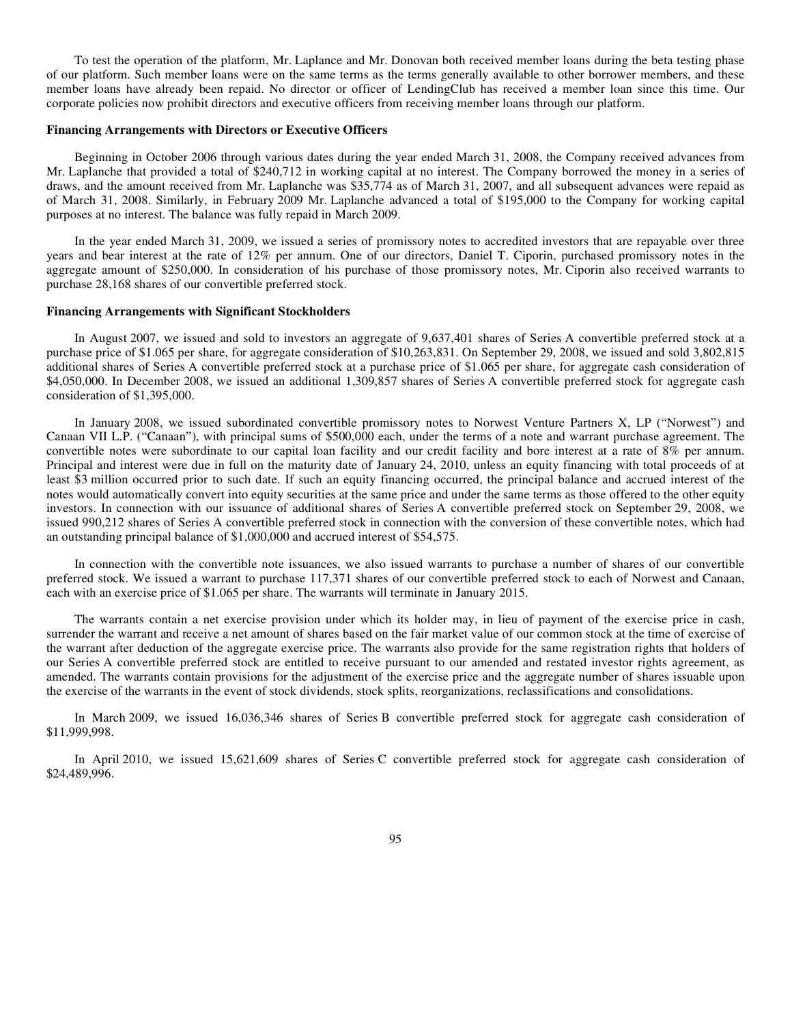To test the operation of the platform, Mr. Laplance and Mr. Donovan both received member loans during the beta testing phase of our platform. Such member loans were on the same terms as the terms generally available to other borrower members, and these member loans have already been repaid. No director or officer of LendingClub has received a member loan since this time. Our corporate policies now prohibit directors and executive officers from receiving member loans through our platform.

## **Financing Arrangements with Directors or Executive Officers**

Beginning in October 2006 through various dates during the year ended March 31, 2008, the Company received advances from Mr. Laplanche that provided a total of \$240,712 in working capital at no interest. The Company borrowed the money in a series of draws, and the amount received from Mr. Laplanche was \$35,774 as of March 31, 2007, and all subsequent advances were repaid as of March 31, 2008. Similarly, in February 2009 Mr. Laplanche advanced a total of \$195,000 to the Company for working capital purposes at no interest. The balance was fully repaid in March 2009.

In the year ended March 31, 2009, we issued a series of promissory notes to accredited investors that are repayable over three years and bear interest at the rate of 12% per annum. One of our directors, Daniel T. Ciporin, purchased promissory notes in the aggregate amount of \$250,000. In consideration of his purchase of those promissory notes, Mr. Ciporin also received warrants to purchase 28,168 shares of our convertible preferred stock.

### **Financing Arrangements with Significant Stockholders**

In August 2007, we issued and sold to investors an aggregate of 9,637,401 shares of Series A convertible preferred stock at a purchase price of \$1.065 per share, for aggregate consideration of \$10,263,831. On September 29, 2008, we issued and sold 3,802,815 additional shares of Series A convertible preferred stock at a purchase price of \$1.065 per share, for aggregate cash consideration of \$4,050,000. In December 2008, we issued an additional 1,309,857 shares of Series A convertible preferred stock for aggregate cash consideration of \$1,395,000.

In January 2008, we issued subordinated convertible promissory notes to Norwest Venture Partners X, LP ("Norwest") and Canaan VII L.P. ("Canaan"), with principal sums of \$500,000 each, under the terms of a note and warrant purchase agreement. The convertible notes were subordinate to our capital loan facility and our credit facility and bore interest at a rate of 8% per annum. Principal and interest were due in full on the maturity date of January 24, 2010, unless an equity financing with total proceeds of at least \$3 million occurred prior to such date. If such an equity financing occurred, the principal balance and accrued interest of the notes would automatically convert into equity securities at the same price and under the same terms as those offered to the other equity investors. In connection with our issuance of additional shares of Series A convertible preferred stock on September 29, 2008, we issued 990,212 shares of Series A convertible preferred stock in connection with the conversion of these convertible notes, which had an outstanding principal balance of \$1,000,000 and accrued interest of \$54,575.

In connection with the convertible note issuances, we also issued warrants to purchase a number of shares of our convertible preferred stock. We issued a warrant to purchase 117,371 shares of our convertible preferred stock to each of Norwest and Canaan, each with an exercise price of \$1.065 per share. The warrants will terminate in January 2015.

The warrants contain a net exercise provision under which its holder may, in lieu of payment of the exercise price in cash, surrender the warrant and receive a net amount of shares based on the fair market value of our common stock at the time of exercise of the warrant after deduction of the aggregate exercise price. The warrants also provide for the same registration rights that holders of our Series A convertible preferred stock are entitled to receive pursuant to our amended and restated investor rights agreement, as amended. The warrants contain provisions for the adjustment of the exercise price and the aggregate number of shares issuable upon the exercise of the warrants in the event of stock dividends, stock splits, reorganizations, reclassifications and consolidations.

In March 2009, we issued 16,036,346 shares of Series B convertible preferred stock for aggregate cash consideration of \$11,999,998.

In April 2010, we issued 15,621,609 shares of Series C convertible preferred stock for aggregate cash consideration of \$24,489,996.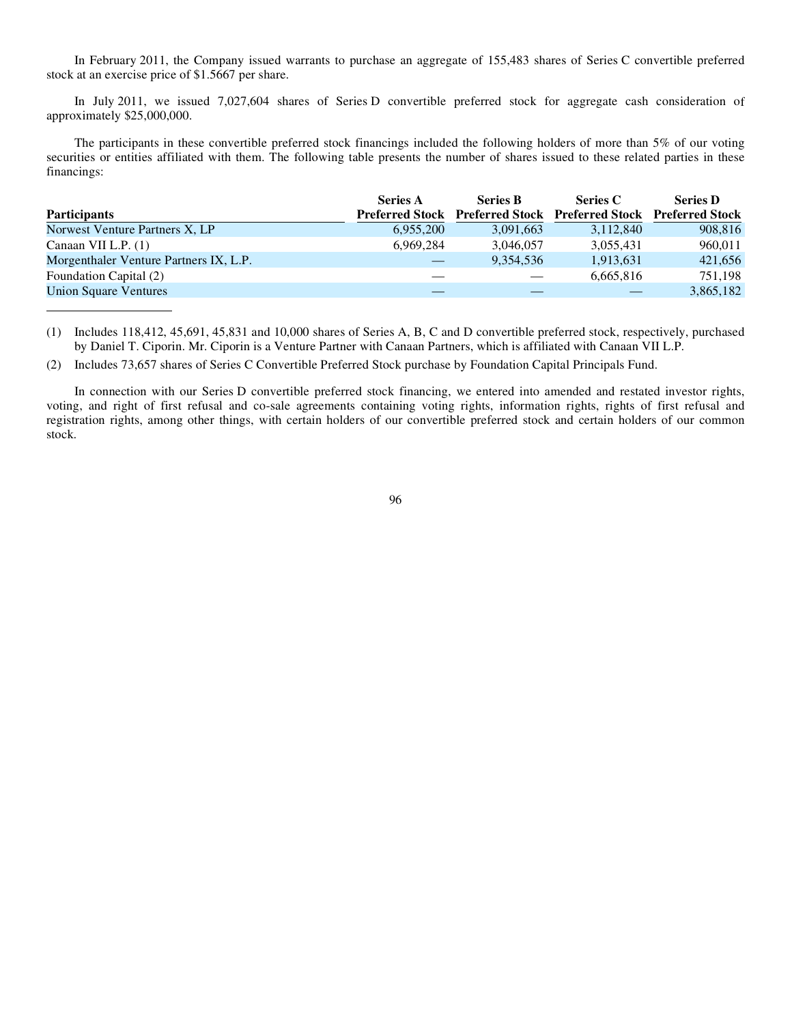In February 2011, the Company issued warrants to purchase an aggregate of 155,483 shares of Series C convertible preferred stock at an exercise price of \$1.5667 per share.

In July 2011, we issued 7,027,604 shares of Series D convertible preferred stock for aggregate cash consideration of approximately \$25,000,000.

The participants in these convertible preferred stock financings included the following holders of more than 5% of our voting securities or entities affiliated with them. The following table presents the number of shares issued to these related parties in these financings:

|                                        | <b>Series A</b> | <b>Series B</b>                                                 | Series C  | <b>Series D</b> |
|----------------------------------------|-----------------|-----------------------------------------------------------------|-----------|-----------------|
| <b>Participants</b>                    |                 | Preferred Stock Preferred Stock Preferred Stock Preferred Stock |           |                 |
| Norwest Venture Partners X, LP         | 6,955,200       | 3,091,663                                                       | 3,112,840 | 908.816         |
| Canaan VII L.P. $(1)$                  | 6.969.284       | 3,046,057                                                       | 3,055,431 | 960.011         |
| Morgenthaler Venture Partners IX, L.P. |                 | 9,354,536                                                       | 1,913,631 | 421,656         |
| Foundation Capital (2)                 |                 |                                                                 | 6,665,816 | 751.198         |
| <b>Union Square Ventures</b>           |                 |                                                                 |           | 3,865,182       |

(1) Includes 118,412, 45,691, 45,831 and 10,000 shares of Series A, B, C and D convertible preferred stock, respectively, purchased by Daniel T. Ciporin. Mr. Ciporin is a Venture Partner with Canaan Partners, which is affiliated with Canaan VII L.P.

(2) Includes 73,657 shares of Series C Convertible Preferred Stock purchase by Foundation Capital Principals Fund.

In connection with our Series D convertible preferred stock financing, we entered into amended and restated investor rights, voting, and right of first refusal and co-sale agreements containing voting rights, information rights, rights of first refusal and registration rights, among other things, with certain holders of our convertible preferred stock and certain holders of our common stock.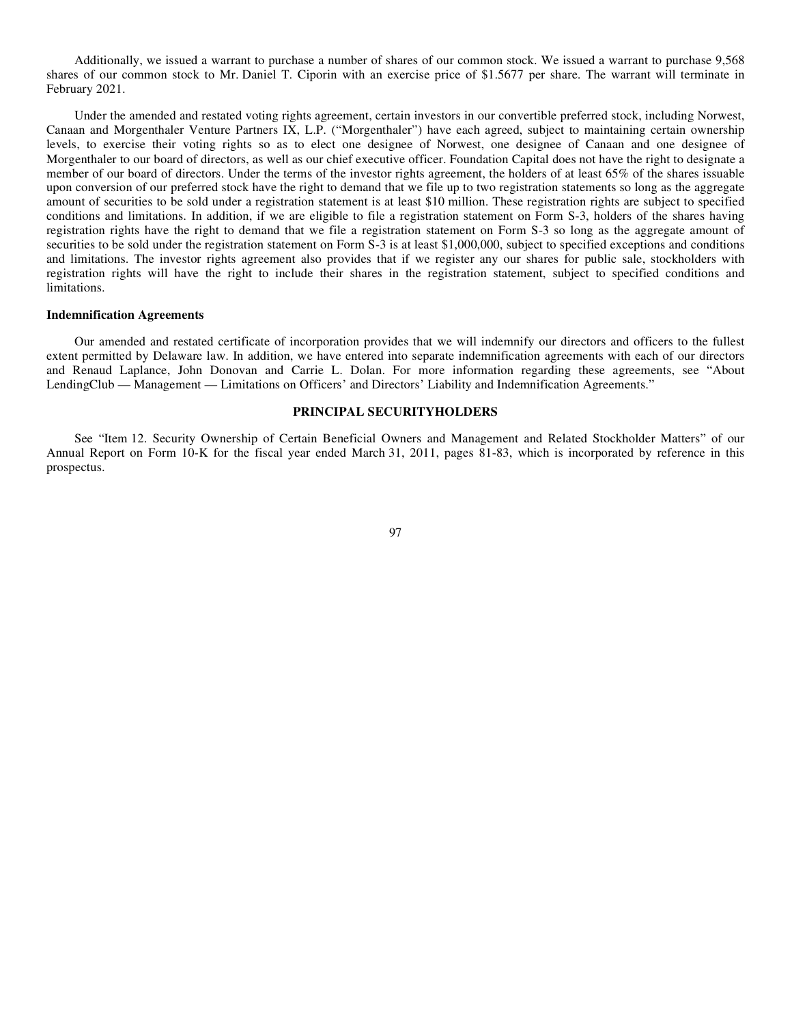Additionally, we issued a warrant to purchase a number of shares of our common stock. We issued a warrant to purchase 9,568 shares of our common stock to Mr. Daniel T. Ciporin with an exercise price of \$1.5677 per share. The warrant will terminate in February 2021.

Under the amended and restated voting rights agreement, certain investors in our convertible preferred stock, including Norwest, Canaan and Morgenthaler Venture Partners IX, L.P. ("Morgenthaler") have each agreed, subject to maintaining certain ownership levels, to exercise their voting rights so as to elect one designee of Norwest, one designee of Canaan and one designee of Morgenthaler to our board of directors, as well as our chief executive officer. Foundation Capital does not have the right to designate a member of our board of directors. Under the terms of the investor rights agreement, the holders of at least 65% of the shares issuable upon conversion of our preferred stock have the right to demand that we file up to two registration statements so long as the aggregate amount of securities to be sold under a registration statement is at least \$10 million. These registration rights are subject to specified conditions and limitations. In addition, if we are eligible to file a registration statement on Form S-3, holders of the shares having registration rights have the right to demand that we file a registration statement on Form S-3 so long as the aggregate amount of securities to be sold under the registration statement on Form S-3 is at least \$1,000,000, subject to specified exceptions and conditions and limitations. The investor rights agreement also provides that if we register any our shares for public sale, stockholders with registration rights will have the right to include their shares in the registration statement, subject to specified conditions and limitations.

### **Indemnification Agreements**

Our amended and restated certificate of incorporation provides that we will indemnify our directors and officers to the fullest extent permitted by Delaware law. In addition, we have entered into separate indemnification agreements with each of our directors and Renaud Laplance, John Donovan and Carrie L. Dolan. For more information regarding these agreements, see "About LendingClub — Management — Limitations on Officers' and Directors' Liability and Indemnification Agreements."

# **PRINCIPAL SECURITYHOLDERS**

See "Item 12. Security Ownership of Certain Beneficial Owners and Management and Related Stockholder Matters" of our Annual Report on Form 10-K for the fiscal year ended March 31, 2011, pages 81-83, which is incorporated by reference in this prospectus.